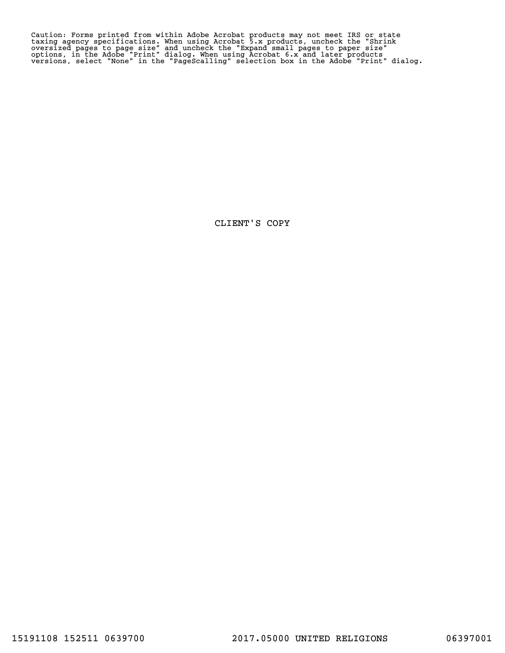Caution: Forms printed from within Adobe Acrobat products may not meet IRS or state<br>taxing agency specifications. When using Acrobat 5.x products, uncheck the "Shrink<br>oversized pages to page size" and uncheck the "Expand s

CLIENT'S COPY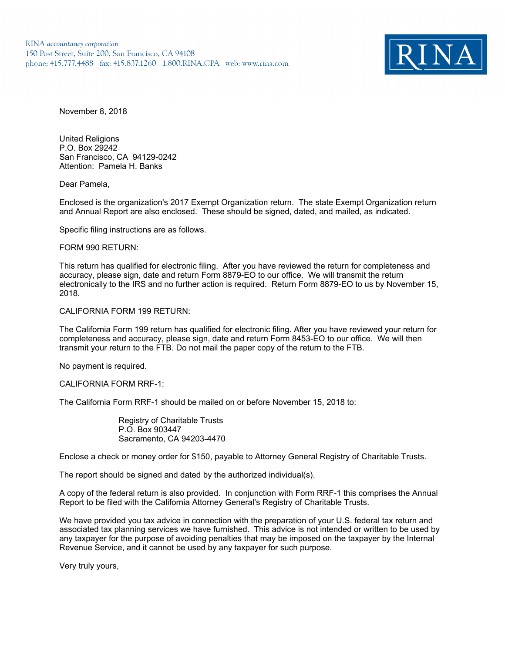

November 8, 2018

United Religions P.O. Box 29242 San Francisco, CA 94129-0242 Attention: Pamela H. Banks

Dear Pamela,

Enclosed is the organization's 2017 Exempt Organization return. The state Exempt Organization return and Annual Report are also enclosed. These should be signed, dated, and mailed, as indicated.

Specific filing instructions are as follows.

#### FORM 990 RETURN:

This return has qualified for electronic filing. After you have reviewed the return for completeness and accuracy, please sign, date and return Form 8879-EO to our office. We will transmit the return electronically to the IRS and no further action is required. Return Form 8879-EO to us by November 15, 2018.

### CALIFORNIA FORM 199 RETURN:

The California Form 199 return has qualified for electronic filing. After you have reviewed your return for completeness and accuracy, please sign, date and return Form 8453-EO to our office. We will then transmit your return to the FTB. Do not mail the paper copy of the return to the FTB.

No payment is required.

### CALIFORNIA FORM RRF-1:

The California Form RRF-1 should be mailed on or before November 15, 2018 to:

Registry of Charitable Trusts P.O. Box 903447 Sacramento, CA 94203-4470

Enclose a check or money order for \$150, payable to Attorney General Registry of Charitable Trusts.

The report should be signed and dated by the authorized individual(s).

A copy of the federal return is also provided. In conjunction with Form RRF-1 this comprises the Annual Report to be filed with the California Attorney General's Registry of Charitable Trusts.

We have provided you tax advice in connection with the preparation of your U.S. federal tax return and associated tax planning services we have furnished. This advice is not intended or written to be used by any taxpayer for the purpose of avoiding penalties that may be imposed on the taxpayer by the Internal Revenue Service, and it cannot be used by any taxpayer for such purpose.

Very truly yours,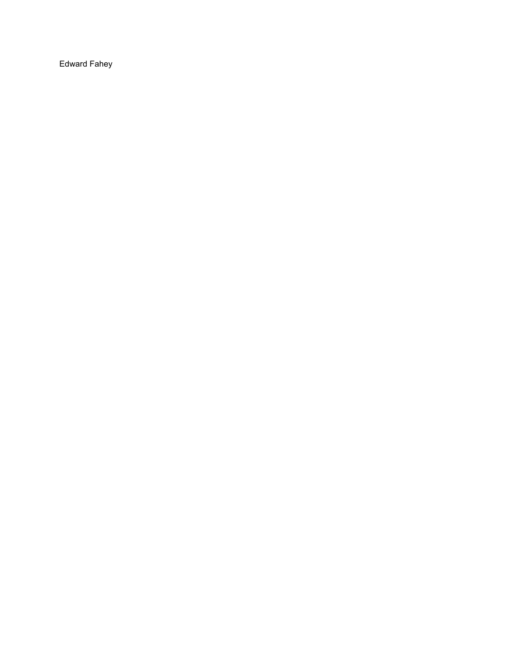Edward Fahey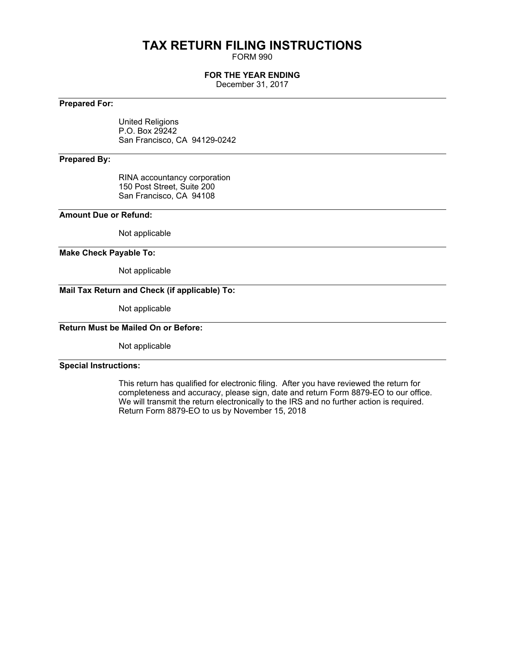# **TAX RETURN FILING INSTRUCTIONS**

FORM 990

## **FOR THE YEAR ENDING**

December 31, 2017

## **Prepared For:**

United Religions P.O. Box 29242 San Francisco, CA 94129-0242

## **Prepared By:**

RINA accountancy corporation 150 Post Street, Suite 200 San Francisco, CA 94108

## **Amount Due or Refund:**

Not applicable

#### **Make Check Payable To:**

Not applicable

## **Mail Tax Return and Check (if applicable) To:**

Not applicable

## **Return Must be Mailed On or Before:**

Not applicable

### **Special Instructions:**

This return has qualified for electronic filing. After you have reviewed the return for completeness and accuracy, please sign, date and return Form 8879-EO to our office. We will transmit the return electronically to the IRS and no further action is required. Return Form 8879-EO to us by November 15, 2018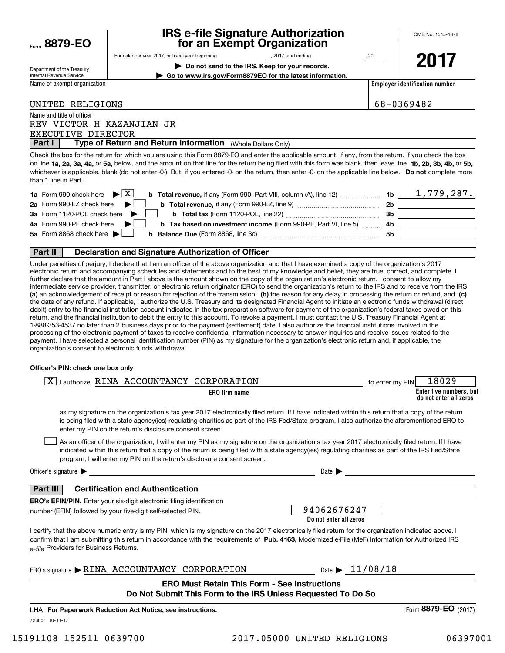| Form | 8879-EO |  |  |
|------|---------|--|--|
|------|---------|--|--|

## **IRS e-file Signature Authorization for an Exempt Organization**

Department of the Treasury Internal Revenue Service

For calendar year 2017, or fiscal year beginning and the set of the set of 2017, and ending the set of 20 year

**| Do not send to the IRS. Keep for your records. | Go to www.irs.gov/Form8879EO for the latest information.** **2017**

Name of exempt organization

**Employer identification number**

UNITED RELIGIONS 68-0369482

### Name and title of officer REV VICTOR H KAZANJIAN JR

EXECUTIVE DIRECTOR

**Part I** | Type of Return and Return Information (Whole Dollars Only)

on line **1a, 2a, 3a, 4a,** or **5a,** below, and the amount on that line for the return being filed with this form was blank, then leave line **1b, 2b, 3b, 4b,** or **5b,** whichever is applicable, blank (do not enter -0-). But, if you entered -0- on the return, then enter -0- on the applicable line below. **Do not** complete more Check the box for the return for which you are using this Form 8879-EO and enter the applicable amount, if any, from the return. If you check the box than 1 line in Part I.

| <b>1a</b> Form 990 check here $\blacktriangleright$ $\boxed{\text{X}}$<br><b>b Total revenue,</b> if any (Form 990, Part VIII, column (A), line 12) | -1b | 1,779,287. |
|-----------------------------------------------------------------------------------------------------------------------------------------------------|-----|------------|
| 2a Form 990-EZ check here $\blacktriangleright$<br><b>b</b> Total revenue, if any (Form 990-EZ, line 9) <i></i>                                     | -2b |            |
| 3a Form 1120-POL check here $\blacktriangleright$ $\Box$                                                                                            | 3b  |            |
| 4a Form 990-PF check here $\blacktriangleright$<br><b>b</b> Tax based on investment income (Form 990-PF, Part VI, line 5) 4b                        |     |            |
| 5a Form 8868 check here $\blacktriangleright$                                                                                                       | .5b |            |
|                                                                                                                                                     |     |            |

### **Part II Declaration and Signature Authorization of Officer**

**(a)** an acknowledgement of receipt or reason for rejection of the transmission, (b) the reason for any delay in processing the return or refund, and (c) Under penalties of perjury, I declare that I am an officer of the above organization and that I have examined a copy of the organization's 2017 electronic return and accompanying schedules and statements and to the best of my knowledge and belief, they are true, correct, and complete. I further declare that the amount in Part I above is the amount shown on the copy of the organization's electronic return. I consent to allow my intermediate service provider, transmitter, or electronic return originator (ERO) to send the organization's return to the IRS and to receive from the IRS the date of any refund. If applicable, I authorize the U.S. Treasury and its designated Financial Agent to initiate an electronic funds withdrawal (direct debit) entry to the financial institution account indicated in the tax preparation software for payment of the organization's federal taxes owed on this return, and the financial institution to debit the entry to this account. To revoke a payment, I must contact the U.S. Treasury Financial Agent at 1-888-353-4537 no later than 2 business days prior to the payment (settlement) date. I also authorize the financial institutions involved in the processing of the electronic payment of taxes to receive confidential information necessary to answer inquiries and resolve issues related to the payment. I have selected a personal identification number (PIN) as my signature for the organization's electronic return and, if applicable, the organization's consent to electronic funds withdrawal.

#### **Officer's PIN: check one box only**

| I authorize RINA ACCOUNTANCY CORPORATION                                                                                                                                                                                                                                                                                                                                         | to enter my PIN | 18029                                             |
|----------------------------------------------------------------------------------------------------------------------------------------------------------------------------------------------------------------------------------------------------------------------------------------------------------------------------------------------------------------------------------|-----------------|---------------------------------------------------|
| ERO firm name                                                                                                                                                                                                                                                                                                                                                                    |                 | Enter five numbers, but<br>do not enter all zeros |
| as my signature on the organization's tax year 2017 electronically filed return. If I have indicated within this return that a copy of the return<br>is being filed with a state agency(ies) regulating charities as part of the IRS Fed/State program, I also authorize the aforementioned ERO to<br>enter my PIN on the return's disclosure consent screen.                    |                 |                                                   |
| As an officer of the organization, I will enter my PIN as my signature on the organization's tax year 2017 electronically filed return. If I have<br>indicated within this return that a copy of the return is being filed with a state agency(ies) regulating charities as part of the IRS Fed/State<br>program, I will enter my PIN on the return's disclosure consent screen. |                 |                                                   |
| Officer's signature $\blacktriangleright$ $\_\_\_\_\_\_\_\_\_\_$<br>Date $\blacktriangleright$                                                                                                                                                                                                                                                                                   |                 |                                                   |
| <b>Certification and Authentication</b><br>Part III I                                                                                                                                                                                                                                                                                                                            |                 |                                                   |
| <b>ERO's EFIN/PIN.</b> Enter your six-digit electronic filing identification                                                                                                                                                                                                                                                                                                     |                 |                                                   |
| 94062676247<br>number (EFIN) followed by your five-digit self-selected PIN.<br>Do not enter all zeros                                                                                                                                                                                                                                                                            |                 |                                                   |
| I certify that the above numeric entry is my PIN, which is my signature on the 2017 electronically filed return for the organization indicated above. I<br>confirm that I am submitting this return in accordance with the requirements of Pub. 4163, Modernized e-File (MeF) Information for Authorized IRS<br>e-file Providers for Business Returns.                           |                 |                                                   |
| Date $\blacktriangleright$ 11/08/18<br>ERO's signature RINA ACCOUNTANCY CORPORATION                                                                                                                                                                                                                                                                                              |                 |                                                   |
| <b>ERO Must Retain This Form - See Instructions</b><br>Do Not Submit This Form to the IRS Unless Requested To Do So                                                                                                                                                                                                                                                              |                 |                                                   |

723051 10-11-17 LHA For Paperwork Reduction Act Notice, see instructions.

Form (2017) **8879-EO**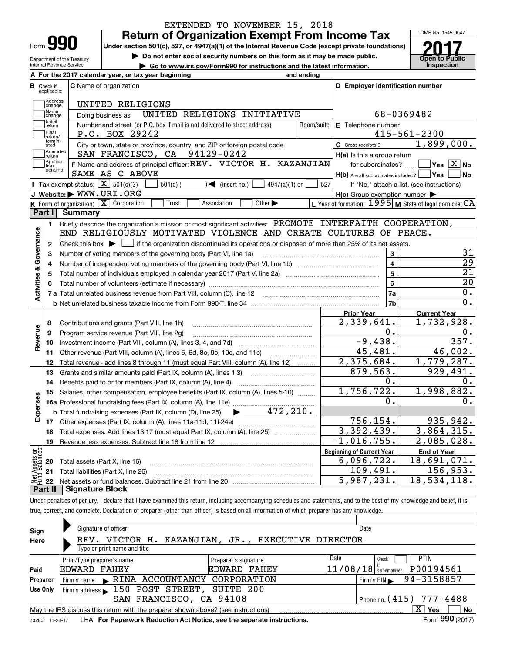## **Return of Organization Exempt From Income Tax** EXTENDED TO NOVEMBER 15, 2018

**Under section 501(c), 527, or 4947(a)(1) of the Internal Revenue Code (except private foundations)**

Department of the Treasury Internal Revenue Service

**| Do not enter social security numbers on this form as it may be made public.**

▶ Go to www.irs.gov/Form990 for instructions and the latest information. **Inspection** 

Τ

OMB No. 1545-0047 **Open to Public 2017**

|                              | A For the 2017 calendar year, or tax year beginning                                                                                                 | and ending |                                                         |                                                           |  |  |
|------------------------------|-----------------------------------------------------------------------------------------------------------------------------------------------------|------------|---------------------------------------------------------|-----------------------------------------------------------|--|--|
| В<br>Check if<br>applicable: | <b>C</b> Name of organization                                                                                                                       |            | D Employer identification number                        |                                                           |  |  |
| Address<br>change            | UNITED RELIGIONS                                                                                                                                    |            |                                                         |                                                           |  |  |
| Name<br>change               | UNITED RELIGIONS INITIATIVE<br>Doing business as                                                                                                    |            | 68-0369482                                              |                                                           |  |  |
| ,<br> Initial<br> return     | Number and street (or P.O. box if mail is not delivered to street address)                                                                          | Room/suite | E Telephone number                                      |                                                           |  |  |
| Final<br>return/             | P.O. BOX 29242                                                                                                                                      |            |                                                         | $415 - 561 - 2300$                                        |  |  |
| termin-<br>ated              | City or town, state or province, country, and ZIP or foreign postal code                                                                            |            | <b>G</b> Gross receipts \$                              | 1,899,000.                                                |  |  |
| Amended<br>return            | SAN FRANCISCO, CA 94129-0242                                                                                                                        |            | H(a) Is this a group return                             |                                                           |  |  |
| Applica-<br>tion             | F Name and address of principal officer: REV. VICTOR H. KAZANJIAN                                                                                   |            | for subordinates? $\frac{1}{2}$                         | $\sqrt{}$ Yes $\sqrt{}$ X $\sqrt{}$ No                    |  |  |
| pending                      | SAME AS C ABOVE                                                                                                                                     |            | $H(b)$ Are all subordinates included? $\Box$ Yes $\Box$ | N <sub>o</sub>                                            |  |  |
|                              | <b>I</b> Tax-exempt status: $\overline{\mathbf{X}}$ 501(c)(3)<br>$501(c)$ (<br>$\sqrt{\frac{1}{1}}$ (insert no.)<br>$4947(a)(1)$ or                 | 527        |                                                         | If "No," attach a list. (see instructions)                |  |  |
|                              | J Website: WWW.URI.ORG                                                                                                                              |            | $H(c)$ Group exemption number $\blacktriangleright$     |                                                           |  |  |
|                              | K Form of organization: $X$ Corporation<br>Other $\blacktriangleright$<br>Trust<br>Association                                                      |            |                                                         | L Year of formation: $1995$ M State of legal domicile: CA |  |  |
| Part I                       | Summary                                                                                                                                             |            |                                                         |                                                           |  |  |
| $\blacksquare$               | Briefly describe the organization's mission or most significant activities: PROMOTE INTERFAITH COOPERATION,                                         |            |                                                         |                                                           |  |  |
|                              | END RELIGIOUSLY MOTIVATED VIOLENCE AND CREATE CULTURES OF PEACE.                                                                                    |            |                                                         |                                                           |  |  |
| $\mathbf{2}$                 | Check this box $\blacktriangleright$ $\blacksquare$ if the organization discontinued its operations or disposed of more than 25% of its net assets. |            |                                                         |                                                           |  |  |
| Activities & Governance<br>З | Number of voting members of the governing body (Part VI, line 1a)                                                                                   |            | 3                                                       | 31                                                        |  |  |
| 4                            |                                                                                                                                                     |            | $\overline{4}$                                          | $\overline{29}$                                           |  |  |
| 5                            |                                                                                                                                                     |            | $\overline{5}$                                          | $\overline{21}$                                           |  |  |
| 6                            |                                                                                                                                                     | 6          | 20                                                      |                                                           |  |  |
|                              |                                                                                                                                                     |            | 7a                                                      | 0.                                                        |  |  |
|                              |                                                                                                                                                     |            | 7b                                                      | 0.                                                        |  |  |
|                              |                                                                                                                                                     |            |                                                         |                                                           |  |  |
| 8                            |                                                                                                                                                     |            | <b>Prior Year</b><br>2,339,641.                         | <b>Current Year</b><br>1,732,928.                         |  |  |
| 9                            | Contributions and grants (Part VIII, line 1h)                                                                                                       |            | 0.                                                      | О.                                                        |  |  |
| Revenue                      | Program service revenue (Part VIII, line 2g)                                                                                                        |            | $-9,438.$                                               | 357.                                                      |  |  |
| 10                           |                                                                                                                                                     |            | 45,481.                                                 | 46,002.                                                   |  |  |
| 11                           | Other revenue (Part VIII, column (A), lines 5, 6d, 8c, 9c, 10c, and 11e)                                                                            |            | 2,375,684.                                              | 1,779,287.                                                |  |  |
| 12                           | Total revenue - add lines 8 through 11 (must equal Part VIII, column (A), line 12)                                                                  |            | 879,563.                                                | 929,491.                                                  |  |  |
| 13                           | Grants and similar amounts paid (Part IX, column (A), lines 1-3)                                                                                    |            | 0.                                                      | 0.                                                        |  |  |
| 14                           | Benefits paid to or for members (Part IX, column (A), line 4)                                                                                       |            | 1,756,722.                                              | 1,998,882.                                                |  |  |
| 15                           | Salaries, other compensation, employee benefits (Part IX, column (A), lines 5-10)                                                                   |            | 0.                                                      | 0.                                                        |  |  |
|                              | 472,210.                                                                                                                                            |            |                                                         |                                                           |  |  |
| Expenses                     | <b>b</b> Total fundraising expenses (Part IX, column (D), line 25)<br>▶                                                                             |            | 756,154.                                                | 935,942.                                                  |  |  |
|                              |                                                                                                                                                     |            | 3,392,439.                                              | 3,864,315.                                                |  |  |
| 18                           | Total expenses. Add lines 13-17 (must equal Part IX, column (A), line 25)                                                                           |            | $-1,016,755.$                                           | $-2,085,028.$                                             |  |  |
|                              |                                                                                                                                                     |            |                                                         |                                                           |  |  |
| 19                           |                                                                                                                                                     |            |                                                         |                                                           |  |  |
|                              |                                                                                                                                                     |            | <b>Beginning of Current Year</b>                        | <b>End of Year</b>                                        |  |  |
| äğ<br>sets<br>diam<br>20     | Total assets (Part X, line 16)                                                                                                                      |            | 6,096,722.                                              | 18,691,071.                                               |  |  |
| 21<br>22                     | Total liabilities (Part X, line 26)                                                                                                                 |            | 109,491.<br>5,987,231.                                  | 156,953.<br>18,534,118.                                   |  |  |

Under penalties of perjury, I declare that I have examined this return, including accompanying schedules and statements, and to the best of my knowledge and belief, it is true, correct, and complete. Declaration of preparer (other than officer) is based on all information of which preparer has any knowledge.  $\overline{\mathbf{r}}$ 

| Sign     | Signature of officer                                                                                         |                                    |          | Date                                           |  |  |  |
|----------|--------------------------------------------------------------------------------------------------------------|------------------------------------|----------|------------------------------------------------|--|--|--|
| Here     | VICTOR H.<br>REV.                                                                                            | KAZANJIAN, JR., EXECUTIVE DIRECTOR |          |                                                |  |  |  |
|          | Type or print name and title                                                                                 |                                    |          |                                                |  |  |  |
|          | Print/Type preparer's name                                                                                   | Preparer's signature               | Date     | <b>PTIN</b><br>Check                           |  |  |  |
| Paid     | <b>EDWARD FAHEY</b>                                                                                          | <b>FAHEY</b><br>EDWARD             | 11/08/18 | P00194561<br>self-employed                     |  |  |  |
| Preparer | RINA ACCOUNTANCY CORPORATION<br>Firm's name                                                                  |                                    |          | 94-3158857<br>$Firm's EIN \blacktriangleright$ |  |  |  |
| Use Only | Firm's address $\blacktriangleright$ 150 POST STREET,                                                        | SUITE 200                          |          |                                                |  |  |  |
|          | SAN FRANCISCO, CA 94108                                                                                      |                                    |          | 777-4488<br>Phone no. $(415)$                  |  |  |  |
|          | May the IRS discuss this return with the preparer shown above? (see instructions)                            |                                    |          | X  <br><b>No</b><br>Yes                        |  |  |  |
|          | Form 990 (2017)<br>LHA For Paperwork Reduction Act Notice, see the separate instructions.<br>732001 11-28-17 |                                    |          |                                                |  |  |  |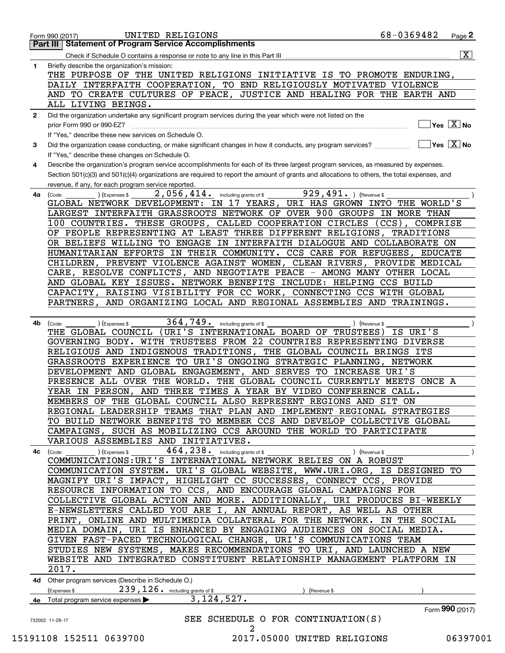|              | 68-0369482<br>UNITED RELIGIONS<br>$Page$ 2<br>Form 990 (2017)                                                                                                |
|--------------|--------------------------------------------------------------------------------------------------------------------------------------------------------------|
|              | <b>Statement of Program Service Accomplishments</b><br>Part III I                                                                                            |
|              | $\overline{\mathtt{x}}$ )<br>Check if Schedule O contains a response or note to any line in this Part III                                                    |
| 1            | Briefly describe the organization's mission:                                                                                                                 |
|              | THE PURPOSE OF THE UNITED RELIGIONS INITIATIVE IS TO PROMOTE ENDURING,                                                                                       |
|              | DAILY INTERFAITH COOPERATION, TO END RELIGIOUSLY MOTIVATED VIOLENCE                                                                                          |
|              | AND TO CREATE CULTURES OF PEACE, JUSTICE AND HEALING FOR THE EARTH AND                                                                                       |
|              | ALL LIVING BEINGS.                                                                                                                                           |
| $\mathbf{2}$ | Did the organization undertake any significant program services during the year which were not listed on the                                                 |
|              | $\sqrt{}$ Yes $\sqrt{X}$ No<br>prior Form 990 or 990-EZ?                                                                                                     |
|              | If "Yes," describe these new services on Schedule O.                                                                                                         |
| 3            | $\sqrt{\mathsf{Yes}\ \boxed{\mathrm{X}}}$ No<br>Did the organization cease conducting, or make significant changes in how it conducts, any program services? |
|              | If "Yes," describe these changes on Schedule O.                                                                                                              |
| 4            | Describe the organization's program service accomplishments for each of its three largest program services, as measured by expenses.                         |
|              | Section 501(c)(3) and 501(c)(4) organizations are required to report the amount of grants and allocations to others, the total expenses, and                 |
|              | revenue, if any, for each program service reported.                                                                                                          |
| 4a           | 929, 491. ) (Revenue \$<br>$2,056,414.$ including grants of \$<br>(Code:<br>(Expenses \$                                                                     |
|              | GLOBAL NETWORK DEVELOPMENT: IN 17 YEARS, URI HAS GROWN INTO THE WORLD'S                                                                                      |
|              | LARGEST INTERFAITH GRASSROOTS NETWORK OF OVER 900 GROUPS IN MORE THAN                                                                                        |
|              | 100 COUNTRIES. THESE GROUPS, CALLED COOPERATION CIRCLES<br>$(CCS)$ ,<br>COMPRISE                                                                             |
|              | OF PEOPLE REPRESENTING AT LEAST THREE DIFFERENT RELIGIONS, TRADITIONS                                                                                        |
|              | OR BELIEFS WILLING TO ENGAGE IN INTERFAITH DIALOGUE AND COLLABORATE ON                                                                                       |
|              | HUMANITARIAN EFFORTS IN THEIR COMMUNITY. CCS CARE FOR REFUGEES, EDUCATE                                                                                      |
|              | CHILDREN, PREVENT VIOLENCE AGAINST WOMEN, CLEAN RIVERS, PROVIDE MEDICAL                                                                                      |
|              | CARE, RESOLVE CONFLICTS, AND NEGOTIATE PEACE - AMONG MANY OTHER LOCAL                                                                                        |
|              | AND GLOBAL KEY ISSUES. NETWORK BENEFITS INCLUDE: HELPING CCS BUILD                                                                                           |
|              | CAPACITY, RAISING VISIBILITY FOR CC WORK, CONNECTING CCS WITH GLOBAL                                                                                         |
|              | AND ORGANIZING LOCAL AND REGIONAL ASSEMBLIES AND TRAININGS.<br>PARTNERS,                                                                                     |
|              |                                                                                                                                                              |
| 4b           | 364, 749. including grants of \$<br>) (Expenses \$<br>(Code:<br>) (Revenue \$                                                                                |
|              | (URI'S INTERNATIONAL BOARD OF TRUSTEES)<br>THE GLOBAL COUNCIL<br>IS URI'S                                                                                    |
|              | GOVERNING BODY. WITH TRUSTEES FROM 22 COUNTRIES REPRESENTING DIVERSE                                                                                         |
|              | RELIGIOUS AND INDIGENOUS TRADITIONS, THE GLOBAL COUNCIL BRINGS ITS                                                                                           |
|              | GRASSROOTS EXPERIENCE TO URI'S ONGOING STRATEGIC PLANNING, NETWORK                                                                                           |
|              | DEVELOPMENT AND GLOBAL ENGAGEMENT, AND SERVES TO<br>INCREASE URI'S                                                                                           |
|              | PRESENCE ALL OVER THE WORLD. THE GLOBAL COUNCIL CURRENTLY MEETS ONCE A                                                                                       |
|              | YEAR IN PERSON, AND THREE TIMES A YEAR BY VIDEO CONFERENCE CALL.                                                                                             |
|              | MEMBERS OF THE GLOBAL COUNCIL ALSO REPRESENT REGIONS AND SIT ON                                                                                              |
|              | REGIONAL LEADERSHIP TEAMS THAT PLAN AND IMPLEMENT REGIONAL STRATEGIES                                                                                        |
|              | TO BUILD NETWORK BENEFITS TO MEMBER CCS AND DEVELOP COLLECTIVE GLOBAL                                                                                        |
|              | CAMPAIGNS, SUCH AS MOBILIZING CCS AROUND THE WORLD TO PARTICIPATE                                                                                            |
|              | VARIOUS ASSEMBLIES AND INITIATIVES.                                                                                                                          |
|              |                                                                                                                                                              |
| 4c           | 464, 238. including grants of \$<br>) (Expenses \$<br>) (Revenue \$<br>(Code:                                                                                |
|              | COMMUNICATIONS: URI'S INTERNATIONAL NETWORK RELIES ON A ROBUST                                                                                               |
|              | COMMUNICATION SYSTEM. URI'S GLOBAL WEBSITE, WWW.URI.ORG, IS DESIGNED TO                                                                                      |
|              |                                                                                                                                                              |
|              | MAGNIFY URI'S IMPACT, HIGHLIGHT CC SUCCESSES, CONNECT CCS, PROVIDE                                                                                           |
|              | RESOURCE INFORMATION TO CCS, AND ENCOURAGE GLOBAL CAMPAIGNS FOR                                                                                              |
|              | COLLECTIVE GLOBAL ACTION AND MORE. ADDITIONALLY, URI PRODUCES BI-WEEKLY                                                                                      |
|              | E-NEWSLETTERS CALLED YOU ARE I, AN ANNUAL REPORT, AS WELL AS OTHER                                                                                           |
|              | PRINT, ONLINE AND MULTIMEDIA COLLATERAL FOR THE NETWORK.<br>IN THE SOCIAL                                                                                    |
|              | URI IS ENHANCED BY ENGAGING AUDIENCES ON SOCIAL MEDIA.<br>MEDIA DOMAIN,                                                                                      |
|              | GIVEN FAST-PACED TECHNOLOGICAL CHANGE, URI'S COMMUNICATIONS TEAM                                                                                             |
|              | STUDIES NEW SYSTEMS, MAKES RECOMMENDATIONS TO URI, AND LAUNCHED A NEW                                                                                        |
|              | WEBSITE AND INTEGRATED CONSTITUENT RELATIONSHIP MANAGEMENT PLATFORM IN                                                                                       |
|              | 2017.                                                                                                                                                        |
|              |                                                                                                                                                              |
|              | 4d Other program services (Describe in Schedule O.)                                                                                                          |
|              | 239, 126. including grants of \$<br>(Expenses \$<br>(Revenue \$                                                                                              |
|              | 3, 124, 527.<br>4e Total program service expenses                                                                                                            |
|              | Form 990 (2017)                                                                                                                                              |
|              | SEE SCHEDULE O FOR CONTINUATION(S)<br>732002 11-28-17<br>2                                                                                                   |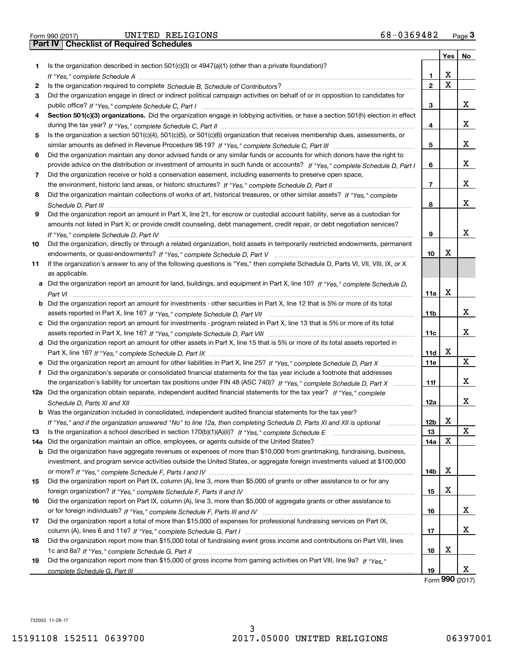| Form 990 (2017 |  |  |
|----------------|--|--|

|     |                                                                                                                                      |                 | Yes                     | No          |
|-----|--------------------------------------------------------------------------------------------------------------------------------------|-----------------|-------------------------|-------------|
| 1.  | Is the organization described in section $501(c)(3)$ or $4947(a)(1)$ (other than a private foundation)?                              |                 |                         |             |
|     |                                                                                                                                      | 1               | х                       |             |
| 2   |                                                                                                                                      | $\overline{2}$  | $\overline{\mathbf{x}}$ |             |
| 3   | Did the organization engage in direct or indirect political campaign activities on behalf of or in opposition to candidates for      |                 |                         |             |
|     |                                                                                                                                      | З               |                         | x           |
| 4   | Section 501(c)(3) organizations. Did the organization engage in lobbying activities, or have a section 501(h) election in effect     |                 |                         |             |
|     |                                                                                                                                      | 4               |                         | x           |
| 5   | Is the organization a section 501(c)(4), 501(c)(5), or 501(c)(6) organization that receives membership dues, assessments, or         |                 |                         |             |
|     |                                                                                                                                      | 5               |                         | x           |
| 6   | Did the organization maintain any donor advised funds or any similar funds or accounts for which donors have the right to            |                 |                         |             |
|     |                                                                                                                                      | 6               |                         | x           |
|     | provide advice on the distribution or investment of amounts in such funds or accounts? If "Yes," complete Schedule D, Part I         |                 |                         |             |
| 7   | Did the organization receive or hold a conservation easement, including easements to preserve open space,                            |                 |                         | x           |
|     |                                                                                                                                      | $\overline{7}$  |                         |             |
| 8   | Did the organization maintain collections of works of art, historical treasures, or other similar assets? If "Yes," complete         |                 |                         |             |
|     |                                                                                                                                      | 8               |                         | x           |
| 9   | Did the organization report an amount in Part X, line 21, for escrow or custodial account liability, serve as a custodian for        |                 |                         |             |
|     | amounts not listed in Part X; or provide credit counseling, debt management, credit repair, or debt negotiation services?            |                 |                         |             |
|     | If "Yes," complete Schedule D, Part IV                                                                                               | 9               |                         | х           |
| 10  | Did the organization, directly or through a related organization, hold assets in temporarily restricted endowments, permanent        |                 |                         |             |
|     |                                                                                                                                      | 10              | X                       |             |
| 11  | If the organization's answer to any of the following questions is "Yes," then complete Schedule D, Parts VI, VII, VIII, IX, or X     |                 |                         |             |
|     | as applicable.                                                                                                                       |                 |                         |             |
|     | a Did the organization report an amount for land, buildings, and equipment in Part X, line 10? If "Yes," complete Schedule D,        |                 |                         |             |
|     |                                                                                                                                      | 11a             | X                       |             |
|     | <b>b</b> Did the organization report an amount for investments - other securities in Part X, line 12 that is 5% or more of its total |                 |                         |             |
|     |                                                                                                                                      | 11b             |                         | х           |
|     | c Did the organization report an amount for investments - program related in Part X, line 13 that is 5% or more of its total         |                 |                         |             |
|     |                                                                                                                                      | 11c             |                         | x           |
|     | d Did the organization report an amount for other assets in Part X, line 15 that is 5% or more of its total assets reported in       |                 |                         |             |
|     |                                                                                                                                      | 11d             | X                       |             |
|     | e Did the organization report an amount for other liabilities in Part X, line 25? If "Yes," complete Schedule D, Part X              | 11e             |                         | X           |
| f   | Did the organization's separate or consolidated financial statements for the tax year include a footnote that addresses              |                 |                         |             |
|     | the organization's liability for uncertain tax positions under FIN 48 (ASC 740)? If "Yes," complete Schedule D, Part X               | 11f             |                         | x           |
|     | 12a Did the organization obtain separate, independent audited financial statements for the tax year? If "Yes," complete              |                 |                         |             |
|     |                                                                                                                                      |                 |                         | x           |
|     | Schedule D, Parts XI and XII                                                                                                         | 12a             |                         |             |
|     | <b>b</b> Was the organization included in consolidated, independent audited financial statements for the tax year?                   |                 | X                       |             |
|     | If "Yes," and if the organization answered "No" to line 12a, then completing Schedule D, Parts XI and XII is optional                | 12 <sub>b</sub> |                         | $\mathbf X$ |
| 13  | Is the organization a school described in section $170(b)(1)(A)(ii)?$ If "Yes," complete Schedule E                                  | 13              | X                       |             |
| 14a | Did the organization maintain an office, employees, or agents outside of the United States?                                          | 14a             |                         |             |
|     | <b>b</b> Did the organization have aggregate revenues or expenses of more than \$10,000 from grantmaking, fundraising, business,     |                 |                         |             |
|     | investment, and program service activities outside the United States, or aggregate foreign investments valued at \$100,000           |                 |                         |             |
|     |                                                                                                                                      | 14b             | х                       |             |
| 15  | Did the organization report on Part IX, column (A), line 3, more than \$5,000 of grants or other assistance to or for any            |                 |                         |             |
|     |                                                                                                                                      | 15              | х                       |             |
| 16  | Did the organization report on Part IX, column (A), line 3, more than \$5,000 of aggregate grants or other assistance to             |                 |                         |             |
|     |                                                                                                                                      | 16              |                         | x           |
| 17  | Did the organization report a total of more than \$15,000 of expenses for professional fundraising services on Part IX,              |                 |                         |             |
|     |                                                                                                                                      | 17              |                         | x           |
| 18  | Did the organization report more than \$15,000 total of fundraising event gross income and contributions on Part VIII, lines         |                 |                         |             |
|     |                                                                                                                                      | 18              | x                       |             |
| 19  | Did the organization report more than \$15,000 of gross income from gaming activities on Part VIII, line 9a? If "Yes."               |                 |                         |             |
|     |                                                                                                                                      | 19              |                         | x           |

Form (2017) **990**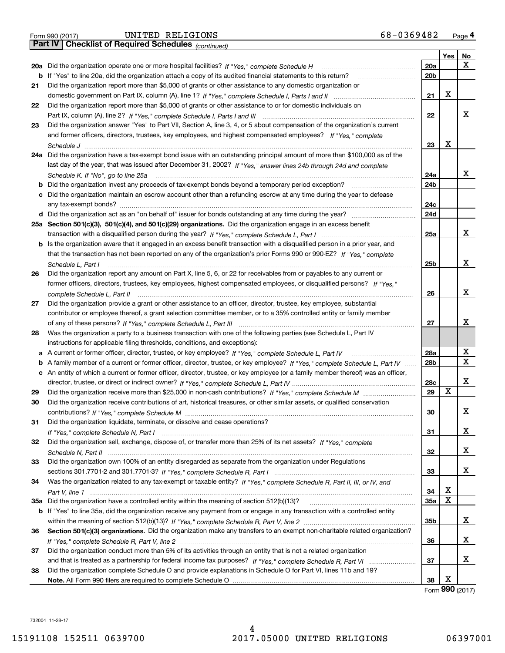|  | Form 990 (2017) |
|--|-----------------|
|  |                 |

*(continued)*

|     |                                                                                                                                   |                 | Yes | No |
|-----|-----------------------------------------------------------------------------------------------------------------------------------|-----------------|-----|----|
| 20a | Did the organization operate one or more hospital facilities? If "Yes," complete Schedule H                                       | 20a             |     | x  |
| b   | If "Yes" to line 20a, did the organization attach a copy of its audited financial statements to this return?                      | 20 <sub>b</sub> |     |    |
| 21  | Did the organization report more than \$5,000 of grants or other assistance to any domestic organization or                       |                 |     |    |
|     |                                                                                                                                   | 21              | х   |    |
| 22  | Did the organization report more than \$5,000 of grants or other assistance to or for domestic individuals on                     |                 |     |    |
|     |                                                                                                                                   | 22              |     | x  |
| 23  | Did the organization answer "Yes" to Part VII, Section A, line 3, 4, or 5 about compensation of the organization's current        |                 |     |    |
|     | and former officers, directors, trustees, key employees, and highest compensated employees? If "Yes." complete                    |                 |     |    |
|     |                                                                                                                                   | 23              | х   |    |
| 24a | Did the organization have a tax-exempt bond issue with an outstanding principal amount of more than \$100,000 as of the           |                 |     |    |
|     | last day of the year, that was issued after December 31, 2002? If "Yes," answer lines 24b through 24d and complete                |                 |     |    |
|     | Schedule K. If "No", go to line 25a                                                                                               | 24a             |     | х  |
| b   |                                                                                                                                   | 24b             |     |    |
| с   | Did the organization maintain an escrow account other than a refunding escrow at any time during the year to defease              |                 |     |    |
|     |                                                                                                                                   | 24c             |     |    |
|     |                                                                                                                                   | 24d             |     |    |
|     | 25a Section 501(c)(3), 501(c)(4), and 501(c)(29) organizations. Did the organization engage in an excess benefit                  |                 |     |    |
|     |                                                                                                                                   | 25a             |     | х  |
|     | Is the organization aware that it engaged in an excess benefit transaction with a disqualified person in a prior year, and        |                 |     |    |
| b   |                                                                                                                                   |                 |     |    |
|     | that the transaction has not been reported on any of the organization's prior Forms 990 or 990-EZ? If "Yes," complete             | 25b             |     | X  |
|     | Schedule L, Part I                                                                                                                |                 |     |    |
| 26  | Did the organization report any amount on Part X, line 5, 6, or 22 for receivables from or payables to any current or             |                 |     |    |
|     | former officers, directors, trustees, key employees, highest compensated employees, or disqualified persons? If "Yes."            | 26              |     | X  |
|     | complete Schedule L. Part II manufactured and complete Schedule L. Part II manufactured and complete Schedule                     |                 |     |    |
| 27  | Did the organization provide a grant or other assistance to an officer, director, trustee, key employee, substantial              |                 |     |    |
|     | contributor or employee thereof, a grant selection committee member, or to a 35% controlled entity or family member               |                 |     | X  |
|     |                                                                                                                                   | 27              |     |    |
| 28  | Was the organization a party to a business transaction with one of the following parties (see Schedule L, Part IV                 |                 |     |    |
|     | instructions for applicable filing thresholds, conditions, and exceptions):                                                       |                 |     |    |
| а   |                                                                                                                                   | 28a             |     | х  |
| b   | A family member of a current or former officer, director, trustee, or key employee? If "Yes," complete Schedule L, Part IV        | 28b             |     | х  |
|     | c An entity of which a current or former officer, director, trustee, or key employee (or a family member thereof) was an officer, |                 |     | х  |
|     |                                                                                                                                   | 28c             | х   |    |
| 29  |                                                                                                                                   | 29              |     |    |
| 30  | Did the organization receive contributions of art, historical treasures, or other similar assets, or qualified conservation       |                 |     |    |
|     |                                                                                                                                   | 30              |     | х  |
| 31. | Did the organization liquidate, terminate, or dissolve and cease operations?                                                      |                 |     |    |
|     |                                                                                                                                   | 31              |     | х  |
| 32  | Did the organization sell, exchange, dispose of, or transfer more than 25% of its net assets? If "Yes," complete                  |                 |     | х  |
|     |                                                                                                                                   | 32              |     |    |
| 33  | Did the organization own 100% of an entity disregarded as separate from the organization under Regulations                        |                 |     | х  |
|     |                                                                                                                                   | 33              |     |    |
| 34  | Was the organization related to any tax-exempt or taxable entity? If "Yes," complete Schedule R, Part II, III, or IV, and         |                 |     |    |
|     |                                                                                                                                   | 34              | х   |    |
|     | 35a Did the organization have a controlled entity within the meaning of section 512(b)(13)?                                       | <b>35a</b>      | X   |    |
|     | b If "Yes" to line 35a, did the organization receive any payment from or engage in any transaction with a controlled entity       |                 |     |    |
|     |                                                                                                                                   | 35b             |     | х  |
| 36  | Section 501(c)(3) organizations. Did the organization make any transfers to an exempt non-charitable related organization?        |                 |     |    |
|     |                                                                                                                                   | 36              |     | х  |
| 37  | Did the organization conduct more than 5% of its activities through an entity that is not a related organization                  |                 |     |    |
|     |                                                                                                                                   | 37              |     | х  |
| 38  | Did the organization complete Schedule O and provide explanations in Schedule O for Part VI, lines 11b and 19?                    |                 |     |    |
|     |                                                                                                                                   | 38              | х   |    |

Form (2017) **990**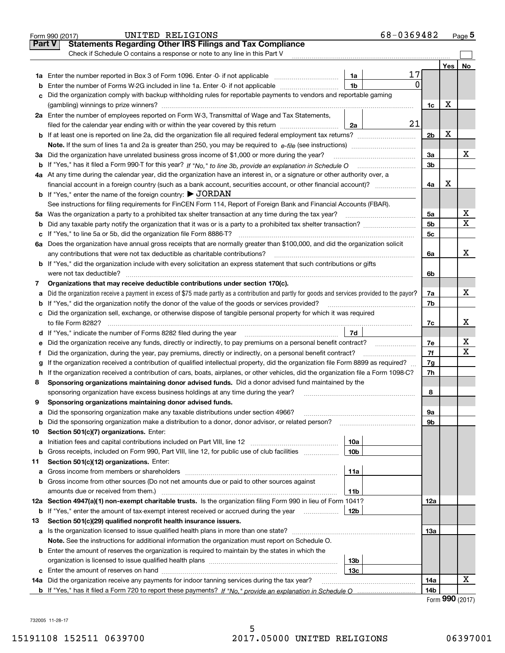|               | 68-0369482<br>UNITED RELIGIONS<br>Form 990 (2017)                                                                                                                                                                                    |                 |                   | Page 5 |
|---------------|--------------------------------------------------------------------------------------------------------------------------------------------------------------------------------------------------------------------------------------|-----------------|-------------------|--------|
| <b>Part V</b> | <b>Statements Regarding Other IRS Filings and Tax Compliance</b>                                                                                                                                                                     |                 |                   |        |
|               | Check if Schedule O contains a response or note to any line in this Part V                                                                                                                                                           |                 |                   |        |
|               |                                                                                                                                                                                                                                      |                 | Yes               | No     |
|               | 17<br>1a                                                                                                                                                                                                                             |                 |                   |        |
| b             | 0<br>1 <sub>b</sub><br>Enter the number of Forms W-2G included in line 1a. Enter -0- if not applicable                                                                                                                               |                 |                   |        |
| c             | Did the organization comply with backup withholding rules for reportable payments to vendors and reportable gaming                                                                                                                   |                 |                   |        |
|               |                                                                                                                                                                                                                                      | 1c              | х                 |        |
|               | 2a Enter the number of employees reported on Form W-3, Transmittal of Wage and Tax Statements,                                                                                                                                       |                 |                   |        |
|               | 21<br>filed for the calendar year ending with or within the year covered by this return<br>2a                                                                                                                                        |                 |                   |        |
|               |                                                                                                                                                                                                                                      | 2 <sub>b</sub>  | х                 |        |
|               |                                                                                                                                                                                                                                      |                 |                   |        |
|               | 3a Did the organization have unrelated business gross income of \$1,000 or more during the year?                                                                                                                                     | 3a              |                   | х      |
|               |                                                                                                                                                                                                                                      | 3b              |                   |        |
|               | 4a At any time during the calendar year, did the organization have an interest in, or a signature or other authority over, a                                                                                                         |                 |                   |        |
|               | financial account in a foreign country (such as a bank account, securities account, or other financial account)?                                                                                                                     | 4a              | х                 |        |
|               | <b>b</b> If "Yes," enter the name of the foreign country: $\triangleright$ JORDAN                                                                                                                                                    |                 |                   |        |
|               | See instructions for filing requirements for FinCEN Form 114, Report of Foreign Bank and Financial Accounts (FBAR).                                                                                                                  |                 |                   |        |
|               |                                                                                                                                                                                                                                      | 5a              |                   | х      |
| b             |                                                                                                                                                                                                                                      | 5 <sub>b</sub>  |                   | x      |
| c             |                                                                                                                                                                                                                                      | 5с              |                   |        |
|               | 6a Does the organization have annual gross receipts that are normally greater than \$100,000, and did the organization solicit                                                                                                       |                 |                   |        |
|               |                                                                                                                                                                                                                                      | 6a              |                   | x      |
|               | <b>b</b> If "Yes," did the organization include with every solicitation an express statement that such contributions or gifts                                                                                                        |                 |                   |        |
|               | were not tax deductible? www.communication.com/www.communication.com/www.communication.com/www.communication.com                                                                                                                     | 6b              |                   |        |
| 7             | Organizations that may receive deductible contributions under section 170(c).                                                                                                                                                        |                 |                   |        |
|               | a Did the organization receive a payment in excess of \$75 made partly as a contribution and partly for goods and services provided to the payor?                                                                                    | 7a              |                   | х      |
|               | <b>b</b> If "Yes," did the organization notify the donor of the value of the goods or services provided?                                                                                                                             | 7b              |                   |        |
|               | c Did the organization sell, exchange, or otherwise dispose of tangible personal property for which it was required                                                                                                                  |                 |                   |        |
|               |                                                                                                                                                                                                                                      | 7c              |                   | х      |
|               | 7d<br>d If "Yes," indicate the number of Forms 8282 filed during the year [11] [11] No. 2010 [12] Henry Marian Marian Marian Marian Marian Marian Marian Marian Marian Marian Marian Marian Marian Marian Marian Marian Marian Maria |                 |                   |        |
| е             | Did the organization receive any funds, directly or indirectly, to pay premiums on a personal benefit contract?                                                                                                                      | 7e              |                   | х      |
| f             | Did the organization, during the year, pay premiums, directly or indirectly, on a personal benefit contract?                                                                                                                         | 7f              |                   | x      |
| g             | If the organization received a contribution of qualified intellectual property, did the organization file Form 8899 as required?                                                                                                     | 7g              |                   |        |
| h.            | If the organization received a contribution of cars, boats, airplanes, or other vehicles, did the organization file a Form 1098-C?                                                                                                   | 7h              |                   |        |
| 8             | Sponsoring organizations maintaining donor advised funds. Did a donor advised fund maintained by the                                                                                                                                 |                 |                   |        |
|               | sponsoring organization have excess business holdings at any time during the year?                                                                                                                                                   | 8               |                   |        |
|               | Sponsoring organizations maintaining donor advised funds.                                                                                                                                                                            |                 |                   |        |
| a             | Did the sponsoring organization make any taxable distributions under section 4966?                                                                                                                                                   | 9а              |                   |        |
| b             | Did the sponsoring organization make a distribution to a donor, donor advisor, or related person?                                                                                                                                    | 9b              |                   |        |
| 10            | Section 501(c)(7) organizations. Enter:                                                                                                                                                                                              |                 |                   |        |
| а             | 10a<br>Initiation fees and capital contributions included on Part VIII, line 12 <i>manuarrouus</i> manuations of the latest                                                                                                          |                 |                   |        |
| b             | Gross receipts, included on Form 990, Part VIII, line 12, for public use of club facilities<br>10 <sub>b</sub>                                                                                                                       |                 |                   |        |
| 11            | Section 501(c)(12) organizations. Enter:                                                                                                                                                                                             |                 |                   |        |
| a             | Gross income from members or shareholders<br>11a                                                                                                                                                                                     |                 |                   |        |
| b             | Gross income from other sources (Do not net amounts due or paid to other sources against                                                                                                                                             |                 |                   |        |
|               | amounts due or received from them.)<br>11b                                                                                                                                                                                           |                 |                   |        |
|               | 12a Section 4947(a)(1) non-exempt charitable trusts. Is the organization filing Form 990 in lieu of Form 1041?                                                                                                                       | 12a             |                   |        |
| b             | If "Yes," enter the amount of tax-exempt interest received or accrued during the year <i>manuming</i><br>12b                                                                                                                         |                 |                   |        |
| 13            | Section 501(c)(29) qualified nonprofit health insurance issuers.                                                                                                                                                                     |                 |                   |        |
|               | a Is the organization licensed to issue qualified health plans in more than one state?                                                                                                                                               | 13а             |                   |        |
|               | Note. See the instructions for additional information the organization must report on Schedule O.                                                                                                                                    |                 |                   |        |
|               | <b>b</b> Enter the amount of reserves the organization is required to maintain by the states in which the                                                                                                                            |                 |                   |        |
|               | 13b                                                                                                                                                                                                                                  |                 |                   |        |
|               | 13 <sub>c</sub>                                                                                                                                                                                                                      |                 |                   | x      |
|               | 14a Did the organization receive any payments for indoor tanning services during the tax year?                                                                                                                                       | 14a             |                   |        |
|               |                                                                                                                                                                                                                                      | 14 <sub>b</sub> | $\Omega$ $\Omega$ |        |

|  |  | Form 990 (2017) |
|--|--|-----------------|
|--|--|-----------------|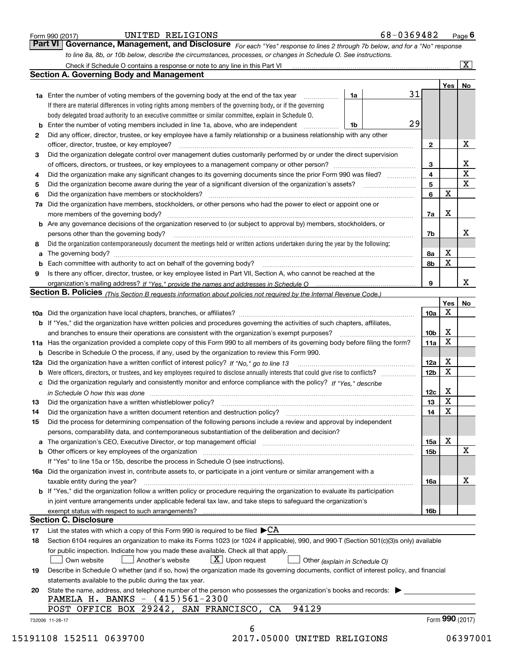|    |                                                                                                                                                                                                                                |                 | Yes | No                     |  |  |  |
|----|--------------------------------------------------------------------------------------------------------------------------------------------------------------------------------------------------------------------------------|-----------------|-----|------------------------|--|--|--|
|    | 31<br>1a Enter the number of voting members of the governing body at the end of the tax year<br>1a                                                                                                                             |                 |     |                        |  |  |  |
|    | If there are material differences in voting rights among members of the governing body, or if the governing                                                                                                                    |                 |     |                        |  |  |  |
|    | body delegated broad authority to an executive committee or similar committee, explain in Schedule O.                                                                                                                          |                 |     |                        |  |  |  |
| b  | 29<br>Enter the number of voting members included in line 1a, above, who are independent <i>manumum</i><br>1b                                                                                                                  |                 |     |                        |  |  |  |
| 2  | Did any officer, director, trustee, or key employee have a family relationship or a business relationship with any other                                                                                                       |                 |     |                        |  |  |  |
|    | officer, director, trustee, or key employee?                                                                                                                                                                                   | $\mathbf{2}$    |     | X                      |  |  |  |
| З  | Did the organization delegate control over management duties customarily performed by or under the direct supervision                                                                                                          |                 |     |                        |  |  |  |
|    |                                                                                                                                                                                                                                | 3               |     |                        |  |  |  |
| 4  | Did the organization make any significant changes to its governing documents since the prior Form 990 was filed?                                                                                                               | 4               |     | $\frac{X}{X}$          |  |  |  |
| 5  |                                                                                                                                                                                                                                | 5               |     | $\frac{1}{\mathbf{X}}$ |  |  |  |
| 6  |                                                                                                                                                                                                                                | 6               | X   |                        |  |  |  |
| 7a | Did the organization have members, stockholders, or other persons who had the power to elect or appoint one or                                                                                                                 |                 |     |                        |  |  |  |
|    |                                                                                                                                                                                                                                | 7a              | x   |                        |  |  |  |
|    | <b>b</b> Are any governance decisions of the organization reserved to (or subject to approval by) members, stockholders, or                                                                                                    |                 |     |                        |  |  |  |
|    | persons other than the governing body?                                                                                                                                                                                         | 7b              |     | x                      |  |  |  |
| 8  | Did the organization contemporaneously document the meetings held or written actions undertaken during the year by the following:                                                                                              |                 |     |                        |  |  |  |
| a  |                                                                                                                                                                                                                                | 8а              | Х   |                        |  |  |  |
|    |                                                                                                                                                                                                                                | 8b              | X   |                        |  |  |  |
| b  |                                                                                                                                                                                                                                |                 |     |                        |  |  |  |
| 9  | Is there any officer, director, trustee, or key employee listed in Part VII, Section A, who cannot be reached at the                                                                                                           | 9               |     | x                      |  |  |  |
|    |                                                                                                                                                                                                                                |                 |     |                        |  |  |  |
|    | Section B. Policies (This Section B requests information about policies not required by the Internal Revenue Code.)                                                                                                            |                 | Yes |                        |  |  |  |
|    |                                                                                                                                                                                                                                | 10a             | X   | No                     |  |  |  |
|    |                                                                                                                                                                                                                                |                 |     |                        |  |  |  |
|    | b If "Yes," did the organization have written policies and procedures governing the activities of such chapters, affiliates,                                                                                                   |                 | X   |                        |  |  |  |
|    | and branches to ensure their operations are consistent with the organization's exempt purposes?                                                                                                                                | 10b             | X   |                        |  |  |  |
|    | 11a Has the organization provided a complete copy of this Form 990 to all members of its governing body before filing the form?                                                                                                | 11a             |     |                        |  |  |  |
|    | <b>b</b> Describe in Schedule O the process, if any, used by the organization to review this Form 990.                                                                                                                         |                 | X   |                        |  |  |  |
|    |                                                                                                                                                                                                                                | 12a             | X   |                        |  |  |  |
| b  |                                                                                                                                                                                                                                | 12 <sub>b</sub> |     |                        |  |  |  |
| c  | Did the organization regularly and consistently monitor and enforce compliance with the policy? If "Yes," describe                                                                                                             |                 |     |                        |  |  |  |
|    | in Schedule O how this was done manufactured and contain an account of the state of the state of the state of                                                                                                                  | 12c             | Х   |                        |  |  |  |
| 13 |                                                                                                                                                                                                                                | 13              | X   |                        |  |  |  |
| 14 |                                                                                                                                                                                                                                | 14              | X   |                        |  |  |  |
| 15 | Did the process for determining compensation of the following persons include a review and approval by independent                                                                                                             |                 |     |                        |  |  |  |
|    | persons, comparability data, and contemporaneous substantiation of the deliberation and decision?                                                                                                                              |                 |     |                        |  |  |  |
|    | a The organization's CEO, Executive Director, or top management official [11] [12] The organization's CEO, Executive Director, or top management official [12] [12] [12] [12] The organization's CEO, Executive Director, or t | 15a             | Х   |                        |  |  |  |
|    |                                                                                                                                                                                                                                | 15b             |     | X                      |  |  |  |
|    | If "Yes" to line 15a or 15b, describe the process in Schedule O (see instructions).                                                                                                                                            |                 |     |                        |  |  |  |
|    | 16a Did the organization invest in, contribute assets to, or participate in a joint venture or similar arrangement with a                                                                                                      |                 |     |                        |  |  |  |
|    | taxable entity during the year?                                                                                                                                                                                                | 16a             |     | х                      |  |  |  |
|    | <b>b</b> If "Yes," did the organization follow a written policy or procedure requiring the organization to evaluate its participation                                                                                          |                 |     |                        |  |  |  |
|    | in joint venture arrangements under applicable federal tax law, and take steps to safeguard the organization's                                                                                                                 |                 |     |                        |  |  |  |
|    |                                                                                                                                                                                                                                | 16b             |     |                        |  |  |  |
|    | <b>Section C. Disclosure</b>                                                                                                                                                                                                   |                 |     |                        |  |  |  |
| 17 | List the states with which a copy of this Form 990 is required to be filed $\blacktriangleright$ CA                                                                                                                            |                 |     |                        |  |  |  |
| 18 | Section 6104 requires an organization to make its Forms 1023 (or 1024 if applicable), 990, and 990-T (Section 501(c)(3)s only) available                                                                                       |                 |     |                        |  |  |  |
|    | for public inspection. Indicate how you made these available. Check all that apply.                                                                                                                                            |                 |     |                        |  |  |  |
|    | $\lfloor X \rfloor$ Upon request<br>Another's website<br>Own website<br>Other (explain in Schedule O)                                                                                                                          |                 |     |                        |  |  |  |
| 19 | Describe in Schedule O whether (and if so, how) the organization made its governing documents, conflict of interest policy, and financial                                                                                      |                 |     |                        |  |  |  |
|    | statements available to the public during the tax year.                                                                                                                                                                        |                 |     |                        |  |  |  |
|    | State the name, address, and telephone number of the person who possesses the organization's books and records:                                                                                                                |                 |     |                        |  |  |  |
| 20 |                                                                                                                                                                                                                                |                 |     |                        |  |  |  |
|    | PAMELA H. BANKS - (415)561-2300<br>POST OFFICE BOX 29242, SAN FRANCISCO, CA<br>94129                                                                                                                                           |                 |     |                        |  |  |  |

Form 990 (2017) **CONTIMED RELIGIONS Form 990 (2017)** 68 – 0369482 Page 6<br>**Part VI Governance, Management, and Disclosure** For each "Yes" response to lines 2 through 7b below, and for a "No" response

*For each "Yes" response to lines 2 through 7b below, and for a "No" response*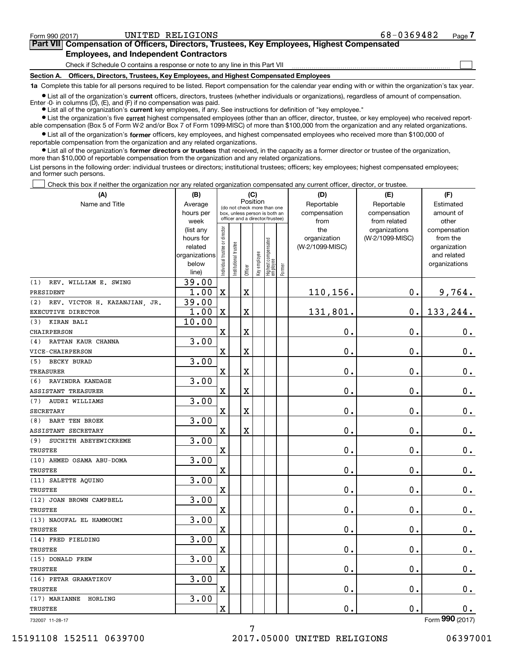**(A)**

 $\mathcal{L}^{\text{max}}$ 

# **7Part VII Compensation of Officers, Directors, Trustees, Key Employees, Highest Compensated Employees, and Independent Contractors**

Check if Schedule O contains a response or note to any line in this Part VII

**Section A. Officers, Directors, Trustees, Key Employees, and Highest Compensated Employees**

**1a**  Complete this table for all persons required to be listed. Report compensation for the calendar year ending with or within the organization's tax year.

**•** List all of the organization's current officers, directors, trustees (whether individuals or organizations), regardless of amount of compensation. Enter -0- in columns  $(D)$ ,  $(E)$ , and  $(F)$  if no compensation was paid.

● List all of the organization's **current** key employees, if any. See instructions for definition of "key employee."

**•** List the organization's five current highest compensated employees (other than an officer, director, trustee, or key employee) who received reportable compensation (Box 5 of Form W-2 and/or Box 7 of Form 1099-MISC) of more than \$100,000 from the organization and any related organizations.

 $\bullet$  List all of the organization's **former** officers, key employees, and highest compensated employees who received more than \$100,000 of reportable compensation from the organization and any related organizations.

**•** List all of the organization's former directors or trustees that received, in the capacity as a former director or trustee of the organization, more than \$10,000 of reportable compensation from the organization and any related organizations.

List persons in the following order: individual trustees or directors; institutional trustees; officers; key employees; highest compensated employees; and former such persons.

Check this box if neither the organization nor any related organization compensated any current officer, director, or trustee.  $\mathcal{L}^{\text{max}}$ 

| (A)                                  | (B)                    |                               |                                                                  | (C)      |              |                                  |           | (D)                 | (E)                              | (F)                      |
|--------------------------------------|------------------------|-------------------------------|------------------------------------------------------------------|----------|--------------|----------------------------------|-----------|---------------------|----------------------------------|--------------------------|
| Name and Title                       | Average                |                               | (do not check more than one                                      | Position |              |                                  |           | Reportable          | Reportable                       | Estimated                |
|                                      | hours per              |                               | box, unless person is both an<br>officer and a director/trustee) |          | compensation | compensation                     | amount of |                     |                                  |                          |
|                                      | week                   |                               |                                                                  |          |              |                                  |           | from                | from related                     | other                    |
|                                      | (list any<br>hours for |                               |                                                                  |          |              |                                  |           | the<br>organization | organizations<br>(W-2/1099-MISC) | compensation<br>from the |
|                                      | related                |                               |                                                                  |          |              |                                  |           | (W-2/1099-MISC)     |                                  | organization             |
|                                      | organizations          |                               |                                                                  |          |              |                                  |           |                     |                                  | and related              |
|                                      | below                  | ndividual trustee or director | nstitutional trustee                                             |          | Key employee |                                  |           |                     |                                  | organizations            |
|                                      | line)                  |                               |                                                                  | Officer  |              | Highest compensated<br> employee | Former    |                     |                                  |                          |
| (1)<br>REV. WILLIAM E. SWING         | 39.00                  |                               |                                                                  |          |              |                                  |           |                     |                                  |                          |
| PRESIDENT                            | 1.00                   | $\mathbf X$                   |                                                                  | X        |              |                                  |           | 110,156.            | 0.                               | 9,764.                   |
| REV. VICTOR H. KAZANJIAN, JR.<br>(2) | 39.00                  |                               |                                                                  |          |              |                                  |           |                     |                                  |                          |
| EXECUTIVE DIRECTOR                   | 1.00                   | $\mathbf x$                   |                                                                  | X        |              |                                  |           | 131,801.            | 0.                               | 133, 244.                |
| KIRAN BALI<br>(3)                    | 10.00                  |                               |                                                                  |          |              |                                  |           |                     |                                  |                          |
| <b>CHAIRPERSON</b>                   |                        | $\mathbf X$                   |                                                                  | Χ        |              |                                  |           | $\mathbf 0$ .       | $\mathbf 0$ .                    | 0.                       |
| RATTAN KAUR CHANNA<br>(4)            | 3.00                   |                               |                                                                  |          |              |                                  |           |                     |                                  |                          |
| VICE-CHAIRPERSON                     |                        | X                             |                                                                  | X        |              |                                  |           | 0.                  | 0.                               | 0.                       |
| <b>BECKY BURAD</b><br>(5)            | 3.00                   |                               |                                                                  |          |              |                                  |           |                     |                                  |                          |
| <b>TREASURER</b>                     |                        | X                             |                                                                  | X        |              |                                  |           | 0.                  | 0.                               | 0.                       |
| (6)<br>RAVINDRA KANDAGE              | 3.00                   |                               |                                                                  |          |              |                                  |           |                     |                                  |                          |
| ASSISTANT TREASURER                  |                        | X                             |                                                                  | X        |              |                                  |           | 0.                  | 0.                               | 0.                       |
| AUDRI WILLIAMS<br>(7)                | 3.00                   |                               |                                                                  |          |              |                                  |           |                     |                                  |                          |
| <b>SECRETARY</b>                     |                        | $\mathbf x$                   |                                                                  | X        |              |                                  |           | 0.                  | $\mathbf 0$ .                    | 0.                       |
| <b>BART TEN BROEK</b><br>(8)         | 3.00                   |                               |                                                                  |          |              |                                  |           |                     |                                  |                          |
| ASSISTANT SECRETARY                  |                        | X                             |                                                                  | X        |              |                                  |           | 0.                  | 0.                               | 0.                       |
| SUCHITH ABEYEWICKREME<br>(9)         | 3.00                   |                               |                                                                  |          |              |                                  |           |                     |                                  |                          |
| <b>TRUSTEE</b>                       |                        | $\overline{\text{X}}$         |                                                                  |          |              |                                  |           | 0.                  | 0.                               | 0.                       |
| (10) AHMED OSAMA ABU-DOMA            | 3.00                   |                               |                                                                  |          |              |                                  |           |                     |                                  |                          |
| <b>TRUSTEE</b>                       |                        | X                             |                                                                  |          |              |                                  |           | $\mathbf{0}$ .      | 0.                               | $\mathbf 0$ .            |
| (11) SALETTE AQUINO                  | 3.00                   |                               |                                                                  |          |              |                                  |           |                     |                                  |                          |
| TRUSTEE                              |                        | X                             |                                                                  |          |              |                                  |           | 0.                  | $\mathbf 0$ .                    | $\mathbf 0$ .            |
| (12) JOAN BROWN CAMPBELL             | 3.00                   |                               |                                                                  |          |              |                                  |           |                     |                                  |                          |
| <b>TRUSTEE</b>                       |                        | X                             |                                                                  |          |              |                                  |           | 0.                  | 0.                               | $0$ .                    |
| (13) NAOUFAL EL HAMMOUMI             | 3.00                   |                               |                                                                  |          |              |                                  |           |                     |                                  |                          |
| TRUSTEE                              |                        | $\overline{\textbf{X}}$       |                                                                  |          |              |                                  |           | 0.                  | 0.                               | $0_{.}$                  |
| (14) FRED FIELDING                   | 3.00                   |                               |                                                                  |          |              |                                  |           |                     |                                  |                          |
| TRUSTEE                              |                        | $\overline{\text{X}}$         |                                                                  |          |              |                                  |           | 0.                  | 0.                               | 0.                       |
| (15) DONALD FREW                     | 3.00                   |                               |                                                                  |          |              |                                  |           |                     |                                  |                          |
| TRUSTEE                              |                        | $\overline{\textbf{X}}$       |                                                                  |          |              |                                  |           | 0.                  | 0.                               | $0$ .                    |
| (16) PETAR GRAMATIKOV                | 3.00                   |                               |                                                                  |          |              |                                  |           |                     |                                  |                          |
| TRUSTEE                              |                        | X                             |                                                                  |          |              |                                  |           | 0.                  | 0.                               | $\mathbf 0$ .            |
| (17) MARIANNE<br>HORLING             | 3.00                   |                               |                                                                  |          |              |                                  |           |                     |                                  |                          |
| TRUSTEE                              |                        | $\mathbf x$                   |                                                                  |          |              |                                  |           | 0.                  | 0.                               | $\mathbf 0$ .            |
|                                      |                        |                               |                                                                  |          |              |                                  |           |                     |                                  |                          |

7

732007 11-28-17

Form (2017) **990**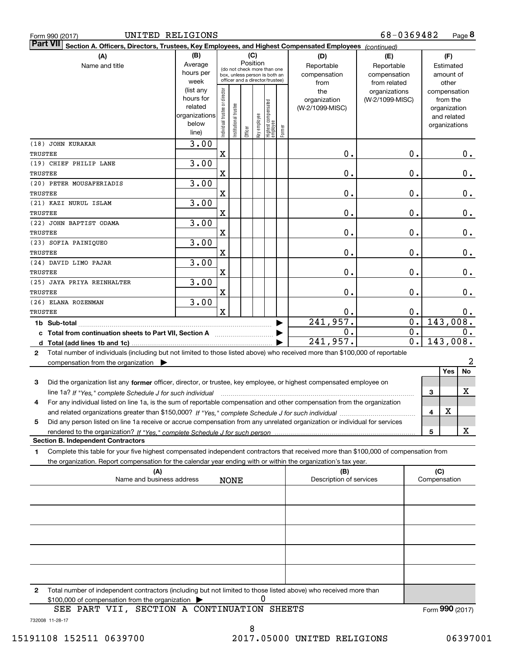|  | Form 990 (2017) |
|--|-----------------|

| <b>Part VII</b><br>Section A. Officers, Directors, Trustees, Key Employees, and Highest Compensated Employees (continued)                    |                        |                                |                                                              |         |              |                                   |        |                                |                  |                     |         |
|----------------------------------------------------------------------------------------------------------------------------------------------|------------------------|--------------------------------|--------------------------------------------------------------|---------|--------------|-----------------------------------|--------|--------------------------------|------------------|---------------------|---------|
| (A)                                                                                                                                          | (B)                    |                                |                                                              | (C)     |              |                                   |        | (D)                            | (E)              | (F)                 |         |
| Name and title                                                                                                                               | Average                |                                |                                                              |         | Position     |                                   |        | Reportable                     | Reportable       | Estimated           |         |
|                                                                                                                                              | hours per              |                                | (do not check more than one<br>box, unless person is both an |         |              |                                   |        | compensation                   | compensation     | amount of           |         |
|                                                                                                                                              | week                   |                                | officer and a director/trustee)                              |         |              |                                   |        | from                           | from related     | other               |         |
|                                                                                                                                              | (list any              |                                |                                                              |         |              |                                   |        | the                            | organizations    | compensation        |         |
|                                                                                                                                              | hours for              |                                |                                                              |         |              |                                   |        | organization                   | (W-2/1099-MISC)  | from the            |         |
|                                                                                                                                              | related                |                                |                                                              |         |              |                                   |        | (W-2/1099-MISC)                |                  | organization        |         |
|                                                                                                                                              | organizations<br>below |                                |                                                              |         |              |                                   |        |                                |                  | and related         |         |
|                                                                                                                                              | line)                  | Individual trustee or director | nstitutional trustee                                         | Officer | Key employee | Highest compensated<br>  employee | Former |                                |                  | organizations       |         |
| (18) JOHN KURAKAR                                                                                                                            | 3.00                   |                                |                                                              |         |              |                                   |        |                                |                  |                     |         |
| <b>TRUSTEE</b>                                                                                                                               |                        | X                              |                                                              |         |              |                                   |        | 0.                             | 0.               |                     | 0.      |
| (19) CHIEF PHILIP LANE                                                                                                                       | 3.00                   |                                |                                                              |         |              |                                   |        |                                |                  |                     |         |
| TRUSTEE                                                                                                                                      |                        | X                              |                                                              |         |              |                                   |        | 0.                             | $\mathbf 0$ .    |                     | $0_{.}$ |
| (20) PETER MOUSAFERIADIS                                                                                                                     | 3.00                   |                                |                                                              |         |              |                                   |        |                                |                  |                     |         |
| TRUSTEE                                                                                                                                      |                        | X                              |                                                              |         |              |                                   |        | 0.                             | 0.               |                     | $0_{.}$ |
| (21) KAZI NURUL ISLAM                                                                                                                        | 3.00                   |                                |                                                              |         |              |                                   |        |                                |                  |                     |         |
| TRUSTEE                                                                                                                                      |                        | X                              |                                                              |         |              |                                   |        | 0.                             | 0.               |                     | $0$ .   |
| (22) JOHN BAPTIST ODAMA                                                                                                                      | 3.00                   |                                |                                                              |         |              |                                   |        |                                |                  |                     |         |
| <b>TRUSTEE</b>                                                                                                                               |                        | X                              |                                                              |         |              |                                   |        | 0.                             | 0.               |                     | 0.      |
| (23) SOFIA PAINIQUEO                                                                                                                         | 3.00                   |                                |                                                              |         |              |                                   |        |                                |                  |                     |         |
| <b>TRUSTEE</b>                                                                                                                               |                        | X                              |                                                              |         |              |                                   |        | 0.                             | 0.               |                     | $0$ .   |
| (24) DAVID LIMO PAJAR                                                                                                                        | 3.00                   |                                |                                                              |         |              |                                   |        |                                |                  |                     |         |
| TRUSTEE                                                                                                                                      |                        | X                              |                                                              |         |              |                                   |        | 0.                             | 0.               |                     | $0_{.}$ |
| (25) JAYA PRIYA REINHALTER                                                                                                                   | 3.00                   |                                |                                                              |         |              |                                   |        |                                |                  |                     |         |
| TRUSTEE                                                                                                                                      |                        | X                              |                                                              |         |              |                                   |        | 0.                             | $\mathbf 0$ .    |                     | 0.      |
| (26) ELANA ROZENMAN                                                                                                                          | 3.00                   |                                |                                                              |         |              |                                   |        |                                |                  |                     |         |
| TRUSTEE                                                                                                                                      |                        | $\overline{\mathbf{X}}$        |                                                              |         |              |                                   |        | 0.                             | 0.               |                     | 0.      |
| 1b Sub-total                                                                                                                                 |                        |                                |                                                              |         |              |                                   |        | 241,957.                       | $\overline{0}$ . | 143,008.            |         |
| c Total from continuation sheets to Part VII, Section A manuscreen continuum                                                                 |                        |                                |                                                              |         |              |                                   |        | 0.                             | 0.               |                     | 0.      |
|                                                                                                                                              |                        |                                |                                                              |         |              |                                   |        | 241,957.                       | 0.               | 143,008.            |         |
| Total number of individuals (including but not limited to those listed above) who received more than \$100,000 of reportable<br>$\mathbf{2}$ |                        |                                |                                                              |         |              |                                   |        |                                |                  |                     |         |
| compensation from the organization $\blacktriangleright$                                                                                     |                        |                                |                                                              |         |              |                                   |        |                                |                  |                     | 2       |
|                                                                                                                                              |                        |                                |                                                              |         |              |                                   |        |                                |                  | No<br>Yes           |         |
| Did the organization list any former officer, director, or trustee, key employee, or highest compensated employee on<br>3                    |                        |                                |                                                              |         |              |                                   |        |                                |                  |                     |         |
| line 1a? If "Yes," complete Schedule J for such individual                                                                                   |                        |                                |                                                              |         |              |                                   |        |                                |                  | х<br>3              |         |
| For any individual listed on line 1a, is the sum of reportable compensation and other compensation from the organization<br>4                |                        |                                |                                                              |         |              |                                   |        |                                |                  |                     |         |
|                                                                                                                                              |                        |                                |                                                              |         |              |                                   |        |                                |                  | X<br>4              |         |
| Did any person listed on line 1a receive or accrue compensation from any unrelated organization or individual for services<br>5              |                        |                                |                                                              |         |              |                                   |        |                                |                  |                     |         |
|                                                                                                                                              |                        |                                |                                                              |         |              |                                   |        |                                |                  | 5                   | x       |
| <b>Section B. Independent Contractors</b>                                                                                                    |                        |                                |                                                              |         |              |                                   |        |                                |                  |                     |         |
| Complete this table for your five highest compensated independent contractors that received more than \$100,000 of compensation from<br>1    |                        |                                |                                                              |         |              |                                   |        |                                |                  |                     |         |
| the organization. Report compensation for the calendar year ending with or within the organization's tax year.                               |                        |                                |                                                              |         |              |                                   |        |                                |                  |                     |         |
| (A)<br>Name and business address                                                                                                             |                        |                                | <b>NONE</b>                                                  |         |              |                                   |        | (B)<br>Description of services |                  | (C)<br>Compensation |         |
|                                                                                                                                              |                        |                                |                                                              |         |              |                                   |        |                                |                  |                     |         |
|                                                                                                                                              |                        |                                |                                                              |         |              |                                   |        |                                |                  |                     |         |
|                                                                                                                                              |                        |                                |                                                              |         |              |                                   |        |                                |                  |                     |         |
|                                                                                                                                              |                        |                                |                                                              |         |              |                                   |        |                                |                  |                     |         |
|                                                                                                                                              |                        |                                |                                                              |         |              |                                   |        |                                |                  |                     |         |
|                                                                                                                                              |                        |                                |                                                              |         |              |                                   |        |                                |                  |                     |         |
|                                                                                                                                              |                        |                                |                                                              |         |              |                                   |        |                                |                  |                     |         |
| Total number of independent contractors (including but not limited to those listed above) who received more than<br>2                        |                        |                                |                                                              |         |              |                                   |        |                                |                  |                     |         |

 $$100,000$  of compensation from the organization  $\qquad \blacktriangleright$   $\qquad \qquad 0$ 

732008 11-28-17 SEE PART VII, SECTION A CONTINUATION SHEETS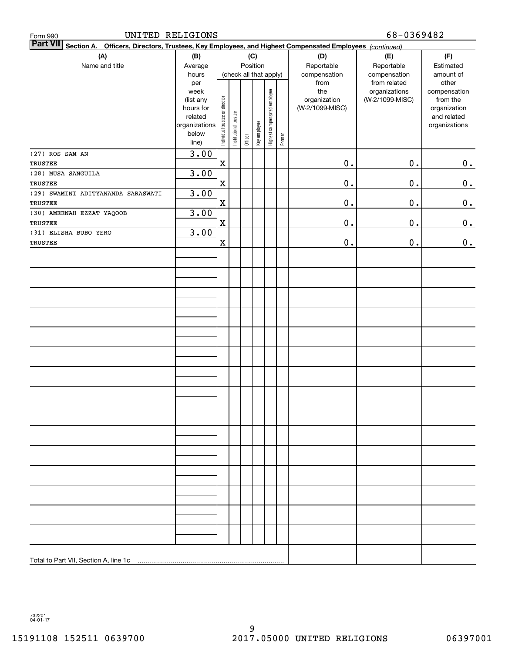| UNITED RELIGIONS<br>Form 990                                                                                              |                        |                                |                       |         |                        |                              |        | 68-0369482      |                               |                       |
|---------------------------------------------------------------------------------------------------------------------------|------------------------|--------------------------------|-----------------------|---------|------------------------|------------------------------|--------|-----------------|-------------------------------|-----------------------|
| <b>Part VII</b><br>Section A. Officers, Directors, Trustees, Key Employees, and Highest Compensated Employees (continued) |                        |                                |                       |         |                        |                              |        |                 |                               |                       |
| (A)                                                                                                                       | (B)                    |                                |                       |         | (C)                    |                              |        | (D)             | (E)                           | (F)                   |
| Name and title                                                                                                            | Average                |                                |                       |         | Position               |                              |        | Reportable      | Reportable                    | Estimated             |
|                                                                                                                           | hours                  |                                |                       |         | (check all that apply) |                              |        | compensation    | compensation                  | amount of             |
|                                                                                                                           | per<br>week            |                                |                       |         |                        |                              |        | from<br>the     | from related<br>organizations | other<br>compensation |
|                                                                                                                           | (list any              |                                |                       |         |                        |                              |        | organization    | (W-2/1099-MISC)               | from the              |
|                                                                                                                           | hours for              |                                |                       |         |                        |                              |        | (W-2/1099-MISC) |                               | organization          |
|                                                                                                                           | related                |                                |                       |         |                        |                              |        |                 |                               | and related           |
|                                                                                                                           | organizations<br>below |                                |                       |         |                        |                              |        |                 |                               | organizations         |
|                                                                                                                           | line)                  | Individual trustee or director | Institutional trustee | Officer | Key employee           | Highest compensated employee | Former |                 |                               |                       |
| (27) ROS SAM AN                                                                                                           | 3.00                   |                                |                       |         |                        |                              |        |                 |                               |                       |
| TRUSTEE                                                                                                                   |                        | $\mathbf X$                    |                       |         |                        |                              |        | $0$ .           | $0$ .                         | 0.                    |
| (28) MUSA SANGUILA                                                                                                        | 3.00                   |                                |                       |         |                        |                              |        |                 |                               |                       |
| TRUSTEE                                                                                                                   |                        | $\mathbf X$                    |                       |         |                        |                              |        | $\mathbf 0$ .   | 0.                            | 0.                    |
| (29) SWAMINI ADITYANANDA SARASWATI                                                                                        | 3.00                   |                                |                       |         |                        |                              |        |                 |                               |                       |
| TRUSTEE                                                                                                                   |                        | $\mathbf X$                    |                       |         |                        |                              |        | $\mathbf 0$ .   | $\mathbf 0$ .                 | $\mathbf 0$ .         |
| (30) AMEENAH EZZAT YAQOOB                                                                                                 | 3.00                   |                                |                       |         |                        |                              |        |                 |                               |                       |
| TRUSTEE                                                                                                                   |                        | $\mathbf X$                    |                       |         |                        |                              |        | $\mathbf 0$ .   | 0.                            | 0.                    |
| (31) ELISHA BUBO YERO                                                                                                     | 3.00                   |                                |                       |         |                        |                              |        |                 |                               |                       |
| TRUSTEE                                                                                                                   |                        | X                              |                       |         |                        |                              |        | $\mathbf 0$ .   | $\mathbf 0$ .                 | $0_{.}$               |
|                                                                                                                           |                        |                                |                       |         |                        |                              |        |                 |                               |                       |
|                                                                                                                           |                        |                                |                       |         |                        |                              |        |                 |                               |                       |
|                                                                                                                           |                        |                                |                       |         |                        |                              |        |                 |                               |                       |
|                                                                                                                           |                        |                                |                       |         |                        |                              |        |                 |                               |                       |
|                                                                                                                           |                        |                                |                       |         |                        |                              |        |                 |                               |                       |
|                                                                                                                           |                        |                                |                       |         |                        |                              |        |                 |                               |                       |
|                                                                                                                           |                        |                                |                       |         |                        |                              |        |                 |                               |                       |
|                                                                                                                           |                        |                                |                       |         |                        |                              |        |                 |                               |                       |
|                                                                                                                           |                        |                                |                       |         |                        |                              |        |                 |                               |                       |
|                                                                                                                           |                        |                                |                       |         |                        |                              |        |                 |                               |                       |
|                                                                                                                           |                        |                                |                       |         |                        |                              |        |                 |                               |                       |
|                                                                                                                           |                        |                                |                       |         |                        |                              |        |                 |                               |                       |
|                                                                                                                           |                        |                                |                       |         |                        |                              |        |                 |                               |                       |
|                                                                                                                           |                        |                                |                       |         |                        |                              |        |                 |                               |                       |
|                                                                                                                           |                        |                                |                       |         |                        |                              |        |                 |                               |                       |
|                                                                                                                           |                        |                                |                       |         |                        |                              |        |                 |                               |                       |
|                                                                                                                           |                        |                                |                       |         |                        |                              |        |                 |                               |                       |
|                                                                                                                           |                        |                                |                       |         |                        |                              |        |                 |                               |                       |
|                                                                                                                           |                        |                                |                       |         |                        |                              |        |                 |                               |                       |
|                                                                                                                           |                        |                                |                       |         |                        |                              |        |                 |                               |                       |
|                                                                                                                           |                        |                                |                       |         |                        |                              |        |                 |                               |                       |
|                                                                                                                           |                        |                                |                       |         |                        |                              |        |                 |                               |                       |
|                                                                                                                           |                        |                                |                       |         |                        |                              |        |                 |                               |                       |
|                                                                                                                           |                        |                                |                       |         |                        |                              |        |                 |                               |                       |
|                                                                                                                           |                        |                                |                       |         |                        |                              |        |                 |                               |                       |
|                                                                                                                           |                        |                                |                       |         |                        |                              |        |                 |                               |                       |
|                                                                                                                           |                        |                                |                       |         |                        |                              |        |                 |                               |                       |
|                                                                                                                           |                        |                                |                       |         |                        |                              |        |                 |                               |                       |
|                                                                                                                           |                        |                                |                       |         |                        |                              |        |                 |                               |                       |
|                                                                                                                           |                        |                                |                       |         |                        |                              |        |                 |                               |                       |

732201 04-01-17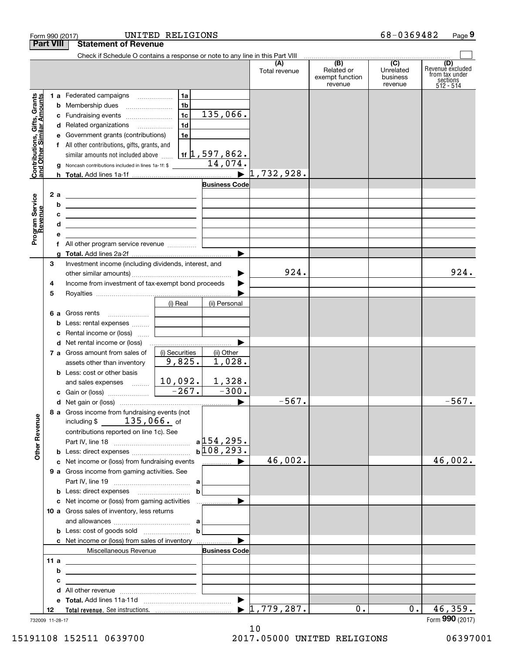|                                                           | Form 990 (2017)                                                                                                            | UNITED RELIGIONS                                                                                                      |                                  |                                          | 68-0369482                       | Page 9                                                             |
|-----------------------------------------------------------|----------------------------------------------------------------------------------------------------------------------------|-----------------------------------------------------------------------------------------------------------------------|----------------------------------|------------------------------------------|----------------------------------|--------------------------------------------------------------------|
| <b>Part VIII</b>                                          | <b>Statement of Revenue</b>                                                                                                |                                                                                                                       |                                  |                                          |                                  |                                                                    |
|                                                           |                                                                                                                            | Check if Schedule O contains a response or note to any line in this Part VIII (A) (B) (C)                             | Total revenue                    | Related or<br>exempt function<br>revenue | Unrelated<br>business<br>revenue | (D)<br>Revenue excluded<br>from tax under<br>sections<br>512 - 514 |
|                                                           | 1 a Federated campaigns                                                                                                    | 1a                                                                                                                    |                                  |                                          |                                  |                                                                    |
| Contributions, Gifts, Grants<br>and Other Similar Amounts | <b>b</b> Membership dues                                                                                                   | 1 <sub>b</sub>                                                                                                        |                                  |                                          |                                  |                                                                    |
|                                                           | c Fundraising events                                                                                                       | 135,066.<br>1c                                                                                                        |                                  |                                          |                                  |                                                                    |
|                                                           | d Related organizations                                                                                                    | 1 <sub>d</sub>                                                                                                        |                                  |                                          |                                  |                                                                    |
|                                                           | e Government grants (contributions)                                                                                        | 1e                                                                                                                    |                                  |                                          |                                  |                                                                    |
|                                                           | f All other contributions, gifts, grants, and                                                                              |                                                                                                                       |                                  |                                          |                                  |                                                                    |
|                                                           | similar amounts not included above                                                                                         | 1f $\uparrow$ , 597, 862.                                                                                             |                                  |                                          |                                  |                                                                    |
|                                                           | Noncash contributions included in lines 1a-1f: \$                                                                          | 14,074.                                                                                                               |                                  |                                          |                                  |                                                                    |
|                                                           |                                                                                                                            | $\blacktriangleright$                                                                                                 | 1,732,928.                       |                                          |                                  |                                                                    |
|                                                           |                                                                                                                            | <b>Business Code</b>                                                                                                  |                                  |                                          |                                  |                                                                    |
| 2 a                                                       | <u> 1989 - Johann Barn, fransk politik amerikansk politik (</u>                                                            |                                                                                                                       |                                  |                                          |                                  |                                                                    |
|                                                           | b<br><u> 1989 - Johann Harry Harry Harry Harry Harry Harry Harry Harry Harry Harry Harry Harry Harry Harry Harry Harry</u> |                                                                                                                       |                                  |                                          |                                  |                                                                    |
|                                                           | c<br><u> 1989 - Andrea Stadt Britain, amerikansk politik (</u>                                                             |                                                                                                                       |                                  |                                          |                                  |                                                                    |
| Program Service<br>Revenue                                | d<br><u> 1989 - Johann John Stein, markin fizik eta idazlearia (</u>                                                       |                                                                                                                       |                                  |                                          |                                  |                                                                    |
|                                                           | е                                                                                                                          | <u> 1989 - Andrea Andrew Maria III, prima postala prima prima prima prima prima prima prima prima prima prima pri</u> |                                  |                                          |                                  |                                                                    |
|                                                           | f All other program service revenue                                                                                        |                                                                                                                       |                                  |                                          |                                  |                                                                    |
|                                                           | a                                                                                                                          |                                                                                                                       |                                  |                                          |                                  |                                                                    |
| З                                                         | Investment income (including dividends, interest, and                                                                      |                                                                                                                       |                                  |                                          |                                  |                                                                    |
|                                                           |                                                                                                                            |                                                                                                                       | 924.                             |                                          |                                  | 924.                                                               |
| 4                                                         | Income from investment of tax-exempt bond proceeds                                                                         |                                                                                                                       |                                  |                                          |                                  |                                                                    |
| 5                                                         |                                                                                                                            |                                                                                                                       |                                  |                                          |                                  |                                                                    |
|                                                           |                                                                                                                            | (i) Real<br>(ii) Personal                                                                                             |                                  |                                          |                                  |                                                                    |
|                                                           | <b>6 a</b> Gross rents                                                                                                     |                                                                                                                       |                                  |                                          |                                  |                                                                    |
|                                                           | <b>b</b> Less: rental expenses                                                                                             |                                                                                                                       |                                  |                                          |                                  |                                                                    |
|                                                           | <b>c</b> Rental income or (loss)                                                                                           | the company of the company                                                                                            |                                  |                                          |                                  |                                                                    |
|                                                           |                                                                                                                            |                                                                                                                       |                                  |                                          |                                  |                                                                    |
|                                                           | 7 a Gross amount from sales of                                                                                             | (i) Securities<br>(ii) Other                                                                                          |                                  |                                          |                                  |                                                                    |
|                                                           | assets other than inventory                                                                                                | 9,825.<br>1,028.                                                                                                      |                                  |                                          |                                  |                                                                    |
|                                                           | <b>b</b> Less: cost or other basis                                                                                         |                                                                                                                       |                                  |                                          |                                  |                                                                    |
|                                                           | and sales expenses                                                                                                         | 1,328.<br>10,092.                                                                                                     |                                  |                                          |                                  |                                                                    |
|                                                           |                                                                                                                            | $-300.$                                                                                                               |                                  |                                          |                                  |                                                                    |
|                                                           |                                                                                                                            |                                                                                                                       | $-567.$                          |                                          |                                  | 567.                                                               |
|                                                           | 8 a Gross income from fundraising events (not                                                                              |                                                                                                                       |                                  |                                          |                                  |                                                                    |
|                                                           | including $$ 135,066.$ of                                                                                                  |                                                                                                                       |                                  |                                          |                                  |                                                                    |
|                                                           | contributions reported on line 1c). See                                                                                    |                                                                                                                       |                                  |                                          |                                  |                                                                    |
| <b>Other Revenue</b>                                      |                                                                                                                            | $b\overline{108,293.}$                                                                                                |                                  |                                          |                                  |                                                                    |
|                                                           |                                                                                                                            |                                                                                                                       |                                  |                                          |                                  |                                                                    |
|                                                           | c Net income or (loss) from fundraising events                                                                             | <b>The Common Department of the Common Department</b>                                                                 | 46,002.                          |                                          |                                  | 46,002.                                                            |
|                                                           | 9 a Gross income from gaming activities. See                                                                               |                                                                                                                       |                                  |                                          |                                  |                                                                    |
|                                                           |                                                                                                                            |                                                                                                                       |                                  |                                          |                                  |                                                                    |
|                                                           |                                                                                                                            | $\mathbf b$                                                                                                           |                                  |                                          |                                  |                                                                    |
|                                                           |                                                                                                                            |                                                                                                                       |                                  |                                          |                                  |                                                                    |
|                                                           | 10 a Gross sales of inventory, less returns                                                                                |                                                                                                                       |                                  |                                          |                                  |                                                                    |
|                                                           |                                                                                                                            |                                                                                                                       |                                  |                                          |                                  |                                                                    |
|                                                           | <b>b</b> Less: cost of goods sold $\ldots$ <b>b</b>                                                                        |                                                                                                                       |                                  |                                          |                                  |                                                                    |
|                                                           |                                                                                                                            |                                                                                                                       |                                  |                                          |                                  |                                                                    |
|                                                           | Miscellaneous Revenue                                                                                                      | <b>Business Code</b>                                                                                                  |                                  |                                          |                                  |                                                                    |
| 11 a                                                      | <u> 1989 - Andrea Barbara, amerikan personal dan personal dan personal dan personal dan personal dan personal dan</u>      |                                                                                                                       |                                  |                                          |                                  |                                                                    |
|                                                           | b<br><u> 1989 - Johann Barn, mars et al. (b. 1989)</u>                                                                     |                                                                                                                       |                                  |                                          |                                  |                                                                    |
|                                                           | c<br><u> 1989 - Johann John Stein, fransk politik (f. 1989)</u>                                                            |                                                                                                                       |                                  |                                          |                                  |                                                                    |
|                                                           |                                                                                                                            |                                                                                                                       |                                  |                                          |                                  |                                                                    |
|                                                           |                                                                                                                            |                                                                                                                       |                                  |                                          |                                  |                                                                    |
| 12                                                        |                                                                                                                            |                                                                                                                       | $\blacktriangleright$ 1,779,287. | $0$ .                                    | 0.                               | 46,359.                                                            |
| 732009 11-28-17                                           |                                                                                                                            |                                                                                                                       |                                  |                                          |                                  | Form 990 (2017)                                                    |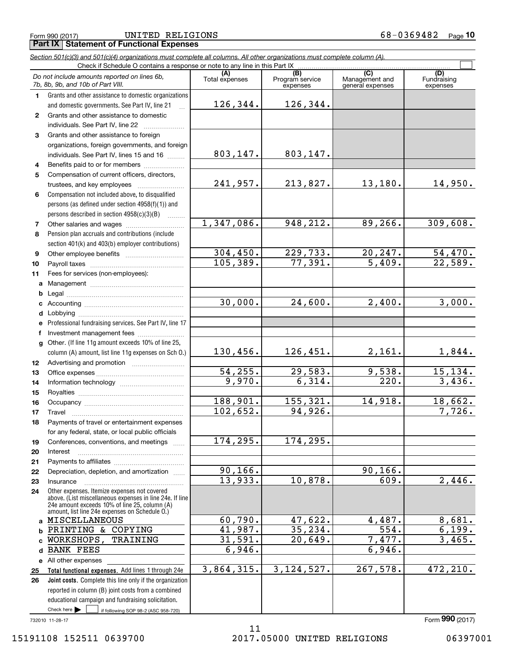Form 990 (2017) UNITED RELIGIONS 6 8 –  $0$  3 6  $94$  8  $2$   $\,$   $\,$  Page

|              | Section 501(c)(3) and 501(c)(4) organizations must complete all columns. All other organizations must complete column (A).<br>Check if Schedule O contains a response or note to any line in this Part IX   |                |                                    |                                           |                                |
|--------------|-------------------------------------------------------------------------------------------------------------------------------------------------------------------------------------------------------------|----------------|------------------------------------|-------------------------------------------|--------------------------------|
|              | Do not include amounts reported on lines 6b,<br>7b, 8b, 9b, and 10b of Part VIII.                                                                                                                           | Total expenses | (B)<br>Program service<br>expenses | (C)<br>Management and<br>general expenses | (D)<br>Fundraising<br>expenses |
| $\mathbf 1$  | Grants and other assistance to domestic organizations                                                                                                                                                       |                |                                    |                                           |                                |
|              | and domestic governments. See Part IV, line 21                                                                                                                                                              | 126,344.       | 126,344.                           |                                           |                                |
| $\mathbf{2}$ | Grants and other assistance to domestic                                                                                                                                                                     |                |                                    |                                           |                                |
|              | individuals. See Part IV, line 22                                                                                                                                                                           |                |                                    |                                           |                                |
| 3            | Grants and other assistance to foreign                                                                                                                                                                      |                |                                    |                                           |                                |
|              | organizations, foreign governments, and foreign                                                                                                                                                             |                |                                    |                                           |                                |
|              | individuals. See Part IV, lines 15 and 16                                                                                                                                                                   | 803,147.       | 803,147.                           |                                           |                                |
| 4            | Benefits paid to or for members                                                                                                                                                                             |                |                                    |                                           |                                |
| 5            | Compensation of current officers, directors,                                                                                                                                                                |                |                                    |                                           |                                |
|              | trustees, and key employees                                                                                                                                                                                 | 241,957.       | 213,827.                           | 13,180.                                   | 14,950.                        |
| 6            | Compensation not included above, to disqualified                                                                                                                                                            |                |                                    |                                           |                                |
|              | persons (as defined under section 4958(f)(1)) and                                                                                                                                                           |                |                                    |                                           |                                |
|              | persons described in section 4958(c)(3)(B)<br>1.1.1.1.1.1.1                                                                                                                                                 | 1,347,086.     | 948,212.                           | 89, 266.                                  | 309,608.                       |
| 7            |                                                                                                                                                                                                             |                |                                    |                                           |                                |
| 8            | Pension plan accruals and contributions (include                                                                                                                                                            |                |                                    |                                           |                                |
|              | section 401(k) and 403(b) employer contributions)                                                                                                                                                           | 304,450.       | 229,733.                           | 20, 247.                                  |                                |
| 9            |                                                                                                                                                                                                             | 105, 389.      | 77,391.                            | 5,409.                                    | $\frac{54,470}{22,589}$ .      |
| 10           |                                                                                                                                                                                                             |                |                                    |                                           |                                |
| 11           | Fees for services (non-employees):                                                                                                                                                                          |                |                                    |                                           |                                |
| a            |                                                                                                                                                                                                             |                |                                    |                                           |                                |
| b<br>c       |                                                                                                                                                                                                             | 30,000.        | $\overline{24,600}$ .              | 2,400.                                    | 3,000.                         |
| d            |                                                                                                                                                                                                             |                |                                    |                                           |                                |
| е            | Professional fundraising services. See Part IV, line 17                                                                                                                                                     |                |                                    |                                           |                                |
| f            | Investment management fees                                                                                                                                                                                  |                |                                    |                                           |                                |
| $\mathbf{q}$ | Other. (If line 11g amount exceeds 10% of line 25,                                                                                                                                                          |                |                                    |                                           |                                |
|              | column (A) amount, list line 11g expenses on Sch O.)                                                                                                                                                        | 130,456.       | <u>126,451.</u>                    | 2,161.                                    | 1,844.                         |
| 12           |                                                                                                                                                                                                             |                |                                    |                                           |                                |
| 13           |                                                                                                                                                                                                             | 54, 255.       | 29,583.                            | 9,538.                                    | 15,134.                        |
| 14           |                                                                                                                                                                                                             | 9,970.         | 6,314.                             | 220.                                      | 3,436.                         |
| 15           |                                                                                                                                                                                                             |                |                                    |                                           |                                |
| 16           |                                                                                                                                                                                                             | 188,901.       | 155, 321.                          | 14,918.                                   | 18,662.                        |
| 17           |                                                                                                                                                                                                             | 102,652.       | 94,926.                            |                                           | 7,726.                         |
| 18           | Payments of travel or entertainment expenses                                                                                                                                                                |                |                                    |                                           |                                |
|              | for any federal, state, or local public officials                                                                                                                                                           |                |                                    |                                           |                                |
| 19           | Conferences, conventions, and meetings                                                                                                                                                                      | 174,295.       | 174,295.                           |                                           |                                |
| 20           | Interest                                                                                                                                                                                                    |                |                                    |                                           |                                |
| 21           |                                                                                                                                                                                                             |                |                                    |                                           |                                |
| 22           | Depreciation, depletion, and amortization                                                                                                                                                                   | 90, 166.       |                                    | 90, 166.                                  |                                |
| 23           | Insurance                                                                                                                                                                                                   | 13,933.        | 10,878.                            | 609.                                      | $\overline{2,446}$ .           |
| 24           | Other expenses. Itemize expenses not covered<br>above. (List miscellaneous expenses in line 24e. If line<br>24e amount exceeds 10% of line 25, column (A)<br>amount, list line 24e expenses on Schedule O.) |                |                                    |                                           |                                |
|              | a MISCELLANEOUS                                                                                                                                                                                             | 60,790.        | 47,622.                            | 4,487.                                    | 8,681.                         |
| b            | PRINTING & COPYING                                                                                                                                                                                          | 41,987.        | 35,234.                            | 554.                                      | 6, 199.                        |
| C            | WORKSHOPS,<br>TRAINING                                                                                                                                                                                      | 31,591.        | 20,649.                            | 7,477.                                    | 3,465.                         |
| d            | <b>BANK FEES</b>                                                                                                                                                                                            | 6,946.         |                                    | 6,946.                                    |                                |
|              | e All other expenses                                                                                                                                                                                        |                |                                    |                                           |                                |
| 25           | Total functional expenses. Add lines 1 through 24e                                                                                                                                                          | 3,864,315.     | 3, 124, 527.                       | 267,578.                                  | 472,210.                       |
| 26           | Joint costs. Complete this line only if the organization                                                                                                                                                    |                |                                    |                                           |                                |
|              | reported in column (B) joint costs from a combined                                                                                                                                                          |                |                                    |                                           |                                |
|              | educational campaign and fundraising solicitation.                                                                                                                                                          |                |                                    |                                           |                                |
|              | Check here $\blacktriangleright$<br>if following SOP 98-2 (ASC 958-720)                                                                                                                                     |                |                                    |                                           |                                |

732010 11-28-17

11 15191108 152511 0639700 2017.05000 UNITED RELIGIONS 06397001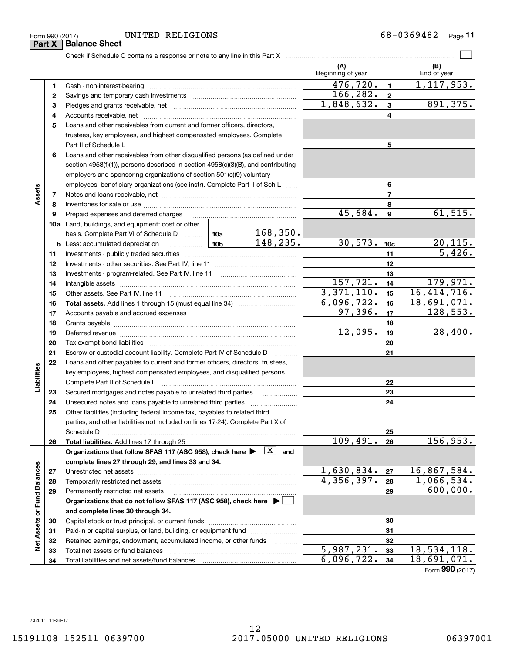## Form 990 (2017) UNITED RELIGIONS 6 8 –  $0$  3 6  $94$  8  $2$   $\,$   $\,$  Page

Check if Schedule O contains a response or note to any line in this Part X ..........

|                             |    |                                                                                                                                                                                                                                |                 |                           | (A)<br>Beginning of year |                 | (B)<br>End of year         |
|-----------------------------|----|--------------------------------------------------------------------------------------------------------------------------------------------------------------------------------------------------------------------------------|-----------------|---------------------------|--------------------------|-----------------|----------------------------|
|                             | 1  |                                                                                                                                                                                                                                |                 |                           | 476,720.                 | $\mathbf{1}$    | 1, 117, 953.               |
|                             | 2  |                                                                                                                                                                                                                                |                 |                           | 166,282.                 | $\mathbf{2}$    |                            |
|                             | 3  |                                                                                                                                                                                                                                | 1,848,632.      | 3                         | 891,375.                 |                 |                            |
|                             | 4  |                                                                                                                                                                                                                                |                 |                           | 4                        |                 |                            |
|                             | 5  | Loans and other receivables from current and former officers, directors,                                                                                                                                                       |                 |                           |                          |                 |                            |
|                             |    | trustees, key employees, and highest compensated employees. Complete                                                                                                                                                           |                 |                           |                          |                 |                            |
|                             |    | Part II of Schedule L                                                                                                                                                                                                          |                 | 5                         |                          |                 |                            |
|                             | 6  | Loans and other receivables from other disqualified persons (as defined under                                                                                                                                                  |                 |                           |                          |                 |                            |
|                             |    | section $4958(f)(1)$ , persons described in section $4958(c)(3)(B)$ , and contributing                                                                                                                                         |                 |                           |                          |                 |                            |
|                             |    | employers and sponsoring organizations of section 501(c)(9) voluntary                                                                                                                                                          |                 |                           |                          |                 |                            |
|                             |    | employees' beneficiary organizations (see instr). Complete Part II of Sch L                                                                                                                                                    |                 |                           |                          | 6               |                            |
| Assets                      | 7  |                                                                                                                                                                                                                                |                 |                           |                          | $\overline{7}$  |                            |
|                             | 8  |                                                                                                                                                                                                                                |                 |                           |                          | 8               |                            |
|                             | 9  | Prepaid expenses and deferred charges                                                                                                                                                                                          |                 |                           | 45,684.                  | 9               | 61, 515.                   |
|                             |    | <b>10a</b> Land, buildings, and equipment: cost or other                                                                                                                                                                       |                 |                           |                          |                 |                            |
|                             |    | basis. Complete Part VI of Schedule D  10a                                                                                                                                                                                     |                 | $\frac{168,350}{148,235}$ |                          |                 |                            |
|                             |    | <b>b</b> Less: accumulated depreciation                                                                                                                                                                                        | 10 <sub>b</sub> |                           | 30,573.                  | 10 <sub>c</sub> | <u>20,115.</u>             |
|                             | 11 |                                                                                                                                                                                                                                |                 |                           |                          | 11              | 5,426.                     |
|                             | 12 |                                                                                                                                                                                                                                |                 | 12                        |                          |                 |                            |
|                             | 13 |                                                                                                                                                                                                                                |                 | 13                        |                          |                 |                            |
|                             | 14 |                                                                                                                                                                                                                                | 157,721.        | 14                        | 179,971.                 |                 |                            |
|                             | 15 |                                                                                                                                                                                                                                |                 |                           | 3,371,110.               | 15              | 16,414,716.                |
|                             | 16 |                                                                                                                                                                                                                                |                 |                           | 6,096,722.               | 16              | 18,691,071.                |
|                             | 17 |                                                                                                                                                                                                                                | 97,396.         | 17                        | 128, 553.                |                 |                            |
|                             | 18 |                                                                                                                                                                                                                                | 12,095.         | 18                        |                          |                 |                            |
|                             | 19 | Deferred revenue material contracts and a contract of the contract of the contract of the contract of the contract of the contract of the contract of the contract of the contract of the contract of the contract of the cont |                 |                           |                          | 19              | 28,400.                    |
|                             | 20 |                                                                                                                                                                                                                                |                 |                           |                          | 20              |                            |
|                             | 21 | Escrow or custodial account liability. Complete Part IV of Schedule D                                                                                                                                                          |                 |                           |                          | 21              |                            |
| Liabilities                 | 22 | Loans and other payables to current and former officers, directors, trustees,<br>key employees, highest compensated employees, and disqualified persons.                                                                       |                 |                           |                          |                 |                            |
|                             |    |                                                                                                                                                                                                                                |                 |                           |                          | 22              |                            |
|                             | 23 | Secured mortgages and notes payable to unrelated third parties                                                                                                                                                                 |                 |                           |                          | 23              |                            |
|                             | 24 |                                                                                                                                                                                                                                |                 |                           |                          | 24              |                            |
|                             | 25 | Other liabilities (including federal income tax, payables to related third                                                                                                                                                     |                 |                           |                          |                 |                            |
|                             |    | parties, and other liabilities not included on lines 17-24). Complete Part X of                                                                                                                                                |                 |                           |                          |                 |                            |
|                             |    | Schedule D                                                                                                                                                                                                                     |                 |                           |                          | 25              |                            |
|                             | 26 | Total liabilities. Add lines 17 through 25                                                                                                                                                                                     |                 |                           | 109,491.                 | 26              | 156,953.                   |
|                             |    | Organizations that follow SFAS 117 (ASC 958), check here $\blacktriangleright \begin{array}{ c } \hline X & \text{and} \end{array}$                                                                                            |                 |                           |                          |                 |                            |
|                             |    | complete lines 27 through 29, and lines 33 and 34.                                                                                                                                                                             |                 |                           |                          |                 |                            |
|                             | 27 | Unrestricted net assets                                                                                                                                                                                                        |                 | 1,630,834.                | 27                       | 16,867,584.     |                            |
|                             | 28 | Temporarily restricted net assets                                                                                                                                                                                              | 4,356,397.      | 28                        | 1,066,534.               |                 |                            |
|                             | 29 | Permanently restricted net assets                                                                                                                                                                                              |                 |                           |                          | 29              | 600,000.                   |
|                             |    | Organizations that do not follow SFAS 117 (ASC 958), check here $\blacktriangleright$                                                                                                                                          |                 |                           |                          |                 |                            |
| Net Assets or Fund Balances |    | and complete lines 30 through 34.                                                                                                                                                                                              |                 |                           |                          |                 |                            |
|                             | 30 |                                                                                                                                                                                                                                |                 |                           |                          | 30              |                            |
|                             | 31 | Paid-in or capital surplus, or land, building, or equipment fund                                                                                                                                                               |                 |                           |                          | 31              |                            |
|                             | 32 | Retained earnings, endowment, accumulated income, or other funds                                                                                                                                                               |                 |                           |                          | 32              |                            |
|                             | 33 |                                                                                                                                                                                                                                |                 |                           | 5,987,231.               | 33              | $\overline{18, 534, 118.}$ |
|                             | 34 |                                                                                                                                                                                                                                |                 |                           | 6,096,722.               | 34              | 18,691,071.                |

Form (2017) **990**

 $\mathcal{L}^{\text{max}}$ 

12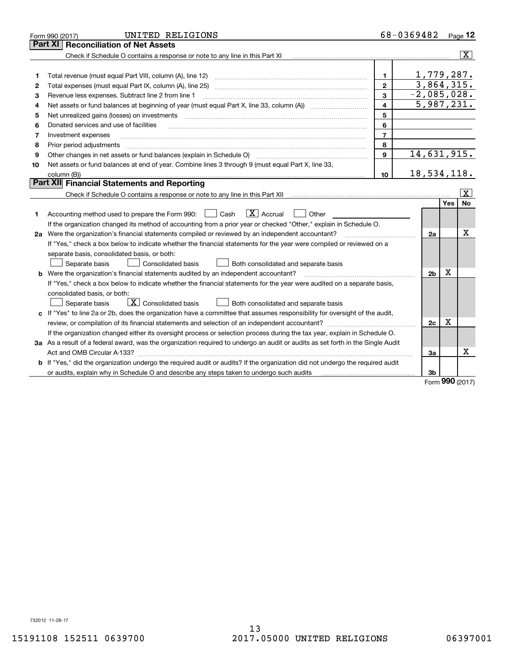|    | UNITED RELIGIONS<br>Form 990 (2017)                                                                                                                  |                         | 68-0369482 Page 12         |                   |                         |
|----|------------------------------------------------------------------------------------------------------------------------------------------------------|-------------------------|----------------------------|-------------------|-------------------------|
|    | <b>Reconciliation of Net Assets</b><br>Part XI                                                                                                       |                         |                            |                   |                         |
|    | Check if Schedule O contains a response or note to any line in this Part XI                                                                          |                         |                            |                   | $ \mathbf{X} $          |
|    |                                                                                                                                                      |                         |                            |                   |                         |
| 1  | Total revenue (must equal Part VIII, column (A), line 12)                                                                                            | 1.                      | 1,779,287.                 |                   |                         |
| 2  |                                                                                                                                                      | $\overline{2}$          | 3,864,315.                 |                   |                         |
| 3  | Revenue less expenses. Subtract line 2 from line 1                                                                                                   | 3                       | $-2,085,028.$              |                   |                         |
| 4  |                                                                                                                                                      | $\overline{\mathbf{4}}$ | $\overline{5}$ , 987, 231. |                   |                         |
| 5  | Net unrealized gains (losses) on investments                                                                                                         | 5                       |                            |                   |                         |
| 6  | Donated services and use of facilities                                                                                                               | 6                       |                            |                   |                         |
| 7  | Investment expenses                                                                                                                                  | $\overline{7}$          |                            |                   |                         |
| 8  | Prior period adjustments                                                                                                                             | 8                       |                            |                   |                         |
| 9  | Other changes in net assets or fund balances (explain in Schedule O) [11] manufacture changes in net assets or fund balances (explain in Schedule O) | 9                       | 14,631,915.                |                   |                         |
| 10 | Net assets or fund balances at end of year. Combine lines 3 through 9 (must equal Part X, line 33,                                                   |                         |                            |                   |                         |
|    | column (B))                                                                                                                                          | 10                      | 18,534,118.                |                   |                         |
|    | Part XII Financial Statements and Reporting                                                                                                          |                         |                            |                   |                         |
|    |                                                                                                                                                      |                         |                            |                   | $\overline{\mathbf{x}}$ |
|    |                                                                                                                                                      |                         |                            | Yes               | <b>No</b>               |
| 1  | $\boxed{\text{X}}$ Accrual<br>Accounting method used to prepare the Form 990: <u>June</u> Cash<br>Other                                              |                         |                            |                   |                         |
|    | If the organization changed its method of accounting from a prior year or checked "Other," explain in Schedule O.                                    |                         |                            |                   |                         |
|    | 2a Were the organization's financial statements compiled or reviewed by an independent accountant?                                                   |                         | 2a                         |                   | x                       |
|    | If "Yes," check a box below to indicate whether the financial statements for the year were compiled or reviewed on a                                 |                         |                            |                   |                         |
|    | separate basis, consolidated basis, or both:                                                                                                         |                         |                            |                   |                         |
|    | Separate basis<br>Consolidated basis<br>Both consolidated and separate basis                                                                         |                         |                            |                   |                         |
|    | <b>b</b> Were the organization's financial statements audited by an independent accountant?                                                          |                         | 2 <sub>b</sub>             | X                 |                         |
|    | If "Yes," check a box below to indicate whether the financial statements for the year were audited on a separate basis,                              |                         |                            |                   |                         |
|    | consolidated basis, or both:                                                                                                                         |                         |                            |                   |                         |
|    | $\overline{X}$ Consolidated basis<br>Both consolidated and separate basis<br>Separate basis                                                          |                         |                            |                   |                         |
|    | c If "Yes" to line 2a or 2b, does the organization have a committee that assumes responsibility for oversight of the audit,                          |                         |                            |                   |                         |
|    |                                                                                                                                                      |                         | 2c                         | $\mathbf X$       |                         |
|    | If the organization changed either its oversight process or selection process during the tax year, explain in Schedule O.                            |                         |                            |                   |                         |
|    | 3a As a result of a federal award, was the organization required to undergo an audit or audits as set forth in the Single Audit                      |                         |                            |                   |                         |
|    | Act and OMB Circular A-133?                                                                                                                          |                         | За                         |                   | X                       |
|    | b If "Yes," did the organization undergo the required audit or audits? If the organization did not undergo the required audit                        |                         |                            |                   |                         |
|    |                                                                                                                                                      |                         | 3b                         | $000 \, \text{m}$ |                         |

Form (2017) **990**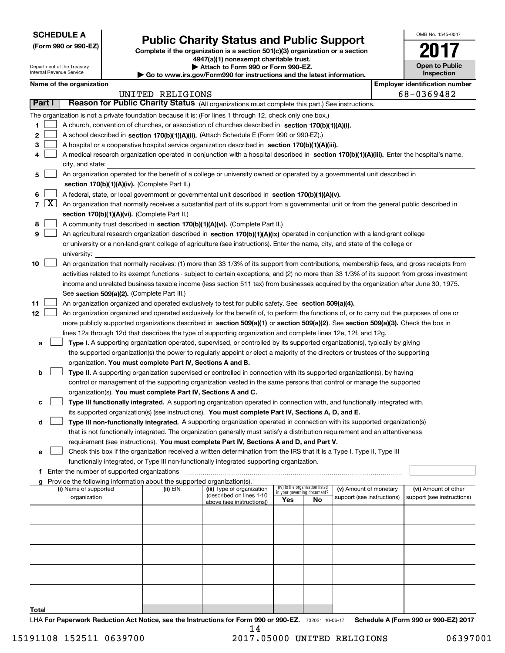Department of the Treasury Internal Revenue Service

**(Form 990 or 990-EZ)**

# **Public Charity Status and Public Support**

**Complete if the organization is a section 501(c)(3) organization or a section 4947(a)(1) nonexempt charitable trust. | Attach to Form 990 or Form 990-EZ.** 

| www.irs.gov/Form990 for instructions and the latest information |  |  |
|-----------------------------------------------------------------|--|--|

| OMB No 1545-0047                    |
|-------------------------------------|
|                                     |
| <b>Open to Public</b><br>Inspection |

|  | Name of the organization |
|--|--------------------------|
|--|--------------------------|

 $\blacktriangleright$  Go to

|        |            | Name of the organization                                                                                                                                                                                             |                  |                            |                                    |                                 |                            | <b>Employer identification number</b> |
|--------|------------|----------------------------------------------------------------------------------------------------------------------------------------------------------------------------------------------------------------------|------------------|----------------------------|------------------------------------|---------------------------------|----------------------------|---------------------------------------|
|        |            |                                                                                                                                                                                                                      | UNITED RELIGIONS |                            |                                    |                                 |                            | 68-0369482                            |
| Part I |            | Reason for Public Charity Status (All organizations must complete this part.) See instructions.                                                                                                                      |                  |                            |                                    |                                 |                            |                                       |
|        |            | The organization is not a private foundation because it is: (For lines 1 through 12, check only one box.)                                                                                                            |                  |                            |                                    |                                 |                            |                                       |
| 1.     |            | A church, convention of churches, or association of churches described in section 170(b)(1)(A)(i).                                                                                                                   |                  |                            |                                    |                                 |                            |                                       |
| 2      |            | A school described in section 170(b)(1)(A)(ii). (Attach Schedule E (Form 990 or 990-EZ).)                                                                                                                            |                  |                            |                                    |                                 |                            |                                       |
| з      |            | A hospital or a cooperative hospital service organization described in section 170(b)(1)(A)(iii).                                                                                                                    |                  |                            |                                    |                                 |                            |                                       |
| 4      |            | A medical research organization operated in conjunction with a hospital described in section 170(b)(1)(A)(iii). Enter the hospital's name,                                                                           |                  |                            |                                    |                                 |                            |                                       |
|        |            | city, and state:                                                                                                                                                                                                     |                  |                            |                                    |                                 |                            |                                       |
| 5      |            | An organization operated for the benefit of a college or university owned or operated by a governmental unit described in<br>section 170(b)(1)(A)(iv). (Complete Part II.)                                           |                  |                            |                                    |                                 |                            |                                       |
| 6      |            | A federal, state, or local government or governmental unit described in section 170(b)(1)(A)(v).                                                                                                                     |                  |                            |                                    |                                 |                            |                                       |
|        | $7 \times$ | An organization that normally receives a substantial part of its support from a governmental unit or from the general public described in                                                                            |                  |                            |                                    |                                 |                            |                                       |
|        |            | section 170(b)(1)(A)(vi). (Complete Part II.)                                                                                                                                                                        |                  |                            |                                    |                                 |                            |                                       |
| 8      |            | A community trust described in section 170(b)(1)(A)(vi). (Complete Part II.)                                                                                                                                         |                  |                            |                                    |                                 |                            |                                       |
| 9      |            | An agricultural research organization described in section 170(b)(1)(A)(ix) operated in conjunction with a land-grant college                                                                                        |                  |                            |                                    |                                 |                            |                                       |
|        |            | or university or a non-land-grant college of agriculture (see instructions). Enter the name, city, and state of the college or                                                                                       |                  |                            |                                    |                                 |                            |                                       |
|        |            | university:                                                                                                                                                                                                          |                  |                            |                                    |                                 |                            |                                       |
| 10     |            | An organization that normally receives: (1) more than 33 1/3% of its support from contributions, membership fees, and gross receipts from                                                                            |                  |                            |                                    |                                 |                            |                                       |
|        |            | activities related to its exempt functions - subject to certain exceptions, and (2) no more than 33 1/3% of its support from gross investment                                                                        |                  |                            |                                    |                                 |                            |                                       |
|        |            | income and unrelated business taxable income (less section 511 tax) from businesses acquired by the organization after June 30, 1975.                                                                                |                  |                            |                                    |                                 |                            |                                       |
|        |            | See section 509(a)(2). (Complete Part III.)                                                                                                                                                                          |                  |                            |                                    |                                 |                            |                                       |
| 11     |            | An organization organized and operated exclusively to test for public safety. See section 509(a)(4).                                                                                                                 |                  |                            |                                    |                                 |                            |                                       |
| 12     |            | An organization organized and operated exclusively for the benefit of, to perform the functions of, or to carry out the purposes of one or                                                                           |                  |                            |                                    |                                 |                            |                                       |
|        |            | more publicly supported organizations described in section 509(a)(1) or section 509(a)(2). See section 509(a)(3). Check the box in                                                                                   |                  |                            |                                    |                                 |                            |                                       |
|        |            | lines 12a through 12d that describes the type of supporting organization and complete lines 12e, 12f, and 12g.                                                                                                       |                  |                            |                                    |                                 |                            |                                       |
| а      |            | Type I. A supporting organization operated, supervised, or controlled by its supported organization(s), typically by giving                                                                                          |                  |                            |                                    |                                 |                            |                                       |
|        |            | the supported organization(s) the power to regularly appoint or elect a majority of the directors or trustees of the supporting                                                                                      |                  |                            |                                    |                                 |                            |                                       |
|        |            | organization. You must complete Part IV, Sections A and B.                                                                                                                                                           |                  |                            |                                    |                                 |                            |                                       |
| b      |            | Type II. A supporting organization supervised or controlled in connection with its supported organization(s), by having                                                                                              |                  |                            |                                    |                                 |                            |                                       |
|        |            |                                                                                                                                                                                                                      |                  |                            |                                    |                                 |                            |                                       |
|        |            | control or management of the supporting organization vested in the same persons that control or manage the supported                                                                                                 |                  |                            |                                    |                                 |                            |                                       |
|        |            | organization(s). You must complete Part IV, Sections A and C.                                                                                                                                                        |                  |                            |                                    |                                 |                            |                                       |
| с      |            | Type III functionally integrated. A supporting organization operated in connection with, and functionally integrated with,                                                                                           |                  |                            |                                    |                                 |                            |                                       |
|        |            | its supported organization(s) (see instructions). You must complete Part IV, Sections A, D, and E.                                                                                                                   |                  |                            |                                    |                                 |                            |                                       |
| d      |            | Type III non-functionally integrated. A supporting organization operated in connection with its supported organization(s)                                                                                            |                  |                            |                                    |                                 |                            |                                       |
|        |            | that is not functionally integrated. The organization generally must satisfy a distribution requirement and an attentiveness                                                                                         |                  |                            |                                    |                                 |                            |                                       |
|        |            | requirement (see instructions). You must complete Part IV, Sections A and D, and Part V.                                                                                                                             |                  |                            |                                    |                                 |                            |                                       |
|        |            | Check this box if the organization received a written determination from the IRS that it is a Type I, Type II, Type III<br>functionally integrated, or Type III non-functionally integrated supporting organization. |                  |                            |                                    |                                 |                            |                                       |
|        |            | f Enter the number of supported organizations                                                                                                                                                                        |                  |                            |                                    |                                 |                            |                                       |
|        |            |                                                                                                                                                                                                                      |                  |                            |                                    |                                 |                            |                                       |
|        |            | g Provide the following information about the supported organization(s).<br>(i) Name of supported                                                                                                                    | (ii) EIN         | (iii) Type of organization |                                    | (iv) Is the organization listed | (v) Amount of monetary     | (vi) Amount of other                  |
|        |            | organization                                                                                                                                                                                                         |                  | (described on lines 1-10   | in your governing document?<br>Yes | No                              | support (see instructions) | support (see instructions)            |
|        |            |                                                                                                                                                                                                                      |                  | above (see instructions))  |                                    |                                 |                            |                                       |
|        |            |                                                                                                                                                                                                                      |                  |                            |                                    |                                 |                            |                                       |
|        |            |                                                                                                                                                                                                                      |                  |                            |                                    |                                 |                            |                                       |
|        |            |                                                                                                                                                                                                                      |                  |                            |                                    |                                 |                            |                                       |
|        |            |                                                                                                                                                                                                                      |                  |                            |                                    |                                 |                            |                                       |
|        |            |                                                                                                                                                                                                                      |                  |                            |                                    |                                 |                            |                                       |
|        |            |                                                                                                                                                                                                                      |                  |                            |                                    |                                 |                            |                                       |
|        |            |                                                                                                                                                                                                                      |                  |                            |                                    |                                 |                            |                                       |
| Total  |            |                                                                                                                                                                                                                      |                  |                            |                                    |                                 |                            |                                       |

LHA For Paperwork Reduction Act Notice, see the Instructions for Form 990 or 990-EZ. 732021 10-06-17 Schedule A (Form 990 or 990-EZ) 2017 14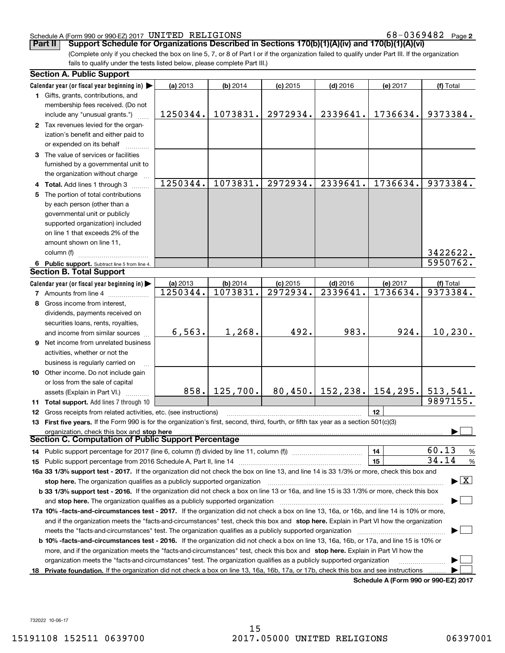#### Schedule A (Form 990 or 990-EZ) 2017 Page UNITED RELIGIONS 68-0369482

**2**

**Part II** | Support Schedule for Organizations Described in Sections 170(b)(1)(A)(iv) and 170(b)(1)(A)(vi)

(Complete only if you checked the box on line 5, 7, or 8 of Part I or if the organization failed to qualify under Part III. If the organization fails to qualify under the tests listed below, please complete Part III.)

|                                                                                                                        | <b>Section A. Public Support</b>                                                                                                               |          |            |            |            |                                      |                        |
|------------------------------------------------------------------------------------------------------------------------|------------------------------------------------------------------------------------------------------------------------------------------------|----------|------------|------------|------------|--------------------------------------|------------------------|
|                                                                                                                        | Calendar year (or fiscal year beginning in) $\blacktriangleright$                                                                              | (a) 2013 | $(b)$ 2014 | $(c)$ 2015 | $(d)$ 2016 | (e) 2017                             | (f) Total              |
|                                                                                                                        | 1 Gifts, grants, contributions, and                                                                                                            |          |            |            |            |                                      |                        |
|                                                                                                                        | membership fees received. (Do not                                                                                                              |          |            |            |            |                                      |                        |
|                                                                                                                        | include any "unusual grants.")                                                                                                                 | 1250344. | 1073831.   | 2972934.   | 2339641.   | 1736634.                             | 9373384.               |
|                                                                                                                        | 2 Tax revenues levied for the organ-                                                                                                           |          |            |            |            |                                      |                        |
|                                                                                                                        | ization's benefit and either paid to                                                                                                           |          |            |            |            |                                      |                        |
|                                                                                                                        | or expended on its behalf                                                                                                                      |          |            |            |            |                                      |                        |
|                                                                                                                        | 3 The value of services or facilities                                                                                                          |          |            |            |            |                                      |                        |
|                                                                                                                        | furnished by a governmental unit to                                                                                                            |          |            |            |            |                                      |                        |
|                                                                                                                        | the organization without charge                                                                                                                |          |            |            |            |                                      |                        |
|                                                                                                                        | 4 Total. Add lines 1 through 3                                                                                                                 | 1250344. | 1073831.   | 2972934.   | 2339641.   | 1736634.                             | 9373384.               |
|                                                                                                                        | 5 The portion of total contributions                                                                                                           |          |            |            |            |                                      |                        |
|                                                                                                                        | by each person (other than a                                                                                                                   |          |            |            |            |                                      |                        |
|                                                                                                                        | governmental unit or publicly                                                                                                                  |          |            |            |            |                                      |                        |
|                                                                                                                        | supported organization) included                                                                                                               |          |            |            |            |                                      |                        |
|                                                                                                                        | on line 1 that exceeds 2% of the                                                                                                               |          |            |            |            |                                      |                        |
|                                                                                                                        | amount shown on line 11,                                                                                                                       |          |            |            |            |                                      |                        |
|                                                                                                                        | column (f)                                                                                                                                     |          |            |            |            |                                      | 3422622.               |
|                                                                                                                        | 6 Public support. Subtract line 5 from line 4.                                                                                                 |          |            |            |            |                                      | $\overline{5950762}$ . |
|                                                                                                                        | <b>Section B. Total Support</b>                                                                                                                |          |            |            |            |                                      |                        |
|                                                                                                                        | Calendar year (or fiscal year beginning in) $\blacktriangleright$                                                                              | (a) 2013 | $(b)$ 2014 | $(c)$ 2015 | $(d)$ 2016 | (e) 2017                             | (f) Total              |
|                                                                                                                        | <b>7</b> Amounts from line 4                                                                                                                   | 1250344. | 1073831.   | 2972934.   | 2339641.   | 1736634.                             | 9373384.               |
|                                                                                                                        | 8 Gross income from interest,                                                                                                                  |          |            |            |            |                                      |                        |
|                                                                                                                        |                                                                                                                                                |          |            |            |            |                                      |                        |
|                                                                                                                        | dividends, payments received on                                                                                                                |          |            |            |            |                                      |                        |
|                                                                                                                        | securities loans, rents, royalties,                                                                                                            | 6,563.   | 1,268.     | 492.       | 983.       | 924.                                 | 10, 230.               |
|                                                                                                                        | and income from similar sources                                                                                                                |          |            |            |            |                                      |                        |
|                                                                                                                        | <b>9</b> Net income from unrelated business                                                                                                    |          |            |            |            |                                      |                        |
|                                                                                                                        | activities, whether or not the                                                                                                                 |          |            |            |            |                                      |                        |
|                                                                                                                        | business is regularly carried on                                                                                                               |          |            |            |            |                                      |                        |
|                                                                                                                        | 10 Other income. Do not include gain                                                                                                           |          |            |            |            |                                      |                        |
|                                                                                                                        | or loss from the sale of capital                                                                                                               |          |            |            |            |                                      |                        |
|                                                                                                                        | assets (Explain in Part VI.)                                                                                                                   | 858.     | 125,700.   | 80, 450.   |            | $152, 238.$ 154, 295.                | 513,541.               |
|                                                                                                                        | 11 Total support. Add lines 7 through 10                                                                                                       |          |            |            |            |                                      | 9897155.               |
|                                                                                                                        | <b>12</b> Gross receipts from related activities, etc. (see instructions)                                                                      |          |            |            |            | 12                                   |                        |
|                                                                                                                        | 13 First five years. If the Form 990 is for the organization's first, second, third, fourth, or fifth tax year as a section 501(c)(3)          |          |            |            |            |                                      |                        |
|                                                                                                                        | organization, check this box and stop here                                                                                                     |          |            |            |            |                                      |                        |
|                                                                                                                        | Section C. Computation of Public Support Percentage                                                                                            |          |            |            |            |                                      |                        |
|                                                                                                                        |                                                                                                                                                |          |            |            |            | 14                                   | 60.13<br>%             |
|                                                                                                                        |                                                                                                                                                |          |            |            |            | 15                                   | 34.14<br>$\%$          |
|                                                                                                                        | 16a 33 1/3% support test - 2017. If the organization did not check the box on line 13, and line 14 is 33 1/3% or more, check this box and      |          |            |            |            |                                      |                        |
| $\blacktriangleright$ $\boxed{\text{X}}$<br>stop here. The organization qualifies as a publicly supported organization |                                                                                                                                                |          |            |            |            |                                      |                        |
|                                                                                                                        | b 33 1/3% support test - 2016. If the organization did not check a box on line 13 or 16a, and line 15 is 33 1/3% or more, check this box       |          |            |            |            |                                      |                        |
|                                                                                                                        |                                                                                                                                                |          |            |            |            |                                      |                        |
|                                                                                                                        | 17a 10% -facts-and-circumstances test - 2017. If the organization did not check a box on line 13, 16a, or 16b, and line 14 is 10% or more,     |          |            |            |            |                                      |                        |
|                                                                                                                        | and if the organization meets the "facts-and-circumstances" test, check this box and stop here. Explain in Part VI how the organization        |          |            |            |            |                                      |                        |
|                                                                                                                        |                                                                                                                                                |          |            |            |            |                                      |                        |
|                                                                                                                        | <b>b 10% -facts-and-circumstances test - 2016.</b> If the organization did not check a box on line 13, 16a, 16b, or 17a, and line 15 is 10% or |          |            |            |            |                                      |                        |
|                                                                                                                        | more, and if the organization meets the "facts-and-circumstances" test, check this box and stop here. Explain in Part VI how the               |          |            |            |            |                                      |                        |
|                                                                                                                        | organization meets the "facts-and-circumstances" test. The organization qualifies as a publicly supported organization                         |          |            |            |            |                                      |                        |
| 18                                                                                                                     | Private foundation. If the organization did not check a box on line 13, 16a, 16b, 17a, or 17b, check this box and see instructions             |          |            |            |            |                                      |                        |
|                                                                                                                        |                                                                                                                                                |          |            |            |            | Schodule A (Form 000 or 000 F7) 2017 |                        |

**Schedule A (Form 990 or 990-EZ) 2017**

732022 10-06-17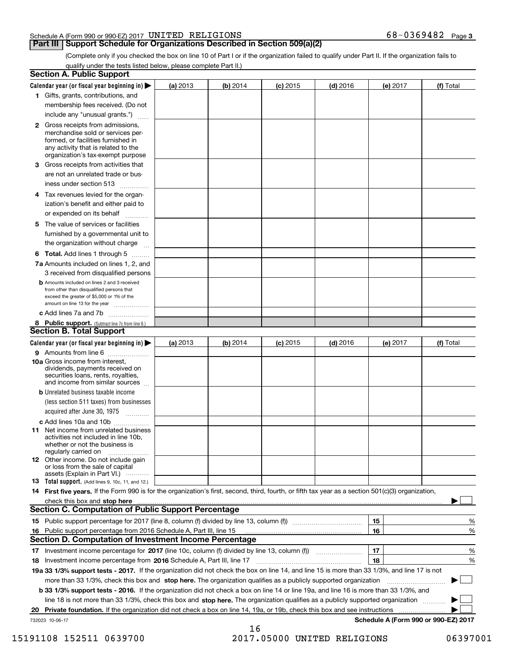#### Schedule A (Form 990 or 990-EZ) 2017 Page UNITED RELIGIONS 68-0369482

### **Part III** | Support Schedule for Organizations Described in Section 509(a)(2)

(Complete only if you checked the box on line 10 of Part I or if the organization failed to qualify under Part II. If the organization fails to qualify under the tests listed below, please complete Part II.)

| <b>Section A. Public Support</b>                                                                                                                                                                                                                                                                  |          |          |            |            |          |                                           |
|---------------------------------------------------------------------------------------------------------------------------------------------------------------------------------------------------------------------------------------------------------------------------------------------------|----------|----------|------------|------------|----------|-------------------------------------------|
| Calendar year (or fiscal year beginning in) $\blacktriangleright$                                                                                                                                                                                                                                 | (a) 2013 | (b) 2014 | $(c)$ 2015 | $(d)$ 2016 | (e) 2017 | (f) Total                                 |
| 1 Gifts, grants, contributions, and                                                                                                                                                                                                                                                               |          |          |            |            |          |                                           |
| membership fees received. (Do not                                                                                                                                                                                                                                                                 |          |          |            |            |          |                                           |
| include any "unusual grants.")                                                                                                                                                                                                                                                                    |          |          |            |            |          |                                           |
| 2 Gross receipts from admissions,<br>merchandise sold or services per-<br>formed, or facilities furnished in<br>any activity that is related to the<br>organization's tax-exempt purpose                                                                                                          |          |          |            |            |          |                                           |
| 3 Gross receipts from activities that<br>are not an unrelated trade or bus-                                                                                                                                                                                                                       |          |          |            |            |          |                                           |
| iness under section 513                                                                                                                                                                                                                                                                           |          |          |            |            |          |                                           |
| 4 Tax revenues levied for the organ-<br>ization's benefit and either paid to<br>or expended on its behalf<br>.                                                                                                                                                                                    |          |          |            |            |          |                                           |
| 5 The value of services or facilities<br>furnished by a governmental unit to<br>the organization without charge                                                                                                                                                                                   |          |          |            |            |          |                                           |
| <b>6 Total.</b> Add lines 1 through 5                                                                                                                                                                                                                                                             |          |          |            |            |          |                                           |
| 7a Amounts included on lines 1, 2, and<br>3 received from disqualified persons                                                                                                                                                                                                                    |          |          |            |            |          |                                           |
| <b>b</b> Amounts included on lines 2 and 3 received<br>from other than disqualified persons that<br>exceed the greater of \$5,000 or 1% of the<br>amount on line 13 for the year                                                                                                                  |          |          |            |            |          |                                           |
| c Add lines 7a and 7b                                                                                                                                                                                                                                                                             |          |          |            |            |          |                                           |
| 8 Public support. (Subtract line 7c from line 6.)<br><b>Section B. Total Support</b>                                                                                                                                                                                                              |          |          |            |            |          |                                           |
| Calendar year (or fiscal year beginning in) $\blacktriangleright$                                                                                                                                                                                                                                 | (a) 2013 | (b) 2014 | $(c)$ 2015 | $(d)$ 2016 | (e) 2017 | (f) Total                                 |
| 9 Amounts from line 6                                                                                                                                                                                                                                                                             |          |          |            |            |          |                                           |
| 10a Gross income from interest,<br>dividends, payments received on<br>securities loans, rents, royalties,<br>and income from similar sources                                                                                                                                                      |          |          |            |            |          |                                           |
| <b>b</b> Unrelated business taxable income<br>(less section 511 taxes) from businesses<br>acquired after June 30, 1975<br>1.1.1.1.1.1.1.1.1.1                                                                                                                                                     |          |          |            |            |          |                                           |
| c Add lines 10a and 10b                                                                                                                                                                                                                                                                           |          |          |            |            |          |                                           |
| <b>11</b> Net income from unrelated business<br>activities not included in line 10b,<br>whether or not the business is<br>regularly carried on                                                                                                                                                    |          |          |            |            |          |                                           |
| <b>12</b> Other income. Do not include gain<br>or loss from the sale of capital<br>assets (Explain in Part VI.)                                                                                                                                                                                   |          |          |            |            |          |                                           |
| <b>13</b> Total support. (Add lines 9, 10c, 11, and 12.)                                                                                                                                                                                                                                          |          |          |            |            |          |                                           |
| 14 First five years. If the Form 990 is for the organization's first, second, third, fourth, or fifth tax year as a section 501(c)(3) organization,                                                                                                                                               |          |          |            |            |          |                                           |
| check this box and stop here <i>macuum content content and a content and a content and a content and stop here</i> macuum content and a content of the content of the content of the content of the content of the content of the c<br><b>Section C. Computation of Public Support Percentage</b> |          |          |            |            |          |                                           |
|                                                                                                                                                                                                                                                                                                   |          |          |            |            |          |                                           |
|                                                                                                                                                                                                                                                                                                   |          |          |            |            | 15       | %                                         |
| 16 Public support percentage from 2016 Schedule A, Part III, line 15<br><b>Section D. Computation of Investment Income Percentage</b>                                                                                                                                                             |          |          |            |            | 16       | %                                         |
|                                                                                                                                                                                                                                                                                                   |          |          |            |            |          |                                           |
| 17 Investment income percentage for 2017 (line 10c, column (f) divided by line 13, column (f))                                                                                                                                                                                                    |          |          |            |            | 17       | %                                         |
| 18 Investment income percentage from 2016 Schedule A, Part III, line 17                                                                                                                                                                                                                           |          |          |            |            | 18       | %                                         |
| 19a 33 1/3% support tests - 2017. If the organization did not check the box on line 14, and line 15 is more than 33 1/3%, and line 17 is not                                                                                                                                                      |          |          |            |            |          | $\sim$ 1                                  |
| more than 33 1/3%, check this box and stop here. The organization qualifies as a publicly supported organization                                                                                                                                                                                  |          |          |            |            |          |                                           |
| b 33 1/3% support tests - 2016. If the organization did not check a box on line 14 or line 19a, and line 16 is more than 33 1/3%, and                                                                                                                                                             |          |          |            |            |          |                                           |
| line 18 is not more than 33 1/3%, check this box and stop here. The organization qualifies as a publicly supported organization                                                                                                                                                                   |          |          |            |            |          |                                           |
| 20 Private foundation. If the organization did not check a box on line 14, 19a, or 19b, check this box and see instructions<br>732023 10-06-17                                                                                                                                                    |          |          |            |            |          | .<br>Schedule A (Form 990 or 990-EZ) 2017 |
|                                                                                                                                                                                                                                                                                                   |          | 16       |            |            |          |                                           |

15191108 152511 0639700 2017.05000 UNITED RELIGIONS 06397001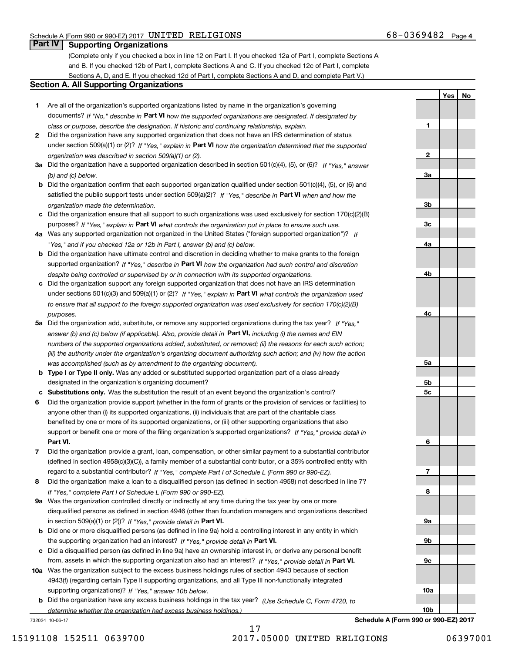**1**

**2**

**3a**

**3b**

**3c**

**4a**

**4b**

**4c**

**5a**

**5b5c**

**6**

**7**

**8**

**9a**

**9b**

**9c**

**10a**

**10b**

**YesNo**

## **Part IV Supporting Organizations**

(Complete only if you checked a box in line 12 on Part I. If you checked 12a of Part I, complete Sections A and B. If you checked 12b of Part I, complete Sections A and C. If you checked 12c of Part I, complete Sections A, D, and E. If you checked 12d of Part I, complete Sections A and D, and complete Part V.)

#### **Section A. All Supporting Organizations**

- **1** Are all of the organization's supported organizations listed by name in the organization's governing documents? If "No," describe in **Part VI** how the supported organizations are designated. If designated by *class or purpose, describe the designation. If historic and continuing relationship, explain.*
- **2** Did the organization have any supported organization that does not have an IRS determination of status under section 509(a)(1) or (2)? If "Yes," explain in Part VI how the organization determined that the supported *organization was described in section 509(a)(1) or (2).*
- **3a** Did the organization have a supported organization described in section 501(c)(4), (5), or (6)? If "Yes," answer *(b) and (c) below.*
- **b** Did the organization confirm that each supported organization qualified under section 501(c)(4), (5), or (6) and satisfied the public support tests under section 509(a)(2)? If "Yes," describe in **Part VI** when and how the *organization made the determination.*
- **c**Did the organization ensure that all support to such organizations was used exclusively for section 170(c)(2)(B) purposes? If "Yes," explain in **Part VI** what controls the organization put in place to ensure such use.
- **4a***If* Was any supported organization not organized in the United States ("foreign supported organization")? *"Yes," and if you checked 12a or 12b in Part I, answer (b) and (c) below.*
- **b** Did the organization have ultimate control and discretion in deciding whether to make grants to the foreign supported organization? If "Yes," describe in **Part VI** how the organization had such control and discretion *despite being controlled or supervised by or in connection with its supported organizations.*
- **c** Did the organization support any foreign supported organization that does not have an IRS determination under sections 501(c)(3) and 509(a)(1) or (2)? If "Yes," explain in **Part VI** what controls the organization used *to ensure that all support to the foreign supported organization was used exclusively for section 170(c)(2)(B) purposes.*
- **5a** Did the organization add, substitute, or remove any supported organizations during the tax year? If "Yes," answer (b) and (c) below (if applicable). Also, provide detail in **Part VI,** including (i) the names and EIN *numbers of the supported organizations added, substituted, or removed; (ii) the reasons for each such action; (iii) the authority under the organization's organizing document authorizing such action; and (iv) how the action was accomplished (such as by amendment to the organizing document).*
- **b** Type I or Type II only. Was any added or substituted supported organization part of a class already designated in the organization's organizing document?
- **cSubstitutions only.**  Was the substitution the result of an event beyond the organization's control?
- **6** Did the organization provide support (whether in the form of grants or the provision of services or facilities) to **Part VI.** *If "Yes," provide detail in* support or benefit one or more of the filing organization's supported organizations? anyone other than (i) its supported organizations, (ii) individuals that are part of the charitable class benefited by one or more of its supported organizations, or (iii) other supporting organizations that also
- **7**Did the organization provide a grant, loan, compensation, or other similar payment to a substantial contributor *If "Yes," complete Part I of Schedule L (Form 990 or 990-EZ).* regard to a substantial contributor? (defined in section 4958(c)(3)(C)), a family member of a substantial contributor, or a 35% controlled entity with
- **8** Did the organization make a loan to a disqualified person (as defined in section 4958) not described in line 7? *If "Yes," complete Part I of Schedule L (Form 990 or 990-EZ).*
- **9a** Was the organization controlled directly or indirectly at any time during the tax year by one or more in section 509(a)(1) or (2))? If "Yes," *provide detail in* <code>Part VI.</code> disqualified persons as defined in section 4946 (other than foundation managers and organizations described
- **b** Did one or more disqualified persons (as defined in line 9a) hold a controlling interest in any entity in which the supporting organization had an interest? If "Yes," provide detail in P**art VI**.
- **c**Did a disqualified person (as defined in line 9a) have an ownership interest in, or derive any personal benefit from, assets in which the supporting organization also had an interest? If "Yes," provide detail in P**art VI.**
- **10a** Was the organization subject to the excess business holdings rules of section 4943 because of section supporting organizations)? If "Yes," answer 10b below. 4943(f) (regarding certain Type II supporting organizations, and all Type III non-functionally integrated
- **b** Did the organization have any excess business holdings in the tax year? (Use Schedule C, Form 4720, to *determine whether the organization had excess business holdings.)*

732024 10-06-17

**Schedule A (Form 990 or 990-EZ) 2017**

17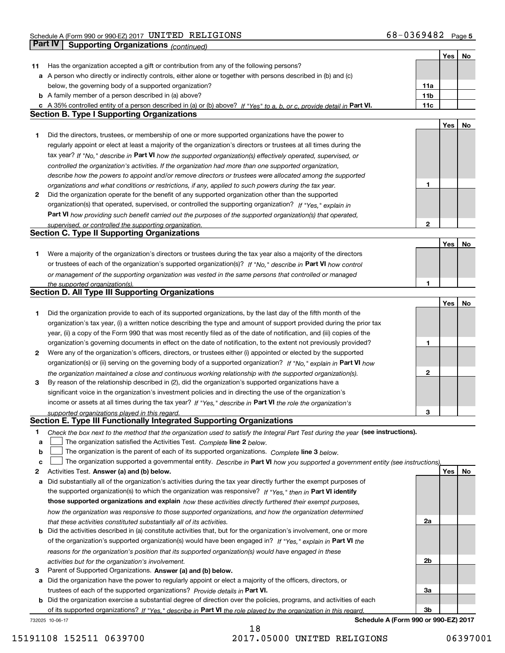|    |                                                                                                                                   |              | Yes | No |
|----|-----------------------------------------------------------------------------------------------------------------------------------|--------------|-----|----|
| 11 | Has the organization accepted a gift or contribution from any of the following persons?                                           |              |     |    |
|    | a A person who directly or indirectly controls, either alone or together with persons described in (b) and (c)                    |              |     |    |
|    | below, the governing body of a supported organization?                                                                            | 11a          |     |    |
|    | <b>b</b> A family member of a person described in (a) above?                                                                      | 11b          |     |    |
|    | c A 35% controlled entity of a person described in (a) or (b) above? If "Yes" to a, b, or c, provide detail in Part VI.           | 11c          |     |    |
|    | <b>Section B. Type I Supporting Organizations</b>                                                                                 |              |     |    |
|    |                                                                                                                                   |              | Yes | No |
| 1  | Did the directors, trustees, or membership of one or more supported organizations have the power to                               |              |     |    |
|    | regularly appoint or elect at least a majority of the organization's directors or trustees at all times during the                |              |     |    |
|    | tax year? If "No," describe in Part VI how the supported organization(s) effectively operated, supervised, or                     |              |     |    |
|    | controlled the organization's activities. If the organization had more than one supported organization,                           |              |     |    |
|    | describe how the powers to appoint and/or remove directors or trustees were allocated among the supported                         |              |     |    |
|    | organizations and what conditions or restrictions, if any, applied to such powers during the tax year.                            | 1            |     |    |
| 2  | Did the organization operate for the benefit of any supported organization other than the supported                               |              |     |    |
|    | organization(s) that operated, supervised, or controlled the supporting organization? If "Yes," explain in                        |              |     |    |
|    | Part VI how providing such benefit carried out the purposes of the supported organization(s) that operated,                       |              |     |    |
|    | supervised, or controlled the supporting organization.                                                                            | $\mathbf{2}$ |     |    |
|    | <b>Section C. Type II Supporting Organizations</b>                                                                                |              |     |    |
|    |                                                                                                                                   |              | Yes | No |
| 1  | Were a majority of the organization's directors or trustees during the tax year also a majority of the directors                  |              |     |    |
|    | or trustees of each of the organization's supported organization(s)? If "No," describe in Part VI how control                     |              |     |    |
|    | or management of the supporting organization was vested in the same persons that controlled or managed                            |              |     |    |
|    | the supported organization(s).                                                                                                    | 1            |     |    |
|    | <b>Section D. All Type III Supporting Organizations</b>                                                                           |              |     |    |
|    |                                                                                                                                   |              | Yes | No |
| 1  | Did the organization provide to each of its supported organizations, by the last day of the fifth month of the                    |              |     |    |
|    | organization's tax year, (i) a written notice describing the type and amount of support provided during the prior tax             |              |     |    |
|    | year, (ii) a copy of the Form 990 that was most recently filed as of the date of notification, and (iii) copies of the            |              |     |    |
|    | organization's governing documents in effect on the date of notification, to the extent not previously provided?                  | 1            |     |    |
| 2  | Were any of the organization's officers, directors, or trustees either (i) appointed or elected by the supported                  |              |     |    |
|    | organization(s) or (ii) serving on the governing body of a supported organization? If "No," explain in Part VI how                |              |     |    |
|    | the organization maintained a close and continuous working relationship with the supported organization(s).                       | $\mathbf{2}$ |     |    |
| 3  | By reason of the relationship described in (2), did the organization's supported organizations have a                             |              |     |    |
|    | significant voice in the organization's investment policies and in directing the use of the organization's                        |              |     |    |
|    | income or assets at all times during the tax year? If "Yes," describe in Part VI the role the organization's                      |              |     |    |
|    | supported organizations played in this regard.                                                                                    | 3            |     |    |
|    | Section E. Type III Functionally Integrated Supporting Organizations                                                              |              |     |    |
| 1  | Check the box next to the method that the organization used to satisfy the Integral Part Test during the year (see instructions). |              |     |    |
| a  | The organization satisfied the Activities Test. Complete line 2 below.                                                            |              |     |    |
| b  | The organization is the parent of each of its supported organizations. Complete line 3 below.                                     |              |     |    |
| C  | The organization supported a governmental entity. Describe in Part VI how you supported a government entity (see instructions),   |              |     |    |
| 2  | Activities Test. Answer (a) and (b) below.                                                                                        |              | Yes | No |
| а  | Did substantially all of the organization's activities during the tax year directly further the exempt purposes of                |              |     |    |
|    | the supported organization(s) to which the organization was responsive? If "Yes," then in Part VI identify                        |              |     |    |
|    | those supported organizations and explain how these activities directly furthered their exempt purposes,                          |              |     |    |
|    | how the organization was responsive to those supported organizations, and how the organization determined                         |              |     |    |
|    | that these activities constituted substantially all of its activities.                                                            | 2a           |     |    |
| b  | Did the activities described in (a) constitute activities that, but for the organization's involvement, one or more               |              |     |    |
|    | of the organization's supported organization(s) would have been engaged in? If "Yes," explain in Part VI the                      |              |     |    |
|    | reasons for the organization's position that its supported organization(s) would have engaged in these                            |              |     |    |
|    | activities but for the organization's involvement.                                                                                | 2b           |     |    |
| 3  | Parent of Supported Organizations. Answer (a) and (b) below.                                                                      |              |     |    |
| a  | Did the organization have the power to regularly appoint or elect a majority of the officers, directors, or                       |              |     |    |
|    | trustees of each of the supported organizations? Provide details in Part VI.                                                      | За           |     |    |
|    | <b>b</b> Did the organization exercise a substantial degree of direction over the policies, programs, and activities of each      |              |     |    |
|    | of its supported organizations? If "Yes," describe in Part VI the role played by the organization in this regard.                 | Зb           |     |    |
|    | Schedule A (Form 990 or 990-EZ) 2017<br>732025 10-06-17                                                                           |              |     |    |

18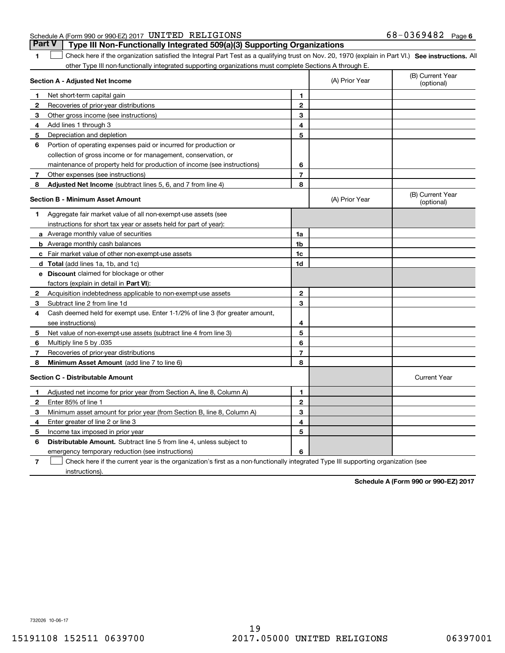**1**

# **Part V Type III Non-Functionally Integrated 509(a)(3) Supporting Organizations**

1 Check here if the organization satisfied the Integral Part Test as a qualifying trust on Nov. 20, 1970 (explain in Part VI.) See instructions. All other Type III non-functionally integrated supporting organizations must complete Sections A through E.

|              | Section A - Adjusted Net Income                                              |                | (A) Prior Year | (B) Current Year<br>(optional) |
|--------------|------------------------------------------------------------------------------|----------------|----------------|--------------------------------|
| 1            | Net short-term capital gain                                                  | 1              |                |                                |
| $\mathbf{2}$ | Recoveries of prior-year distributions                                       | $\mathbf{2}$   |                |                                |
| 3            | Other gross income (see instructions)                                        | 3              |                |                                |
| 4            | Add lines 1 through 3                                                        | 4              |                |                                |
| 5            | Depreciation and depletion                                                   | 5              |                |                                |
| 6            | Portion of operating expenses paid or incurred for production or             |                |                |                                |
|              | collection of gross income or for management, conservation, or               |                |                |                                |
|              | maintenance of property held for production of income (see instructions)     | 6              |                |                                |
| 7            | Other expenses (see instructions)                                            | $\overline{7}$ |                |                                |
| 8            | Adjusted Net Income (subtract lines 5, 6, and 7 from line 4)                 | 8              |                |                                |
|              | <b>Section B - Minimum Asset Amount</b>                                      |                | (A) Prior Year | (B) Current Year<br>(optional) |
| 1            | Aggregate fair market value of all non-exempt-use assets (see                |                |                |                                |
|              | instructions for short tax year or assets held for part of year):            |                |                |                                |
|              | <b>a</b> Average monthly value of securities                                 | 1a             |                |                                |
|              | <b>b</b> Average monthly cash balances                                       | 1b             |                |                                |
|              | <b>c</b> Fair market value of other non-exempt-use assets                    | 1c             |                |                                |
|              | <b>d</b> Total (add lines 1a, 1b, and 1c)                                    | 1d             |                |                                |
|              | <b>e</b> Discount claimed for blockage or other                              |                |                |                                |
|              | factors (explain in detail in Part VI):                                      |                |                |                                |
| 2            | Acquisition indebtedness applicable to non-exempt-use assets                 | $\mathbf{2}$   |                |                                |
| 3            | Subtract line 2 from line 1d                                                 | 3              |                |                                |
| 4            | Cash deemed held for exempt use. Enter 1-1/2% of line 3 (for greater amount, |                |                |                                |
|              | see instructions)                                                            | 4              |                |                                |
| 5            | Net value of non-exempt-use assets (subtract line 4 from line 3)             | 5              |                |                                |
| 6            | Multiply line 5 by .035                                                      | 6              |                |                                |
| 7            | Recoveries of prior-year distributions                                       | $\overline{7}$ |                |                                |
| 8            | Minimum Asset Amount (add line 7 to line 6)                                  | 8              |                |                                |
|              | <b>Section C - Distributable Amount</b>                                      |                |                | <b>Current Year</b>            |
| 1            | Adjusted net income for prior year (from Section A, line 8, Column A)        | 1              |                |                                |
| 2            | Enter 85% of line 1                                                          | $\mathbf{2}$   |                |                                |
| з            | Minimum asset amount for prior year (from Section B, line 8, Column A)       | 3              |                |                                |
| 4            | Enter greater of line 2 or line 3                                            | 4              |                |                                |
| 5            | Income tax imposed in prior year                                             | 5              |                |                                |
| 6            | Distributable Amount. Subtract line 5 from line 4, unless subject to         |                |                |                                |
|              | emergency temporary reduction (see instructions)                             | 6              |                |                                |
|              |                                                                              |                |                |                                |

**7**Check here if the current year is the organization's first as a non-functionally integrated Type III supporting organization (see instructions).

**Schedule A (Form 990 or 990-EZ) 2017**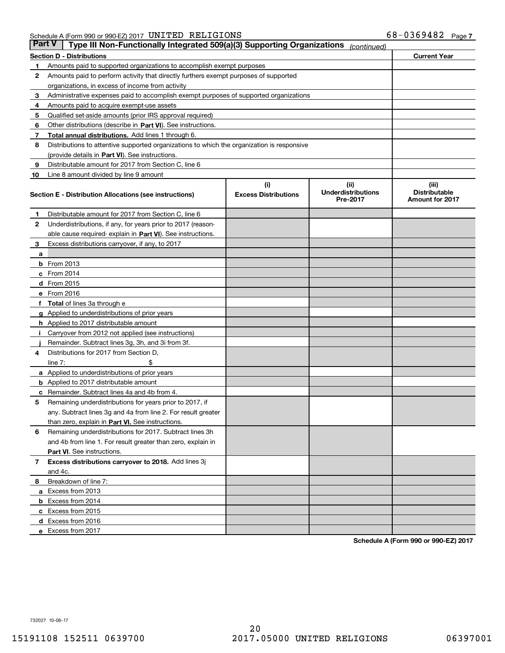| <b>Part V</b> | Type III Non-Functionally Integrated 509(a)(3) Supporting Organizations                    |                             | (continued)                           |                                                |
|---------------|--------------------------------------------------------------------------------------------|-----------------------------|---------------------------------------|------------------------------------------------|
|               | <b>Section D - Distributions</b>                                                           |                             |                                       | <b>Current Year</b>                            |
| 1             | Amounts paid to supported organizations to accomplish exempt purposes                      |                             |                                       |                                                |
| 2             | Amounts paid to perform activity that directly furthers exempt purposes of supported       |                             |                                       |                                                |
|               | organizations, in excess of income from activity                                           |                             |                                       |                                                |
| з             | Administrative expenses paid to accomplish exempt purposes of supported organizations      |                             |                                       |                                                |
| 4             | Amounts paid to acquire exempt-use assets                                                  |                             |                                       |                                                |
| 5             | Qualified set-aside amounts (prior IRS approval required)                                  |                             |                                       |                                                |
| 6             | Other distributions (describe in Part VI). See instructions.                               |                             |                                       |                                                |
| 7             | Total annual distributions. Add lines 1 through 6.                                         |                             |                                       |                                                |
| 8             | Distributions to attentive supported organizations to which the organization is responsive |                             |                                       |                                                |
|               | (provide details in Part VI). See instructions.                                            |                             |                                       |                                                |
| 9             | Distributable amount for 2017 from Section C, line 6                                       |                             |                                       |                                                |
| 10            | Line 8 amount divided by line 9 amount                                                     |                             |                                       |                                                |
|               |                                                                                            | (i)                         | (iii)                                 | (iii)                                          |
|               | Section E - Distribution Allocations (see instructions)                                    | <b>Excess Distributions</b> | <b>Underdistributions</b><br>Pre-2017 | <b>Distributable</b><br><b>Amount for 2017</b> |
| 1             | Distributable amount for 2017 from Section C, line 6                                       |                             |                                       |                                                |
| 2             | Underdistributions, if any, for years prior to 2017 (reason-                               |                             |                                       |                                                |
|               | able cause required- explain in <b>Part VI</b> ). See instructions.                        |                             |                                       |                                                |
| 3             | Excess distributions carryover, if any, to 2017                                            |                             |                                       |                                                |
| а             |                                                                                            |                             |                                       |                                                |
|               | <b>b</b> From 2013                                                                         |                             |                                       |                                                |
|               | $c$ From 2014                                                                              |                             |                                       |                                                |
|               | <b>d</b> From 2015                                                                         |                             |                                       |                                                |
|               | e From 2016                                                                                |                             |                                       |                                                |
|               | Total of lines 3a through e                                                                |                             |                                       |                                                |
|               | <b>g</b> Applied to underdistributions of prior years                                      |                             |                                       |                                                |
|               | <b>h</b> Applied to 2017 distributable amount                                              |                             |                                       |                                                |
|               | Carryover from 2012 not applied (see instructions)                                         |                             |                                       |                                                |
|               | Remainder. Subtract lines 3g, 3h, and 3i from 3f.                                          |                             |                                       |                                                |
| 4             | Distributions for 2017 from Section D,                                                     |                             |                                       |                                                |
|               | line $7:$                                                                                  |                             |                                       |                                                |
|               | <b>a</b> Applied to underdistributions of prior years                                      |                             |                                       |                                                |
|               | <b>b</b> Applied to 2017 distributable amount                                              |                             |                                       |                                                |
| с             | Remainder. Subtract lines 4a and 4b from 4.                                                |                             |                                       |                                                |
| 5             | Remaining underdistributions for years prior to 2017, if                                   |                             |                                       |                                                |
|               | any. Subtract lines 3g and 4a from line 2. For result greater                              |                             |                                       |                                                |
|               | than zero, explain in Part VI. See instructions.                                           |                             |                                       |                                                |
| 6             | Remaining underdistributions for 2017. Subtract lines 3h                                   |                             |                                       |                                                |
|               | and 4b from line 1. For result greater than zero, explain in                               |                             |                                       |                                                |
|               | Part VI. See instructions.                                                                 |                             |                                       |                                                |
| 7             | Excess distributions carryover to 2018. Add lines 3j                                       |                             |                                       |                                                |
|               | and 4c.                                                                                    |                             |                                       |                                                |
| 8             | Breakdown of line 7:                                                                       |                             |                                       |                                                |
|               | a Excess from 2013                                                                         |                             |                                       |                                                |
|               | <b>b</b> Excess from 2014                                                                  |                             |                                       |                                                |
|               | c Excess from 2015                                                                         |                             |                                       |                                                |
|               | d Excess from 2016                                                                         |                             |                                       |                                                |
|               | e Excess from 2017                                                                         |                             |                                       |                                                |

**Schedule A (Form 990 or 990-EZ) 2017**

732027 10-06-17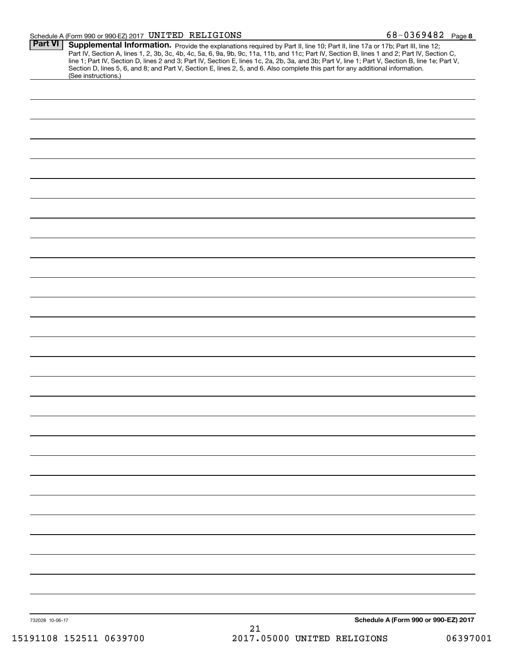#### Schedule A (Form 990 or 990-EZ) 2017 Page UNITED RELIGIONS 68-0369482

|                                                                                                                                                        | Schedule A (Form 990 or 990-EZ) 2017 |
|--------------------------------------------------------------------------------------------------------------------------------------------------------|--------------------------------------|
|                                                                                                                                                        |                                      |
|                                                                                                                                                        |                                      |
|                                                                                                                                                        |                                      |
|                                                                                                                                                        |                                      |
|                                                                                                                                                        |                                      |
|                                                                                                                                                        |                                      |
|                                                                                                                                                        |                                      |
|                                                                                                                                                        |                                      |
|                                                                                                                                                        |                                      |
|                                                                                                                                                        |                                      |
|                                                                                                                                                        |                                      |
|                                                                                                                                                        |                                      |
|                                                                                                                                                        |                                      |
|                                                                                                                                                        |                                      |
|                                                                                                                                                        |                                      |
|                                                                                                                                                        |                                      |
|                                                                                                                                                        |                                      |
|                                                                                                                                                        |                                      |
|                                                                                                                                                        |                                      |
|                                                                                                                                                        |                                      |
|                                                                                                                                                        |                                      |
|                                                                                                                                                        |                                      |
|                                                                                                                                                        |                                      |
|                                                                                                                                                        |                                      |
|                                                                                                                                                        |                                      |
|                                                                                                                                                        |                                      |
|                                                                                                                                                        |                                      |
| Section D, lines 5, 6, and 8; and Part V, Section E, lines 2, 5, and 6. Also complete this part for any additional information.<br>(See instructions.) |                                      |
|                                                                                                                                                        |                                      |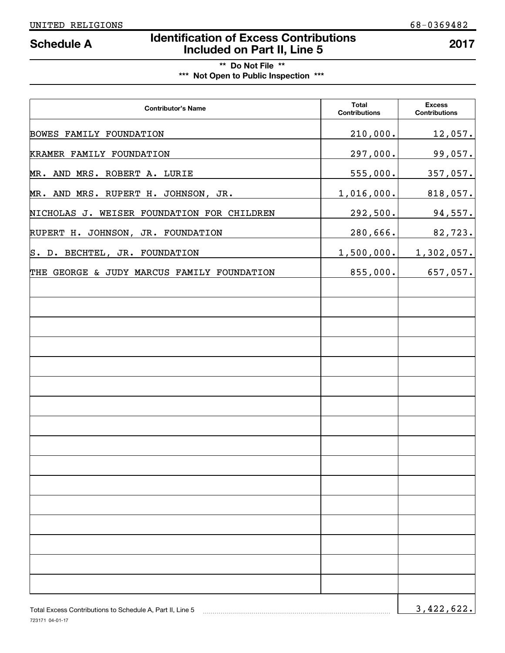# **Identification of Excess Contributions Included on Part II, Line 5 Schedule A 2017**

# **\*\* Do Not File \*\* \*\*\* Not Open to Public Inspection \*\*\***

| <b>Contributor's Name</b>                                 | <b>Total</b><br><b>Contributions</b> | <b>Excess</b><br><b>Contributions</b> |
|-----------------------------------------------------------|--------------------------------------|---------------------------------------|
| BOWES FAMILY FOUNDATION                                   | 210,000.                             | 12,057.                               |
| KRAMER FAMILY FOUNDATION                                  | 297,000.                             | 99,057.                               |
| MR. AND MRS. ROBERT A. LURIE                              | 555,000.                             | 357,057.                              |
| MR. AND MRS. RUPERT H. JOHNSON, JR.                       | 1,016,000.                           | 818,057.                              |
| NICHOLAS J. WEISER FOUNDATION FOR CHILDREN                | 292,500.                             | 94,557.                               |
| RUPERT H. JOHNSON, JR. FOUNDATION                         | 280,666.                             | 82,723.                               |
| S. D. BECHTEL, JR. FOUNDATION                             | 1,500,000.                           | 1,302,057.                            |
| THE GEORGE & JUDY MARCUS FAMILY FOUNDATION                | 855,000.                             | 657,057.                              |
|                                                           |                                      |                                       |
|                                                           |                                      |                                       |
|                                                           |                                      |                                       |
|                                                           |                                      |                                       |
|                                                           |                                      |                                       |
|                                                           |                                      |                                       |
|                                                           |                                      |                                       |
|                                                           |                                      |                                       |
|                                                           |                                      |                                       |
|                                                           |                                      |                                       |
|                                                           |                                      |                                       |
|                                                           |                                      |                                       |
|                                                           |                                      |                                       |
|                                                           |                                      |                                       |
|                                                           |                                      |                                       |
|                                                           |                                      |                                       |
| Total Excess Contributions to Schedule A, Part II, Line 5 |                                      | 3,422,622.                            |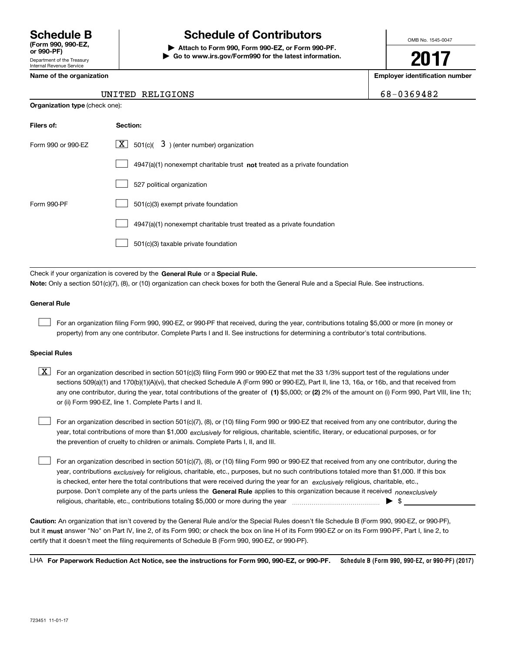Department of the Treasury Internal Revenue Service **(Form 990, 990-EZ, or 990-PF)**

# **Schedule B Schedule of Contributors**

**| Attach to Form 990, Form 990-EZ, or Form 990-PF. | Go to www.irs.gov/Form990 for the latest information.** OMB No. 1545-0047

**2017**

**Name of the organization Employer identification number**

|  | 8-0369482 |
|--|-----------|
|  |           |

|  |  | Name of the organization |
|--|--|--------------------------|
|--|--|--------------------------|

**Organization type** (check one):

## UNITED RELIGIONS 6

| Filers of:         | Section:                                                                    |
|--------------------|-----------------------------------------------------------------------------|
| Form 990 or 990-EZ | $\lfloor x \rfloor$ 501(c)( 3) (enter number) organization                  |
|                    | $4947(a)(1)$ nonexempt charitable trust not treated as a private foundation |
|                    | 527 political organization                                                  |
| Form 990-PF        | 501(c)(3) exempt private foundation                                         |
|                    | 4947(a)(1) nonexempt charitable trust treated as a private foundation       |
|                    | 501(c)(3) taxable private foundation                                        |

Check if your organization is covered by the **General Rule** or a **Special Rule. Note:**  Only a section 501(c)(7), (8), or (10) organization can check boxes for both the General Rule and a Special Rule. See instructions.

### **General Rule**

 $\mathcal{L}^{\text{max}}$ 

For an organization filing Form 990, 990-EZ, or 990-PF that received, during the year, contributions totaling \$5,000 or more (in money or property) from any one contributor. Complete Parts I and II. See instructions for determining a contributor's total contributions.

#### **Special Rules**

 $\mathcal{L}^{\text{max}}$ 

any one contributor, during the year, total contributions of the greater of  $\,$  (1) \$5,000; or **(2)** 2% of the amount on (i) Form 990, Part VIII, line 1h;  $\boxed{\textbf{X}}$  For an organization described in section 501(c)(3) filing Form 990 or 990-EZ that met the 33 1/3% support test of the regulations under sections 509(a)(1) and 170(b)(1)(A)(vi), that checked Schedule A (Form 990 or 990-EZ), Part II, line 13, 16a, or 16b, and that received from or (ii) Form 990-EZ, line 1. Complete Parts I and II.

year, total contributions of more than \$1,000 *exclusively* for religious, charitable, scientific, literary, or educational purposes, or for For an organization described in section 501(c)(7), (8), or (10) filing Form 990 or 990-EZ that received from any one contributor, during the the prevention of cruelty to children or animals. Complete Parts I, II, and III.  $\mathcal{L}^{\text{max}}$ 

purpose. Don't complete any of the parts unless the **General Rule** applies to this organization because it received *nonexclusively* year, contributions <sub>exclusively</sub> for religious, charitable, etc., purposes, but no such contributions totaled more than \$1,000. If this box is checked, enter here the total contributions that were received during the year for an  $\;$ exclusively religious, charitable, etc., For an organization described in section 501(c)(7), (8), or (10) filing Form 990 or 990-EZ that received from any one contributor, during the religious, charitable, etc., contributions totaling \$5,000 or more during the year  $\ldots$  $\ldots$  $\ldots$  $\ldots$  $\ldots$  $\ldots$ 

**Caution:**  An organization that isn't covered by the General Rule and/or the Special Rules doesn't file Schedule B (Form 990, 990-EZ, or 990-PF),  **must** but it answer "No" on Part IV, line 2, of its Form 990; or check the box on line H of its Form 990-EZ or on its Form 990-PF, Part I, line 2, to certify that it doesn't meet the filing requirements of Schedule B (Form 990, 990-EZ, or 990-PF).

**Schedule B (Form 990, 990-EZ, or 990-PF) (2017) For Paperwork Reduction Act Notice, see the instructions for Form 990, 990-EZ, or 990-PF.** LHA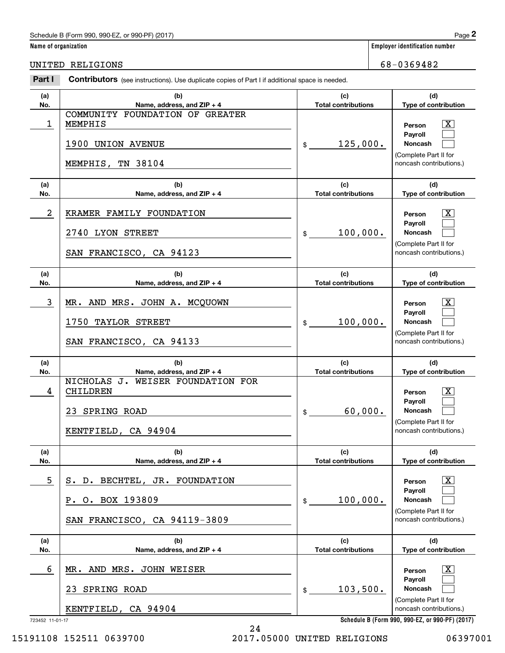## **Name of organization Employer identification number**

UNITED RELIGIONS 68-0369482

| (a)              | <b>Soften Dators</b> (See instructions). Ose duplicate copies of Fart Fill additional space is needed.<br>(b) | (c)                               | (d)                                                                                                     |
|------------------|---------------------------------------------------------------------------------------------------------------|-----------------------------------|---------------------------------------------------------------------------------------------------------|
| No.              | Name, address, and ZIP + 4                                                                                    | <b>Total contributions</b>        | Type of contribution                                                                                    |
| 1                | COMMUNITY FOUNDATION OF GREATER<br>MEMPHIS<br>1900 UNION AVENUE<br>MEMPHIS, TN 38104                          | 125,000.<br>$\frac{1}{2}$         | $\mathbf{X}$<br>Person<br>Payroll<br>Noncash<br>(Complete Part II for<br>noncash contributions.)        |
| (a)<br>No.       | (b)<br>Name, address, and ZIP + 4                                                                             | (c)<br><b>Total contributions</b> | (d)<br>Type of contribution                                                                             |
| $\boldsymbol{2}$ | KRAMER FAMILY FOUNDATION<br>2740 LYON STREET<br>SAN FRANCISCO, CA 94123                                       | 100,000.<br>\$                    | $\mathbf{X}$<br>Person<br>Payroll<br>Noncash<br>(Complete Part II for<br>noncash contributions.)        |
| (a)<br>No.       | (b)<br>Name, address, and ZIP + 4                                                                             | (c)<br><b>Total contributions</b> | (d)<br>Type of contribution                                                                             |
| 3                | MR. AND MRS. JOHN A. MCQUOWN<br><b>TAYLOR STREET</b><br>1750<br>SAN FRANCISCO, CA 94133                       | 100,000.<br>$\frac{1}{2}$         | $\mathbf{X}$<br>Person<br><b>Pavroll</b><br>Noncash<br>(Complete Part II for<br>noncash contributions.) |
| (a)<br>No.       | (b)<br>Name, address, and ZIP + 4                                                                             | (c)<br><b>Total contributions</b> | (d)<br>Type of contribution                                                                             |
| 4                | NICHOLAS J.<br>WEISER FOUNDATION FOR<br>CHILDREN<br>23 SPRING ROAD<br>KENTFIELD, CA 94904                     | 60,000.<br>\$                     | $\mathbf{X}$<br>Person<br><b>Payroll</b><br>Noncash<br>(Complete Part II for<br>noncash contributions.) |
| (a)<br>No.       | (b)<br>Name, address, and ZIP + 4                                                                             | (c)<br><b>Total contributions</b> | (d)<br>Type of contribution                                                                             |
| 5                | S. D. BECHTEL, JR. FOUNDATION<br>P. O. BOX 193809<br>SAN FRANCISCO, CA 94119-3809                             | 100,000.<br>\$                    | $\mathbf{X}$<br>Person<br>Payroll<br>Noncash<br>(Complete Part II for<br>noncash contributions.)        |
| (a)              | (b)                                                                                                           | (c)                               | (d)                                                                                                     |
| No.              | Name, address, and ZIP + 4                                                                                    | <b>Total contributions</b>        | Type of contribution                                                                                    |
| 6                | MR. AND MRS. JOHN WEISER<br>SPRING ROAD<br>23<br>KENTFIELD, CA 94904                                          | 103,500.<br>\$                    | $\mathbf{X}$<br>Person<br>Payroll<br>Noncash<br>(Complete Part II for<br>noncash contributions.)        |

24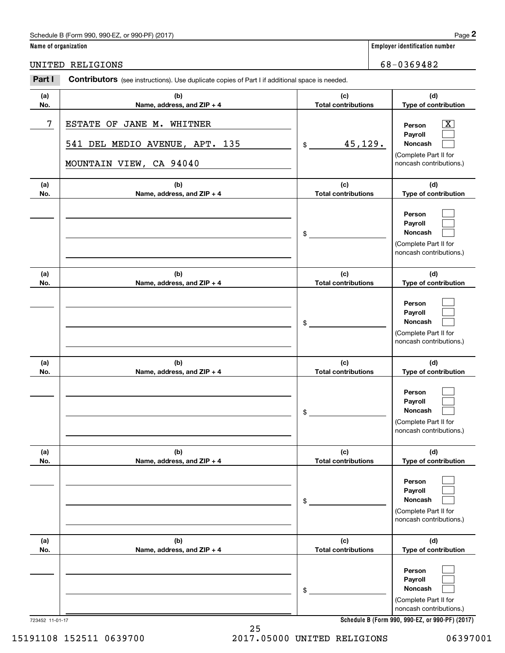## Schedule B (Form 990, 990-EZ, or 990-PF) (2017) Page 2

|                      | Schedule B (Form 990, 990-EZ, or 990-PF) (2017)                                                       |                                                           | Page 2                                                                                                                              |
|----------------------|-------------------------------------------------------------------------------------------------------|-----------------------------------------------------------|-------------------------------------------------------------------------------------------------------------------------------------|
| Name of organization |                                                                                                       | <b>Employer identification number</b>                     |                                                                                                                                     |
|                      | UNITED RELIGIONS                                                                                      |                                                           | 68-0369482                                                                                                                          |
| Part I               | <b>Contributors</b> (see instructions). Use duplicate copies of Part I if additional space is needed. |                                                           |                                                                                                                                     |
| (a)<br>No.           | (b)<br>Name, address, and ZIP + 4                                                                     | (d)<br><b>Total contributions</b><br>Type of contribution |                                                                                                                                     |
| 7                    | <b>ESTATE</b><br>OF JANE M.<br>WHITNER<br>541 DEL MEDIO AVENUE, APT. 135<br>MOUNTAIN VIEW, CA 94040   | 45,129.<br>\$                                             | $\overline{\mathbf{X}}$<br>Person<br>Payroll<br><b>Noncash</b><br>(Complete Part II for<br>noncash contributions.)                  |
| (a)<br>No.           | (b)<br>Name, address, and ZIP + 4                                                                     | (c)<br><b>Total contributions</b>                         | (d)<br>Type of contribution                                                                                                         |
|                      |                                                                                                       | \$                                                        | Person<br>Payroll<br>Noncash<br>(Complete Part II for<br>noncash contributions.)                                                    |
| (a)<br>No.           | (b)<br>Name, address, and ZIP + 4                                                                     | (c)<br><b>Total contributions</b>                         | (d)<br>Type of contribution                                                                                                         |
|                      |                                                                                                       | \$                                                        | Person<br>Payroll<br>Noncash<br>(Complete Part II for<br>noncash contributions.)                                                    |
| (a)<br>No.           | (b)<br>Name, address, and ZIP + 4                                                                     | (c)<br><b>Total contributions</b>                         | (d)<br>Type of contribution                                                                                                         |
|                      |                                                                                                       | \$                                                        | Person<br>Payroll<br>Noncash<br>(Complete Part II for<br>noncash contributions.)                                                    |
| (a)<br>No.           | (b)<br>Name, address, and ZIP + 4                                                                     | (c)<br><b>Total contributions</b>                         | (d)<br>Type of contribution                                                                                                         |
|                      |                                                                                                       | \$                                                        | Person<br>Payroll<br>Noncash<br>(Complete Part II for<br>noncash contributions.)                                                    |
| (a)<br>No.           | (b)<br>Name, address, and ZIP + 4                                                                     | (c)<br><b>Total contributions</b>                         | (d)<br>Type of contribution                                                                                                         |
|                      |                                                                                                       | \$                                                        | Person<br>Payroll<br>Noncash<br>(Complete Part II for<br>noncash contributions.)<br>Schedule B (Form 990, 990-EZ, or 990-PF) (2017) |

**Schedule B (Form 990, 990-EZ, or 990-PF) (2017)**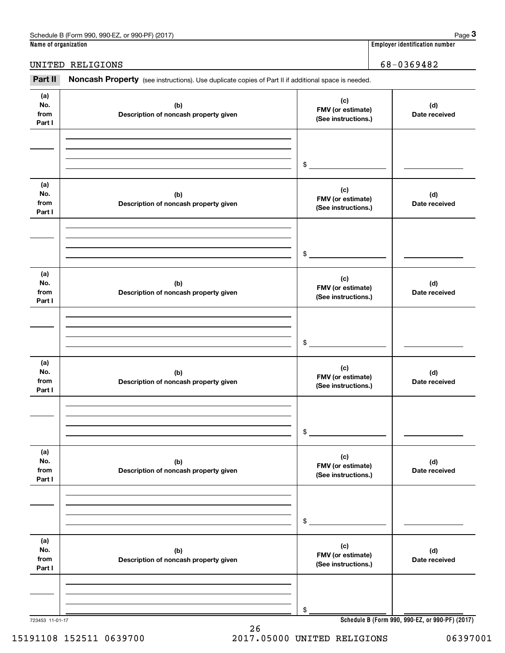| Schedule<br>990-EZ<br>or 990-PF<br>(2017<br>n 990<br>∴orm<br>۱۳٬ | $\lambda$<br>auc                                 |
|------------------------------------------------------------------|--------------------------------------------------|
| Name of organization                                             | , identification number<br>_mplover <sup>*</sup> |

**Employer identification number** 

UNITED RELIGIONS 68-0369482

(see instructions). Use duplicate copies of Part II if additional space is needed.<br>**3Part II Noncash Property** (see instructions). Use duplicate copies of Part II if additional space is needed.<br>3Part II **Noncash Property** 

| (a)<br>No.<br>from<br>Part I | (b)<br>Description of noncash property given | (c)<br>FMV (or estimate)<br>(See instructions.) | (d)<br>Date received                            |
|------------------------------|----------------------------------------------|-------------------------------------------------|-------------------------------------------------|
|                              |                                              |                                                 |                                                 |
|                              |                                              | \$                                              |                                                 |
| (a)<br>No.<br>from<br>Part I | (b)<br>Description of noncash property given | (c)<br>FMV (or estimate)<br>(See instructions.) | (d)<br>Date received                            |
|                              |                                              |                                                 |                                                 |
|                              |                                              | \$                                              |                                                 |
| (a)<br>No.<br>from<br>Part I | (b)<br>Description of noncash property given | (c)<br>FMV (or estimate)<br>(See instructions.) | (d)<br>Date received                            |
|                              |                                              |                                                 |                                                 |
|                              |                                              |                                                 |                                                 |
|                              |                                              | \$                                              |                                                 |
| (a)<br>No.<br>from<br>Part I | (b)<br>Description of noncash property given | (c)<br>FMV (or estimate)<br>(See instructions.) | (d)<br>Date received                            |
|                              |                                              |                                                 |                                                 |
|                              |                                              |                                                 |                                                 |
|                              |                                              | \$                                              |                                                 |
| (a)<br>No.<br>from<br>Part I | (b)<br>Description of noncash property given | (c)<br>FMV (or estimate)<br>(See instructions.) | (d)<br>Date received                            |
|                              |                                              |                                                 |                                                 |
|                              |                                              |                                                 |                                                 |
|                              |                                              | \$                                              |                                                 |
| (a)<br>No.<br>from<br>Part I | (b)<br>Description of noncash property given | (c)<br>FMV (or estimate)<br>(See instructions.) | (d)<br>Date received                            |
|                              |                                              |                                                 |                                                 |
|                              |                                              |                                                 |                                                 |
|                              |                                              | \$                                              |                                                 |
| 723453 11-01-17              |                                              |                                                 | Schedule B (Form 990, 990-EZ, or 990-PF) (2017) |

15191108 152511 0639700 2017.05000 UNITED RELIGIONS 06397001

26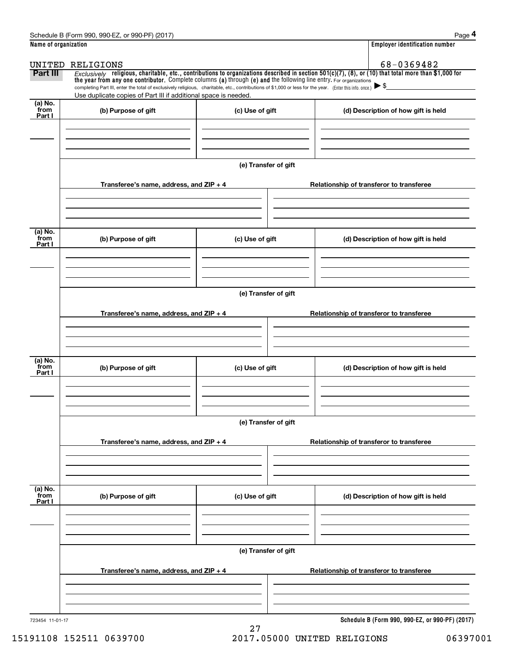|                      | Schedule B (Form 990, 990-EZ, or 990-PF) (2017)                                                                                                                                                                                                                                 |                      |                                          | Page 4                                          |  |  |  |
|----------------------|---------------------------------------------------------------------------------------------------------------------------------------------------------------------------------------------------------------------------------------------------------------------------------|----------------------|------------------------------------------|-------------------------------------------------|--|--|--|
| Name of organization |                                                                                                                                                                                                                                                                                 |                      |                                          | <b>Employer identification number</b>           |  |  |  |
|                      | UNITED RELIGIONS                                                                                                                                                                                                                                                                |                      |                                          | 68-0369482                                      |  |  |  |
| Part III             | Exclusively religious, charitable, etc., contributions to organizations described in section $501(c)(7)$ , (8), or (10) that total more than \$1,000 for<br>the year from any one contributor. Complete columns (a) through (e) and the following line entry. For organizations |                      |                                          |                                                 |  |  |  |
|                      | completing Part III, enter the total of exclusively religious, charitable, etc., contributions of \$1,000 or less for the year. (Enter this info. once.) $\triangleright$ \$<br>Use duplicate copies of Part III if additional space is needed.                                 |                      |                                          |                                                 |  |  |  |
| (a) No.              |                                                                                                                                                                                                                                                                                 |                      |                                          |                                                 |  |  |  |
| from<br>Part I       | (b) Purpose of gift                                                                                                                                                                                                                                                             | (c) Use of gift      |                                          | (d) Description of how gift is held             |  |  |  |
|                      |                                                                                                                                                                                                                                                                                 |                      |                                          |                                                 |  |  |  |
|                      |                                                                                                                                                                                                                                                                                 |                      |                                          |                                                 |  |  |  |
|                      |                                                                                                                                                                                                                                                                                 |                      |                                          |                                                 |  |  |  |
|                      |                                                                                                                                                                                                                                                                                 | (e) Transfer of gift |                                          |                                                 |  |  |  |
|                      | Transferee's name, address, and $ZIP + 4$                                                                                                                                                                                                                                       |                      |                                          | Relationship of transferor to transferee        |  |  |  |
|                      |                                                                                                                                                                                                                                                                                 |                      |                                          |                                                 |  |  |  |
|                      |                                                                                                                                                                                                                                                                                 |                      |                                          |                                                 |  |  |  |
|                      |                                                                                                                                                                                                                                                                                 |                      |                                          |                                                 |  |  |  |
| (a) No.<br>from      | (b) Purpose of gift                                                                                                                                                                                                                                                             | (c) Use of gift      |                                          | (d) Description of how gift is held             |  |  |  |
| Part I               |                                                                                                                                                                                                                                                                                 |                      |                                          |                                                 |  |  |  |
|                      |                                                                                                                                                                                                                                                                                 |                      |                                          |                                                 |  |  |  |
|                      |                                                                                                                                                                                                                                                                                 |                      |                                          |                                                 |  |  |  |
|                      |                                                                                                                                                                                                                                                                                 |                      |                                          |                                                 |  |  |  |
|                      |                                                                                                                                                                                                                                                                                 | (e) Transfer of gift |                                          |                                                 |  |  |  |
|                      | Transferee's name, address, and $ZIP + 4$                                                                                                                                                                                                                                       |                      | Relationship of transferor to transferee |                                                 |  |  |  |
|                      |                                                                                                                                                                                                                                                                                 |                      |                                          |                                                 |  |  |  |
|                      |                                                                                                                                                                                                                                                                                 |                      |                                          |                                                 |  |  |  |
| (a) No.              |                                                                                                                                                                                                                                                                                 |                      |                                          |                                                 |  |  |  |
| from<br>Part I       | (b) Purpose of gift                                                                                                                                                                                                                                                             | (c) Use of gift      |                                          | (d) Description of how gift is held             |  |  |  |
|                      |                                                                                                                                                                                                                                                                                 |                      |                                          |                                                 |  |  |  |
|                      |                                                                                                                                                                                                                                                                                 |                      |                                          |                                                 |  |  |  |
|                      |                                                                                                                                                                                                                                                                                 |                      |                                          |                                                 |  |  |  |
|                      | (e) Transfer of gift                                                                                                                                                                                                                                                            |                      |                                          |                                                 |  |  |  |
|                      | Transferee's name, address, and $ZIP + 4$                                                                                                                                                                                                                                       |                      |                                          | Relationship of transferor to transferee        |  |  |  |
|                      |                                                                                                                                                                                                                                                                                 |                      |                                          |                                                 |  |  |  |
|                      |                                                                                                                                                                                                                                                                                 |                      |                                          |                                                 |  |  |  |
|                      |                                                                                                                                                                                                                                                                                 |                      |                                          |                                                 |  |  |  |
| (a) No.<br>from      | (b) Purpose of gift                                                                                                                                                                                                                                                             | (c) Use of gift      |                                          | (d) Description of how gift is held             |  |  |  |
| Part I               |                                                                                                                                                                                                                                                                                 |                      |                                          |                                                 |  |  |  |
|                      |                                                                                                                                                                                                                                                                                 |                      |                                          |                                                 |  |  |  |
|                      |                                                                                                                                                                                                                                                                                 |                      |                                          |                                                 |  |  |  |
|                      |                                                                                                                                                                                                                                                                                 |                      |                                          |                                                 |  |  |  |
|                      | (e) Transfer of gift                                                                                                                                                                                                                                                            |                      |                                          |                                                 |  |  |  |
|                      | Transferee's name, address, and $ZIP + 4$                                                                                                                                                                                                                                       |                      |                                          | Relationship of transferor to transferee        |  |  |  |
|                      |                                                                                                                                                                                                                                                                                 |                      |                                          |                                                 |  |  |  |
|                      |                                                                                                                                                                                                                                                                                 |                      |                                          |                                                 |  |  |  |
|                      |                                                                                                                                                                                                                                                                                 |                      |                                          |                                                 |  |  |  |
| 723454 11-01-17      |                                                                                                                                                                                                                                                                                 | 27                   |                                          | Schedule B (Form 990, 990-EZ, or 990-PF) (2017) |  |  |  |
|                      |                                                                                                                                                                                                                                                                                 |                      |                                          |                                                 |  |  |  |

15191108 152511 0639700 2017.05000 UNITED RELIGIONS 06397001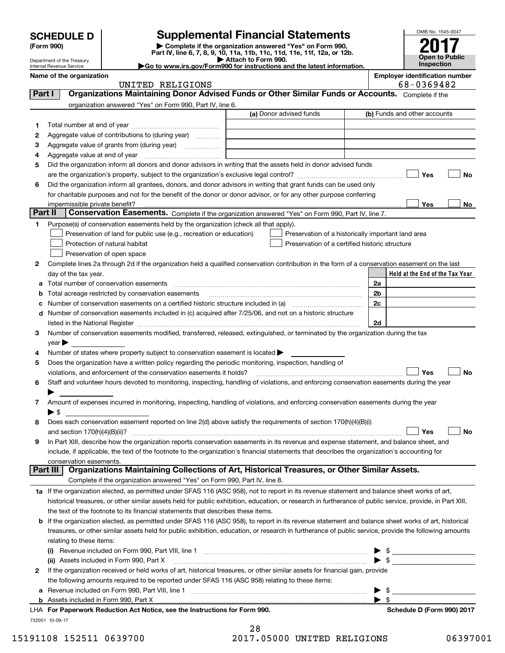| <b>SCHEDULE D</b> |  |
|-------------------|--|
|-------------------|--|

Department of the Treasury

# **Supplemental Financial Statements**

(Form 990)<br>
Pepartment of the Treasury<br>
Department of the Treasury<br>
Department of the Treasury<br>
Department of the Treasury<br> **Co to www.irs.gov/Form990 for instructions and the latest information.**<br> **Co to www.irs.gov/Form9** 



| Internal Revenue Service |  |
|--------------------------|--|
| Name of the organization |  |

|         | Name of the organization<br>UNITED RELIGIONS                                                                                                              |                         | <b>Employer identification number</b><br>68-0369482 |
|---------|-----------------------------------------------------------------------------------------------------------------------------------------------------------|-------------------------|-----------------------------------------------------|
| Part I  | Organizations Maintaining Donor Advised Funds or Other Similar Funds or Accounts. Complete if the                                                         |                         |                                                     |
|         | organization answered "Yes" on Form 990, Part IV, line 6.                                                                                                 |                         |                                                     |
|         |                                                                                                                                                           | (a) Donor advised funds | (b) Funds and other accounts                        |
| 1.      |                                                                                                                                                           |                         |                                                     |
| 2       | Aggregate value of contributions to (during year)                                                                                                         |                         |                                                     |
| з       | Aggregate value of grants from (during year)                                                                                                              |                         |                                                     |
| 4       |                                                                                                                                                           |                         |                                                     |
| 5       | Did the organization inform all donors and donor advisors in writing that the assets held in donor advised funds                                          |                         |                                                     |
|         |                                                                                                                                                           |                         | Yes<br>No                                           |
| 6       | Did the organization inform all grantees, donors, and donor advisors in writing that grant funds can be used only                                         |                         |                                                     |
|         | for charitable purposes and not for the benefit of the donor or donor advisor, or for any other purpose conferring                                        |                         |                                                     |
|         | impermissible private benefit?                                                                                                                            |                         | Yes<br>No                                           |
| Part II | Conservation Easements. Complete if the organization answered "Yes" on Form 990, Part IV, line 7.                                                         |                         |                                                     |
| 1       | Purpose(s) of conservation easements held by the organization (check all that apply).                                                                     |                         |                                                     |
|         | Preservation of land for public use (e.g., recreation or education)                                                                                       |                         | Preservation of a historically important land area  |
|         | Protection of natural habitat                                                                                                                             |                         | Preservation of a certified historic structure      |
|         | Preservation of open space                                                                                                                                |                         |                                                     |
| 2       | Complete lines 2a through 2d if the organization held a qualified conservation contribution in the form of a conservation easement on the last            |                         |                                                     |
|         | day of the tax year.                                                                                                                                      |                         | Held at the End of the Tax Year                     |
| а       | Total number of conservation easements                                                                                                                    |                         | 2a                                                  |
| b       | Total acreage restricted by conservation easements                                                                                                        |                         | 2b                                                  |
| с       |                                                                                                                                                           |                         | 2c                                                  |
| d       | Number of conservation easements included in (c) acquired after 7/25/06, and not on a historic structure                                                  |                         |                                                     |
|         |                                                                                                                                                           |                         | 2d                                                  |
| 3       | Number of conservation easements modified, transferred, released, extinguished, or terminated by the organization during the tax                          |                         |                                                     |
|         | $year \blacktriangleright$                                                                                                                                |                         |                                                     |
| 4       | Number of states where property subject to conservation easement is located >                                                                             |                         |                                                     |
| 5       | Does the organization have a written policy regarding the periodic monitoring, inspection, handling of                                                    |                         |                                                     |
|         | violations, and enforcement of the conservation easements it holds?                                                                                       |                         | Yes<br><b>No</b>                                    |
| 6       | Staff and volunteer hours devoted to monitoring, inspecting, handling of violations, and enforcing conservation easements during the year                 |                         |                                                     |
|         |                                                                                                                                                           |                         |                                                     |
| 7       | Amount of expenses incurred in monitoring, inspecting, handling of violations, and enforcing conservation easements during the year                       |                         |                                                     |
|         | ▶ \$                                                                                                                                                      |                         |                                                     |
| 8       | Does each conservation easement reported on line 2(d) above satisfy the requirements of section 170(h)(4)(B)(i)                                           |                         |                                                     |
|         |                                                                                                                                                           |                         | Yes<br>No                                           |
|         | In Part XIII, describe how the organization reports conservation easements in its revenue and expense statement, and balance sheet, and                   |                         |                                                     |
|         | include, if applicable, the text of the footnote to the organization's financial statements that describes the organization's accounting for              |                         |                                                     |
|         | conservation easements.                                                                                                                                   |                         |                                                     |
|         | Organizations Maintaining Collections of Art, Historical Treasures, or Other Similar Assets.<br>Part III                                                  |                         |                                                     |
|         | Complete if the organization answered "Yes" on Form 990, Part IV, line 8.                                                                                 |                         |                                                     |
|         | 1a If the organization elected, as permitted under SFAS 116 (ASC 958), not to report in its revenue statement and balance sheet works of art,             |                         |                                                     |
|         | historical treasures, or other similar assets held for public exhibition, education, or research in furtherance of public service, provide, in Part XIII, |                         |                                                     |
|         | the text of the footnote to its financial statements that describes these items.                                                                          |                         |                                                     |
| b       | If the organization elected, as permitted under SFAS 116 (ASC 958), to report in its revenue statement and balance sheet works of art, historical         |                         |                                                     |
|         | treasures, or other similar assets held for public exhibition, education, or research in furtherance of public service, provide the following amounts     |                         |                                                     |
|         | relating to these items:                                                                                                                                  |                         |                                                     |
|         |                                                                                                                                                           |                         |                                                     |
|         | (ii) Assets included in Form 990, Part X                                                                                                                  |                         | $\triangleright$ \$                                 |
| 2       | If the organization received or held works of art, historical treasures, or other similar assets for financial gain, provide                              |                         |                                                     |
|         | the following amounts required to be reported under SFAS 116 (ASC 958) relating to these items:                                                           |                         |                                                     |
| а       |                                                                                                                                                           |                         | $\blacktriangleright$ \$                            |
|         | <b>b</b> Assets included in Form 990, Part X <b>must construct the construct of Assets</b> included in Form 990, Part X                                   |                         | $\blacktriangleright$ \$                            |

| <b>b</b> Assets included in Form 990. Part X                               |
|----------------------------------------------------------------------------|
| LHA For Paperwork Reduction Act Notice, see the Instructions for Form 990. |
| 732051 10-09-17                                                            |

**Form 990. For Paperwork Reduction Act Notice, Schedule D (Form 990) 2017** 

15191108 152511 0639700 2017.05000 UNITED RELIGIONS 06397001

28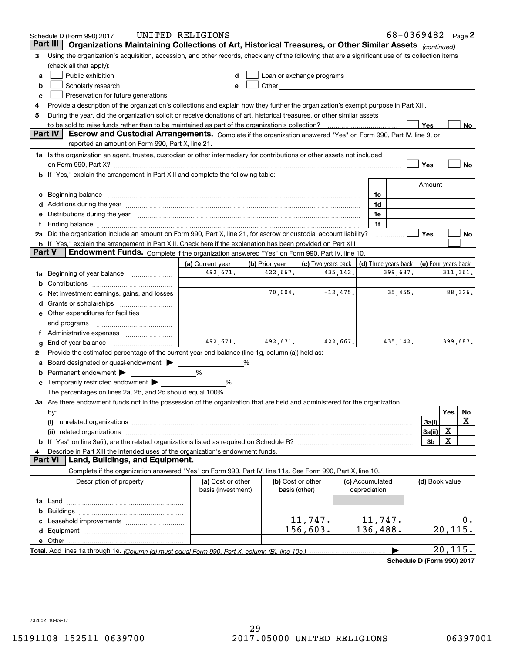|        | Schedule D (Form 990) 2017                                                                                                                                                                                                     | UNITED RELIGIONS                        |                                    |                                                                                                                                                                                                                               |                                 |           | 68-0369482 Page 2                                       |          |           |
|--------|--------------------------------------------------------------------------------------------------------------------------------------------------------------------------------------------------------------------------------|-----------------------------------------|------------------------------------|-------------------------------------------------------------------------------------------------------------------------------------------------------------------------------------------------------------------------------|---------------------------------|-----------|---------------------------------------------------------|----------|-----------|
|        | Organizations Maintaining Collections of Art, Historical Treasures, or Other Similar Assets (continued)<br>Part III                                                                                                            |                                         |                                    |                                                                                                                                                                                                                               |                                 |           |                                                         |          |           |
| З      | Using the organization's acquisition, accession, and other records, check any of the following that are a significant use of its collection items                                                                              |                                         |                                    |                                                                                                                                                                                                                               |                                 |           |                                                         |          |           |
|        | (check all that apply):                                                                                                                                                                                                        |                                         |                                    |                                                                                                                                                                                                                               |                                 |           |                                                         |          |           |
| a      | Public exhibition                                                                                                                                                                                                              |                                         |                                    | Loan or exchange programs                                                                                                                                                                                                     |                                 |           |                                                         |          |           |
| b      | Scholarly research                                                                                                                                                                                                             |                                         |                                    | Other and the contract of the contract of the contract of the contract of the contract of the contract of the contract of the contract of the contract of the contract of the contract of the contract of the contract of the |                                 |           |                                                         |          |           |
| c      | Preservation for future generations                                                                                                                                                                                            |                                         |                                    |                                                                                                                                                                                                                               |                                 |           |                                                         |          |           |
| 4      | Provide a description of the organization's collections and explain how they further the organization's exempt purpose in Part XIII.                                                                                           |                                         |                                    |                                                                                                                                                                                                                               |                                 |           |                                                         |          |           |
| 5      | During the year, did the organization solicit or receive donations of art, historical treasures, or other similar assets                                                                                                       |                                         |                                    |                                                                                                                                                                                                                               |                                 |           |                                                         |          |           |
|        | to be sold to raise funds rather than to be maintained as part of the organization's collection?                                                                                                                               |                                         |                                    |                                                                                                                                                                                                                               |                                 |           | Yes                                                     |          | No.       |
|        | Part IV<br>Escrow and Custodial Arrangements. Complete if the organization answered "Yes" on Form 990, Part IV, line 9, or                                                                                                     |                                         |                                    |                                                                                                                                                                                                                               |                                 |           |                                                         |          |           |
|        | reported an amount on Form 990, Part X, line 21.                                                                                                                                                                               |                                         |                                    |                                                                                                                                                                                                                               |                                 |           |                                                         |          |           |
|        | 1a Is the organization an agent, trustee, custodian or other intermediary for contributions or other assets not included                                                                                                       |                                         |                                    |                                                                                                                                                                                                                               |                                 |           |                                                         |          |           |
|        |                                                                                                                                                                                                                                |                                         |                                    |                                                                                                                                                                                                                               |                                 |           | Yes                                                     |          | No        |
|        | <b>b</b> If "Yes," explain the arrangement in Part XIII and complete the following table:                                                                                                                                      |                                         |                                    |                                                                                                                                                                                                                               |                                 |           |                                                         |          |           |
|        |                                                                                                                                                                                                                                |                                         |                                    |                                                                                                                                                                                                                               |                                 |           | Amount                                                  |          |           |
|        |                                                                                                                                                                                                                                |                                         |                                    |                                                                                                                                                                                                                               | 1c                              |           |                                                         |          |           |
|        | Additions during the year manufactured and an anti-manufactured and the year manufactured and all the year manufactured and all the year manufactured and all the year manufactured and all the year manufactured and all the  |                                         |                                    |                                                                                                                                                                                                                               | 1d                              |           |                                                         |          |           |
|        | Distributions during the year manufactured and continuum and the year manufactured and the year manufactured and the year manufactured and the year manufactured and the year manufactured and the year manufactured and the y |                                         |                                    |                                                                                                                                                                                                                               | 1e                              |           |                                                         |          |           |
|        |                                                                                                                                                                                                                                |                                         |                                    |                                                                                                                                                                                                                               | 1f                              |           |                                                         |          |           |
|        | 2a Did the organization include an amount on Form 990, Part X, line 21, for escrow or custodial account liability?                                                                                                             |                                         |                                    |                                                                                                                                                                                                                               |                                 |           | Yes                                                     |          | No        |
| Part V | <b>b</b> If "Yes," explain the arrangement in Part XIII. Check here if the explanation has been provided on Part XIII<br>Endowment Funds. Complete if the organization answered "Yes" on Form 990, Part IV, line 10.           |                                         |                                    |                                                                                                                                                                                                                               |                                 |           |                                                         |          |           |
|        |                                                                                                                                                                                                                                | (a) Current year                        | (b) Prior year                     | (c) Two years back                                                                                                                                                                                                            |                                 |           |                                                         |          |           |
| 1a     | Beginning of year balance                                                                                                                                                                                                      | 492,671.                                | 422,667.                           | 435, 142.                                                                                                                                                                                                                     |                                 | 399,687.  | (d) Three years back   (e) Four years back<br>311, 361. |          |           |
| b      |                                                                                                                                                                                                                                |                                         |                                    |                                                                                                                                                                                                                               |                                 |           |                                                         |          |           |
|        | Net investment earnings, gains, and losses                                                                                                                                                                                     |                                         | 70,004.                            | $-12,475.$                                                                                                                                                                                                                    |                                 | 35,455.   |                                                         | 88,326.  |           |
|        |                                                                                                                                                                                                                                |                                         |                                    |                                                                                                                                                                                                                               |                                 |           |                                                         |          |           |
|        | e Other expenditures for facilities                                                                                                                                                                                            |                                         |                                    |                                                                                                                                                                                                                               |                                 |           |                                                         |          |           |
|        | and programs                                                                                                                                                                                                                   |                                         |                                    |                                                                                                                                                                                                                               |                                 |           |                                                         |          |           |
|        |                                                                                                                                                                                                                                |                                         |                                    |                                                                                                                                                                                                                               |                                 |           |                                                         |          |           |
| g      | End of year balance                                                                                                                                                                                                            | 492,671.                                | 492,671.                           | 422,667.                                                                                                                                                                                                                      |                                 | 435, 142. |                                                         | 399,687. |           |
| 2      | Provide the estimated percentage of the current year end balance (line 1g, column (a)) held as:                                                                                                                                |                                         |                                    |                                                                                                                                                                                                                               |                                 |           |                                                         |          |           |
|        | Board designated or quasi-endowment                                                                                                                                                                                            |                                         | %                                  |                                                                                                                                                                                                                               |                                 |           |                                                         |          |           |
| b      | Permanent endowment                                                                                                                                                                                                            | %                                       |                                    |                                                                                                                                                                                                                               |                                 |           |                                                         |          |           |
| c      | Temporarily restricted endowment                                                                                                                                                                                               | %                                       |                                    |                                                                                                                                                                                                                               |                                 |           |                                                         |          |           |
|        | The percentages on lines 2a, 2b, and 2c should equal 100%.                                                                                                                                                                     |                                         |                                    |                                                                                                                                                                                                                               |                                 |           |                                                         |          |           |
|        | 3a Are there endowment funds not in the possession of the organization that are held and administered for the organization                                                                                                     |                                         |                                    |                                                                                                                                                                                                                               |                                 |           |                                                         |          |           |
|        | by:                                                                                                                                                                                                                            |                                         |                                    |                                                                                                                                                                                                                               |                                 |           |                                                         | Yes      | No        |
|        | (i)                                                                                                                                                                                                                            |                                         |                                    |                                                                                                                                                                                                                               |                                 |           | 3a(i)                                                   |          | X         |
|        | (ii) related organizations                                                                                                                                                                                                     |                                         |                                    |                                                                                                                                                                                                                               |                                 |           | 3a(ii)                                                  | х        |           |
|        |                                                                                                                                                                                                                                |                                         |                                    |                                                                                                                                                                                                                               |                                 |           | 3 <sub>b</sub>                                          | X        |           |
|        | Describe in Part XIII the intended uses of the organization's endowment funds.                                                                                                                                                 |                                         |                                    |                                                                                                                                                                                                                               |                                 |           |                                                         |          |           |
|        | Land, Buildings, and Equipment.<br>Part VI                                                                                                                                                                                     |                                         |                                    |                                                                                                                                                                                                                               |                                 |           |                                                         |          |           |
|        | Complete if the organization answered "Yes" on Form 990, Part IV, line 11a. See Form 990, Part X, line 10.                                                                                                                     |                                         |                                    |                                                                                                                                                                                                                               |                                 |           |                                                         |          |           |
|        | Description of property                                                                                                                                                                                                        | (a) Cost or other<br>basis (investment) | (b) Cost or other<br>basis (other) |                                                                                                                                                                                                                               | (c) Accumulated<br>depreciation |           | (d) Book value                                          |          |           |
|        |                                                                                                                                                                                                                                |                                         |                                    |                                                                                                                                                                                                                               |                                 |           |                                                         |          |           |
| b      |                                                                                                                                                                                                                                |                                         |                                    |                                                                                                                                                                                                                               |                                 |           |                                                         |          |           |
|        |                                                                                                                                                                                                                                |                                         |                                    | 11,747.                                                                                                                                                                                                                       | 11,747.                         |           |                                                         |          | $0 \cdot$ |
| d      |                                                                                                                                                                                                                                |                                         |                                    | 156,603.                                                                                                                                                                                                                      | 136,488.                        |           |                                                         | 20, 115. |           |
|        | e Other.                                                                                                                                                                                                                       |                                         |                                    |                                                                                                                                                                                                                               |                                 |           |                                                         |          |           |
|        |                                                                                                                                                                                                                                |                                         |                                    |                                                                                                                                                                                                                               |                                 |           |                                                         | 20, 115. |           |

**Schedule D (Form 990) 2017**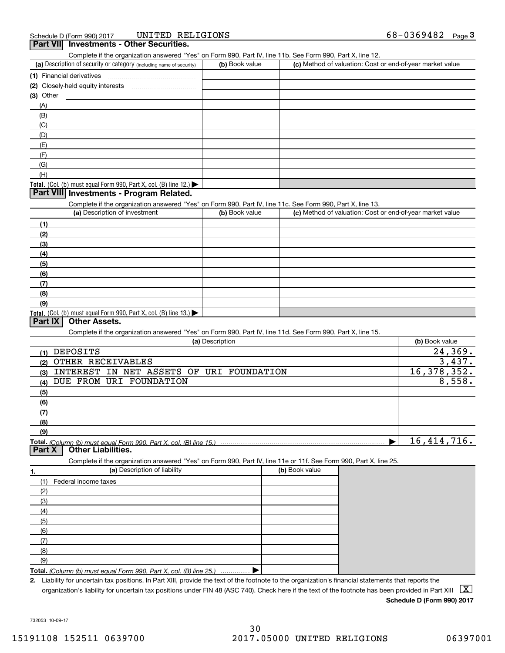|                | UNITED RELIGIONS<br>Schedule D (Form 990) 2017                                                                                                       |                 |                | 68-0369482 $_{Page}$ 3                                    |
|----------------|------------------------------------------------------------------------------------------------------------------------------------------------------|-----------------|----------------|-----------------------------------------------------------|
|                | <b>Part VII</b> Investments - Other Securities.                                                                                                      |                 |                |                                                           |
|                | Complete if the organization answered "Yes" on Form 990, Part IV, line 11b. See Form 990, Part X, line 12.                                           |                 |                |                                                           |
|                | (a) Description of security or category (including name of security)                                                                                 | (b) Book value  |                | (c) Method of valuation: Cost or end-of-year market value |
|                | (1) Financial derivatives                                                                                                                            |                 |                |                                                           |
|                |                                                                                                                                                      |                 |                |                                                           |
| (3) Other      |                                                                                                                                                      |                 |                |                                                           |
| (A)            |                                                                                                                                                      |                 |                |                                                           |
| (B)            |                                                                                                                                                      |                 |                |                                                           |
| (C)            |                                                                                                                                                      |                 |                |                                                           |
| (D)            |                                                                                                                                                      |                 |                |                                                           |
| (E)            |                                                                                                                                                      |                 |                |                                                           |
| (F)            |                                                                                                                                                      |                 |                |                                                           |
| (G)            |                                                                                                                                                      |                 |                |                                                           |
| (H)            |                                                                                                                                                      |                 |                |                                                           |
|                | Total. (Col. (b) must equal Form $990$ , Part X, col. (B) line 12.)<br>Part VIII Investments - Program Related.                                      |                 |                |                                                           |
|                |                                                                                                                                                      |                 |                |                                                           |
|                | Complete if the organization answered "Yes" on Form 990, Part IV, line 11c. See Form 990, Part X, line 13.<br>(a) Description of investment          | (b) Book value  |                |                                                           |
|                |                                                                                                                                                      |                 |                | (c) Method of valuation: Cost or end-of-year market value |
| (1)            |                                                                                                                                                      |                 |                |                                                           |
| (2)            |                                                                                                                                                      |                 |                |                                                           |
| (3)            |                                                                                                                                                      |                 |                |                                                           |
| (4)            |                                                                                                                                                      |                 |                |                                                           |
| (5)            |                                                                                                                                                      |                 |                |                                                           |
| (6)            |                                                                                                                                                      |                 |                |                                                           |
| (7)            |                                                                                                                                                      |                 |                |                                                           |
| (8)            |                                                                                                                                                      |                 |                |                                                           |
| (9)            |                                                                                                                                                      |                 |                |                                                           |
| <b>Part IX</b> | Total. (Col. (b) must equal Form 990, Part X, col. (B) line 13.)<br><b>Other Assets.</b>                                                             |                 |                |                                                           |
|                | Complete if the organization answered "Yes" on Form 990, Part IV, line 11d. See Form 990, Part X, line 15.                                           |                 |                |                                                           |
|                |                                                                                                                                                      | (a) Description |                | (b) Book value                                            |
|                | DEPOSITS                                                                                                                                             |                 |                | 24,369.                                                   |
| (1)            | OTHER RECEIVABLES                                                                                                                                    |                 |                | 3,437.                                                    |
| (2)            | INTEREST IN NET ASSETS OF URI FOUNDATION                                                                                                             |                 |                | 16, 378, 352.                                             |
| (3)            | DUE FROM URI FOUNDATION                                                                                                                              |                 |                | 8,558.                                                    |
| (4)            |                                                                                                                                                      |                 |                |                                                           |
| (5)            |                                                                                                                                                      |                 |                |                                                           |
| (6)            |                                                                                                                                                      |                 |                |                                                           |
| (7)            |                                                                                                                                                      |                 |                |                                                           |
| (8)            |                                                                                                                                                      |                 |                |                                                           |
| (9)            |                                                                                                                                                      |                 |                | 16, 414, 716.                                             |
| <b>Part X</b>  | <b>Other Liabilities.</b>                                                                                                                            |                 |                |                                                           |
|                | Complete if the organization answered "Yes" on Form 990, Part IV, line 11e or 11f. See Form 990, Part X, line 25.                                    |                 |                |                                                           |
|                | (a) Description of liability                                                                                                                         |                 | (b) Book value |                                                           |
| 1.             |                                                                                                                                                      |                 |                |                                                           |
| (1)            | Federal income taxes                                                                                                                                 |                 |                |                                                           |
| (2)            |                                                                                                                                                      |                 |                |                                                           |
| (3)            |                                                                                                                                                      |                 |                |                                                           |
| (4)            |                                                                                                                                                      |                 |                |                                                           |
| (5)            |                                                                                                                                                      |                 |                |                                                           |
| (6)            |                                                                                                                                                      |                 |                |                                                           |
| (7)            |                                                                                                                                                      |                 |                |                                                           |
| (8)            |                                                                                                                                                      |                 |                |                                                           |
| (9)            |                                                                                                                                                      |                 |                |                                                           |
|                | Total. (Column (b) must equal Form 990. Part X, col. (B) line 25.)                                                                                   |                 |                |                                                           |
|                | 2. Liability for uncertain tax positions. In Part XIII, provide the text of the footnote to the organization's financial statements that reports the |                 |                | $\boxed{\text{X}}$                                        |
|                | organization's liability for uncertain tax positions under FIN 48 (ASC 740). Check here if the text of the footnote has been provided in Part XIII   |                 |                |                                                           |

## **Schedule D (Form 990) 2017**

732053 10-09-17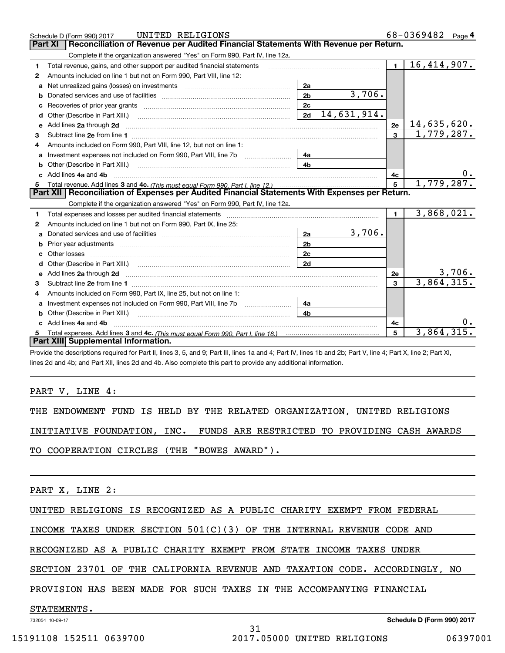|    | UNITED RELIGIONS<br>Schedule D (Form 990) 2017                                                                                                                                                                                      |                |             |                 | 68-0369482 Page 4 |  |
|----|-------------------------------------------------------------------------------------------------------------------------------------------------------------------------------------------------------------------------------------|----------------|-------------|-----------------|-------------------|--|
|    | Reconciliation of Revenue per Audited Financial Statements With Revenue per Return.<br>Part XI                                                                                                                                      |                |             |                 |                   |  |
|    | Complete if the organization answered "Yes" on Form 990, Part IV, line 12a.                                                                                                                                                         |                |             |                 |                   |  |
| 1. | Total revenue, gains, and other support per audited financial statements                                                                                                                                                            |                |             | $\blacksquare$  | 16,414,907.       |  |
| 2  | Amounts included on line 1 but not on Form 990, Part VIII, line 12:                                                                                                                                                                 |                |             |                 |                   |  |
| a  |                                                                                                                                                                                                                                     | 2a             |             |                 |                   |  |
| b  |                                                                                                                                                                                                                                     | 2 <sub>b</sub> | 3,706.      |                 |                   |  |
| c  | Recoveries of prior year grants [11] matter contracts and prior year grants [11] matter contracts and prior year grants and prior year of the contracts and prior year of the contracts and prior year of the contracts and pr      | 2c             |             |                 |                   |  |
| d  | Other (Describe in Part XIII.)                                                                                                                                                                                                      | 2d             | 14,631,914. |                 |                   |  |
| е  | Add lines 2a through 2d                                                                                                                                                                                                             |                |             | 2e              | 14,635,620.       |  |
| 3  |                                                                                                                                                                                                                                     |                |             | $\mathbf{3}$    | 1,779,287.        |  |
| 4  | Amounts included on Form 990, Part VIII, line 12, but not on line 1:                                                                                                                                                                |                |             |                 |                   |  |
|    | Investment expenses not included on Form 990, Part VIII, line 7b [1000000000000000000000000000000000                                                                                                                                | 4a             |             |                 |                   |  |
|    |                                                                                                                                                                                                                                     | 4 <sub>h</sub> |             |                 |                   |  |
| c. | Add lines 4a and 4b                                                                                                                                                                                                                 |                |             | 4c              | 0.                |  |
|    |                                                                                                                                                                                                                                     |                |             | $5\overline{5}$ | 1,779,287.        |  |
|    |                                                                                                                                                                                                                                     |                |             |                 |                   |  |
|    | Part XII   Reconciliation of Expenses per Audited Financial Statements With Expenses per Return.                                                                                                                                    |                |             |                 |                   |  |
|    | Complete if the organization answered "Yes" on Form 990, Part IV, line 12a.                                                                                                                                                         |                |             |                 |                   |  |
| 1  |                                                                                                                                                                                                                                     |                |             | $\mathbf{1}$    | 3,868,021.        |  |
| 2  | Amounts included on line 1 but not on Form 990, Part IX, line 25:                                                                                                                                                                   |                |             |                 |                   |  |
| a  |                                                                                                                                                                                                                                     | 2a             | 3,706.      |                 |                   |  |
| b  | Prior year adjustments <i>www.www.www.www.www.www.www.www.www.</i> ww.                                                                                                                                                              | 2 <sub>b</sub> |             |                 |                   |  |
|    |                                                                                                                                                                                                                                     | 2 <sub>c</sub> |             |                 |                   |  |
| d  |                                                                                                                                                                                                                                     | 2d             |             |                 |                   |  |
| e  | Add lines 2a through 2d <b>contained a contained a contained a contained a</b> contained a contained a contained a contained a contained a contained a contained a contained a contained a contained a contained a contained a cont |                |             | 2e              | $3,706$ .         |  |
| 3  |                                                                                                                                                                                                                                     |                |             | 3               | 3,864,315.        |  |
| 4  | Amounts included on Form 990, Part IX, line 25, but not on line 1:                                                                                                                                                                  |                |             |                 |                   |  |
| a  |                                                                                                                                                                                                                                     | 4a             |             |                 |                   |  |
|    | <b>b</b> Other (Describe in Part XIII.)                                                                                                                                                                                             | 4 <sub>h</sub> |             |                 |                   |  |
| C. | Add lines 4a and 4b                                                                                                                                                                                                                 |                |             | 4c              |                   |  |
|    | Part XIII Supplemental Information.                                                                                                                                                                                                 |                |             | 5               | 3,864,315         |  |

Provide the descriptions required for Part II, lines 3, 5, and 9; Part III, lines 1a and 4; Part IV, lines 1b and 2b; Part V, line 4; Part X, line 2; Part XI, lines 2d and 4b; and Part XII, lines 2d and 4b. Also complete this part to provide any additional information.

### PART V, LINE 4:

THE ENDOWMENT FUND IS HELD BY THE RELATED ORGANIZATION, UNITED RELIGIONS

INITIATIVE FOUNDATION, INC. FUNDS ARE RESTRICTED TO PROVIDING CASH AWARDS

TO COOPERATION CIRCLES (THE "BOWES AWARD").

PART X, LINE 2:

UNITED RELIGIONS IS RECOGNIZED AS A PUBLIC CHARITY EXEMPT FROM FEDERAL

INCOME TAXES UNDER SECTION 501(C)(3) OF THE INTERNAL REVENUE CODE AND

RECOGNIZED AS A PUBLIC CHARITY EXEMPT FROM STATE INCOME TAXES UNDER

SECTION 23701 OF THE CALIFORNIA REVENUE AND TAXATION CODE. ACCORDINGLY, NO

31

PROVISION HAS BEEN MADE FOR SUCH TAXES IN THE ACCOMPANYING FINANCIAL

STATEMENTS.

732054 10-09-17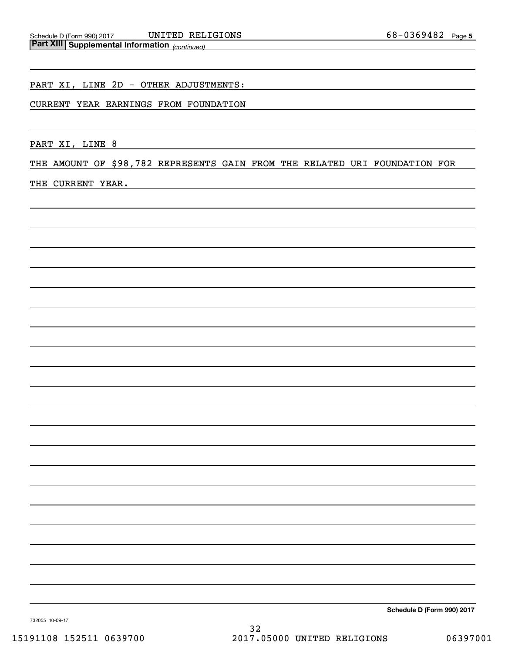#### PART XI, LINE 2D - OTHER ADJUSTMENTS:

#### CURRENT YEAR EARNINGS FROM FOUNDATION

PART XI, LINE 8

THE AMOUNT OF \$98,782 REPRESENTS GAIN FROM THE RELATED URI FOUNDATION FOR

### THE CURRENT YEAR.

**Schedule D (Form 990) 2017**

732055 10-09-17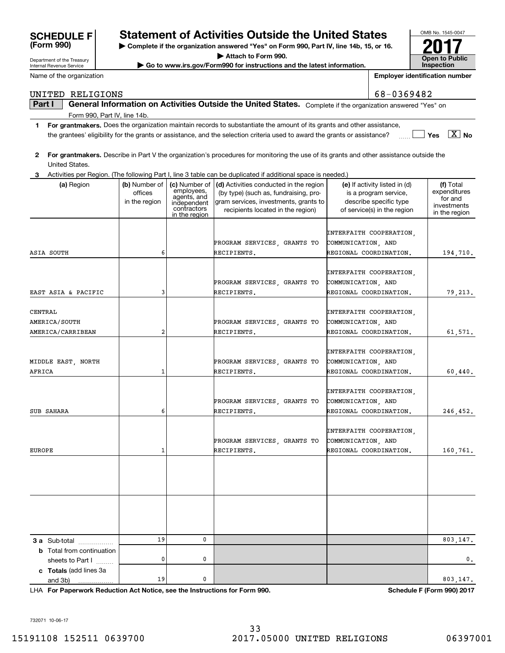732071 10-06-17

# **SCHEDULE F Statement of Activities Outside the United States**

**| Complete if the organization answered "Yes" on Form 990, Part IV, line 14b, 15, or 16.**

**| Attach to Form 990.**

**| Go to www.irs.gov/Form990 for instructions and the latest information.**

**2For grantmakers.**  Describe in Part V the organization's procedures for monitoring the use of its grants and other assistance outside the

the grantees' eligibility for the grants or assistance, and the selection criteria used to award the grants or assistance?  $\frac{1}{2}$ 

**Part I**  $\parallel$  General Information on Activities Outside the United States. Complete if the organization answered "Yes" on

**1For grantmakers.**  Does the organization maintain records to substantiate the amount of its grants and other assistance,

| United States.                                       |                                           |                                                                                           |                                                                                                                                                               |                                                                                                                 |                                                                      |
|------------------------------------------------------|-------------------------------------------|-------------------------------------------------------------------------------------------|---------------------------------------------------------------------------------------------------------------------------------------------------------------|-----------------------------------------------------------------------------------------------------------------|----------------------------------------------------------------------|
| 3.                                                   |                                           |                                                                                           | Activities per Region. (The following Part I, line 3 table can be duplicated if additional space is needed.)                                                  |                                                                                                                 |                                                                      |
| (a) Region                                           | (b) Number of<br>offices<br>in the region | (c) Number of<br>employees,<br>agents, and<br>independent<br>contractors<br>in the region | (d) Activities conducted in the region<br>(by type) (such as, fundraising, pro-<br>gram services, investments, grants to<br>recipients located in the region) | (e) If activity listed in (d)<br>is a program service,<br>describe specific type<br>of service(s) in the region | (f) Total<br>expenditures<br>for and<br>investments<br>in the region |
| ASIA SOUTH                                           | 6                                         |                                                                                           | PROGRAM SERVICES, GRANTS TO<br>RECIPIENTS.                                                                                                                    | INTERFAITH COOPERATION,<br>COMMUNICATION, AND<br>REGIONAL COORDINATION.                                         | 194,710.                                                             |
| EAST ASIA & PACIFIC                                  | 3                                         |                                                                                           | PROGRAM SERVICES, GRANTS TO<br>RECIPIENTS.                                                                                                                    | INTERFAITH COOPERATION,<br>COMMUNICATION, AND<br>REGIONAL COORDINATION.                                         | 79,213.                                                              |
| CENTRAL<br>AMERICA/SOUTH<br>AMERICA/CARRIBEAN        | 2                                         |                                                                                           | PROGRAM SERVICES, GRANTS TO<br>RECIPIENTS.                                                                                                                    | INTERFAITH COOPERATION,<br>COMMUNICATION, AND<br>REGIONAL COORDINATION.                                         | 61,571.                                                              |
| MIDDLE EAST, NORTH<br>AFRICA                         | $\mathbf{1}$                              |                                                                                           | PROGRAM SERVICES, GRANTS TO<br>RECIPIENTS.                                                                                                                    | INTERFAITH COOPERATION,<br>COMMUNICATION, AND<br>REGIONAL COORDINATION.                                         | 60,440.                                                              |
| SUB SAHARA                                           | 6                                         |                                                                                           | PROGRAM SERVICES, GRANTS TO<br>RECIPIENTS.                                                                                                                    | INTERFAITH COOPERATION,<br>COMMUNICATION, AND<br>REGIONAL COORDINATION.                                         | 246,452.                                                             |
| <b>EUROPE</b>                                        | $\mathbf{1}$                              |                                                                                           | PROGRAM SERVICES, GRANTS TO<br>RECIPIENTS.                                                                                                                    | INTERFAITH COOPERATION,<br>COMMUNICATION, AND<br>REGIONAL COORDINATION.                                         | 160,761.                                                             |
|                                                      |                                           |                                                                                           |                                                                                                                                                               |                                                                                                                 |                                                                      |
|                                                      |                                           |                                                                                           |                                                                                                                                                               |                                                                                                                 |                                                                      |
| 3 a Sub-total                                        | 19                                        | 0                                                                                         |                                                                                                                                                               |                                                                                                                 | 803,147.                                                             |
| <b>b</b> Total from continuation<br>sheets to Part I | 0                                         | 0                                                                                         |                                                                                                                                                               |                                                                                                                 | 0.                                                                   |
| c Totals (add lines 3a<br>and 3b)<br>.               | 19                                        | 0                                                                                         |                                                                                                                                                               |                                                                                                                 | 803,147.                                                             |

**For Paperwork Reduction Act Notice, see the Instructions for Form 990. Schedule F (Form 990) 2017** LHA



Department of the Treasury Internal Revenue Service

**(Form 990)**

Name of the organization

# UNITED RELIGIONS 68-0369482

Form 990, Part IV, line 14b.

**Employer identification number**

**WADE:** Yes  $\boxed{\text{X}}$  No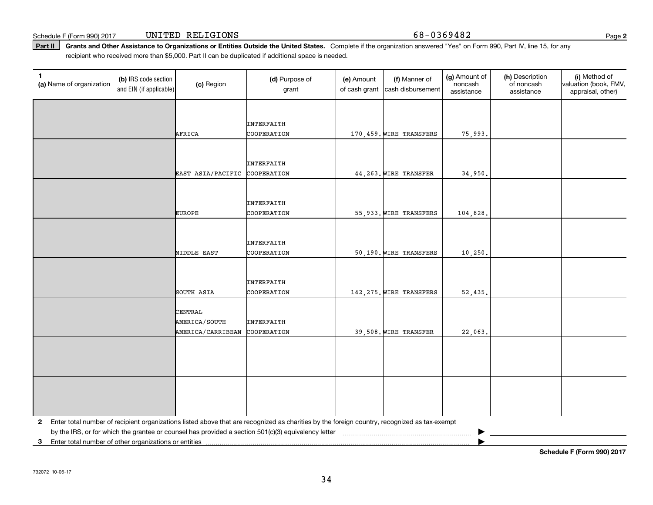Schedule F (Form 990) 2017 **UNITED** RELIGIONS 6 8-0 3 6 9 4 8 2 Page

Part II | Grants and Other Assistance to Organizations or Entities Outside the United States. Complete if the organization answered "Yes" on Form 990, Part IV, line 15, for any recipient who received more than \$5,000. Part II can be duplicated if additional space is needed.

| $\mathbf{1}$<br>(a) Name of organization                | (b) IRS code section<br>and EIN (if applicable) | (c) Region        | (d) Purpose of<br>grant                                                                                                                      | (e) Amount<br>of cash grant | (f) Manner of<br>cash disbursement | (g) Amount of<br>noncash<br>assistance | (h) Description<br>of noncash<br>assistance | (i) Method of<br>valuation (book, FMV,<br>appraisal, other) |
|---------------------------------------------------------|-------------------------------------------------|-------------------|----------------------------------------------------------------------------------------------------------------------------------------------|-----------------------------|------------------------------------|----------------------------------------|---------------------------------------------|-------------------------------------------------------------|
|                                                         |                                                 |                   |                                                                                                                                              |                             |                                    |                                        |                                             |                                                             |
|                                                         |                                                 |                   | INTERFAITH                                                                                                                                   |                             |                                    |                                        |                                             |                                                             |
|                                                         |                                                 | AFRICA            | COOPERATION                                                                                                                                  |                             | 170,459. WIRE TRANSFERS            | 75,993.                                |                                             |                                                             |
|                                                         |                                                 |                   |                                                                                                                                              |                             |                                    |                                        |                                             |                                                             |
|                                                         |                                                 |                   | INTERFAITH                                                                                                                                   |                             |                                    |                                        |                                             |                                                             |
|                                                         |                                                 | EAST ASIA/PACIFIC | COOPERATION                                                                                                                                  |                             | 44, 263. WIRE TRANSFER             | 34,950.                                |                                             |                                                             |
|                                                         |                                                 |                   |                                                                                                                                              |                             |                                    |                                        |                                             |                                                             |
|                                                         |                                                 |                   | INTERFAITH                                                                                                                                   |                             |                                    |                                        |                                             |                                                             |
|                                                         |                                                 | <b>EUROPE</b>     | COOPERATION                                                                                                                                  |                             | 55,933. WIRE TRANSFERS             | 104,828.                               |                                             |                                                             |
|                                                         |                                                 |                   |                                                                                                                                              |                             |                                    |                                        |                                             |                                                             |
|                                                         |                                                 |                   | <b>INTERFAITH</b>                                                                                                                            |                             |                                    |                                        |                                             |                                                             |
|                                                         |                                                 | MIDDLE EAST       | COOPERATION                                                                                                                                  |                             | 50,190. WIRE TRANSFERS             | 10,250.                                |                                             |                                                             |
|                                                         |                                                 |                   |                                                                                                                                              |                             |                                    |                                        |                                             |                                                             |
|                                                         |                                                 |                   | INTERFAITH                                                                                                                                   |                             |                                    |                                        |                                             |                                                             |
|                                                         |                                                 | SOUTH ASIA        | COOPERATION                                                                                                                                  |                             | 142, 275. WIRE TRANSFERS           | 52,435.                                |                                             |                                                             |
|                                                         |                                                 | CENTRAL           |                                                                                                                                              |                             |                                    |                                        |                                             |                                                             |
|                                                         |                                                 | AMERICA/SOUTH     | <b>INTERFAITH</b>                                                                                                                            |                             |                                    |                                        |                                             |                                                             |
|                                                         |                                                 | AMERICA/CARRIBEAN | COOPERATION                                                                                                                                  |                             | 39,508. WIRE TRANSFER              | 22,063.                                |                                             |                                                             |
|                                                         |                                                 |                   |                                                                                                                                              |                             |                                    |                                        |                                             |                                                             |
|                                                         |                                                 |                   |                                                                                                                                              |                             |                                    |                                        |                                             |                                                             |
|                                                         |                                                 |                   |                                                                                                                                              |                             |                                    |                                        |                                             |                                                             |
|                                                         |                                                 |                   |                                                                                                                                              |                             |                                    |                                        |                                             |                                                             |
|                                                         |                                                 |                   |                                                                                                                                              |                             |                                    |                                        |                                             |                                                             |
|                                                         |                                                 |                   |                                                                                                                                              |                             |                                    |                                        |                                             |                                                             |
| $\mathbf{2}$                                            |                                                 |                   | Enter total number of recipient organizations listed above that are recognized as charities by the foreign country, recognized as tax-exempt |                             |                                    |                                        |                                             |                                                             |
| 3 Enter total number of other organizations or entities |                                                 |                   |                                                                                                                                              |                             |                                    |                                        |                                             |                                                             |

**Schedule F (Form 990) 2017**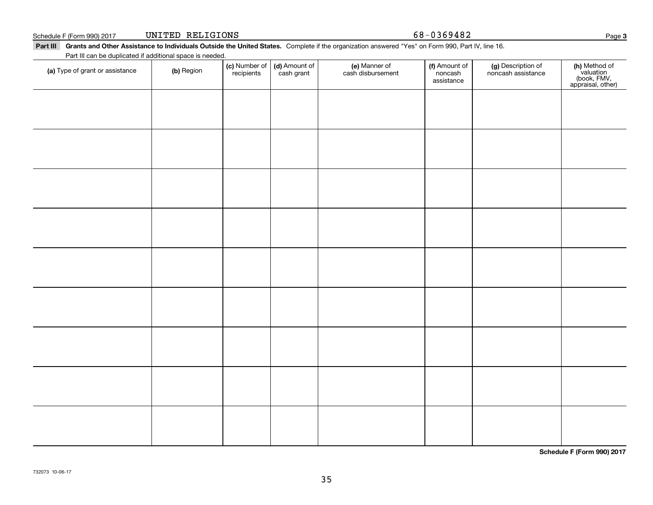Part III Grants and Other Assistance to Individuals Outside the United States. Complete if the organization answered "Yes" on Form 990, Part IV, line 16.

| (a) Type of grant or assistance | (b) Region | (c) Number of<br>recipients | (d) Amount of<br>cash grant | (e) Manner of<br>cash disbursement | (f) Amount of<br>noncash<br>assistance | (g) Description of<br>noncash assistance | (h) Method of<br>valuation<br>(book, FMV,<br>appraisal, other) |
|---------------------------------|------------|-----------------------------|-----------------------------|------------------------------------|----------------------------------------|------------------------------------------|----------------------------------------------------------------|
|                                 |            |                             |                             |                                    |                                        |                                          |                                                                |
|                                 |            |                             |                             |                                    |                                        |                                          |                                                                |
|                                 |            |                             |                             |                                    |                                        |                                          |                                                                |
|                                 |            |                             |                             |                                    |                                        |                                          |                                                                |
|                                 |            |                             |                             |                                    |                                        |                                          |                                                                |
|                                 |            |                             |                             |                                    |                                        |                                          |                                                                |
|                                 |            |                             |                             |                                    |                                        |                                          |                                                                |
|                                 |            |                             |                             |                                    |                                        |                                          |                                                                |
|                                 |            |                             |                             |                                    |                                        |                                          |                                                                |
|                                 |            |                             |                             |                                    |                                        |                                          |                                                                |
|                                 |            |                             |                             |                                    |                                        |                                          |                                                                |
|                                 |            |                             |                             |                                    |                                        |                                          |                                                                |
|                                 |            |                             |                             |                                    |                                        |                                          |                                                                |
|                                 |            |                             |                             |                                    |                                        |                                          |                                                                |

35

**Schedule F (Form 990) 2017**

**3**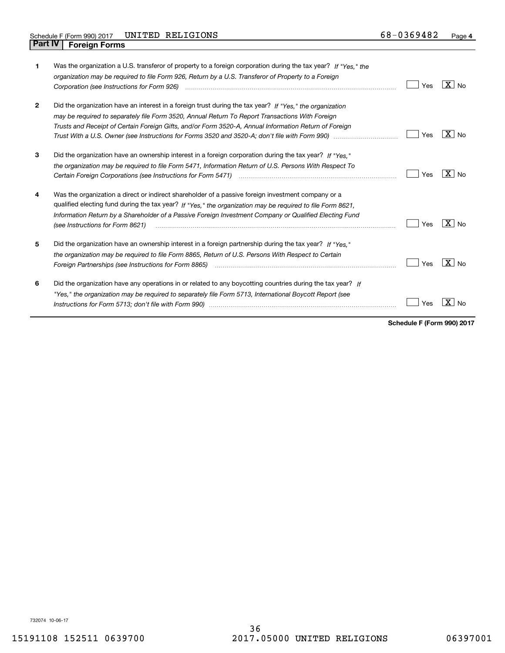| 1            | Was the organization a U.S. transferor of property to a foreign corporation during the tax year? If "Yes." the<br>organization may be required to file Form 926, Return by a U.S. Transferor of Property to a Foreign<br>Corporation (see Instructions for Form 926) manufactured control control control of the Instruction of the Uni                        | Yes | $X _{N0}$           |
|--------------|----------------------------------------------------------------------------------------------------------------------------------------------------------------------------------------------------------------------------------------------------------------------------------------------------------------------------------------------------------------|-----|---------------------|
| $\mathbf{2}$ | Did the organization have an interest in a foreign trust during the tax year? If "Yes." the organization<br>may be required to separately file Form 3520, Annual Return To Report Transactions With Foreign<br>Trusts and Receipt of Certain Foreign Gifts, and/or Form 3520-A, Annual Information Return of Foreign                                           | Yes | $X \mid N_{\Omega}$ |
| 3            | Did the organization have an ownership interest in a foreign corporation during the tax year? If "Yes."<br>the organization may be required to file Form 5471, Information Return of U.S. Persons With Respect To                                                                                                                                              | Yes | $X \mid N_{\Omega}$ |
| 4            | Was the organization a direct or indirect shareholder of a passive foreign investment company or a<br>qualified electing fund during the tax year? If "Yes," the organization may be required to file Form 8621,<br>Information Return by a Shareholder of a Passive Foreign Investment Company or Qualified Electing Fund<br>(see Instructions for Form 8621) | Yes | $X _{N0}$           |
| 5            | Did the organization have an ownership interest in a foreign partnership during the tax year? If "Yes."<br>the organization may be required to file Form 8865, Return of U.S. Persons With Respect to Certain<br>Foreign Partnerships (see Instructions for Form 8865)                                                                                         | Yes | $X \mid N_{\Omega}$ |
| 6            | Did the organization have any operations in or related to any boycotting countries during the tax year? If<br>"Yes," the organization may be required to separately file Form 5713, International Boycott Report (see                                                                                                                                          | es  |                     |

**Schedule F (Form 990) 2017**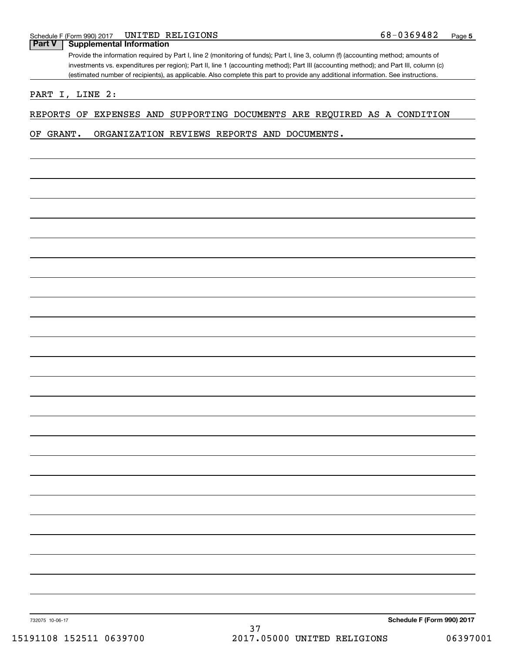# **Part V Supplemental Information**

Provide the information required by Part I, line 2 (monitoring of funds); Part I, line 3, column (f) (accounting method; amounts of investments vs. expenditures per region); Part II, line 1 (accounting method); Part III (accounting method); and Part III, column (c) (estimated number of recipients), as applicable. Also complete this part to provide any additional information. See instructions.

PART I, LINE 2:

#### REPORTS OF EXPENSES AND SUPPORTING DOCUMENTS ARE REQUIRED AS A CONDITION

OF GRANT. ORGANIZATION REVIEWS REPORTS AND DOCUMENTS.

732075 10-06-17

**Schedule F (Form 990) 2017**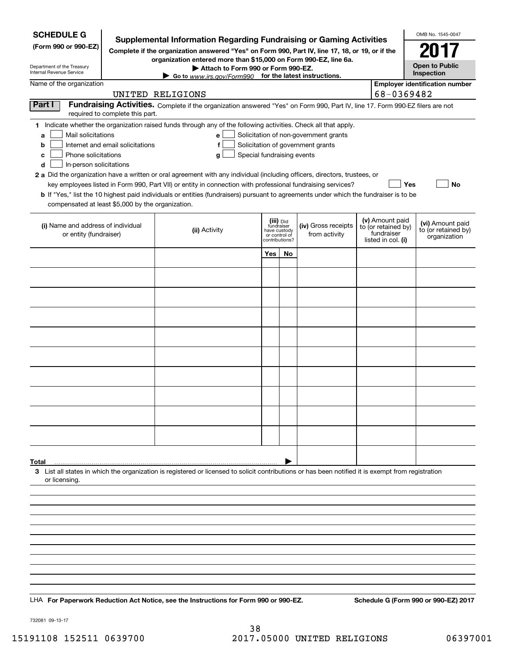| <b>SCHEDULE G</b>                                                                                                                             |                                  | <b>Supplemental Information Regarding Fundraising or Gaming Activities</b>                                                                                                                                                                                                                                                                                                                                                                                                                                                                                  |                                                                            |    |                                                                            |                                                                            | OMB No. 1545-0047                                       |
|-----------------------------------------------------------------------------------------------------------------------------------------------|----------------------------------|-------------------------------------------------------------------------------------------------------------------------------------------------------------------------------------------------------------------------------------------------------------------------------------------------------------------------------------------------------------------------------------------------------------------------------------------------------------------------------------------------------------------------------------------------------------|----------------------------------------------------------------------------|----|----------------------------------------------------------------------------|----------------------------------------------------------------------------|---------------------------------------------------------|
| (Form 990 or 990-EZ)                                                                                                                          |                                  | Complete if the organization answered "Yes" on Form 990, Part IV, line 17, 18, or 19, or if the                                                                                                                                                                                                                                                                                                                                                                                                                                                             |                                                                            |    |                                                                            |                                                                            |                                                         |
| Department of the Treasury<br>Internal Revenue Service                                                                                        |                                  | organization entered more than \$15,000 on Form 990-EZ, line 6a.<br>Attach to Form 990 or Form 990-EZ.<br>Go to www.irs.gov/Form990 for the latest instructions.                                                                                                                                                                                                                                                                                                                                                                                            |                                                                            |    |                                                                            |                                                                            | <b>Open to Public</b><br>Inspection                     |
| Name of the organization                                                                                                                      |                                  |                                                                                                                                                                                                                                                                                                                                                                                                                                                                                                                                                             |                                                                            |    |                                                                            |                                                                            | <b>Employer identification number</b>                   |
|                                                                                                                                               |                                  | UNITED RELIGIONS                                                                                                                                                                                                                                                                                                                                                                                                                                                                                                                                            |                                                                            |    |                                                                            | 68-0369482                                                                 |                                                         |
| Part I                                                                                                                                        | required to complete this part.  | Fundraising Activities. Complete if the organization answered "Yes" on Form 990, Part IV, line 17. Form 990-EZ filers are not                                                                                                                                                                                                                                                                                                                                                                                                                               |                                                                            |    |                                                                            |                                                                            |                                                         |
| Mail solicitations<br>a<br>b<br>Phone solicitations<br>с<br>d<br>In-person solicitations<br>compensated at least \$5,000 by the organization. | Internet and email solicitations | 1 Indicate whether the organization raised funds through any of the following activities. Check all that apply.<br>e l<br>f<br>Special fundraising events<br>g<br>2 a Did the organization have a written or oral agreement with any individual (including officers, directors, trustees, or<br>key employees listed in Form 990, Part VII) or entity in connection with professional fundraising services?<br><b>b</b> If "Yes," list the 10 highest paid individuals or entities (fundraisers) pursuant to agreements under which the fundraiser is to be |                                                                            |    | Solicitation of non-government grants<br>Solicitation of government grants | Yes                                                                        | No                                                      |
| (i) Name and address of individual<br>or entity (fundraiser)                                                                                  |                                  | (ii) Activity                                                                                                                                                                                                                                                                                                                                                                                                                                                                                                                                               | (iii) Did<br>fundraiser<br>have custody<br>or control of<br>contributions? |    | (iv) Gross receipts<br>from activity                                       | (v) Amount paid<br>to (or retained by)<br>fundraiser<br>listed in col. (i) | (vi) Amount paid<br>to (or retained by)<br>organization |
|                                                                                                                                               |                                  |                                                                                                                                                                                                                                                                                                                                                                                                                                                                                                                                                             | Yes                                                                        | No |                                                                            |                                                                            |                                                         |
|                                                                                                                                               |                                  |                                                                                                                                                                                                                                                                                                                                                                                                                                                                                                                                                             |                                                                            |    |                                                                            |                                                                            |                                                         |
|                                                                                                                                               |                                  |                                                                                                                                                                                                                                                                                                                                                                                                                                                                                                                                                             |                                                                            |    |                                                                            |                                                                            |                                                         |
|                                                                                                                                               |                                  |                                                                                                                                                                                                                                                                                                                                                                                                                                                                                                                                                             |                                                                            |    |                                                                            |                                                                            |                                                         |
|                                                                                                                                               |                                  |                                                                                                                                                                                                                                                                                                                                                                                                                                                                                                                                                             |                                                                            |    |                                                                            |                                                                            |                                                         |
|                                                                                                                                               |                                  |                                                                                                                                                                                                                                                                                                                                                                                                                                                                                                                                                             |                                                                            |    |                                                                            |                                                                            |                                                         |
|                                                                                                                                               |                                  |                                                                                                                                                                                                                                                                                                                                                                                                                                                                                                                                                             |                                                                            |    |                                                                            |                                                                            |                                                         |
|                                                                                                                                               |                                  |                                                                                                                                                                                                                                                                                                                                                                                                                                                                                                                                                             |                                                                            |    |                                                                            |                                                                            |                                                         |
|                                                                                                                                               |                                  |                                                                                                                                                                                                                                                                                                                                                                                                                                                                                                                                                             |                                                                            |    |                                                                            |                                                                            |                                                         |
|                                                                                                                                               |                                  |                                                                                                                                                                                                                                                                                                                                                                                                                                                                                                                                                             |                                                                            |    |                                                                            |                                                                            |                                                         |
|                                                                                                                                               |                                  |                                                                                                                                                                                                                                                                                                                                                                                                                                                                                                                                                             |                                                                            |    |                                                                            |                                                                            |                                                         |
|                                                                                                                                               |                                  |                                                                                                                                                                                                                                                                                                                                                                                                                                                                                                                                                             |                                                                            |    |                                                                            |                                                                            |                                                         |
|                                                                                                                                               |                                  |                                                                                                                                                                                                                                                                                                                                                                                                                                                                                                                                                             |                                                                            |    |                                                                            |                                                                            |                                                         |
| Total<br>or licensing.                                                                                                                        |                                  | 3 List all states in which the organization is registered or licensed to solicit contributions or has been notified it is exempt from registration                                                                                                                                                                                                                                                                                                                                                                                                          |                                                                            |    |                                                                            |                                                                            |                                                         |
|                                                                                                                                               |                                  |                                                                                                                                                                                                                                                                                                                                                                                                                                                                                                                                                             |                                                                            |    |                                                                            |                                                                            |                                                         |
|                                                                                                                                               |                                  |                                                                                                                                                                                                                                                                                                                                                                                                                                                                                                                                                             |                                                                            |    |                                                                            |                                                                            |                                                         |
|                                                                                                                                               |                                  |                                                                                                                                                                                                                                                                                                                                                                                                                                                                                                                                                             |                                                                            |    |                                                                            |                                                                            |                                                         |
|                                                                                                                                               |                                  |                                                                                                                                                                                                                                                                                                                                                                                                                                                                                                                                                             |                                                                            |    |                                                                            |                                                                            |                                                         |
|                                                                                                                                               |                                  |                                                                                                                                                                                                                                                                                                                                                                                                                                                                                                                                                             |                                                                            |    |                                                                            |                                                                            |                                                         |
|                                                                                                                                               |                                  |                                                                                                                                                                                                                                                                                                                                                                                                                                                                                                                                                             |                                                                            |    |                                                                            |                                                                            |                                                         |
|                                                                                                                                               |                                  |                                                                                                                                                                                                                                                                                                                                                                                                                                                                                                                                                             |                                                                            |    |                                                                            |                                                                            |                                                         |
|                                                                                                                                               |                                  | LHA For Paperwork Reduction Act Notice, see the Instructions for Form 990 or 990-EZ.                                                                                                                                                                                                                                                                                                                                                                                                                                                                        |                                                                            |    |                                                                            |                                                                            | Schedule G (Form 990 or 990-EZ) 2017                    |

732081 09-13-17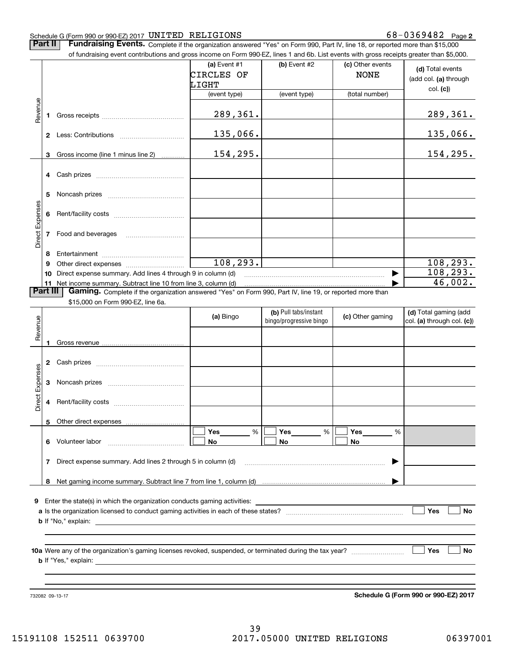#### Schedule G (Form 990 or 990-EZ) 2017 Page UNITED RELIGIONS 68-0369482

**Part II** | Fundraising Events. Complete if the organization answered "Yes" on Form 990, Part IV, line 18, or reported more than \$15,000

|                 |          | of fundraising event contributions and gross income on Form 990-EZ, lines 1 and 6b. List events with gross receipts greater than \$5,000.     |                                     |                         |                                 |                                                       |
|-----------------|----------|-----------------------------------------------------------------------------------------------------------------------------------------------|-------------------------------------|-------------------------|---------------------------------|-------------------------------------------------------|
|                 |          |                                                                                                                                               | (a) Event #1<br>CIRCLES OF<br>LIGHT | (b) Event #2            | (c) Other events<br><b>NONE</b> | (d) Total events<br>(add col. (a) through<br>col. (c) |
|                 |          |                                                                                                                                               | (event type)                        | (event type)            | (total number)                  |                                                       |
| Revenue         |          |                                                                                                                                               | 289,361.                            |                         |                                 | 289, 361.                                             |
|                 |          |                                                                                                                                               | 135,066.                            |                         |                                 | 135,066.                                              |
|                 | 3        | Gross income (line 1 minus line 2)                                                                                                            | 154,295.                            |                         |                                 | 154, 295.                                             |
|                 |          |                                                                                                                                               |                                     |                         |                                 |                                                       |
|                 | 5        |                                                                                                                                               |                                     |                         |                                 |                                                       |
| Direct Expenses | 6        |                                                                                                                                               |                                     |                         |                                 |                                                       |
|                 |          | 7 Food and beverages                                                                                                                          |                                     |                         |                                 |                                                       |
|                 | 8        |                                                                                                                                               |                                     |                         |                                 |                                                       |
|                 | 9        |                                                                                                                                               | 108, 293.                           |                         |                                 | 108, 293.                                             |
|                 | 10       | Direct expense summary. Add lines 4 through 9 in column (d)                                                                                   |                                     |                         |                                 | $\overline{108,}$ 293.                                |
|                 | Part III | 11 Net income summary. Subtract line 10 from line 3, column (d)                                                                               |                                     |                         |                                 | 46,002.                                               |
|                 |          | Gaming. Complete if the organization answered "Yes" on Form 990, Part IV, line 19, or reported more than<br>\$15,000 on Form 990-EZ, line 6a. |                                     |                         |                                 |                                                       |
|                 |          |                                                                                                                                               |                                     | (b) Pull tabs/instant   |                                 | (d) Total gaming (add                                 |
|                 |          |                                                                                                                                               | (a) Bingo                           | bingo/progressive bingo | (c) Other gaming                | col. (a) through col. (c))                            |
| Revenue         |          |                                                                                                                                               |                                     |                         |                                 |                                                       |
|                 | 1        |                                                                                                                                               |                                     |                         |                                 |                                                       |
|                 |          |                                                                                                                                               |                                     |                         |                                 |                                                       |
|                 |          |                                                                                                                                               |                                     |                         |                                 |                                                       |
| Direct Expenses | 3        |                                                                                                                                               |                                     |                         |                                 |                                                       |
|                 | 4        |                                                                                                                                               |                                     |                         |                                 |                                                       |
|                 | 5.       | Other direct expenses                                                                                                                         |                                     |                         |                                 |                                                       |
|                 |          | 6 Volunteer labor                                                                                                                             | Yes<br>$\%$<br>No                   | Yes<br>%<br>No          | Yes<br>%<br>No                  |                                                       |
|                 |          | 7 Direct expense summary. Add lines 2 through 5 in column (d)                                                                                 |                                     |                         |                                 |                                                       |
|                 | 8        |                                                                                                                                               |                                     |                         |                                 |                                                       |
| 9               |          | Enter the state(s) in which the organization conducts gaming activities:                                                                      |                                     |                         |                                 |                                                       |
|                 |          |                                                                                                                                               |                                     |                         |                                 | Yes<br>No                                             |
|                 |          |                                                                                                                                               |                                     |                         |                                 |                                                       |
|                 |          |                                                                                                                                               |                                     |                         |                                 |                                                       |
|                 |          |                                                                                                                                               |                                     |                         |                                 | Yes<br>No                                             |
|                 |          |                                                                                                                                               |                                     |                         |                                 |                                                       |

732082 09-13-17

**Schedule G (Form 990 or 990-EZ) 2017**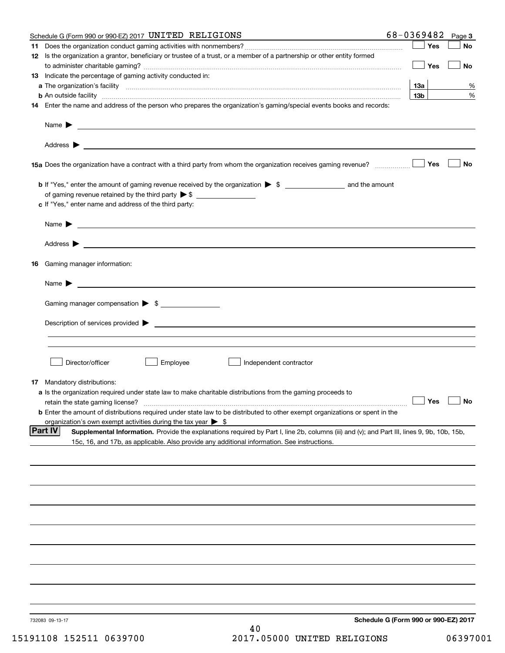|    | Schedule G (Form 990 or 990-EZ) 2017 UNITED RELIGIONS                                                                                                                                                                                                        | 68-0369482                           | Page 3    |
|----|--------------------------------------------------------------------------------------------------------------------------------------------------------------------------------------------------------------------------------------------------------------|--------------------------------------|-----------|
| 11 |                                                                                                                                                                                                                                                              | Yes                                  | No        |
|    | 12 Is the organization a grantor, beneficiary or trustee of a trust, or a member of a partnership or other entity formed                                                                                                                                     | Yes                                  | No        |
|    | 13 Indicate the percentage of gaming activity conducted in:                                                                                                                                                                                                  |                                      |           |
|    |                                                                                                                                                                                                                                                              | 13а                                  | %         |
|    | <b>b</b> An outside facility <b>contained an according to the contract of the contract of the contract of the contract of the contract of the contract of the contract of the contract of the contract of the contract of the contrac</b>                    | 13 <sub>b</sub>                      | %         |
|    | 14 Enter the name and address of the person who prepares the organization's gaming/special events books and records:                                                                                                                                         |                                      |           |
|    |                                                                                                                                                                                                                                                              |                                      |           |
|    |                                                                                                                                                                                                                                                              |                                      |           |
|    |                                                                                                                                                                                                                                                              | Yes                                  | No        |
|    |                                                                                                                                                                                                                                                              |                                      |           |
|    | of gaming revenue retained by the third party $\triangleright$ \$                                                                                                                                                                                            |                                      |           |
|    | c If "Yes," enter name and address of the third party:                                                                                                                                                                                                       |                                      |           |
|    | Name $\blacktriangleright$ $\bot$                                                                                                                                                                                                                            |                                      |           |
|    |                                                                                                                                                                                                                                                              |                                      |           |
|    | 16 Gaming manager information:                                                                                                                                                                                                                               |                                      |           |
|    | $Name \rightarrow$                                                                                                                                                                                                                                           |                                      |           |
|    | Gaming manager compensation > \$                                                                                                                                                                                                                             |                                      |           |
|    |                                                                                                                                                                                                                                                              |                                      |           |
|    |                                                                                                                                                                                                                                                              |                                      |           |
|    |                                                                                                                                                                                                                                                              |                                      |           |
|    | Employee<br>Director/officer<br>Independent contractor                                                                                                                                                                                                       |                                      |           |
|    |                                                                                                                                                                                                                                                              |                                      |           |
|    | 17 Mandatory distributions:                                                                                                                                                                                                                                  |                                      |           |
|    | a Is the organization required under state law to make charitable distributions from the gaming proceeds to<br>retain the state gaming license?                                                                                                              | $\Box$ Yes                           | $\Box$ No |
|    | <b>b</b> Enter the amount of distributions required under state law to be distributed to other exempt organizations or spent in the                                                                                                                          |                                      |           |
|    | organization's own exempt activities during the tax year $\triangleright$ \$                                                                                                                                                                                 |                                      |           |
|    | <b>Part IV</b><br>Supplemental Information. Provide the explanations required by Part I, line 2b, columns (iii) and (v); and Part III, lines 9, 9b, 10b, 15b,<br>15c, 16, and 17b, as applicable. Also provide any additional information. See instructions. |                                      |           |
|    |                                                                                                                                                                                                                                                              |                                      |           |
|    |                                                                                                                                                                                                                                                              |                                      |           |
|    |                                                                                                                                                                                                                                                              |                                      |           |
|    |                                                                                                                                                                                                                                                              |                                      |           |
|    |                                                                                                                                                                                                                                                              |                                      |           |
|    |                                                                                                                                                                                                                                                              |                                      |           |
|    |                                                                                                                                                                                                                                                              |                                      |           |
|    |                                                                                                                                                                                                                                                              |                                      |           |
|    |                                                                                                                                                                                                                                                              |                                      |           |
|    | 732083 09-13-17<br>40                                                                                                                                                                                                                                        | Schedule G (Form 990 or 990-EZ) 2017 |           |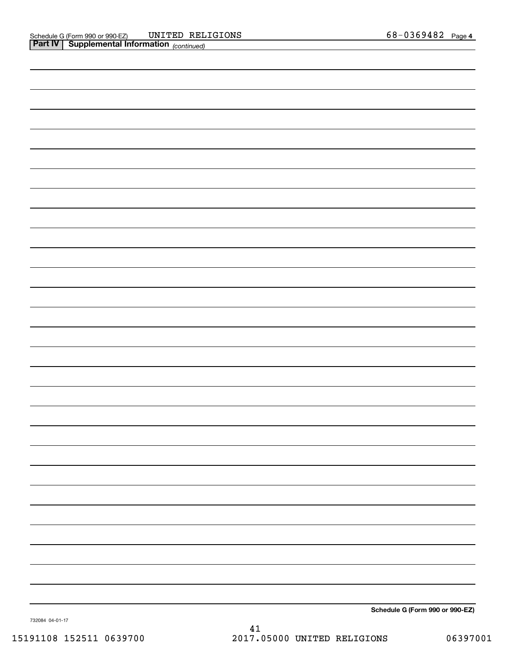| <b>Part IV</b> Supplemental Information (continued) |  |
|-----------------------------------------------------|--|
|                                                     |  |
|                                                     |  |
|                                                     |  |
|                                                     |  |
|                                                     |  |
|                                                     |  |
|                                                     |  |
|                                                     |  |
|                                                     |  |
|                                                     |  |
|                                                     |  |
|                                                     |  |
|                                                     |  |
|                                                     |  |
|                                                     |  |
|                                                     |  |
|                                                     |  |
|                                                     |  |
|                                                     |  |
|                                                     |  |
|                                                     |  |
|                                                     |  |
|                                                     |  |
|                                                     |  |
|                                                     |  |
|                                                     |  |
|                                                     |  |
|                                                     |  |
|                                                     |  |
|                                                     |  |

**Schedule G (Form 990 or 990-EZ)**

732084 04-01-17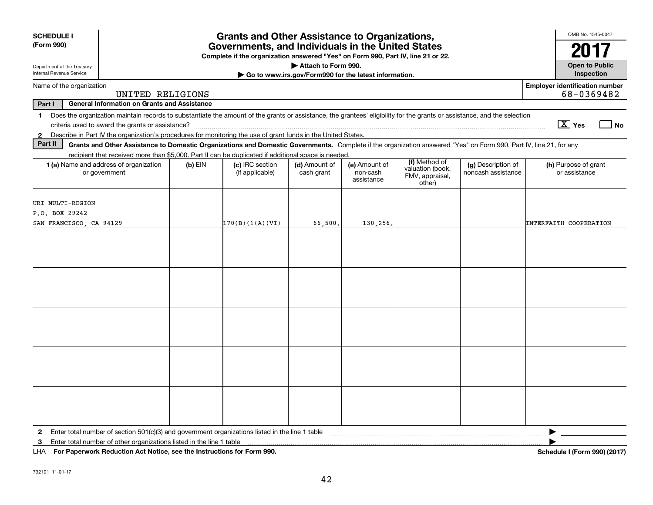| <b>SCHEDULE I</b><br>(Form 990)                                                                                                                                                                                                                                                                                          |           | <b>Grants and Other Assistance to Organizations,</b><br>Governments, and Individuals in the United States<br>Complete if the organization answered "Yes" on Form 990, Part IV, line 21 or 22. |                                                       |                                         |                                                                |                                          | OMB No. 1545-0047<br>2017                           |
|--------------------------------------------------------------------------------------------------------------------------------------------------------------------------------------------------------------------------------------------------------------------------------------------------------------------------|-----------|-----------------------------------------------------------------------------------------------------------------------------------------------------------------------------------------------|-------------------------------------------------------|-----------------------------------------|----------------------------------------------------------------|------------------------------------------|-----------------------------------------------------|
| Department of the Treasury                                                                                                                                                                                                                                                                                               |           |                                                                                                                                                                                               | Attach to Form 990.                                   |                                         |                                                                |                                          | <b>Open to Public</b>                               |
| Internal Revenue Service                                                                                                                                                                                                                                                                                                 |           |                                                                                                                                                                                               | Go to www.irs.gov/Form990 for the latest information. |                                         |                                                                |                                          | Inspection                                          |
| Name of the organization<br>UNITED RELIGIONS                                                                                                                                                                                                                                                                             |           |                                                                                                                                                                                               |                                                       |                                         |                                                                |                                          | <b>Employer identification number</b><br>68-0369482 |
| Part I<br><b>General Information on Grants and Assistance</b>                                                                                                                                                                                                                                                            |           |                                                                                                                                                                                               |                                                       |                                         |                                                                |                                          |                                                     |
| Does the organization maintain records to substantiate the amount of the grants or assistance, the grantees' eligibility for the grants or assistance, and the selection<br>$\mathbf 1$<br>Describe in Part IV the organization's procedures for monitoring the use of grant funds in the United States.<br>$\mathbf{2}$ |           |                                                                                                                                                                                               |                                                       |                                         |                                                                |                                          | $\boxed{\text{X}}$ Yes<br>_l No                     |
| Part II<br>Grants and Other Assistance to Domestic Organizations and Domestic Governments. Complete if the organization answered "Yes" on Form 990, Part IV, line 21, for any                                                                                                                                            |           |                                                                                                                                                                                               |                                                       |                                         |                                                                |                                          |                                                     |
| recipient that received more than \$5,000. Part II can be duplicated if additional space is needed.                                                                                                                                                                                                                      |           |                                                                                                                                                                                               |                                                       |                                         |                                                                |                                          |                                                     |
| 1 (a) Name and address of organization<br>or government                                                                                                                                                                                                                                                                  | $(b)$ EIN | (c) IRC section<br>(if applicable)                                                                                                                                                            | (d) Amount of<br>cash grant                           | (e) Amount of<br>non-cash<br>assistance | (f) Method of<br>valuation (book,<br>FMV, appraisal,<br>other) | (g) Description of<br>noncash assistance | (h) Purpose of grant<br>or assistance               |
| URI MULTI-REGION                                                                                                                                                                                                                                                                                                         |           |                                                                                                                                                                                               |                                                       |                                         |                                                                |                                          |                                                     |
| P.O. BOX 29242                                                                                                                                                                                                                                                                                                           |           |                                                                                                                                                                                               |                                                       |                                         |                                                                |                                          |                                                     |
| SAN FRANCISCO, CA 94129                                                                                                                                                                                                                                                                                                  |           | 170(B)(1(A)(VI))                                                                                                                                                                              | 66,500.                                               | 130,256.                                |                                                                |                                          | INTERFAITH COOPERATION                              |
|                                                                                                                                                                                                                                                                                                                          |           |                                                                                                                                                                                               |                                                       |                                         |                                                                |                                          |                                                     |
|                                                                                                                                                                                                                                                                                                                          |           |                                                                                                                                                                                               |                                                       |                                         |                                                                |                                          |                                                     |
|                                                                                                                                                                                                                                                                                                                          |           |                                                                                                                                                                                               |                                                       |                                         |                                                                |                                          |                                                     |
|                                                                                                                                                                                                                                                                                                                          |           |                                                                                                                                                                                               |                                                       |                                         |                                                                |                                          |                                                     |
|                                                                                                                                                                                                                                                                                                                          |           |                                                                                                                                                                                               |                                                       |                                         |                                                                |                                          |                                                     |
| Enter total number of section 501(c)(3) and government organizations listed in the line 1 table<br>$\mathbf{2}$<br>Enter total number of other organizations listed in the line 1 table<br>3<br>LHA For Paperwork Reduction Act Notice, see the Instructions for Form 990.                                               |           |                                                                                                                                                                                               |                                                       |                                         |                                                                |                                          | Schedule I (Form 990) (2017)                        |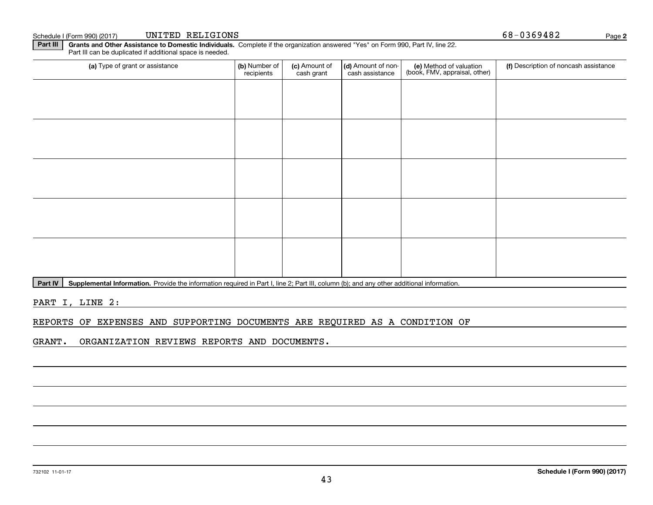### **Part III** | Grants and Other Assistance to Domestic Individuals. Complete if the organization answered "Yes" on Form 990, Part IV, line 22.

Part III can be duplicated if additional space is needed.

| (a) Type of grant or assistance | (b) Number of<br>recipients | (c) Amount of<br>cash grant | (d) Amount of non-<br>cash assistance | (e) Method of valuation<br>(book, FMV, appraisal, other) | (f) Description of noncash assistance |
|---------------------------------|-----------------------------|-----------------------------|---------------------------------------|----------------------------------------------------------|---------------------------------------|
|                                 |                             |                             |                                       |                                                          |                                       |
|                                 |                             |                             |                                       |                                                          |                                       |
|                                 |                             |                             |                                       |                                                          |                                       |
|                                 |                             |                             |                                       |                                                          |                                       |
|                                 |                             |                             |                                       |                                                          |                                       |
|                                 |                             |                             |                                       |                                                          |                                       |
|                                 |                             |                             |                                       |                                                          |                                       |
|                                 |                             |                             |                                       |                                                          |                                       |
|                                 |                             |                             |                                       |                                                          |                                       |
|                                 |                             |                             |                                       |                                                          |                                       |

Part IV | Supplemental Information. Provide the information required in Part I, line 2; Part III, column (b); and any other additional information.

PART I, LINE 2:

#### REPORTS OF EXPENSES AND SUPPORTING DOCUMENTS ARE REQUIRED AS A CONDITION OF

GRANT. ORGANIZATION REVIEWS REPORTS AND DOCUMENTS.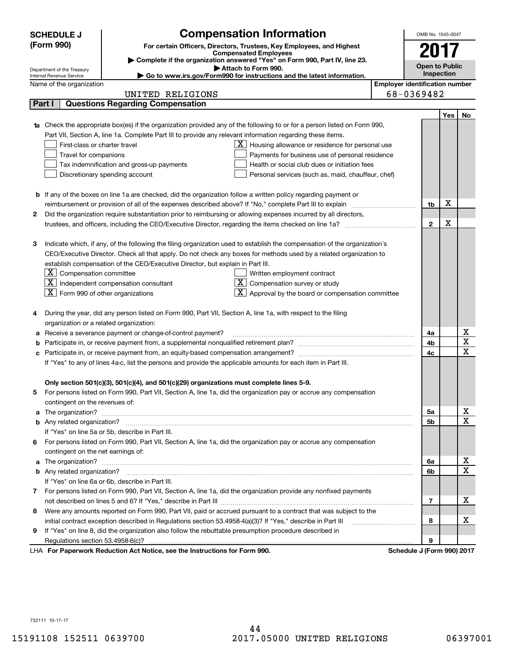|        | <b>SCHEDULE J</b>                                      | <b>Compensation Information</b>                                                                                           |                                       | OMB No. 1545-0047          |            |                         |
|--------|--------------------------------------------------------|---------------------------------------------------------------------------------------------------------------------------|---------------------------------------|----------------------------|------------|-------------------------|
|        | (Form 990)                                             | For certain Officers, Directors, Trustees, Key Employees, and Highest                                                     |                                       |                            |            |                         |
|        |                                                        | <b>Compensated Employees</b>                                                                                              |                                       | 2017                       |            |                         |
|        |                                                        | Complete if the organization answered "Yes" on Form 990, Part IV, line 23.                                                |                                       | <b>Open to Public</b>      |            |                         |
|        | Department of the Treasury<br>Internal Revenue Service | Attach to Form 990.<br>► Go to www.irs.gov/Form990 for instructions and the latest information.                           |                                       |                            | Inspection |                         |
|        | Name of the organization                               |                                                                                                                           | <b>Employer identification number</b> |                            |            |                         |
|        |                                                        | UNITED RELIGIONS                                                                                                          |                                       | 68-0369482                 |            |                         |
| Part I |                                                        | <b>Questions Regarding Compensation</b>                                                                                   |                                       |                            |            |                         |
|        |                                                        |                                                                                                                           |                                       |                            | Yes        | No                      |
|        |                                                        | Check the appropriate box(es) if the organization provided any of the following to or for a person listed on Form 990,    |                                       |                            |            |                         |
|        |                                                        | Part VII, Section A, line 1a. Complete Part III to provide any relevant information regarding these items.                |                                       |                            |            |                         |
|        | First-class or charter travel                          | $\underline{\mathbf{X}}$ Housing allowance or residence for personal use                                                  |                                       |                            |            |                         |
|        | Travel for companions                                  | Payments for business use of personal residence                                                                           |                                       |                            |            |                         |
|        |                                                        | Tax indemnification and gross-up payments<br>Health or social club dues or initiation fees                                |                                       |                            |            |                         |
|        |                                                        | Discretionary spending account<br>Personal services (such as, maid, chauffeur, chef)                                      |                                       |                            |            |                         |
|        |                                                        |                                                                                                                           |                                       |                            |            |                         |
|        |                                                        | <b>b</b> If any of the boxes on line 1a are checked, did the organization follow a written policy regarding payment or    |                                       |                            |            |                         |
|        |                                                        |                                                                                                                           |                                       | 1b                         | X          |                         |
| 2      |                                                        | Did the organization require substantiation prior to reimbursing or allowing expenses incurred by all directors,          |                                       |                            |            |                         |
|        |                                                        |                                                                                                                           |                                       | $\mathbf{2}$               | X          |                         |
|        |                                                        |                                                                                                                           |                                       |                            |            |                         |
| З      |                                                        | Indicate which, if any, of the following the filing organization used to establish the compensation of the organization's |                                       |                            |            |                         |
|        |                                                        | CEO/Executive Director. Check all that apply. Do not check any boxes for methods used by a related organization to        |                                       |                            |            |                         |
|        |                                                        | establish compensation of the CEO/Executive Director, but explain in Part III.                                            |                                       |                            |            |                         |
|        | $ \mathbf{X} $ Compensation committee                  | Written employment contract                                                                                               |                                       |                            |            |                         |
|        |                                                        | $\boxed{\text{X}}$ Independent compensation consultant<br>$X$ Compensation survey or study                                |                                       |                            |            |                         |
|        | $\boxed{\text{X}}$ Form 990 of other organizations     | $\mathbf{X}$ Approval by the board or compensation committee                                                              |                                       |                            |            |                         |
|        |                                                        |                                                                                                                           |                                       |                            |            |                         |
|        |                                                        | During the year, did any person listed on Form 990, Part VII, Section A, line 1a, with respect to the filing              |                                       |                            |            |                         |
|        | organization or a related organization:                |                                                                                                                           |                                       |                            |            |                         |
| а      |                                                        | Receive a severance payment or change-of-control payment?                                                                 |                                       | 4a                         |            | Χ                       |
|        |                                                        |                                                                                                                           |                                       | 4b                         |            | $\overline{\textbf{X}}$ |
|        |                                                        |                                                                                                                           |                                       | 4c                         |            | $\mathbf X$             |
|        |                                                        | If "Yes" to any of lines 4a-c, list the persons and provide the applicable amounts for each item in Part III.             |                                       |                            |            |                         |
|        |                                                        |                                                                                                                           |                                       |                            |            |                         |
|        |                                                        | Only section 501(c)(3), 501(c)(4), and 501(c)(29) organizations must complete lines 5-9.                                  |                                       |                            |            |                         |
| 5      |                                                        | For persons listed on Form 990, Part VII, Section A, line 1a, did the organization pay or accrue any compensation         |                                       |                            |            |                         |
|        | contingent on the revenues of:                         |                                                                                                                           |                                       |                            |            |                         |
| a      |                                                        |                                                                                                                           |                                       | 5a                         |            | x                       |
|        |                                                        |                                                                                                                           |                                       | 5b                         |            | $\overline{\mathbf{x}}$ |
|        |                                                        | If "Yes" on line 5a or 5b, describe in Part III.                                                                          |                                       |                            |            |                         |
| 6.     |                                                        | For persons listed on Form 990, Part VII, Section A, line 1a, did the organization pay or accrue any compensation         |                                       |                            |            |                         |
|        | contingent on the net earnings of:                     |                                                                                                                           |                                       |                            |            |                         |
| a      |                                                        |                                                                                                                           |                                       | 6a                         |            | х                       |
|        |                                                        |                                                                                                                           |                                       | 6b                         |            | $\overline{\mathbf{x}}$ |
|        |                                                        | If "Yes" on line 6a or 6b, describe in Part III.                                                                          |                                       |                            |            |                         |
|        |                                                        | 7 For persons listed on Form 990, Part VII, Section A, line 1a, did the organization provide any nonfixed payments        |                                       |                            |            |                         |
|        |                                                        |                                                                                                                           |                                       | 7                          |            | х                       |
| 8      |                                                        | Were any amounts reported on Form 990, Part VII, paid or accrued pursuant to a contract that was subject to the           |                                       |                            |            |                         |
|        |                                                        | initial contract exception described in Regulations section 53.4958-4(a)(3)? If "Yes," describe in Part III               |                                       | 8                          |            | х                       |
| 9      |                                                        | If "Yes" on line 8, did the organization also follow the rebuttable presumption procedure described in                    |                                       |                            |            |                         |
|        |                                                        |                                                                                                                           |                                       | 9                          |            |                         |
|        |                                                        | LHA For Paperwork Reduction Act Notice, see the Instructions for Form 990.                                                |                                       | Schedule J (Form 990) 2017 |            |                         |

732111 10-17-17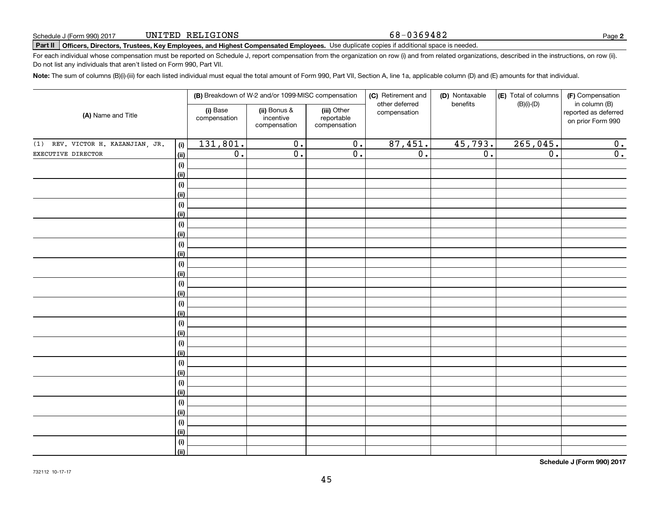#### 68-0369482

**2**

# **Part II Officers, Directors, Trustees, Key Employees, and Highest Compensated Employees.**  Schedule J (Form 990) 2017 Page Use duplicate copies if additional space is needed.

For each individual whose compensation must be reported on Schedule J, report compensation from the organization on row (i) and from related organizations, described in the instructions, on row (ii). Do not list any individuals that aren't listed on Form 990, Part VII.

**Note:**  The sum of columns (B)(i)-(iii) for each listed individual must equal the total amount of Form 990, Part VII, Section A, line 1a, applicable column (D) and (E) amounts for that individual.

|                                          |                          | (B) Breakdown of W-2 and/or 1099-MISC compensation |                                           | (C) Retirement and<br>other deferred | (D) Nontaxable<br>benefits | (E) Total of columns | (F) Compensation<br>in column (B)         |
|------------------------------------------|--------------------------|----------------------------------------------------|-------------------------------------------|--------------------------------------|----------------------------|----------------------|-------------------------------------------|
| (A) Name and Title                       | (i) Base<br>compensation | (ii) Bonus &<br>incentive<br>compensation          | (iii) Other<br>reportable<br>compensation | compensation                         |                            | $(B)(i)-(D)$         | reported as deferred<br>on prior Form 990 |
| (1) REV. VICTOR H. KAZANJIAN, JR.<br>(i) | 131,801.                 | $\overline{0}$ .                                   | $\overline{0}$ .                          | 87,451.                              | 45,793.                    | 265,045.             | 0.                                        |
| EXECUTIVE DIRECTOR<br><u>(ii)</u>        | $\overline{0}$ .         | $\overline{0}$ .                                   | $\overline{0}$ .                          | $\overline{0}$ .                     | $\overline{0}$ .           | $\overline{0}$ .     | $\overline{0}$ .                          |
| (i)                                      |                          |                                                    |                                           |                                      |                            |                      |                                           |
| <u>(ii)</u>                              |                          |                                                    |                                           |                                      |                            |                      |                                           |
| (i)                                      |                          |                                                    |                                           |                                      |                            |                      |                                           |
| <u>(ii)</u>                              |                          |                                                    |                                           |                                      |                            |                      |                                           |
| (i)                                      |                          |                                                    |                                           |                                      |                            |                      |                                           |
| <u>(ii)</u>                              |                          |                                                    |                                           |                                      |                            |                      |                                           |
| (i)                                      |                          |                                                    |                                           |                                      |                            |                      |                                           |
| <u>(ii)</u>                              |                          |                                                    |                                           |                                      |                            |                      |                                           |
| $(\sf{i})$                               |                          |                                                    |                                           |                                      |                            |                      |                                           |
| <u>(ii)</u>                              |                          |                                                    |                                           |                                      |                            |                      |                                           |
| $(\sf{i})$                               |                          |                                                    |                                           |                                      |                            |                      |                                           |
| <u>(ii)</u><br>(i)                       |                          |                                                    |                                           |                                      |                            |                      |                                           |
| <u>(ii)</u>                              |                          |                                                    |                                           |                                      |                            |                      |                                           |
| (i)                                      |                          |                                                    |                                           |                                      |                            |                      |                                           |
| <u>(ii)</u>                              |                          |                                                    |                                           |                                      |                            |                      |                                           |
| (i)                                      |                          |                                                    |                                           |                                      |                            |                      |                                           |
| <u>(ii)</u>                              |                          |                                                    |                                           |                                      |                            |                      |                                           |
| (i)                                      |                          |                                                    |                                           |                                      |                            |                      |                                           |
| <u>(ii)</u>                              |                          |                                                    |                                           |                                      |                            |                      |                                           |
| (i)                                      |                          |                                                    |                                           |                                      |                            |                      |                                           |
| <u>(ii)</u>                              |                          |                                                    |                                           |                                      |                            |                      |                                           |
| (i)                                      |                          |                                                    |                                           |                                      |                            |                      |                                           |
| <u>(ii)</u>                              |                          |                                                    |                                           |                                      |                            |                      |                                           |
| (i)                                      |                          |                                                    |                                           |                                      |                            |                      |                                           |
| <u>(ii)</u>                              |                          |                                                    |                                           |                                      |                            |                      |                                           |
| (i)                                      |                          |                                                    |                                           |                                      |                            |                      |                                           |
| <u>(ii)</u>                              |                          |                                                    |                                           |                                      |                            |                      |                                           |
| (i)<br>(ii)                              |                          |                                                    |                                           |                                      |                            |                      |                                           |
|                                          |                          |                                                    |                                           |                                      |                            |                      |                                           |

**Schedule J (Form 990) 2017**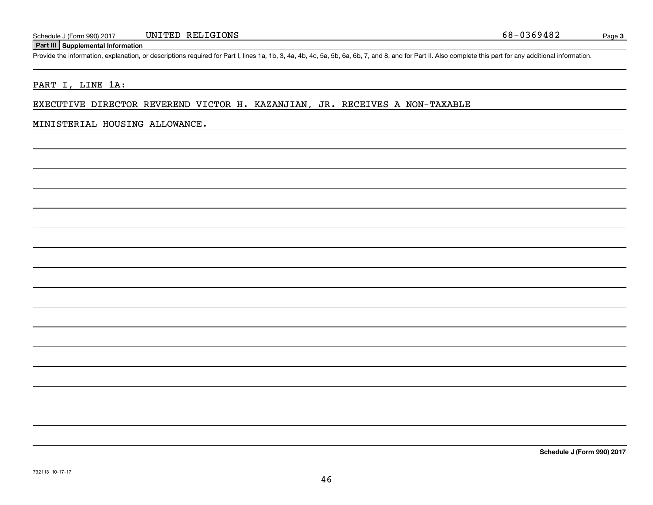# **Part III Supplemental Information**

Schedule J (Form 990) 2017 UNITED RELIGIONS 68-0369482<br>Part III Supplemental Information<br>Provide the information, explanation, or descriptions required for Part I, lines 1a, 1b, 3, 4a, 4b, 4c, 5a, 5b, 6a, 6b, 7, and 8, and

# PART I, LINE 1A:

#### EXECUTIVE DIRECTOR REVEREND VICTOR H. KAZANJIAN, JR. RECEIVES A NON-TAXABLE

#### MINISTERIAL HOUSING ALLOWANCE.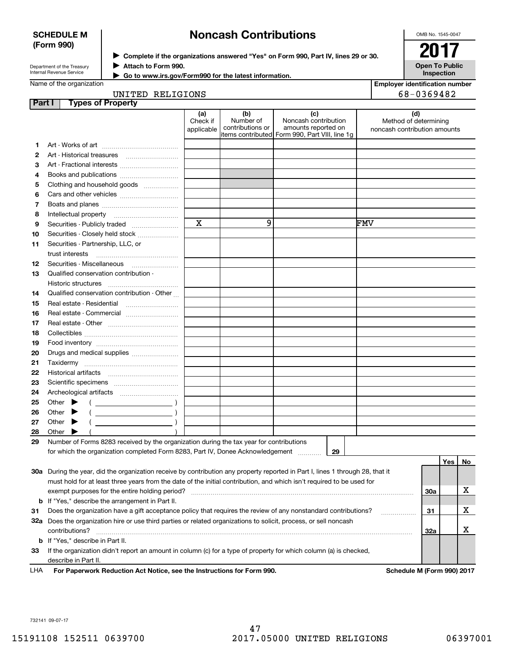#### **SCHEDULE M (Form 990)**

# **Noncash Contributions**

 $\blacktriangleright$  Complete if the organizations answered "Yes" on Form 990, Part IV, lines 29 or 30.  $\vert$   $\vert$   $\rm{2017}$ 

OMB No. 1545-0047

**Open To Public**

Department of the Treasury Internal Revenue Service

**Attach to Form 990.** J  **Go to www.irs.gov/Form990 for the latest information.** J

**InspectionEmployer identification number**

68-0369482

Name of the organization

# UNITED RELIGIONS

| Part I | <b>Types of Property</b>                                                                                                                                                                                                                                                                               |                               |                                                           |                                                                                    |                                                              |     |     |     |
|--------|--------------------------------------------------------------------------------------------------------------------------------------------------------------------------------------------------------------------------------------------------------------------------------------------------------|-------------------------------|-----------------------------------------------------------|------------------------------------------------------------------------------------|--------------------------------------------------------------|-----|-----|-----|
|        |                                                                                                                                                                                                                                                                                                        | (a)<br>Check if<br>applicable | (b)<br>Number of<br>contributions or<br>items contributed | (c)<br>Noncash contribution<br>amounts reported on<br>Form 990, Part VIII, line 1g | (d)<br>Method of determining<br>noncash contribution amounts |     |     |     |
| 1.     |                                                                                                                                                                                                                                                                                                        |                               |                                                           |                                                                                    |                                                              |     |     |     |
| 2      |                                                                                                                                                                                                                                                                                                        |                               |                                                           |                                                                                    |                                                              |     |     |     |
| 3      | Art - Fractional interests                                                                                                                                                                                                                                                                             |                               |                                                           |                                                                                    |                                                              |     |     |     |
| 4      | Books and publications                                                                                                                                                                                                                                                                                 |                               |                                                           |                                                                                    |                                                              |     |     |     |
| 5      | Clothing and household goods                                                                                                                                                                                                                                                                           |                               |                                                           |                                                                                    |                                                              |     |     |     |
| 6      |                                                                                                                                                                                                                                                                                                        |                               |                                                           |                                                                                    |                                                              |     |     |     |
| 7      |                                                                                                                                                                                                                                                                                                        |                               |                                                           |                                                                                    |                                                              |     |     |     |
| 8      | Intellectual property                                                                                                                                                                                                                                                                                  |                               |                                                           |                                                                                    |                                                              |     |     |     |
| 9      | Securities - Publicly traded                                                                                                                                                                                                                                                                           | $\mathbf x$                   | 9                                                         |                                                                                    | FMV                                                          |     |     |     |
| 10     | Securities - Closely held stock                                                                                                                                                                                                                                                                        |                               |                                                           |                                                                                    |                                                              |     |     |     |
| 11     | Securities - Partnership, LLC, or<br>trust interests                                                                                                                                                                                                                                                   |                               |                                                           |                                                                                    |                                                              |     |     |     |
| 12     | Securities - Miscellaneous                                                                                                                                                                                                                                                                             |                               |                                                           |                                                                                    |                                                              |     |     |     |
| 13     | Qualified conservation contribution -                                                                                                                                                                                                                                                                  |                               |                                                           |                                                                                    |                                                              |     |     |     |
|        | Historic structures                                                                                                                                                                                                                                                                                    |                               |                                                           |                                                                                    |                                                              |     |     |     |
| 14     | Qualified conservation contribution - Other                                                                                                                                                                                                                                                            |                               |                                                           |                                                                                    |                                                              |     |     |     |
| 15     | Real estate - Residential                                                                                                                                                                                                                                                                              |                               |                                                           |                                                                                    |                                                              |     |     |     |
| 16     | Real estate - Commercial                                                                                                                                                                                                                                                                               |                               |                                                           |                                                                                    |                                                              |     |     |     |
| 17     |                                                                                                                                                                                                                                                                                                        |                               |                                                           |                                                                                    |                                                              |     |     |     |
| 18     |                                                                                                                                                                                                                                                                                                        |                               |                                                           |                                                                                    |                                                              |     |     |     |
| 19     |                                                                                                                                                                                                                                                                                                        |                               |                                                           |                                                                                    |                                                              |     |     |     |
| 20     | Drugs and medical supplies                                                                                                                                                                                                                                                                             |                               |                                                           |                                                                                    |                                                              |     |     |     |
| 21     |                                                                                                                                                                                                                                                                                                        |                               |                                                           |                                                                                    |                                                              |     |     |     |
| 22     |                                                                                                                                                                                                                                                                                                        |                               |                                                           |                                                                                    |                                                              |     |     |     |
| 23     |                                                                                                                                                                                                                                                                                                        |                               |                                                           |                                                                                    |                                                              |     |     |     |
| 24     |                                                                                                                                                                                                                                                                                                        |                               |                                                           |                                                                                    |                                                              |     |     |     |
| 25     | Other<br>$\frac{1}{2}$ and $\frac{1}{2}$ and $\frac{1}{2}$ and $\frac{1}{2}$ and $\frac{1}{2}$ and $\frac{1}{2}$ and $\frac{1}{2}$ and $\frac{1}{2}$ and $\frac{1}{2}$ and $\frac{1}{2}$ and $\frac{1}{2}$ and $\frac{1}{2}$ and $\frac{1}{2}$ and $\frac{1}{2}$ and $\frac{1}{2}$ and $\frac{1}{2}$ a |                               |                                                           |                                                                                    |                                                              |     |     |     |
| 26     | Other                                                                                                                                                                                                                                                                                                  |                               |                                                           |                                                                                    |                                                              |     |     |     |
| 27     | Other                                                                                                                                                                                                                                                                                                  |                               |                                                           |                                                                                    |                                                              |     |     |     |
| 28     | Other                                                                                                                                                                                                                                                                                                  |                               |                                                           |                                                                                    |                                                              |     |     |     |
| 29     | Number of Forms 8283 received by the organization during the tax year for contributions                                                                                                                                                                                                                |                               |                                                           |                                                                                    |                                                              |     |     |     |
|        | for which the organization completed Form 8283, Part IV, Donee Acknowledgement                                                                                                                                                                                                                         |                               |                                                           | 29                                                                                 |                                                              |     |     |     |
|        |                                                                                                                                                                                                                                                                                                        |                               |                                                           |                                                                                    |                                                              |     | Yes | No. |
|        | 30a During the year, did the organization receive by contribution any property reported in Part I, lines 1 through 28, that it                                                                                                                                                                         |                               |                                                           |                                                                                    |                                                              |     |     |     |
|        | must hold for at least three years from the date of the initial contribution, and which isn't required to be used for                                                                                                                                                                                  |                               |                                                           |                                                                                    |                                                              |     |     |     |
|        |                                                                                                                                                                                                                                                                                                        |                               |                                                           |                                                                                    |                                                              | 30a |     | X   |
|        | <b>b</b> If "Yes," describe the arrangement in Part II.                                                                                                                                                                                                                                                |                               |                                                           |                                                                                    |                                                              |     |     |     |
| 31     | Does the organization have a gift acceptance policy that requires the review of any nonstandard contributions?                                                                                                                                                                                         |                               |                                                           |                                                                                    |                                                              | 31  |     | X   |
|        | 32a Does the organization hire or use third parties or related organizations to solicit, process, or sell noncash                                                                                                                                                                                      |                               |                                                           |                                                                                    |                                                              |     |     |     |
|        | contributions?                                                                                                                                                                                                                                                                                         |                               |                                                           |                                                                                    |                                                              | 32a |     | х   |
|        | <b>b</b> If "Yes," describe in Part II.                                                                                                                                                                                                                                                                |                               |                                                           |                                                                                    |                                                              |     |     |     |
| 33     | If the organization didn't report an amount in column (c) for a type of property for which column (a) is checked,                                                                                                                                                                                      |                               |                                                           |                                                                                    |                                                              |     |     |     |
|        | describe in Part II.                                                                                                                                                                                                                                                                                   |                               |                                                           |                                                                                    |                                                              |     |     |     |

For Paperwork Reduction Act Notice, see the Instructions for Form 990. **Schedule M (Form 990) 2017** LHA

732141 09-07-17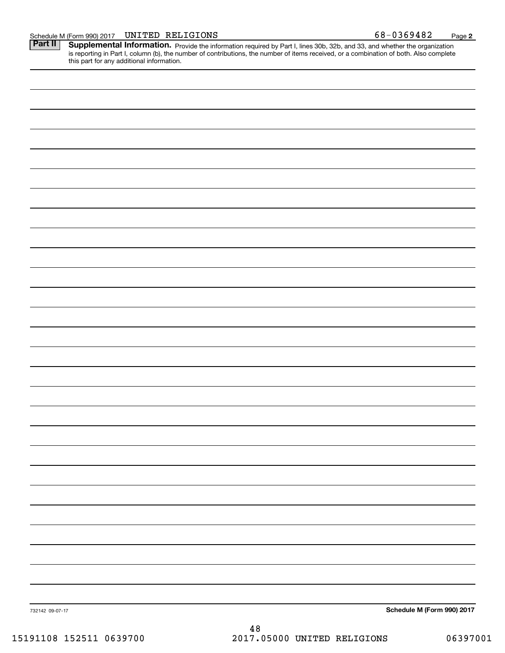this part for any additional information.

Part II | Supplemental Information. Provide the information required by Part I, lines 30b, 32b, and 33, and whether the organization is reporting in Part I, column (b), the number of contributions, the number of items received, or a combination of both. Also complete

| 732142 09-07-17 | Schedule M (Form 990) 2017 |
|-----------------|----------------------------|
|                 |                            |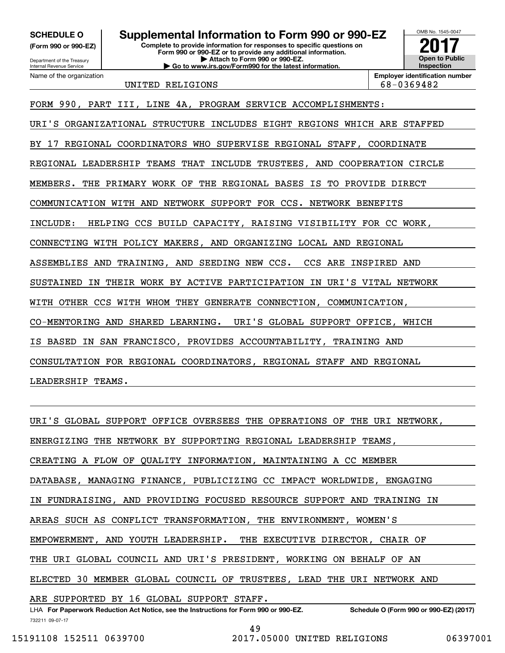**(Form 990 or 990-EZ)**

Department of the Treasury Internal Revenue Service Name of the organization

**Complete to provide information for responses to specific questions on Form 990 or 990-EZ or to provide any additional information. | Attach to Form 990 or 990-EZ. | Go to www.irs.gov/Form990 for the latest information. SCHEDULE O Supplemental Information to Form 990 or 990-EZ**



UNITED RELIGIONS 68-0369482

FORM 990, PART III, LINE 4A, PROGRAM SERVICE ACCOMPLISHMENTS:

URI'S ORGANIZATIONAL STRUCTURE INCLUDES EIGHT REGIONS WHICH ARE STAFFED BY 17 REGIONAL COORDINATORS WHO SUPERVISE REGIONAL STAFF, COORDINATE REGIONAL LEADERSHIP TEAMS THAT INCLUDE TRUSTEES, AND COOPERATION CIRCLE MEMBERS. THE PRIMARY WORK OF THE REGIONAL BASES IS TO PROVIDE DIRECT COMMUNICATION WITH AND NETWORK SUPPORT FOR CCS. NETWORK BENEFITS INCLUDE: HELPING CCS BUILD CAPACITY, RAISING VISIBILITY FOR CC WORK, CONNECTING WITH POLICY MAKERS, AND ORGANIZING LOCAL AND REGIONAL ASSEMBLIES AND TRAINING, AND SEEDING NEW CCS. CCS ARE INSPIRED AND SUSTAINED IN THEIR WORK BY ACTIVE PARTICIPATION IN URI'S VITAL NETWORK WITH OTHER CCS WITH WHOM THEY GENERATE CONNECTION, COMMUNICATION, CO-MENTORING AND SHARED LEARNING. URI'S GLOBAL SUPPORT OFFICE, WHICH IS BASED IN SAN FRANCISCO, PROVIDES ACCOUNTABILITY, TRAINING AND CONSULTATION FOR REGIONAL COORDINATORS, REGIONAL STAFF AND REGIONAL LEADERSHIP TEAMS.

URI'S GLOBAL SUPPORT OFFICE OVERSEES THE OPERATIONS OF THE URI NETWORK, ENERGIZING THE NETWORK BY SUPPORTING REGIONAL LEADERSHIP TEAMS, CREATING A FLOW OF QUALITY INFORMATION, MAINTAINING A CC MEMBER DATABASE, MANAGING FINANCE, PUBLICIZING CC IMPACT WORLDWIDE, ENGAGING IN FUNDRAISING, AND PROVIDING FOCUSED RESOURCE SUPPORT AND TRAINING IN AREAS SUCH AS CONFLICT TRANSFORMATION, THE ENVIRONMENT, WOMEN'S EMPOWERMENT, AND YOUTH LEADERSHIP. THE EXECUTIVE DIRECTOR, CHAIR OF THE URI GLOBAL COUNCIL AND URI'S PRESIDENT, WORKING ON BEHALF OF AN ELECTED 30 MEMBER GLOBAL COUNCIL OF TRUSTEES, LEAD THE URI NETWORK AND ARE SUPPORTED BY 16 GLOBAL SUPPORT STAFF.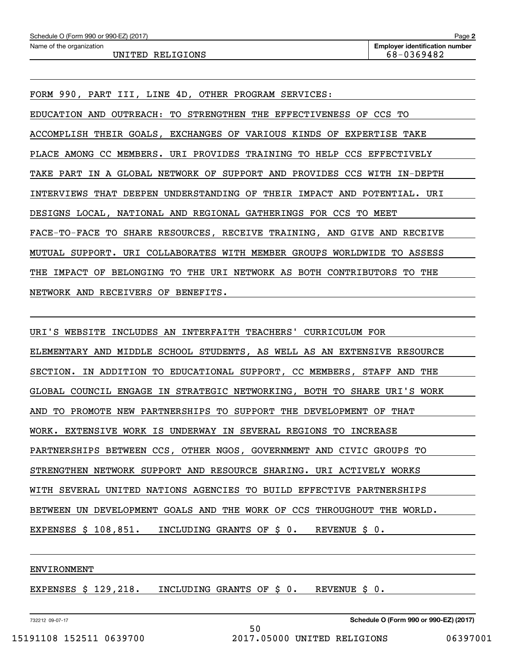| Schedule O (Form 990 or 990-EZ) (2017) | Page 2                                |
|----------------------------------------|---------------------------------------|
| Name of the organization               | <b>Employer identification number</b> |
| UNITED RELIGIONS                       | 68-0369482                            |

FORM 990, PART III, LINE 4D, OTHER PROGRAM SERVICES: EDUCATION AND OUTREACH: TO STRENGTHEN THE EFFECTIVENESS OF CCS TO ACCOMPLISH THEIR GOALS, EXCHANGES OF VARIOUS KINDS OF EXPERTISE TAKE PLACE AMONG CC MEMBERS. URI PROVIDES TRAINING TO HELP CCS EFFECTIVELY TAKE PART IN A GLOBAL NETWORK OF SUPPORT AND PROVIDES CCS WITH IN-DEPTH INTERVIEWS THAT DEEPEN UNDERSTANDING OF THEIR IMPACT AND POTENTIAL. URI DESIGNS LOCAL, NATIONAL AND REGIONAL GATHERINGS FOR CCS TO MEET FACE-TO-FACE TO SHARE RESOURCES, RECEIVE TRAINING, AND GIVE AND RECEIVE MUTUAL SUPPORT. URI COLLABORATES WITH MEMBER GROUPS WORLDWIDE TO ASSESS THE IMPACT OF BELONGING TO THE URI NETWORK AS BOTH CONTRIBUTORS TO THE NETWORK AND RECEIVERS OF BENEFITS.

URI'S WEBSITE INCLUDES AN INTERFAITH TEACHERS' CURRICULUM FOR ELEMENTARY AND MIDDLE SCHOOL STUDENTS, AS WELL AS AN EXTENSIVE RESOURCE SECTION. IN ADDITION TO EDUCATIONAL SUPPORT, CC MEMBERS, STAFF AND THE GLOBAL COUNCIL ENGAGE IN STRATEGIC NETWORKING, BOTH TO SHARE URI'S WORK AND TO PROMOTE NEW PARTNERSHIPS TO SUPPORT THE DEVELOPMENT OF THAT WORK. EXTENSIVE WORK IS UNDERWAY IN SEVERAL REGIONS TO INCREASE PARTNERSHIPS BETWEEN CCS, OTHER NGOS, GOVERNMENT AND CIVIC GROUPS TO STRENGTHEN NETWORK SUPPORT AND RESOURCE SHARING. URI ACTIVELY WORKS WITH SEVERAL UNITED NATIONS AGENCIES TO BUILD EFFECTIVE PARTNERSHIPS BETWEEN UN DEVELOPMENT GOALS AND THE WORK OF CCS THROUGHOUT THE WORLD. EXPENSES \$ 108,851. INCLUDING GRANTS OF \$ 0. REVENUE \$ 0.

50

#### ENVIRONMENT

EXPENSES \$ 129,218. INCLUDING GRANTS OF \$ 0. REVENUE \$ 0.

732212 09-07-17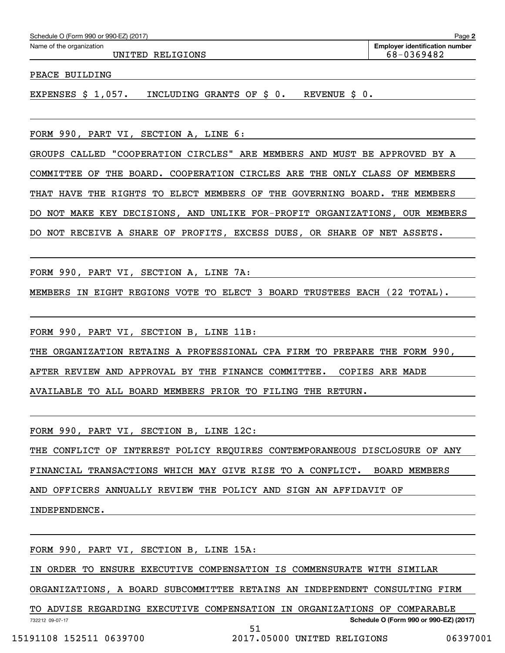| Schedule O (Form 990 or 990-EZ) (2017) |  |  |  |  |
|----------------------------------------|--|--|--|--|
|                                        |  |  |  |  |

UNITED RELIGIONS 68-0369482

PEACE BUILDING

EXPENSES \$ 1,057. INCLUDING GRANTS OF \$ 0. REVENUE \$ 0.

FORM 990, PART VI, SECTION A, LINE 6:

GROUPS CALLED "COOPERATION CIRCLES" ARE MEMBERS AND MUST BE APPROVED BY A COMMITTEE OF THE BOARD. COOPERATION CIRCLES ARE THE ONLY CLASS OF MEMBERS THAT HAVE THE RIGHTS TO ELECT MEMBERS OF THE GOVERNING BOARD. THE MEMBERS DO NOT MAKE KEY DECISIONS, AND UNLIKE FOR-PROFIT ORGANIZATIONS, OUR MEMBERS DO NOT RECEIVE A SHARE OF PROFITS, EXCESS DUES, OR SHARE OF NET ASSETS.

FORM 990, PART VI, SECTION A, LINE 7A:

MEMBERS IN EIGHT REGIONS VOTE TO ELECT 3 BOARD TRUSTEES EACH (22 TOTAL).

FORM 990, PART VI, SECTION B, LINE 11B:

THE ORGANIZATION RETAINS A PROFESSIONAL CPA FIRM TO PREPARE THE FORM 990,

AFTER REVIEW AND APPROVAL BY THE FINANCE COMMITTEE. COPIES ARE MADE

AVAILABLE TO ALL BOARD MEMBERS PRIOR TO FILING THE RETURN.

FORM 990, PART VI, SECTION B, LINE 12C:

THE CONFLICT OF INTEREST POLICY REQUIRES CONTEMPORANEOUS DISCLOSURE OF ANY

FINANCIAL TRANSACTIONS WHICH MAY GIVE RISE TO A CONFLICT. BOARD MEMBERS

AND OFFICERS ANNUALLY REVIEW THE POLICY AND SIGN AN AFFIDAVIT OF

INDEPENDENCE.

FORM 990, PART VI, SECTION B, LINE 15A:

IN ORDER TO ENSURE EXECUTIVE COMPENSATION IS COMMENSURATE WITH SIMILAR

ORGANIZATIONS, A BOARD SUBCOMMITTEE RETAINS AN INDEPENDENT CONSULTING FIRM

732212 09-07-17 **Schedule O (Form 990 or 990-EZ) (2017)** TO ADVISE REGARDING EXECUTIVE COMPENSATION IN ORGANIZATIONS OF COMPARABLE 51

15191108 152511 0639700 2017.05000 UNITED RELIGIONS 06397001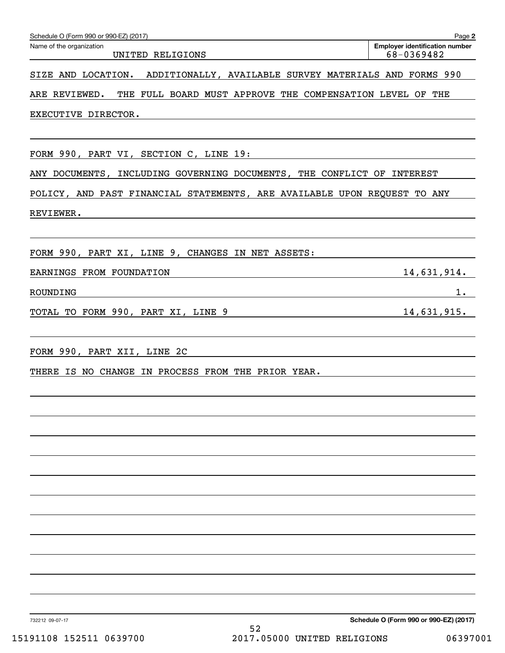| Schedule O (Form 990 or 990-EZ) (2017)                                       | Page 2                                              |
|------------------------------------------------------------------------------|-----------------------------------------------------|
| Name of the organization<br>UNITED RELIGIONS                                 | <b>Employer identification number</b><br>68-0369482 |
| SIZE AND LOCATION.<br>ADDITIONALLY, AVAILABLE SURVEY MATERIALS AND FORMS 990 |                                                     |
| ARE REVIEWED.<br>THE FULL BOARD MUST APPROVE THE COMPENSATION LEVEL OF THE   |                                                     |
| EXECUTIVE DIRECTOR.                                                          |                                                     |
|                                                                              |                                                     |
| FORM 990, PART VI, SECTION C, LINE 19:                                       |                                                     |
| ANY DOCUMENTS, INCLUDING GOVERNING DOCUMENTS, THE CONFLICT OF INTEREST       |                                                     |
| POLICY, AND PAST FINANCIAL STATEMENTS, ARE AVAILABLE UPON REQUEST TO ANY     |                                                     |
| REVIEWER.                                                                    |                                                     |
|                                                                              |                                                     |
| FORM 990, PART XI, LINE 9, CHANGES IN NET ASSETS:                            |                                                     |
| EARNINGS FROM FOUNDATION                                                     | 14,631,914.                                         |
| ROUNDING                                                                     | $1$ .                                               |
| TOTAL TO FORM 990, PART XI, LINE 9                                           | 14,631,915.                                         |
|                                                                              |                                                     |
| FORM 990, PART XII, LINE 2C                                                  |                                                     |
| THERE IS NO CHANGE IN PROCESS FROM THE PRIOR YEAR.                           |                                                     |
|                                                                              |                                                     |
|                                                                              |                                                     |
|                                                                              |                                                     |
|                                                                              |                                                     |
|                                                                              |                                                     |
|                                                                              |                                                     |
|                                                                              |                                                     |
|                                                                              |                                                     |
|                                                                              |                                                     |
|                                                                              |                                                     |
|                                                                              |                                                     |
|                                                                              |                                                     |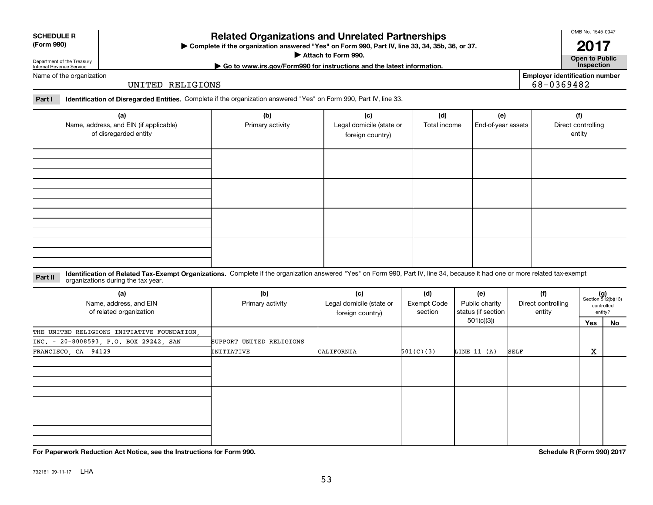# **Related Organizations and Unrelated Partnerships**

**Complete if the organization answered "Yes" on Form 990, Part IV, line 33, 34, 35b, 36, or 37.** |

**Attach to Form 990.**  |

**| Go to www.irs.gov/Form990 for instructions and the latest information. Inspection**

Department of the Treasury Internal Revenue Service Name of the organization

**SCHEDULE R (Form 990)**

UNITED RELIGIONS

**Part I Identification of Disregarded Entities.**  Complete if the organization answered "Yes" on Form 990, Part IV, line 33.

| (a)<br>Name, address, and EIN (if applicable)<br>of disregarded entity | (b)<br>Primary activity | (c)<br>Legal domicile (state or<br>foreign country) | (d)<br>Total income | (e)<br>End-of-year assets | (f)<br>Direct controlling<br>entity |
|------------------------------------------------------------------------|-------------------------|-----------------------------------------------------|---------------------|---------------------------|-------------------------------------|
|                                                                        |                         |                                                     |                     |                           |                                     |
|                                                                        |                         |                                                     |                     |                           |                                     |
|                                                                        |                         |                                                     |                     |                           |                                     |
|                                                                        |                         |                                                     |                     |                           |                                     |

#### **Identification of Related Tax-Exempt Organizations.** Complete if the organization answered "Yes" on Form 990, Part IV, line 34, because it had one or more related tax-exempt **Part II** organizations during the tax year.

| organizations during the tax year.                       |                          |                                                     |                               |                                             |                                     |                   |                                                      |
|----------------------------------------------------------|--------------------------|-----------------------------------------------------|-------------------------------|---------------------------------------------|-------------------------------------|-------------------|------------------------------------------------------|
| (a)<br>Name, address, and EIN<br>of related organization | (b)<br>Primary activity  | (c)<br>Legal domicile (state or<br>foreign country) | (d)<br>Exempt Code<br>section | (e)<br>Public charity<br>status (if section | (f)<br>Direct controlling<br>entity |                   | $(g)$<br>Section 512(b)(13)<br>controlled<br>entity? |
|                                                          |                          |                                                     |                               | 501(c)(3))                                  |                                     | Yes               | No                                                   |
| THE UNITED RELIGIONS INITIATIVE FOUNDATION,              |                          |                                                     |                               |                                             |                                     |                   |                                                      |
| INC. - 20-8008593, P.O. BOX 29242, SAN                   | SUPPORT UNITED RELIGIONS |                                                     |                               |                                             |                                     |                   |                                                      |
| FRANCISCO, CA 94129                                      | INITIATIVE               | CALIFORNIA                                          | 501(C)(3)                     | LINE 11 (A)                                 | SELF                                | $\mathbf{v}$<br>ᅀ |                                                      |
|                                                          |                          |                                                     |                               |                                             |                                     |                   |                                                      |
|                                                          |                          |                                                     |                               |                                             |                                     |                   |                                                      |
|                                                          |                          |                                                     |                               |                                             |                                     |                   |                                                      |
|                                                          |                          |                                                     |                               |                                             |                                     |                   |                                                      |
|                                                          |                          |                                                     |                               |                                             |                                     |                   |                                                      |
|                                                          |                          |                                                     |                               |                                             |                                     |                   |                                                      |

**For Paperwork Reduction Act Notice, see the Instructions for Form 990. Schedule R (Form 990) 2017**

OMB No. 1545-0047

**Open to Public**

**Employer identification number**

68-0369482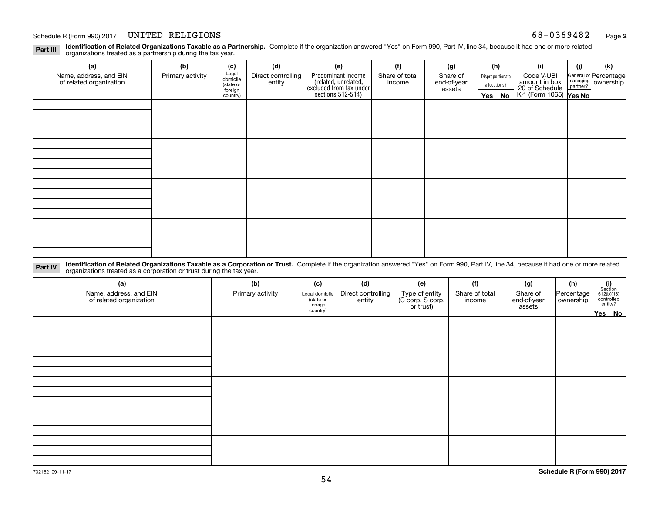#### Schedule R (Form 990) 2017 Page UNITED RELIGIONS 68-0369482

**Identification of Related Organizations Taxable as a Partnership.** Complete if the organization answered "Yes" on Form 990, Part IV, line 34, because it had one or more related **Part III** organizations treated as a partnership during the tax year.

| (b)              | (c)      | (d)                                       | (e)                | (f)            | (g)                                                                            |                       |    | (i)                                                   | (j) | (k)                                                                                                                  |
|------------------|----------|-------------------------------------------|--------------------|----------------|--------------------------------------------------------------------------------|-----------------------|----|-------------------------------------------------------|-----|----------------------------------------------------------------------------------------------------------------------|
| Primary activity |          | Direct controlling                        | Predominant income | Share of total | Share of                                                                       |                       |    | Code V-UBI                                            |     |                                                                                                                      |
|                  |          |                                           |                    |                |                                                                                |                       |    |                                                       |     |                                                                                                                      |
|                  | country) |                                           |                    |                |                                                                                |                       | No |                                                       |     |                                                                                                                      |
|                  |          |                                           |                    |                |                                                                                |                       |    |                                                       |     |                                                                                                                      |
|                  |          |                                           |                    |                |                                                                                |                       |    |                                                       |     |                                                                                                                      |
|                  |          |                                           |                    |                |                                                                                |                       |    |                                                       |     |                                                                                                                      |
|                  |          |                                           |                    |                |                                                                                |                       |    |                                                       |     |                                                                                                                      |
|                  |          |                                           |                    |                |                                                                                |                       |    |                                                       |     |                                                                                                                      |
|                  |          |                                           |                    |                |                                                                                |                       |    |                                                       |     |                                                                                                                      |
|                  |          |                                           |                    |                |                                                                                |                       |    |                                                       |     |                                                                                                                      |
|                  |          |                                           |                    |                |                                                                                |                       |    |                                                       |     |                                                                                                                      |
|                  |          |                                           |                    |                |                                                                                |                       |    |                                                       |     |                                                                                                                      |
|                  |          |                                           |                    |                |                                                                                |                       |    |                                                       |     |                                                                                                                      |
|                  |          |                                           |                    |                |                                                                                |                       |    |                                                       |     |                                                                                                                      |
|                  |          |                                           |                    |                |                                                                                |                       |    |                                                       |     |                                                                                                                      |
|                  |          |                                           |                    |                |                                                                                |                       |    |                                                       |     |                                                                                                                      |
|                  |          |                                           |                    |                |                                                                                |                       |    |                                                       |     |                                                                                                                      |
|                  |          |                                           |                    |                |                                                                                |                       |    |                                                       |     |                                                                                                                      |
|                  |          |                                           |                    |                |                                                                                |                       |    |                                                       |     |                                                                                                                      |
|                  |          | Legal<br>domicile<br>(state or<br>foreign | entity             |                | (related, unrelated,<br>excluded from tax under<br>sections 512-514)<br>income | end-of-year<br>assets |    | (h)<br>Disproportionate<br>allocations?<br>$Yes \mid$ |     | General or Percentage<br>managing ownership<br>partner?<br>amount in box<br>20 of Schedule<br>K-1 (Form 1065) Yes No |

**Identification of Related Organizations Taxable as a Corporation or Trust.** Complete if the organization answered "Yes" on Form 990, Part IV, line 34, because it had one or more related **Part IV** organizations treated as a corporation or trust during the tax year.

| (a)<br>Name, address, and EIN<br>of related organization | (b)<br>Primary activity | (c)<br>Legal domicile<br>(state or<br>foreign | (d)<br>Direct controlling<br>entity | (e)<br>Type of entity<br>(C corp, S corp,<br>or trust) | (f)<br>Share of total<br>income | (g)<br>Share of<br>end-of-year<br>assets | (h)<br>Percentage<br>ownership | $\begin{array}{c} \textbf{(i)}\\ \text{Section}\\ 512 \text{(b)} \text{(13)}\\ \text{controlled}\\ \text{entity?} \end{array}$ |
|----------------------------------------------------------|-------------------------|-----------------------------------------------|-------------------------------------|--------------------------------------------------------|---------------------------------|------------------------------------------|--------------------------------|--------------------------------------------------------------------------------------------------------------------------------|
|                                                          |                         | country)                                      |                                     |                                                        |                                 |                                          |                                | Yes No                                                                                                                         |
|                                                          |                         |                                               |                                     |                                                        |                                 |                                          |                                |                                                                                                                                |
|                                                          |                         |                                               |                                     |                                                        |                                 |                                          |                                |                                                                                                                                |
|                                                          |                         |                                               |                                     |                                                        |                                 |                                          |                                |                                                                                                                                |
|                                                          |                         |                                               |                                     |                                                        |                                 |                                          |                                |                                                                                                                                |
|                                                          |                         |                                               |                                     |                                                        |                                 |                                          |                                |                                                                                                                                |
|                                                          |                         |                                               |                                     |                                                        |                                 |                                          |                                |                                                                                                                                |
|                                                          |                         |                                               |                                     |                                                        |                                 |                                          |                                |                                                                                                                                |
|                                                          |                         |                                               |                                     |                                                        |                                 |                                          |                                |                                                                                                                                |
|                                                          |                         |                                               |                                     |                                                        |                                 |                                          |                                |                                                                                                                                |
|                                                          |                         |                                               |                                     |                                                        |                                 |                                          |                                |                                                                                                                                |
|                                                          |                         |                                               |                                     |                                                        |                                 |                                          |                                |                                                                                                                                |
|                                                          |                         |                                               |                                     |                                                        |                                 |                                          |                                |                                                                                                                                |
|                                                          |                         |                                               |                                     |                                                        |                                 |                                          |                                |                                                                                                                                |
|                                                          |                         |                                               |                                     |                                                        |                                 |                                          |                                |                                                                                                                                |
|                                                          |                         |                                               |                                     |                                                        |                                 |                                          |                                |                                                                                                                                |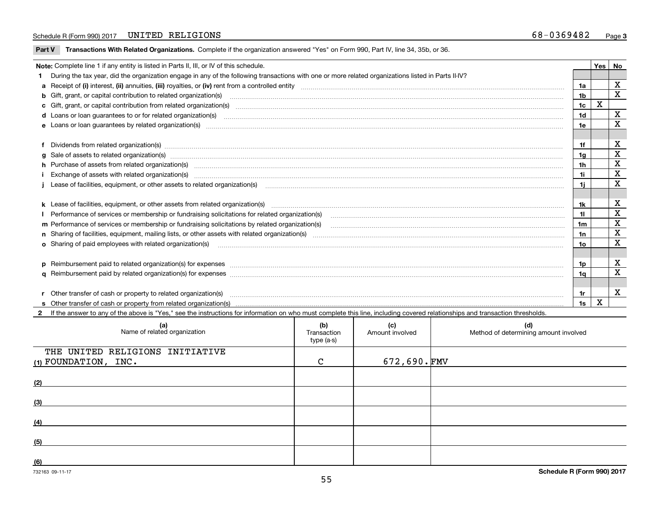#### Schedule R (Form 990) 2017 Page UNITED RELIGIONS 68-0369482

 $\overline{\phantom{a}}$ 

**Part V** T**ransactions With Related Organizations.** Complete if the organization answered "Yes" on Form 990, Part IV, line 34, 35b, or 36.

| Note: Complete line 1 if any entity is listed in Parts II, III, or IV of this schedule. |                                                                                                                                                                                                                                |                |   |             |  |
|-----------------------------------------------------------------------------------------|--------------------------------------------------------------------------------------------------------------------------------------------------------------------------------------------------------------------------------|----------------|---|-------------|--|
|                                                                                         | 1 During the tax year, did the organization engage in any of the following transactions with one or more related organizations listed in Parts II-IV?                                                                          |                |   |             |  |
|                                                                                         |                                                                                                                                                                                                                                | 1a             |   | х           |  |
|                                                                                         |                                                                                                                                                                                                                                | 1b             |   | $\mathbf x$ |  |
|                                                                                         | c Gift, grant, or capital contribution from related organization(s) material contents and content of the contribution from related organization(s) material content of the content of the content of content of the content of | 1c             | X |             |  |
|                                                                                         |                                                                                                                                                                                                                                | 1 <sub>d</sub> |   | х           |  |
|                                                                                         | e Loans or loan quarantees by related organization(s)                                                                                                                                                                          | 1e.            |   | x           |  |
|                                                                                         |                                                                                                                                                                                                                                |                |   |             |  |
|                                                                                         | f Dividends from related organization(s) manufactured contains and contained a series of the contact of the contact of the contact of the contact of the contact of the contact of the contact of the contact of the contact o | 1f             |   | x           |  |
|                                                                                         | g Sale of assets to related organization(s) www.assettion.com/www.assettion.com/www.assettion.com/www.assettion.com/www.assettion.com/www.assettion.com/www.assettion.com/www.assettion.com/www.assettion.com/www.assettion.co | 1a             |   | X           |  |
|                                                                                         | h Purchase of assets from related organization(s) manufactured and content and content and content and content and content and content and content and content and content and content and content and content and content and | 1h             |   | X           |  |
|                                                                                         | Exchange of assets with related organization(s) manufactured and content to the content of the content of the content of the content of the content of the content of the content of the content of the content of the content | 1i.            |   | X           |  |
|                                                                                         |                                                                                                                                                                                                                                | 1i.            |   | X           |  |
|                                                                                         |                                                                                                                                                                                                                                |                |   |             |  |
|                                                                                         |                                                                                                                                                                                                                                | 1k             |   | X           |  |
|                                                                                         | Performance of services or membership or fundraising solicitations for related organization(s)                                                                                                                                 | 11             |   | X           |  |
|                                                                                         | m Performance of services or membership or fundraising solicitations by related organization(s)                                                                                                                                | 1m             |   | X           |  |
|                                                                                         |                                                                                                                                                                                                                                | 1n             |   | $\mathbf x$ |  |
|                                                                                         | <b>o</b> Sharing of paid employees with related organization(s)                                                                                                                                                                | 10             |   | X           |  |
|                                                                                         |                                                                                                                                                                                                                                |                |   |             |  |
|                                                                                         |                                                                                                                                                                                                                                | 1p.            |   | X           |  |
|                                                                                         |                                                                                                                                                                                                                                | 1a             |   | X           |  |
|                                                                                         |                                                                                                                                                                                                                                |                |   |             |  |
|                                                                                         | r Other transfer of cash or property to related organization(s)                                                                                                                                                                | 1r             |   | X           |  |
|                                                                                         |                                                                                                                                                                                                                                | 1s             | х |             |  |

**2**If the answer to any of the above is "Yes," see the instructions for information on who must complete this line, including covered relationships and transaction thresholds.

| (a)<br>Name of related organization                       | (b)<br>Transaction<br>type (a-s) | (c)<br>Amount involved | (d)<br>Method of determining amount involved |
|-----------------------------------------------------------|----------------------------------|------------------------|----------------------------------------------|
| THE UNITED RELIGIONS INITIATIVE<br>$(1)$ FOUNDATION, INC. | $\mathcal{C}$                    | $672,690.\,$ FMV       |                                              |
|                                                           |                                  |                        |                                              |
| (2)                                                       |                                  |                        |                                              |
| (3)                                                       |                                  |                        |                                              |
| (4)                                                       |                                  |                        |                                              |
| (5)                                                       |                                  |                        |                                              |
| (6)                                                       |                                  |                        |                                              |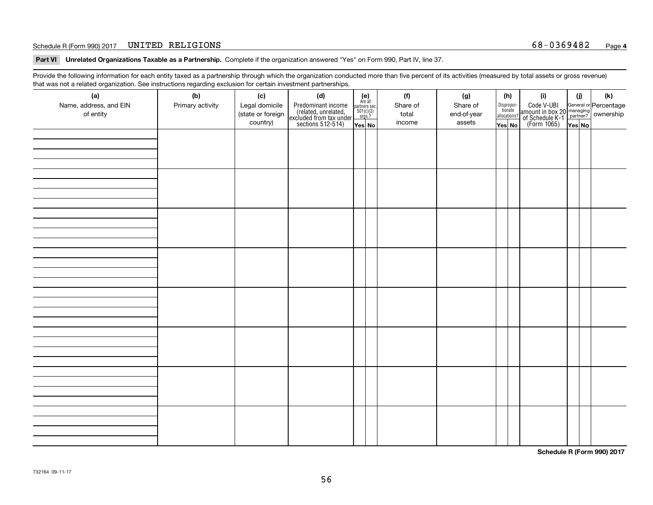#### Schedule R (Form 990) 2017 Page UNITED RELIGIONS 68-0369482

**Part VI Unrelated Organizations Taxable as a Partnership. Complete if the organization answered "Yes" on Form 990, Part IV, line 37.** 

Provide the following information for each entity taxed as a partnership through which the organization conducted more than five percent of its activities (measured by total assets or gross revenue) that was not a related organization. See instructions regarding exclusion for certain investment partnerships.

| ັ                      | ັ<br>ັ           |                   |                                                                                            |                                      |          |  |             |                                       |     |                                                                                                                                       |        |     |
|------------------------|------------------|-------------------|--------------------------------------------------------------------------------------------|--------------------------------------|----------|--|-------------|---------------------------------------|-----|---------------------------------------------------------------------------------------------------------------------------------------|--------|-----|
| (a)                    | (b)              | (c)               | (d)                                                                                        | (e)<br>Are all                       | (f)      |  | (g)         |                                       | (h) | (i)                                                                                                                                   | (i)    | (k) |
| Name, address, and EIN | Primary activity | Legal domicile    | Predominant income<br>(related, unrelated,<br>excluded from tax under<br>sections 512-514) | partners sec.<br>501(c)(3)<br>orgs.? | Share of |  | Share of    | Dispropor-<br>tionate<br>allocations? |     | Code V-UBI<br>  amount in box 20 managing<br>  of Schedule K-1 partner? ownership<br>  of Schedule K-1 partner? ownership<br>  Yes No |        |     |
| of entity              |                  | (state or foreign |                                                                                            |                                      | total    |  | end-of-year |                                       |     |                                                                                                                                       |        |     |
|                        |                  | country)          |                                                                                            | Yes No                               | income   |  | assets      | Yes No                                |     |                                                                                                                                       | Yes No |     |
|                        |                  |                   |                                                                                            |                                      |          |  |             |                                       |     |                                                                                                                                       |        |     |
|                        |                  |                   |                                                                                            |                                      |          |  |             |                                       |     |                                                                                                                                       |        |     |
|                        |                  |                   |                                                                                            |                                      |          |  |             |                                       |     |                                                                                                                                       |        |     |
|                        |                  |                   |                                                                                            |                                      |          |  |             |                                       |     |                                                                                                                                       |        |     |
|                        |                  |                   |                                                                                            |                                      |          |  |             |                                       |     |                                                                                                                                       |        |     |
|                        |                  |                   |                                                                                            |                                      |          |  |             |                                       |     |                                                                                                                                       |        |     |
|                        |                  |                   |                                                                                            |                                      |          |  |             |                                       |     |                                                                                                                                       |        |     |
|                        |                  |                   |                                                                                            |                                      |          |  |             |                                       |     |                                                                                                                                       |        |     |
|                        |                  |                   |                                                                                            |                                      |          |  |             |                                       |     |                                                                                                                                       |        |     |
|                        |                  |                   |                                                                                            |                                      |          |  |             |                                       |     |                                                                                                                                       |        |     |
|                        |                  |                   |                                                                                            |                                      |          |  |             |                                       |     |                                                                                                                                       |        |     |
|                        |                  |                   |                                                                                            |                                      |          |  |             |                                       |     |                                                                                                                                       |        |     |
|                        |                  |                   |                                                                                            |                                      |          |  |             |                                       |     |                                                                                                                                       |        |     |
|                        |                  |                   |                                                                                            |                                      |          |  |             |                                       |     |                                                                                                                                       |        |     |
|                        |                  |                   |                                                                                            |                                      |          |  |             |                                       |     |                                                                                                                                       |        |     |
|                        |                  |                   |                                                                                            |                                      |          |  |             |                                       |     |                                                                                                                                       |        |     |
|                        |                  |                   |                                                                                            |                                      |          |  |             |                                       |     |                                                                                                                                       |        |     |
|                        |                  |                   |                                                                                            |                                      |          |  |             |                                       |     |                                                                                                                                       |        |     |
|                        |                  |                   |                                                                                            |                                      |          |  |             |                                       |     |                                                                                                                                       |        |     |
|                        |                  |                   |                                                                                            |                                      |          |  |             |                                       |     |                                                                                                                                       |        |     |
|                        |                  |                   |                                                                                            |                                      |          |  |             |                                       |     |                                                                                                                                       |        |     |
|                        |                  |                   |                                                                                            |                                      |          |  |             |                                       |     |                                                                                                                                       |        |     |
|                        |                  |                   |                                                                                            |                                      |          |  |             |                                       |     |                                                                                                                                       |        |     |
|                        |                  |                   |                                                                                            |                                      |          |  |             |                                       |     |                                                                                                                                       |        |     |
|                        |                  |                   |                                                                                            |                                      |          |  |             |                                       |     |                                                                                                                                       |        |     |
|                        |                  |                   |                                                                                            |                                      |          |  |             |                                       |     |                                                                                                                                       |        |     |
|                        |                  |                   |                                                                                            |                                      |          |  |             |                                       |     |                                                                                                                                       |        |     |
|                        |                  |                   |                                                                                            |                                      |          |  |             |                                       |     |                                                                                                                                       |        |     |
|                        |                  |                   |                                                                                            |                                      |          |  |             |                                       |     |                                                                                                                                       |        |     |
|                        |                  |                   |                                                                                            |                                      |          |  |             |                                       |     |                                                                                                                                       |        |     |
|                        |                  |                   |                                                                                            |                                      |          |  |             |                                       |     |                                                                                                                                       |        |     |
|                        |                  |                   |                                                                                            |                                      |          |  |             |                                       |     |                                                                                                                                       |        |     |
|                        |                  |                   |                                                                                            |                                      |          |  |             |                                       |     |                                                                                                                                       |        |     |
|                        |                  |                   |                                                                                            |                                      |          |  |             |                                       |     |                                                                                                                                       |        |     |
|                        |                  |                   |                                                                                            |                                      |          |  |             |                                       |     |                                                                                                                                       |        |     |

**Schedule R (Form 990) 2017**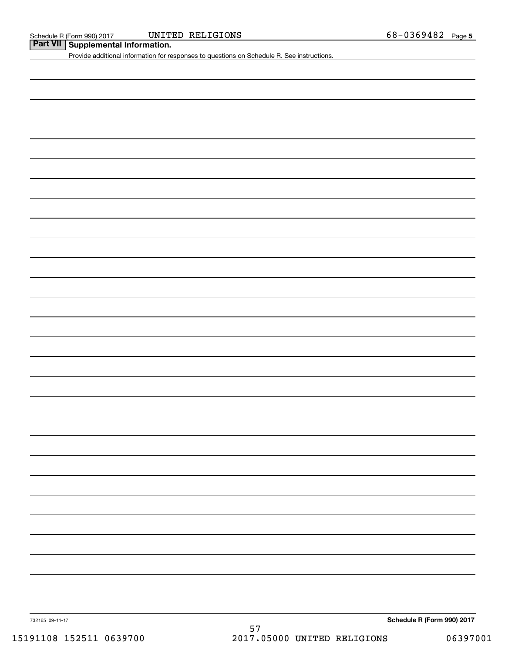#### Schedule R (Form 990) 2017 UNITED RELIGIONS 68-0 36 9 4 8 2 Page

**Part VII** Supplemental Information.

Provide additional information for responses to questions on Schedule R. See instructions.

732165 09-11-17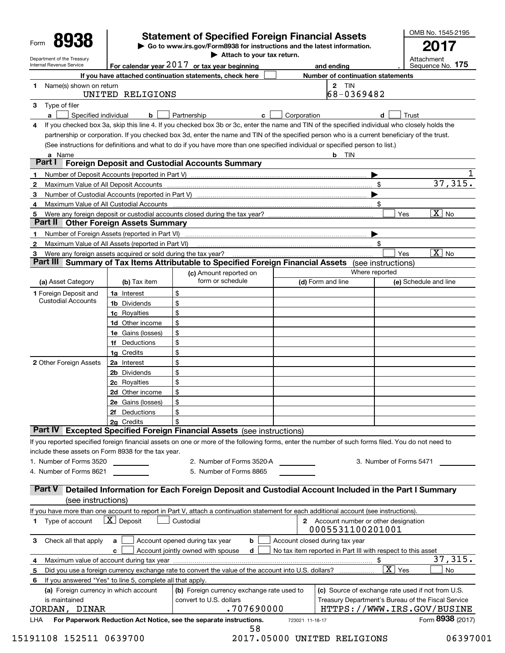|                                                            |                                                               | <b>Statement of Specified Foreign Financial Assets</b>                                                                                             |   |                 |                                                             |                         | OMB No. 1545-2195          |
|------------------------------------------------------------|---------------------------------------------------------------|----------------------------------------------------------------------------------------------------------------------------------------------------|---|-----------------|-------------------------------------------------------------|-------------------------|----------------------------|
| Form                                                       |                                                               | ► Go to www.irs.gov/Form8938 for instructions and the latest information.                                                                          |   |                 |                                                             |                         |                            |
| Department of the Treasury                                 |                                                               | Attach to your tax return.                                                                                                                         |   |                 |                                                             |                         | Attachment                 |
| Internal Revenue Service                                   |                                                               | For calendar year $2017$ or tax year beginning                                                                                                     |   |                 | and ending                                                  |                         | 175<br>Sequence No.        |
|                                                            |                                                               | If you have attached continuation statements, check here                                                                                           |   |                 | <b>Number of continuation statements</b><br>2 TIN           |                         |                            |
| Name(s) shown on return<br>1                               | UNITED RELIGIONS                                              |                                                                                                                                                    |   |                 | 68-0369482                                                  |                         |                            |
| Type of filer<br>3<br>$\mathbf{a}$<br>Specified individual | b                                                             | Partnership                                                                                                                                        | c | Corporation     |                                                             | d                       | Trust                      |
| 4                                                          |                                                               | If you checked box 3a, skip this line 4. If you checked box 3b or 3c, enter the name and TIN of the specified individual who closely holds the     |   |                 |                                                             |                         |                            |
|                                                            |                                                               | partnership or corporation. If you checked box 3d, enter the name and TIN of the specified person who is a current beneficiary of the trust.       |   |                 |                                                             |                         |                            |
|                                                            |                                                               | (See instructions for definitions and what to do if you have more than one specified individual or specified person to list.)                      |   |                 |                                                             |                         |                            |
| a Name<br>Part I                                           |                                                               |                                                                                                                                                    |   |                 | b TIN                                                       |                         |                            |
|                                                            |                                                               | <b>Foreign Deposit and Custodial Accounts Summary</b>                                                                                              |   |                 |                                                             |                         |                            |
| 1<br>2<br>Maximum Value of All Deposit Accounts            |                                                               |                                                                                                                                                    |   |                 | \$                                                          |                         | 37,315.                    |
| 3                                                          | Number of Custodial Accounts (reported in Part V)             |                                                                                                                                                    |   |                 |                                                             |                         |                            |
| 4                                                          | Maximum Value of All Custodial Accounts                       |                                                                                                                                                    |   |                 | \$                                                          |                         |                            |
| 5                                                          |                                                               | Were any foreign deposit or custodial accounts closed during the tax year?                                                                         |   |                 |                                                             | Yes                     | $\overline{X}$ No          |
| Part II                                                    | <b>Other Foreign Assets Summary</b>                           |                                                                                                                                                    |   |                 |                                                             |                         |                            |
| 1                                                          | Number of Foreign Assets (reported in Part VI)                |                                                                                                                                                    |   |                 |                                                             |                         |                            |
| $\mathbf{2}$                                               | Maximum Value of All Assets (reported in Part VI)             |                                                                                                                                                    |   |                 | \$                                                          |                         |                            |
| 3                                                          | Were any foreign assets acquired or sold during the tax year? |                                                                                                                                                    |   |                 |                                                             | Yes                     | $\overline{X}$ No          |
|                                                            |                                                               | Part III Summary of Tax Items Attributable to Specified Foreign Financial Assets                                                                   |   |                 | (see instructions)<br>Where reported                        |                         |                            |
| (a) Asset Category                                         | (b) Tax item                                                  | (c) Amount reported on<br>form or schedule                                                                                                         |   |                 | (d) Form and line                                           |                         | (e) Schedule and line      |
| <b>1</b> Foreign Deposit and                               | 1a Interest                                                   | \$                                                                                                                                                 |   |                 |                                                             |                         |                            |
| <b>Custodial Accounts</b>                                  | 1b Dividends                                                  | \$                                                                                                                                                 |   |                 |                                                             |                         |                            |
|                                                            | <b>1c</b> Royalties                                           | \$                                                                                                                                                 |   |                 |                                                             |                         |                            |
|                                                            | <b>1d</b> Other income                                        | \$                                                                                                                                                 |   |                 |                                                             |                         |                            |
|                                                            | 1e Gains (losses)                                             | \$                                                                                                                                                 |   |                 |                                                             |                         |                            |
|                                                            | 1f Deductions                                                 | \$                                                                                                                                                 |   |                 |                                                             |                         |                            |
|                                                            | 1g Credits                                                    | \$                                                                                                                                                 |   |                 |                                                             |                         |                            |
| 2 Other Foreign Assets                                     | 2a Interest                                                   | \$                                                                                                                                                 |   |                 |                                                             |                         |                            |
|                                                            | 2b Dividends                                                  | \$                                                                                                                                                 |   |                 |                                                             |                         |                            |
|                                                            | 2c Royalties<br>2d Other income                               | \$<br>\$                                                                                                                                           |   |                 |                                                             |                         |                            |
|                                                            | 2e Gains (losses)                                             | \$                                                                                                                                                 |   |                 |                                                             |                         |                            |
|                                                            | 2f Deductions                                                 | \$                                                                                                                                                 |   |                 |                                                             |                         |                            |
|                                                            | 2g Credits                                                    | \$                                                                                                                                                 |   |                 |                                                             |                         |                            |
|                                                            |                                                               | Part IV Excepted Specified Foreign Financial Assets (see instructions)                                                                             |   |                 |                                                             |                         |                            |
|                                                            |                                                               | If you reported specified foreign financial assets on one or more of the following forms, enter the number of such forms filed. You do not need to |   |                 |                                                             |                         |                            |
| include these assets on Form 8938 for the tax year.        |                                                               |                                                                                                                                                    |   |                 |                                                             |                         |                            |
| 1. Number of Forms 3520                                    |                                                               | 2. Number of Forms 3520-A                                                                                                                          |   |                 |                                                             | 3. Number of Forms 5471 |                            |
| 4. Number of Forms 8621                                    |                                                               | 5. Number of Forms 8865                                                                                                                            |   |                 |                                                             |                         |                            |
| <b>Part V</b>                                              |                                                               | Detailed Information for Each Foreign Deposit and Custodial Account Included in the Part I Summary                                                 |   |                 |                                                             |                         |                            |
| (see instructions)                                         |                                                               |                                                                                                                                                    |   |                 |                                                             |                         |                            |
|                                                            |                                                               | If you have more than one account to report in Part V, attach a continuation statement for each additional account (see instructions).             |   |                 |                                                             |                         |                            |
| 1 Type of account                                          | $\lfloor x \rfloor$ Deposit                                   | Custodial                                                                                                                                          |   |                 | 2 Account number or other designation                       |                         |                            |
|                                                            |                                                               |                                                                                                                                                    |   |                 | 0005531100201001                                            |                         |                            |
| Check all that apply<br>3                                  | a                                                             | Account opened during tax year<br>b                                                                                                                |   |                 | Account closed during tax year                              |                         |                            |
|                                                            | c                                                             | d<br>Account jointly owned with spouse                                                                                                             |   |                 | No tax item reported in Part III with respect to this asset |                         | 37,315.                    |
| 4<br>5                                                     |                                                               | Did you use a foreign currency exchange rate to convert the value of the account into U.S. dollars?                                                |   |                 | \$                                                          | $\overline{X}$ Yes      | No                         |
| 6.                                                         | If you answered "Yes" to line 5, complete all that apply.     |                                                                                                                                                    |   |                 |                                                             |                         |                            |
| (a) Foreign currency in which account                      |                                                               | (b) Foreign currency exchange rate used to                                                                                                         |   |                 | (c) Source of exchange rate used if not from U.S.           |                         |                            |
| is maintained                                              |                                                               | convert to U.S. dollars                                                                                                                            |   |                 | Treasury Department's Bureau of the Fiscal Service          |                         |                            |
| JORDAN, DINAR                                              |                                                               | .707690000                                                                                                                                         |   |                 |                                                             |                         | HTTPS://WWW.IRS.GOV/BUSINE |
| LHA                                                        |                                                               | For Paperwork Reduction Act Notice, see the separate instructions.                                                                                 |   | 723021 11-18-17 |                                                             |                         | Form 8938 (2017)           |
|                                                            |                                                               | 58                                                                                                                                                 |   |                 |                                                             |                         |                            |

|  |  |  |  |  |  |  | 15191108 152511 0639700 |  |  |  |  |
|--|--|--|--|--|--|--|-------------------------|--|--|--|--|
|  |  |  |  |  |  |  |                         |  |  |  |  |

 <sup>15191108 152511 0639700 2017.05000</sup> UNITED RELIGIONS 06397001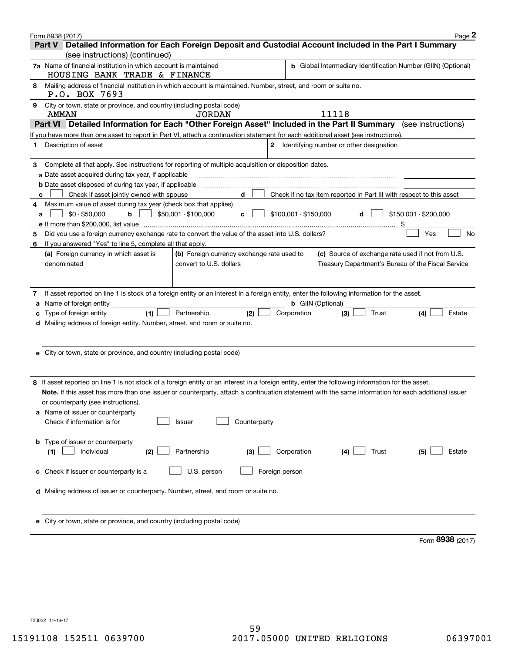| Form 8938 (2017) |                                                                                                                                                    |                                            |                       |                                                                      | Page 2                |
|------------------|----------------------------------------------------------------------------------------------------------------------------------------------------|--------------------------------------------|-----------------------|----------------------------------------------------------------------|-----------------------|
|                  | Part V Detailed Information for Each Foreign Deposit and Custodial Account Included in the Part I Summary                                          |                                            |                       |                                                                      |                       |
|                  | (see instructions) (continued)                                                                                                                     |                                            |                       |                                                                      |                       |
|                  | <b>7a</b> Name of financial institution in which account is maintained<br>HOUSING BANK TRADE & FINANCE                                             |                                            |                       | <b>b</b> Global Intermediary Identification Number (GIIN) (Optional) |                       |
| 8                | Mailing address of financial institution in which account is maintained. Number, street, and room or suite no.<br>P.O. BOX 7693                    |                                            |                       |                                                                      |                       |
| 9                | City or town, state or province, and country (including postal code)                                                                               |                                            |                       |                                                                      |                       |
|                  | AMMAN                                                                                                                                              | <b>JORDAN</b>                              |                       | 11118                                                                |                       |
|                  | Part VI Detailed Information for Each "Other Foreign Asset" Included in the Part II Summary (see instructions)                                     |                                            |                       |                                                                      |                       |
|                  | If you have more than one asset to report in Part VI, attach a continuation statement for each additional asset (see instructions).                |                                            |                       |                                                                      |                       |
| 1                | Description of asset                                                                                                                               |                                            | $\mathbf{2}$          | Identifying number or other designation                              |                       |
| З.               | Complete all that apply. See instructions for reporting of multiple acquisition or disposition dates.                                              |                                            |                       |                                                                      |                       |
|                  |                                                                                                                                                    |                                            |                       |                                                                      |                       |
|                  | <b>b</b> Date asset disposed of during tax year, if applicable                                                                                     |                                            |                       |                                                                      |                       |
| c                | Check if asset jointly owned with spouse                                                                                                           | d                                          |                       | Check if no tax item reported in Part III with respect to this asset |                       |
| 4                | Maximum value of asset during tax year (check box that applies)                                                                                    |                                            |                       |                                                                      |                       |
| a                | $$0 - $50,000$<br>b                                                                                                                                | \$50,001 - \$100,000<br>c                  | \$100,001 - \$150,000 | d                                                                    | \$150,001 - \$200,000 |
|                  | e If more than \$200,000, list value                                                                                                               |                                            |                       |                                                                      |                       |
| 5                | Did you use a foreign currency exchange rate to convert the value of the asset into U.S. dollars?                                                  |                                            |                       |                                                                      | <b>No</b><br>Yes      |
| 6                | If you answered "Yes" to line 5, complete all that apply.                                                                                          |                                            |                       |                                                                      |                       |
|                  | (a) Foreign currency in which asset is                                                                                                             | (b) Foreign currency exchange rate used to |                       | (c) Source of exchange rate used if not from U.S.                    |                       |
|                  | denominated                                                                                                                                        | convert to U.S. dollars                    |                       | Treasury Department's Bureau of the Fiscal Service                   |                       |
|                  |                                                                                                                                                    |                                            |                       |                                                                      |                       |
| 7                | If asset reported on line 1 is stock of a foreign entity or an interest in a foreign entity, enter the following information for the asset.        |                                            |                       |                                                                      |                       |
| а                | Name of foreign entity _                                                                                                                           |                                            |                       | <b>b</b> GIIN (Optional)                                             |                       |
| с                | (1)<br>Type of foreign entity                                                                                                                      | (2)<br>Partnership                         | Corporation           | Trust<br>(3)                                                         | (4)<br>Estate         |
| d                | Mailing address of foreign entity. Number, street, and room or suite no.                                                                           |                                            |                       |                                                                      |                       |
|                  |                                                                                                                                                    |                                            |                       |                                                                      |                       |
|                  |                                                                                                                                                    |                                            |                       |                                                                      |                       |
|                  | e City or town, state or province, and country (including postal code)                                                                             |                                            |                       |                                                                      |                       |
|                  |                                                                                                                                                    |                                            |                       |                                                                      |                       |
|                  |                                                                                                                                                    |                                            |                       |                                                                      |                       |
|                  | 8 If asset reported on line 1 is not stock of a foreign entity or an interest in a foreign entity, enter the following information for the asset.  |                                            |                       |                                                                      |                       |
|                  | Note. If this asset has more than one issuer or counterparty, attach a continuation statement with the same information for each additional issuer |                                            |                       |                                                                      |                       |
|                  | or counterparty (see instructions).                                                                                                                |                                            |                       |                                                                      |                       |
|                  | a Name of issuer or counterparty                                                                                                                   | Counterparty                               |                       |                                                                      |                       |
|                  | Check if information is for                                                                                                                        | Issuer                                     |                       |                                                                      |                       |
| b                | Type of issuer or counterparty                                                                                                                     |                                            |                       |                                                                      |                       |
| (1)              | Individual<br>(2)                                                                                                                                  | Partnership<br>(3)                         | Corporation           | Trust<br>(4)                                                         | (5)<br>Estate         |
|                  |                                                                                                                                                    |                                            |                       |                                                                      |                       |
| c                | Check if issuer or counterparty is a                                                                                                               | U.S. person                                | Foreign person        |                                                                      |                       |
|                  |                                                                                                                                                    |                                            |                       |                                                                      |                       |
| d                | Mailing address of issuer or counterparty. Number, street, and room or suite no.                                                                   |                                            |                       |                                                                      |                       |
|                  |                                                                                                                                                    |                                            |                       |                                                                      |                       |
|                  |                                                                                                                                                    |                                            |                       |                                                                      |                       |
|                  | City or town, state or province, and country (including postal code)                                                                               |                                            |                       |                                                                      |                       |

Form (2017) **8938**

723022 11-18-17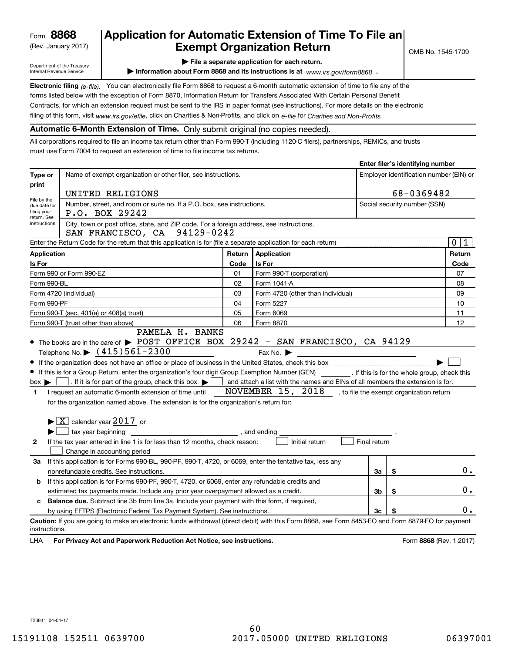(Rev. January 2017)

# **Application for Automatic Extension of Time To File an Exempt Organization Return**

**Enter filer's identifying number**

Department of the Treasury Internal Revenue Service

**| File a separate application for each return.**

▶ Information about Form 8868 and its instructions is at www.irs.gov/form8868 **.** 

**Electronic filing** (e-file). You can electronically file Form 8868 to request a 6-month automatic extension of time to file any of the filing of this form, visit <sub>WWW.irs.gov/efile, click on Charities & Non-Profits, and click on e-file for *Charities and Non-Profits.*</sub> forms listed below with the exception of Form 8870, Information Return for Transfers Associated With Certain Personal Benefit Contracts, for which an extension request must be sent to the IRS in paper format (see instructions). For more details on the electronic

# **Automatic 6-Month Extension of Time.** Only submit original (no copies needed).

All corporations required to file an income tax return other than Form 990-T (including 1120-C filers), partnerships, REMICs, and trusts must use Form 7004 to request an extension of time to file income tax returns.

|                                                        |                                                                                                                                                                                                                                                                                                                                                                                                                                                            |              |                                                                                                                                              |                              | Enter mer s identifying number |                                         |
|--------------------------------------------------------|------------------------------------------------------------------------------------------------------------------------------------------------------------------------------------------------------------------------------------------------------------------------------------------------------------------------------------------------------------------------------------------------------------------------------------------------------------|--------------|----------------------------------------------------------------------------------------------------------------------------------------------|------------------------------|--------------------------------|-----------------------------------------|
| Type or                                                | Name of exempt organization or other filer, see instructions.                                                                                                                                                                                                                                                                                                                                                                                              |              |                                                                                                                                              |                              |                                | Employer identification number (EIN) or |
| print                                                  |                                                                                                                                                                                                                                                                                                                                                                                                                                                            |              |                                                                                                                                              |                              |                                |                                         |
| File by the                                            | UNITED RELIGIONS                                                                                                                                                                                                                                                                                                                                                                                                                                           |              |                                                                                                                                              | 68-0369482                   |                                |                                         |
| due date for<br>filing your<br>return. See             | Number, street, and room or suite no. If a P.O. box, see instructions.<br>P.O. BOX 29242                                                                                                                                                                                                                                                                                                                                                                   |              |                                                                                                                                              | Social security number (SSN) |                                |                                         |
| instructions.                                          | City, town or post office, state, and ZIP code. For a foreign address, see instructions.<br>SAN FRANCISCO, CA 94129-0242                                                                                                                                                                                                                                                                                                                                   |              |                                                                                                                                              |                              |                                |                                         |
|                                                        | Enter the Return Code for the return that this application is for (file a separate application for each return)                                                                                                                                                                                                                                                                                                                                            |              |                                                                                                                                              |                              |                                | $\mathbf 0$<br>1                        |
| <b>Application</b>                                     |                                                                                                                                                                                                                                                                                                                                                                                                                                                            | Return       | Application                                                                                                                                  |                              |                                | Return                                  |
| Is For                                                 |                                                                                                                                                                                                                                                                                                                                                                                                                                                            | Code         | <b>Is For</b>                                                                                                                                |                              |                                | Code                                    |
|                                                        | Form 990 or Form 990-EZ                                                                                                                                                                                                                                                                                                                                                                                                                                    | 01           | Form 990-T (corporation)                                                                                                                     |                              |                                | 07                                      |
| Form 990-BL                                            |                                                                                                                                                                                                                                                                                                                                                                                                                                                            | 02           | Form 1041-A                                                                                                                                  |                              |                                | 08                                      |
|                                                        | Form 4720 (individual)                                                                                                                                                                                                                                                                                                                                                                                                                                     | 03           | Form 4720 (other than individual)                                                                                                            |                              |                                | 09                                      |
| Form 990-PF                                            |                                                                                                                                                                                                                                                                                                                                                                                                                                                            | 04           | Form 5227                                                                                                                                    |                              |                                | 10                                      |
|                                                        | Form 990-T (sec. 401(a) or 408(a) trust)                                                                                                                                                                                                                                                                                                                                                                                                                   | 05           | Form 6069                                                                                                                                    |                              |                                |                                         |
| 06<br>Form 8870<br>Form 990-T (trust other than above) |                                                                                                                                                                                                                                                                                                                                                                                                                                                            |              |                                                                                                                                              | 12                           |                                |                                         |
| $box \blacktriangleright$  <br>1                       | If this is for a Group Return, enter the organization's four digit Group Exemption Number (GEN) [67] If this is for the whole group, check this<br>. If it is for part of the group, check this box $\blacktriangleright$ [<br>a sa T<br>I request an automatic 6-month extension of time until<br>for the organization named above. The extension is for the organization's return for:<br>$\blacktriangleright$ $\boxed{\text{X}}$ calendar year 2017 or |              | and attach a list with the names and EINs of all members the extension is for.<br>NOVEMBER 15, 2018 , to file the exempt organization return |                              |                                |                                         |
|                                                        | tax year beginning                                                                                                                                                                                                                                                                                                                                                                                                                                         | , and ending |                                                                                                                                              |                              |                                |                                         |
| $\mathbf{2}$                                           | If the tax year entered in line 1 is for less than 12 months, check reason:<br>Change in accounting period                                                                                                                                                                                                                                                                                                                                                 |              | Initial return                                                                                                                               | Final return                 |                                |                                         |
| За                                                     | If this application is for Forms 990-BL, 990-PF, 990-T, 4720, or 6069, enter the tentative tax, less any                                                                                                                                                                                                                                                                                                                                                   |              |                                                                                                                                              |                              |                                |                                         |
|                                                        | nonrefundable credits. See instructions.                                                                                                                                                                                                                                                                                                                                                                                                                   |              |                                                                                                                                              | За                           | \$                             | $0$ .                                   |
| b                                                      | If this application is for Forms 990-PF, 990-T, 4720, or 6069, enter any refundable credits and                                                                                                                                                                                                                                                                                                                                                            |              |                                                                                                                                              |                              |                                |                                         |
|                                                        | estimated tax payments made. Include any prior year overpayment allowed as a credit.                                                                                                                                                                                                                                                                                                                                                                       |              |                                                                                                                                              | 3b                           | \$                             | 0.                                      |
| c                                                      | Balance due. Subtract line 3b from line 3a. Include your payment with this form, if required,                                                                                                                                                                                                                                                                                                                                                              |              |                                                                                                                                              |                              |                                |                                         |
|                                                        | by using EFTPS (Electronic Federal Tax Payment System). See instructions.                                                                                                                                                                                                                                                                                                                                                                                  |              |                                                                                                                                              | 3c                           |                                | 0.                                      |
| instructions.<br>LHA                                   | Caution: If you are going to make an electronic funds withdrawal (direct debit) with this Form 8868, see Form 8453-EO and Form 8879-EO for payment<br>For Privacy Act and Paperwork Reduction Act Notice, see instructions.                                                                                                                                                                                                                                |              |                                                                                                                                              |                              |                                | Form 8868 (Rev. 1-2017)                 |
|                                                        |                                                                                                                                                                                                                                                                                                                                                                                                                                                            |              |                                                                                                                                              |                              |                                |                                         |

723841 04-01-17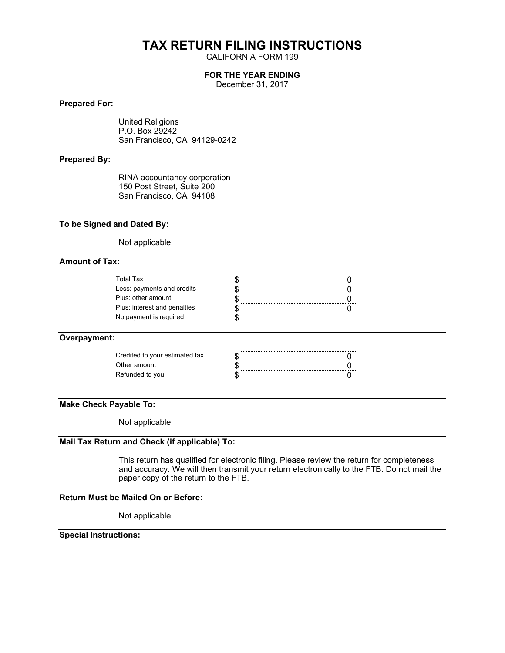# **TAX RETURN FILING INSTRUCTIONS**

CALIFORNIA FORM 199

### **FOR THE YEAR ENDING**

December 31, 2017

# **Prepared For:**

United Religions P.O. Box 29242 San Francisco, CA 94129-0242

### **Prepared By:**

RINA accountancy corporation 150 Post Street, Suite 200 San Francisco, CA 94108

#### **To be Signed and Dated By:**

Not applicable

#### **Amount of Tax:**

#### **Overpayment:**

| Credited to your estimated tax |  |
|--------------------------------|--|
| Other amount                   |  |
| Refunded to you                |  |
|                                |  |

# **Make Check Payable To:**

Not applicable

# **Mail Tax Return and Check (if applicable) To:**

This return has qualified for electronic filing. Please review the return for completeness and accuracy. We will then transmit your return electronically to the FTB. Do not mail the paper copy of the return to the FTB.

#### **Return Must be Mailed On or Before:**

Not applicable

# **Special Instructions:**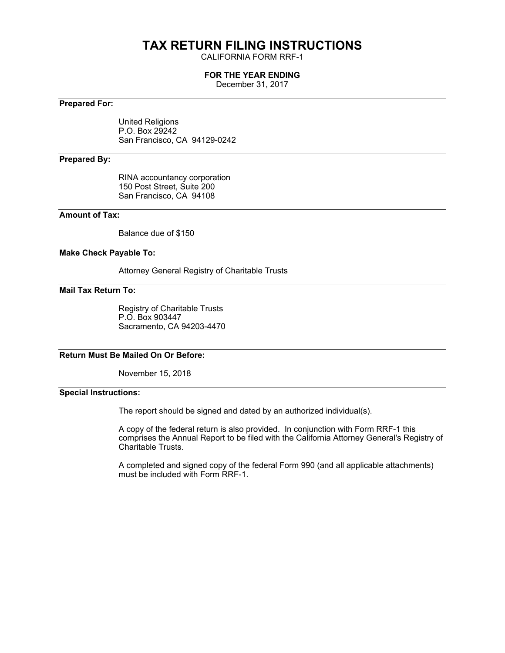# **TAX RETURN FILING INSTRUCTIONS**

CALIFORNIA FORM RRF-1

#### **FOR THE YEAR ENDING**

December 31, 2017

#### **Prepared For:**

United Religions P.O. Box 29242 San Francisco, CA 94129-0242

### **Prepared By:**

RINA accountancy corporation 150 Post Street, Suite 200 San Francisco, CA 94108

### **Amount of Tax:**

Balance due of \$150

#### **Make Check Payable To:**

Attorney General Registry of Charitable Trusts

#### **Mail Tax Return To:**

Registry of Charitable Trusts P.O. Box 903447 Sacramento, CA 94203-4470

# **Return Must Be Mailed On Or Before:**

November 15, 2018

# **Special Instructions:**

The report should be signed and dated by an authorized individual(s).

A copy of the federal return is also provided. In conjunction with Form RRF-1 this comprises the Annual Report to be filed with the California Attorney General's Registry of Charitable Trusts.

A completed and signed copy of the federal Form 990 (and all applicable attachments) must be included with Form RRF-1.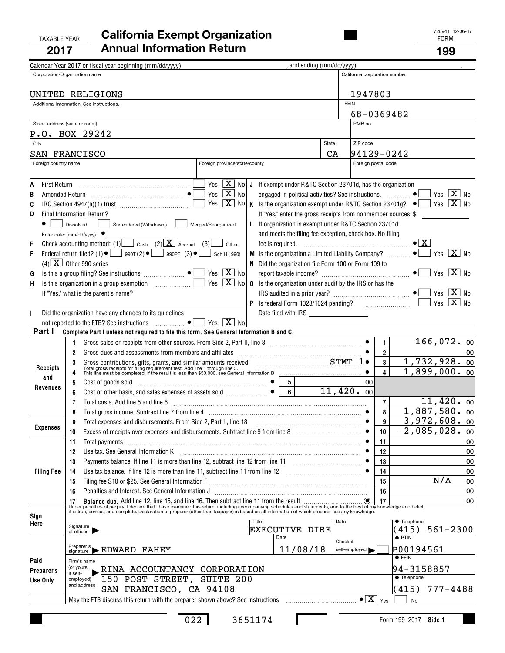#### TAXABLE YEAR **California Exempt Organization Taxable Year 19941 2017Annual Information Return <sup>199</sup>**

|      |                      | Calendar Year 2017 or fiscal year beginning (mm/dd/yyyy)                                                                                                                                                                                        |                                          | , and ending (mm/dd/yyyy)                                        |                           |                               |                                                                                                 |
|------|----------------------|-------------------------------------------------------------------------------------------------------------------------------------------------------------------------------------------------------------------------------------------------|------------------------------------------|------------------------------------------------------------------|---------------------------|-------------------------------|-------------------------------------------------------------------------------------------------|
|      |                      | Corporation/Organization name                                                                                                                                                                                                                   |                                          |                                                                  |                           | California corporation number |                                                                                                 |
|      |                      |                                                                                                                                                                                                                                                 |                                          |                                                                  |                           |                               |                                                                                                 |
|      |                      | UNITED RELIGIONS                                                                                                                                                                                                                                |                                          |                                                                  |                           | 1947803                       |                                                                                                 |
|      |                      | Additional information. See instructions.                                                                                                                                                                                                       |                                          |                                                                  | <b>FEIN</b>               |                               |                                                                                                 |
|      |                      |                                                                                                                                                                                                                                                 |                                          |                                                                  |                           | 68-0369482                    |                                                                                                 |
|      |                      | Street address (suite or room)                                                                                                                                                                                                                  |                                          |                                                                  | PMB no.                   |                               |                                                                                                 |
|      |                      | P.O. BOX 29242                                                                                                                                                                                                                                  |                                          |                                                                  |                           |                               |                                                                                                 |
|      | City                 |                                                                                                                                                                                                                                                 |                                          |                                                                  | State<br>ZIP code         |                               |                                                                                                 |
|      |                      |                                                                                                                                                                                                                                                 |                                          |                                                                  |                           |                               |                                                                                                 |
|      |                      | SAN FRANCISCO                                                                                                                                                                                                                                   |                                          |                                                                  | CA                        | 94129-0242                    |                                                                                                 |
|      | Foreign country name |                                                                                                                                                                                                                                                 | Foreign province/state/county            |                                                                  |                           | Foreign postal code           |                                                                                                 |
|      |                      |                                                                                                                                                                                                                                                 |                                          |                                                                  |                           |                               |                                                                                                 |
| A    |                      |                                                                                                                                                                                                                                                 | Yes $\boxed{\mathbf{X}}$ No J            | If exempt under R&TC Section 23701d, has the organization        |                           |                               |                                                                                                 |
| B    |                      |                                                                                                                                                                                                                                                 | Yes $\boxed{\mathbf{X}}$ No              |                                                                  |                           |                               | $\lceil X \rceil$ No<br>Yes                                                                     |
| C    |                      |                                                                                                                                                                                                                                                 | Yes $\boxed{\mathbf{X}}$ No              |                                                                  |                           |                               | K Is the organization exempt under R&TC Section 23701g? $\bullet$   Yes $\boxed{\mathbf{X}}$ No |
| D    |                      | Final Information Return?                                                                                                                                                                                                                       |                                          | If "Yes," enter the gross receipts from nonmember sources \$     |                           |                               |                                                                                                 |
|      |                      | Surrendered (Withdrawn)<br>Dissolved                                                                                                                                                                                                            | Merged/Reorganized                       | L If organization is exempt under R&TC Section 23701d            |                           |                               |                                                                                                 |
|      |                      | Enter date: (mm/dd/yyyy) ●                                                                                                                                                                                                                      |                                          | and meets the filing fee exception, check box. No filing         |                           |                               |                                                                                                 |
| Е    |                      | Check accounting method: (1) $\Box$ cash (2) $\boxed{\mathbf{X}}$ Accrual (3)                                                                                                                                                                   | Other                                    |                                                                  |                           |                               | $\bullet$ $\mid$ X $\mid$                                                                       |
| F    |                      | Federal return filed? (1) $\bullet$ $\bullet$ 990T (2) $\bullet$ 990PF (3) $\bullet$                                                                                                                                                            | Sch H (990)                              | <b>M</b> Is the organization a Limited Liability Company? $\Box$ |                           |                               | Yes $ \overline{\mathbf{X}} $ No                                                                |
|      |                      | $(4)$ $\boxed{\text{X}}$ Other 990 series                                                                                                                                                                                                       |                                          | N Did the organization file Form 100 or Form 109 to              |                           |                               |                                                                                                 |
| G    |                      |                                                                                                                                                                                                                                                 | Yes $\boxed{\mathbf{X}}$ No              |                                                                  |                           |                               |                                                                                                 |
| н    |                      | Is this organization in a group exemption<br>and the state of the state of the                                                                                                                                                                  | Yes $\boxed{\mathbf{X}}$ No              | <b>0</b> Is the organization under audit by the IRS or has the   |                           |                               |                                                                                                 |
|      |                      | If "Yes," what is the parent's name?                                                                                                                                                                                                            |                                          |                                                                  |                           |                               | Yes                                                                                             |
|      |                      |                                                                                                                                                                                                                                                 |                                          |                                                                  |                           |                               | $X \mid N_0$<br>Yes                                                                             |
|      |                      | Did the organization have any changes to its guidelines                                                                                                                                                                                         |                                          | Date filed with IRS ____________________                         |                           |                               |                                                                                                 |
|      |                      | not reported to the FTB? See instructions                                                                                                                                                                                                       | Yes $\boxed{\mathbf{X}}$ No<br>$\bullet$ |                                                                  |                           |                               |                                                                                                 |
|      | Part I               | Complete Part I unless not required to file this form. See General Information B and C.                                                                                                                                                         |                                          |                                                                  |                           |                               |                                                                                                 |
|      |                      |                                                                                                                                                                                                                                                 |                                          |                                                                  |                           | $\mathbf{1}$                  | 166,072.00                                                                                      |
|      |                      | 1.                                                                                                                                                                                                                                              |                                          |                                                                  |                           |                               |                                                                                                 |
|      |                      | Gross dues and assessments from members and affiliates [111] [12] contains the same state and assessments from members and affiliates [11] [12] $\frac{1}{2}$<br>2                                                                              |                                          |                                                                  |                           | $\mathbf{2}$                  | 00<br>1,732,928.00                                                                              |
|      | Receipts             | Gross contributions, gifts, grants, and similar amounts received <b>STMT</b><br>Total gross receipts for filing requirement test. Add line 1 through line 3.<br>This line must be completed. If the result is less than \$50,000, see Gene<br>3 |                                          |                                                                  |                           | $3\phantom{.0}$               |                                                                                                 |
|      | and                  | 4                                                                                                                                                                                                                                               |                                          |                                                                  |                           | 4                             | $1,899,000.$ 00                                                                                 |
|      | Revenues             | Cost of goods sold<br>Cost or other basis, and sales expenses of assets sold<br>Cost or other basis, and sales expenses of assets sold<br>Cost or other basis, and sales expenses of assets sold<br>Cost or only and sales expenses of<br>5     |                                          |                                                                  |                           |                               |                                                                                                 |
|      |                      | 6                                                                                                                                                                                                                                               |                                          |                                                                  |                           |                               |                                                                                                 |
|      |                      | 7                                                                                                                                                                                                                                               |                                          |                                                                  |                           | $\overline{7}$                | $11,420.$ 00                                                                                    |
|      |                      | Total gross income. Subtract line 7 from line 4 [11] manufactures in the substitution of the Subtract line 7 from line 4 [11] manufactures in the substitution of the Subtracture of the Substitution of the Substitution of t<br>8             |                                          |                                                                  |                           | 8                             | 1,887,580. 00                                                                                   |
|      | <b>Expenses</b>      | Total expenses and disbursements. From Side 2, Part II, line 18<br>9                                                                                                                                                                            |                                          |                                                                  |                           | 9<br>$\bullet$                | $3,972,608.$ 00                                                                                 |
|      |                      | Excess of receipts over expenses and disbursements. Subtract line 9 from line 8<br>10                                                                                                                                                           |                                          |                                                                  |                           | 10                            | $-2,085,028.$ 00                                                                                |
|      |                      | 11<br>Total payments                                                                                                                                                                                                                            |                                          |                                                                  |                           | 11                            | 00                                                                                              |
|      |                      | 12                                                                                                                                                                                                                                              |                                          |                                                                  |                           | 12                            | 00                                                                                              |
|      |                      | Payments balance. If line 11 is more than line 12, subtract line 12 from line 11<br>13                                                                                                                                                          |                                          |                                                                  |                           | 13                            | 00                                                                                              |
|      | <b>Filing Fee</b>    | Use tax balance. If line 12 is more than line 11, subtract line 11 from line 12 [11] [12] [11] [12] [11] [12] [11] [12] [11] [12] [11] [12] [11] [12] [11] [12] [11] [12] [11] [12] [11] [12] [11] [12] [11] [12] [11] [12] [1<br>14            |                                          |                                                                  |                           | 14                            | 00                                                                                              |
|      |                      | 15                                                                                                                                                                                                                                              |                                          |                                                                  |                           | 15                            | N/A<br>00                                                                                       |
|      |                      | Penalties and Interest. See General Information J<br>16                                                                                                                                                                                         |                                          |                                                                  |                           | 16                            | 00                                                                                              |
|      |                      |                                                                                                                                                                                                                                                 |                                          |                                                                  |                           |                               | 00                                                                                              |
|      |                      | it is true, correct, and complete. Declaration of preparer (other than taxpayer) is based on all information of which preparer has any knowledge.                                                                                               |                                          |                                                                  |                           |                               |                                                                                                 |
| Sign |                      |                                                                                                                                                                                                                                                 | Title                                    |                                                                  | Date                      |                               | ● Telephone                                                                                     |
| Here |                      | Signature<br>of officer                                                                                                                                                                                                                         |                                          | <b>EXECUTIVE DIRE</b>                                            |                           |                               | $561 - 2300$<br>(415)                                                                           |
|      |                      |                                                                                                                                                                                                                                                 |                                          | Date                                                             |                           |                               | $\overline{\bullet}$ PTIN                                                                       |
|      |                      | Preparer's<br>EDWARD FAHEY                                                                                                                                                                                                                      |                                          | 11/08/18                                                         | Check if<br>self-employed |                               | P00194561                                                                                       |
|      |                      | signature                                                                                                                                                                                                                                       |                                          |                                                                  |                           |                               | $\bullet$ FEIN                                                                                  |
| Paid |                      | Firm's name<br>(or yours,                                                                                                                                                                                                                       |                                          |                                                                  |                           |                               |                                                                                                 |
|      | Preparer's           | RINA ACCOUNTANCY CORPORATION<br>if self-                                                                                                                                                                                                        |                                          |                                                                  |                           |                               | 94-3158857<br>● Telephone                                                                       |
|      | Use Only             | 150 POST STREET, SUITE 200<br>employed)<br>and address                                                                                                                                                                                          |                                          |                                                                  |                           |                               |                                                                                                 |
|      |                      | SAN FRANCISCO, CA 94108                                                                                                                                                                                                                         |                                          |                                                                  |                           |                               | $777 - 4488$<br>(415)                                                                           |
|      |                      | May the FTB discuss this return with the preparer shown above? See instructions                                                                                                                                                                 |                                          |                                                                  |                           | $\bullet$ $\boxed{X}$<br>Yes  | No                                                                                              |

 $\mathbf I$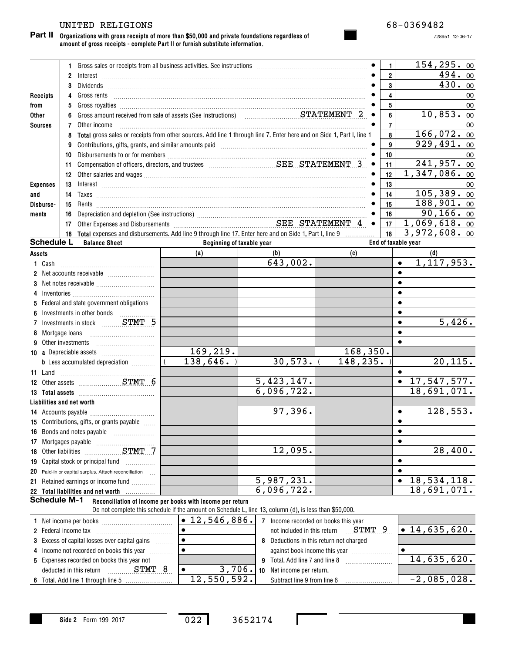#### UNITED RELIGIONS 68-0369482

#### **Organizations with gross receipts of more than \$50,000 and private foundations regardless of Part II amount of gross receipts - complete Part II or furnish substitute information.**

|                     |                                                                                                                                                                                                                                                                                                                                                                                   | 1 Gross sales or receipts from all business activities. See instructions [11] Gross sales or receipts from all business activities. See instructions [11] Gross sales or receipts from all business activities. |                                                                                                        |                          |  |           | 1.                      | 154, 295.00                             |
|---------------------|-----------------------------------------------------------------------------------------------------------------------------------------------------------------------------------------------------------------------------------------------------------------------------------------------------------------------------------------------------------------------------------|-----------------------------------------------------------------------------------------------------------------------------------------------------------------------------------------------------------------|--------------------------------------------------------------------------------------------------------|--------------------------|--|-----------|-------------------------|-----------------------------------------|
|                     | $\overline{2}$                                                                                                                                                                                                                                                                                                                                                                    | $Interest \begin{tabular}{l}  \end{tabular} \label{tab:2}$                                                                                                                                                      |                                                                                                        |                          |  |           | $\overline{\mathbf{2}}$ | 494.00                                  |
|                     | 3                                                                                                                                                                                                                                                                                                                                                                                 |                                                                                                                                                                                                                 |                                                                                                        |                          |  |           | 3                       | 430.00                                  |
| Receipts            | 4                                                                                                                                                                                                                                                                                                                                                                                 |                                                                                                                                                                                                                 |                                                                                                        |                          |  |           | 4                       | 00                                      |
| from                | 5                                                                                                                                                                                                                                                                                                                                                                                 |                                                                                                                                                                                                                 |                                                                                                        |                          |  |           | 5                       | 00                                      |
| Other               | 6                                                                                                                                                                                                                                                                                                                                                                                 |                                                                                                                                                                                                                 |                                                                                                        |                          |  |           | 6                       | 10,853.00                               |
| <b>Sources</b>      | 7                                                                                                                                                                                                                                                                                                                                                                                 | Other income                                                                                                                                                                                                    |                                                                                                        |                          |  |           | $\overline{7}$          | 00                                      |
|                     | 8                                                                                                                                                                                                                                                                                                                                                                                 | Total gross sales or receipts from other sources. Add line 1 through line 7. Enter here and on Side 1, Part I, line 1                                                                                           |                                                                                                        |                          |  |           | 8                       | 166,072.00                              |
|                     | 9                                                                                                                                                                                                                                                                                                                                                                                 | Contributions, gifts, grants, and similar amounts paid manufactured contributions, and similar amounts and similar amounts paid manufactured contractions.                                                      |                                                                                                        |                          |  |           | 9                       | 929,491.00                              |
|                     | 10                                                                                                                                                                                                                                                                                                                                                                                |                                                                                                                                                                                                                 |                                                                                                        |                          |  |           | 10                      | 00                                      |
|                     | 11                                                                                                                                                                                                                                                                                                                                                                                |                                                                                                                                                                                                                 |                                                                                                        |                          |  |           | 11                      | 241,957.00                              |
|                     | 12                                                                                                                                                                                                                                                                                                                                                                                |                                                                                                                                                                                                                 |                                                                                                        |                          |  |           | 12                      | $1,347,086.$ 00                         |
|                     | <b>Expenses</b><br>13<br>$Interest \begin{array}{c} \rule{2.5cm}{0.15cm} \rule{2.5cm}{0.15cm} \rule{2.5cm}{0.15cm} \rule{2.5cm}{0.15cm} \rule{2.5cm}{0.15cm} \rule{2.5cm}{0.15cm} \rule{2.5cm}{0.15cm} \rule{2.5cm}{0.15cm} \rule{2.5cm}{0.15cm} \rule{2.5cm}{0.15cm} \rule{2.5cm}{0.15cm} \rule{2.5cm}{0.15cm} \rule{2.5cm}{0.15cm} \rule{2.5cm}{0.15cm} \rule{2.5cm}{0.15cm} \$ |                                                                                                                                                                                                                 |                                                                                                        |                          |  |           | 13                      | 00                                      |
| and                 | 14                                                                                                                                                                                                                                                                                                                                                                                | $Taxes$                                                                                                                                                                                                         |                                                                                                        |                          |  |           | 14                      | 105,389.00                              |
| Disburse-           | 15                                                                                                                                                                                                                                                                                                                                                                                |                                                                                                                                                                                                                 |                                                                                                        |                          |  |           | 15                      | $188,901.$ 00                           |
| ments               | 16                                                                                                                                                                                                                                                                                                                                                                                |                                                                                                                                                                                                                 |                                                                                                        |                          |  |           | 16                      | 90, 166.00                              |
|                     | 17                                                                                                                                                                                                                                                                                                                                                                                | Other Expenses and Disbursements Material Material SEE STATEMENT 4                                                                                                                                              |                                                                                                        |                          |  |           | 17                      | 1,069,618.00                            |
|                     |                                                                                                                                                                                                                                                                                                                                                                                   | 18 Total expenses and disbursements. Add line 9 through line 17. Enter here and on Side 1, Part I, line 9                                                                                                       |                                                                                                        |                          |  |           | 18                      | 3,972,608.00                            |
| <b>Schedule L</b>   |                                                                                                                                                                                                                                                                                                                                                                                   | <b>Balance Sheet</b>                                                                                                                                                                                            | Beginning of taxable year                                                                              |                          |  |           |                         | End of taxable year                     |
| Assets              |                                                                                                                                                                                                                                                                                                                                                                                   |                                                                                                                                                                                                                 | (a)                                                                                                    | (b)                      |  | (c)       |                         | (d)                                     |
| 1 Cash              |                                                                                                                                                                                                                                                                                                                                                                                   |                                                                                                                                                                                                                 |                                                                                                        | 643,002.                 |  |           |                         | 1, 117, 953.<br>$\bullet$               |
|                     |                                                                                                                                                                                                                                                                                                                                                                                   |                                                                                                                                                                                                                 |                                                                                                        |                          |  |           |                         | $\bullet$                               |
|                     |                                                                                                                                                                                                                                                                                                                                                                                   |                                                                                                                                                                                                                 |                                                                                                        |                          |  |           |                         | $\bullet$                               |
|                     |                                                                                                                                                                                                                                                                                                                                                                                   |                                                                                                                                                                                                                 |                                                                                                        |                          |  |           |                         | $\bullet$                               |
|                     |                                                                                                                                                                                                                                                                                                                                                                                   | 5 Federal and state government obligations                                                                                                                                                                      |                                                                                                        |                          |  |           |                         | $\bullet$                               |
|                     |                                                                                                                                                                                                                                                                                                                                                                                   | Investments in other bonds                                                                                                                                                                                      |                                                                                                        |                          |  |           |                         | $\bullet$                               |
|                     |                                                                                                                                                                                                                                                                                                                                                                                   |                                                                                                                                                                                                                 |                                                                                                        |                          |  |           |                         | 5,426.<br>$\bullet$                     |
| 8                   | Mortgage loans                                                                                                                                                                                                                                                                                                                                                                    |                                                                                                                                                                                                                 |                                                                                                        |                          |  |           |                         | $\bullet$                               |
| 9                   | Other investments                                                                                                                                                                                                                                                                                                                                                                 |                                                                                                                                                                                                                 |                                                                                                        |                          |  |           |                         | $\bullet$                               |
|                     |                                                                                                                                                                                                                                                                                                                                                                                   |                                                                                                                                                                                                                 | 169,219.                                                                                               |                          |  | 168, 350. |                         |                                         |
|                     |                                                                                                                                                                                                                                                                                                                                                                                   | <b>b</b> Less accumulated depreciation <i></i>                                                                                                                                                                  | 138,646.                                                                                               | 30, 573.                 |  | 148, 235. |                         | 20, 115.                                |
|                     |                                                                                                                                                                                                                                                                                                                                                                                   |                                                                                                                                                                                                                 |                                                                                                        |                          |  |           |                         | $\bullet$                               |
|                     |                                                                                                                                                                                                                                                                                                                                                                                   | 12 Other assets STMT 6                                                                                                                                                                                          |                                                                                                        | 5,423,147.<br>6,096,722. |  |           |                         | $\bullet$ 17,547,577.                   |
|                     |                                                                                                                                                                                                                                                                                                                                                                                   |                                                                                                                                                                                                                 |                                                                                                        |                          |  |           |                         | 18,691,071.                             |
|                     |                                                                                                                                                                                                                                                                                                                                                                                   | Liabilities and net worth                                                                                                                                                                                       |                                                                                                        | 97,396.                  |  |           |                         | 128,553.                                |
|                     |                                                                                                                                                                                                                                                                                                                                                                                   |                                                                                                                                                                                                                 |                                                                                                        |                          |  |           |                         | $\bullet$                               |
|                     |                                                                                                                                                                                                                                                                                                                                                                                   | 15 Contributions, gifts, or grants payable<br>16 Bonds and notes payable                                                                                                                                        |                                                                                                        |                          |  |           |                         | $\bullet$                               |
|                     |                                                                                                                                                                                                                                                                                                                                                                                   |                                                                                                                                                                                                                 |                                                                                                        |                          |  |           |                         | $\bullet$                               |
|                     |                                                                                                                                                                                                                                                                                                                                                                                   | STMT 7                                                                                                                                                                                                          |                                                                                                        | 12,095.                  |  |           |                         | 28,400.                                 |
|                     |                                                                                                                                                                                                                                                                                                                                                                                   | 19 Capital stock or principal fund                                                                                                                                                                              |                                                                                                        |                          |  |           |                         | $\bullet$                               |
|                     |                                                                                                                                                                                                                                                                                                                                                                                   |                                                                                                                                                                                                                 |                                                                                                        |                          |  |           |                         | $\bullet$                               |
|                     |                                                                                                                                                                                                                                                                                                                                                                                   | 20 Paid-in or capital surplus. Attach reconciliation<br>21 Retained earnings or income fund                                                                                                                     |                                                                                                        | 5,987,231.               |  |           |                         | $\overline{18, 534, 118.}$<br>$\bullet$ |
|                     |                                                                                                                                                                                                                                                                                                                                                                                   | 22 Total liabilities and net worth                                                                                                                                                                              |                                                                                                        | 6,096,722.               |  |           |                         | 18,691,071.                             |
| <b>Schedule M-1</b> |                                                                                                                                                                                                                                                                                                                                                                                   |                                                                                                                                                                                                                 | Reconciliation of income per books with income per return                                              |                          |  |           |                         |                                         |
|                     |                                                                                                                                                                                                                                                                                                                                                                                   |                                                                                                                                                                                                                 | Do not complete this schedule if the amount on Schedule L, line 13, column (d), is less than \$50,000. |                          |  |           |                         |                                         |

**1**Net income per books ~~~~~~~~~~~~**2** Federal income tax \_\_\_\_\_\_\_\_\_\_\_\_\_\_\_\_\_\_\_\_\_\_\_\_\_\_\_\_\_\_\_ **3** Excess of capital losses over capital gains  $\ldots$ **4** Income not recorded on books this year  $\ldots$ **5**Expenses recorded on books this year not **6**Total. Add line 1 through line 5 ...... |● エZ**, 546, 886 <sub>•</sub> | 7** Income recorded on books this year **8** Deductions in this return not charged **9**Total. Add line 7 and line 8 ~~~~~~~~**10** Net income per return.  $\blacksquare$   $\blacksquare$   $\blacksquare$   $\blacksquare$   $\blacksquare$   $\blacksquare$   $\blacksquare$   $\blacksquare$   $\blacksquare$   $\blacksquare$   $\blacksquare$   $\blacksquare$   $\blacksquare$   $\blacksquare$   $\blacksquare$   $\blacksquare$   $\blacksquare$   $\blacksquare$   $\blacksquare$   $\blacksquare$   $\blacksquare$   $\blacksquare$   $\blacksquare$   $\blacksquare$   $\blacksquare$   $\blacksquare$   $\blacksquare$   $\blacksquare$   $\blacksquare$   $\blacksquare$   $\blacksquare$   $\blacks$ against book income this year  $~\dots \dots \dots \dots \dots \dots \dots$ deducted in this return  $\qquad \qquad \qquad \mathbf{STMT} \quad 8$ Subtract line 9 from line 6 ¥12,546,886.  $\bullet$  $\bullet$  $\bullet$  $\bullet$  $\bullet$  $\bullet$ 3,706. 12,550,592. 14,635,620. 14,635,620.  $-2,085,028.$ 

022 3652174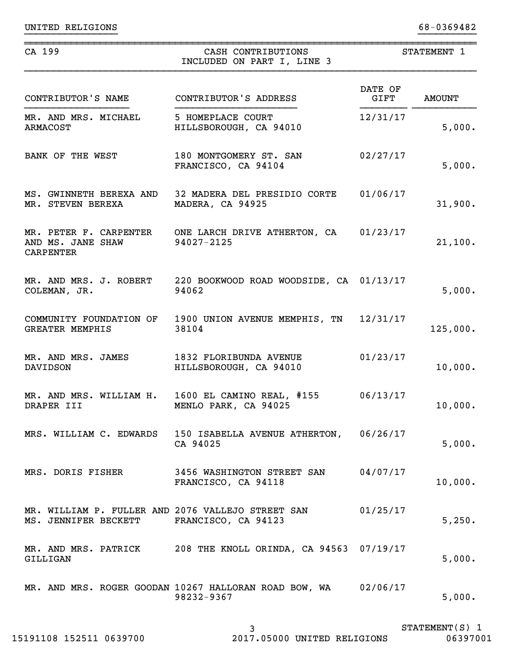UNITED RELIGIONS 68-0369482

| CA 199                                                                    | CASH CONTRIBUTIONS<br>INCLUDED ON PART I, LINE 3                             |                 | STATEMENT 1   |
|---------------------------------------------------------------------------|------------------------------------------------------------------------------|-----------------|---------------|
| CONTRIBUTOR'S NAME                                                        | CONTRIBUTOR'S ADDRESS                                                        | DATE OF<br>GIFT | <b>AMOUNT</b> |
| MR. AND MRS. MICHAEL<br><b>ARMACOST</b>                                   | 5 HOMEPLACE COURT<br>HILLSBOROUGH, CA 94010                                  | 12/31/17        | 5,000.        |
| BANK OF THE WEST                                                          | 180 MONTGOMERY ST. SAN<br>FRANCISCO, CA 94104                                | 02/27/17        | 5,000.        |
| MR. STEVEN BEREXA                                                         | MS. GWINNETH BEREXA AND 32 MADERA DEL PRESIDIO CORTE<br>MADERA, CA 94925     | 01/06/17        | 31,900.       |
| AND MS. JANE SHAW<br><b>CARPENTER</b>                                     | MR. PETER F. CARPENTER ONE LARCH DRIVE ATHERTON, CA 01/23/17<br>94027-2125   |                 | 21,100.       |
| COLEMAN, JR.                                                              | MR. AND MRS. J. ROBERT 220 BOOKWOOD ROAD WOODSIDE, CA 01/13/17<br>94062      |                 | 5,000.        |
| <b>GREATER MEMPHIS</b>                                                    | COMMUNITY FOUNDATION OF 1900 UNION AVENUE MEMPHIS, TN 12/31/17<br>38104      |                 | 125,000.      |
| MR. AND MRS. JAMES<br><b>DAVIDSON</b>                                     | 1832 FLORIBUNDA AVENUE<br>HILLSBOROUGH, CA 94010                             | 01/23/17        | 10,000.       |
| DRAPER III                                                                | MR. AND MRS. WILLIAM H. 1600 EL CAMINO REAL, #155<br>MENLO PARK, CA 94025    | 06/13/17        | 10,000.       |
|                                                                           | MRS. WILLIAM C. EDWARDS 150 ISABELLA AVENUE ATHERTON, 06/26/17<br>CA 94025   |                 | 5,000.        |
| MRS. DORIS FISHER                                                         | 3456 WASHINGTON STREET SAN 04/07/17<br>FRANCISCO, CA 94118                   |                 | 10,000.       |
| MR. WILLIAM P. FULLER AND 2076 VALLEJO STREET SAN<br>MS. JENNIFER BECKETT | FRANCISCO, CA 94123                                                          | 01/25/17        | 5,250.        |
| GILLIGAN                                                                  | MR. AND MRS. PATRICK 208 THE KNOLL ORINDA, CA 94563 07/19/17                 |                 | 5,000.        |
|                                                                           | MR. AND MRS. ROGER GOODAN 10267 HALLORAN ROAD BOW, WA 02/06/17<br>98232-9367 |                 | 5,000.        |

}}}}}}}}}}}}}}}} }}}}}}}}}}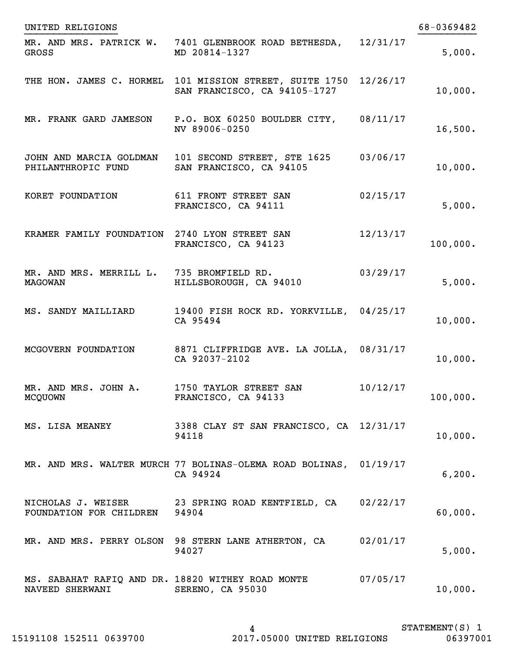| UNITED RELIGIONS                                                     |                                                                                         |          | 68-0369482 |
|----------------------------------------------------------------------|-----------------------------------------------------------------------------------------|----------|------------|
| GROSS                                                                | MR. AND MRS. PATRICK W. 7401 GLENBROOK ROAD BETHESDA,<br>MD 20814-1327                  | 12/31/17 | 5,000.     |
|                                                                      | THE HON. JAMES C. HORMEL 101 MISSION STREET, SUITE 1750<br>SAN FRANCISCO, CA 94105-1727 | 12/26/17 | 10,000.    |
|                                                                      | MR. FRANK GARD JAMESON P.O. BOX 60250 BOULDER CITY,<br>NV 89006-0250                    | 08/11/17 | 16,500.    |
| PHILANTHROPIC FUND                                                   | JOHN AND MARCIA GOLDMAN 101 SECOND STREET, STE 1625<br>SAN FRANCISCO, CA 94105          | 03/06/17 | 10,000.    |
| KORET FOUNDATION                                                     | 611 FRONT STREET SAN<br>FRANCISCO, CA 94111                                             | 02/15/17 | 5,000.     |
| KRAMER FAMILY FOUNDATION 2740 LYON STREET SAN                        | FRANCISCO, CA 94123                                                                     | 12/13/17 | 100,000.   |
| MR. AND MRS. MERRILL L. 735 BROMFIELD RD.<br><b>MAGOWAN</b>          | HILLSBOROUGH, CA 94010                                                                  | 03/29/17 | 5,000.     |
| MS. SANDY MAILLIARD                                                  | 19400 FISH ROCK RD. YORKVILLE, 04/25/17<br>CA 95494                                     |          | 10,000.    |
| MCGOVERN FOUNDATION                                                  | 8871 CLIFFRIDGE AVE. LA JOLLA, 08/31/17<br>CA 92037-2102                                |          | 10,000.    |
| MR. AND MRS. JOHN A.<br><b>MCQUOWN</b>                               | 1750 TAYLOR STREET SAN<br>FRANCISCO, CA 94133                                           | 10/12/17 | 100,000.   |
| MS. LISA MEANEY                                                      | 3388 CLAY ST SAN FRANCISCO, CA 12/31/17<br>94118                                        |          | 10,000.    |
|                                                                      | MR. AND MRS. WALTER MURCH 77 BOLINAS-OLEMA ROAD BOLINAS, 01/19/17<br>CA 94924           |          | 6, 200.    |
| FOUNDATION FOR CHILDREN 94904                                        | NICHOLAS J. WEISER 23 SPRING ROAD KENTFIELD, CA 02/22/17                                |          | 60,000.    |
|                                                                      | MR. AND MRS. PERRY OLSON 98 STERN LANE ATHERTON, CA 02/01/17<br>94027                   |          | 5,000.     |
| MS. SABAHAT RAFIQ AND DR. 18820 WITHEY ROAD MONTE<br>NAVEED SHERWANI | SERENO, CA 95030                                                                        | 07/05/17 | 10,000.    |

STATEMENT(S) 1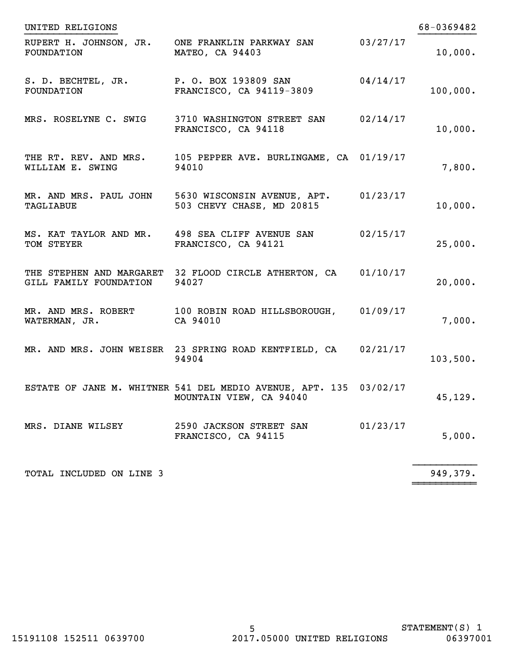| UNITED RELIGIONS                 |                                                                                              |          | 68-0369482 |
|----------------------------------|----------------------------------------------------------------------------------------------|----------|------------|
| FOUNDATION                       | RUPERT H. JOHNSON, JR. ONE FRANKLIN PARKWAY SAN<br>MATEO, CA 94403                           | 03/27/17 | 10,000.    |
| S. D. BECHTEL, JR.<br>FOUNDATION | P. O. BOX 193809 SAN<br>FRANCISCO, CA 94119-3809                                             | 04/14/17 | 100,000.   |
| MRS. ROSELYNE C. SWIG            | 3710 WASHINGTON STREET SAN<br>FRANCISCO, CA 94118                                            | 02/14/17 | 10,000.    |
| WILLIAM E. SWING                 | THE RT. REV. AND MRS. 105 PEPPER AVE. BURLINGAME, CA 01/19/17<br>94010                       |          | 7,800.     |
| TAGLIABUE                        | MR. AND MRS. PAUL JOHN 5630 WISCONSIN AVENUE, APT.<br>503 CHEVY CHASE, MD 20815              | 01/23/17 | 10,000.    |
| TOM STEYER                       | MS. KAT TAYLOR AND MR. 498 SEA CLIFF AVENUE SAN<br>FRANCISCO, CA 94121                       | 02/15/17 | 25,000.    |
| GILL FAMILY FOUNDATION           | THE STEPHEN AND MARGARET 32 FLOOD CIRCLE ATHERTON, CA<br>94027                               | 01/10/17 | 20,000.    |
| WATERMAN, JR.                    | MR. AND MRS. ROBERT 100 ROBIN ROAD HILLSBOROUGH,<br>CA 94010                                 | 01/09/17 | 7,000.     |
|                                  | MR. AND MRS. JOHN WEISER 23 SPRING ROAD KENTFIELD, CA<br>94904                               | 02/21/17 | 103,500.   |
|                                  | ESTATE OF JANE M. WHITNER 541 DEL MEDIO AVENUE, APT. 135 03/02/17<br>MOUNTAIN VIEW, CA 94040 |          | 45, 129.   |
| MRS. DIANE WILSEY                | 2590 JACKSON STREET SAN<br>FRANCISCO, CA 94115                                               | 01/23/17 | 5,000.     |
| TOTAL INCLUDED ON LINE 3         |                                                                                              |          | 949,379.   |

~~~~~~~~~~~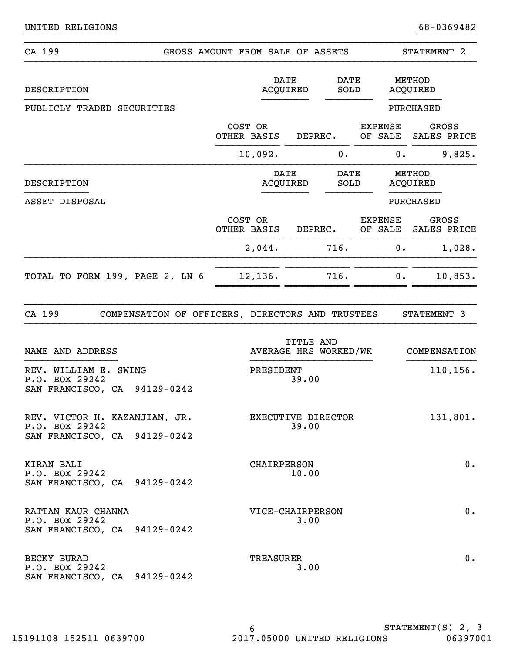| CA 199                                                                          |  | GROSS AMOUNT FROM SALE OF ASSETS |                         |                       |                           | STATEMENT 2                 |
|---------------------------------------------------------------------------------|--|----------------------------------|-------------------------|-----------------------|---------------------------|-----------------------------|
| DESCRIPTION                                                                     |  |                                  | <b>DATE</b><br>ACQUIRED | <b>DATE</b><br>SOLD   |                           | METHOD<br>ACQUIRED          |
| PUBLICLY TRADED SECURITIES                                                      |  |                                  |                         |                       |                           | PURCHASED                   |
|                                                                                 |  | COST OR<br>OTHER BASIS           |                         | DEPREC.               | <b>EXPENSE</b><br>OF SALE | <b>GROSS</b><br>SALES PRICE |
|                                                                                 |  | 10,092.                          |                         | 0.                    | 0.                        | 9,825.                      |
| DESCRIPTION                                                                     |  |                                  | <b>DATE</b><br>ACQUIRED | <b>DATE</b><br>SOLD   |                           | METHOD<br>ACQUIRED          |
| ASSET DISPOSAL                                                                  |  |                                  |                         |                       |                           | PURCHASED                   |
|                                                                                 |  | COST OR<br>OTHER BASIS           |                         | DEPREC.               | <b>EXPENSE</b><br>OF SALE | GROSS<br>SALES PRICE        |
|                                                                                 |  | 2,044.                           |                         | 716.                  | 0.                        | 1,028.                      |
| TOTAL TO FORM 199, PAGE 2, LN 6                                                 |  | 12,136.                          |                         | 716.                  | 0.                        | 10,853.                     |
| CA 199<br>COMPENSATION OF OFFICERS, DIRECTORS AND TRUSTEES                      |  |                                  | TITLE AND               |                       |                           | STATEMENT 3                 |
| NAME AND ADDRESS                                                                |  |                                  |                         | AVERAGE HRS WORKED/WK |                           | COMPENSATION                |
| REV. WILLIAM E. SWING<br>P.O. BOX 29242<br>SAN FRANCISCO, CA 94129-0242         |  | PRESIDENT                        | 39.00                   |                       |                           | 110,156.                    |
| REV. VICTOR H. KAZANJIAN, JR.<br>P.O. BOX 29242<br>SAN FRANCISCO, CA 94129-0242 |  |                                  | 39.00                   | EXECUTIVE DIRECTOR    |                           | 131,801.                    |
| KIRAN BALI<br>P.O. BOX 29242<br>SAN FRANCISCO, CA 94129-0242                    |  | <b>CHAIRPERSON</b>               | 10.00                   |                       |                           | $0$ .                       |
| RATTAN KAUR CHANNA<br>P.O. BOX 29242<br>SAN FRANCISCO, CA 94129-0242            |  | VICE-CHAIRPERSON                 | 3.00                    |                       |                           | $0$ .                       |
| BECKY BURAD<br>P.O. BOX 29242<br>SAN FRANCISCO, CA 94129-0242                   |  | TREASURER                        | 3.00                    |                       |                           | $0$ .                       |

}}}}}}}}}}}}}}}} }}}}}}}}}}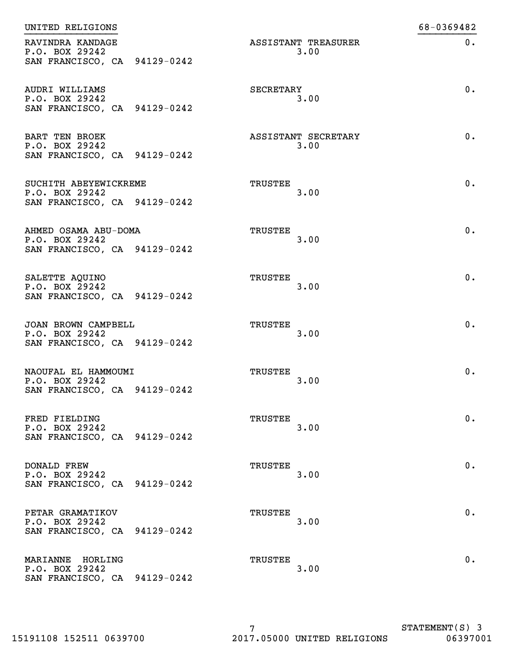| UNITED RELIGIONS                                                        |                             | 68-0369482 |
|-------------------------------------------------------------------------|-----------------------------|------------|
| RAVINDRA KANDAGE<br>P.O. BOX 29242<br>SAN FRANCISCO, CA 94129-0242      | ASSISTANT TREASURER<br>3.00 | $0$ .      |
| AUDRI WILLIAMS<br>P.O. BOX 29242<br>SAN FRANCISCO, CA 94129-0242        | SECRETARY<br>3.00           | 0.         |
| <b>BART TEN BROEK</b><br>P.O. BOX 29242<br>SAN FRANCISCO, CA 94129-0242 | ASSISTANT SECRETARY<br>3.00 | 0.         |
| SUCHITH ABEYEWICKREME<br>P.O. BOX 29242<br>SAN FRANCISCO, CA 94129-0242 | TRUSTEE<br>3.00             | $0$ .      |
| AHMED OSAMA ABU-DOMA<br>P.O. BOX 29242<br>SAN FRANCISCO, CA 94129-0242  | TRUSTEE<br>3.00             | 0.         |
| SALETTE AQUINO<br>P.O. BOX 29242<br>SAN FRANCISCO, CA 94129-0242        | TRUSTEE<br>3.00             | 0.         |
| JOAN BROWN CAMPBELL<br>P.O. BOX 29242<br>SAN FRANCISCO, CA 94129-0242   | TRUSTEE<br>3.00             | 0.         |
| NAOUFAL EL HAMMOUMI<br>P.O. BOX 29242<br>SAN FRANCISCO, CA 94129-0242   | TRUSTEE<br>3.00             | 0.         |
| FRED FIELDING<br>P.O. BOX 29242<br>SAN FRANCISCO, CA 94129-0242         | TRUSTEE<br>3.00             | 0.         |
| <b>DONALD FREW</b><br>P.O. BOX 29242<br>SAN FRANCISCO, CA 94129-0242    | TRUSTEE<br>3.00             | 0.         |
| PETAR GRAMATIKOV<br>P.O. BOX 29242<br>SAN FRANCISCO, CA 94129-0242      | TRUSTEE<br>3.00             | 0.         |
| MARIANNE HORLING<br>P.O. BOX 29242<br>SAN FRANCISCO, CA 94129-0242      | TRUSTEE<br>3.00             | 0.         |
|                                                                         |                             |            |

STATEMENT(S) 3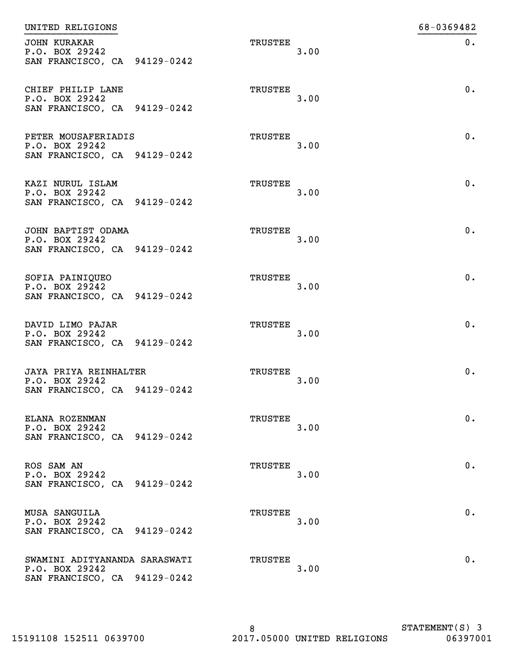| UNITED RELIGIONS                                                                |                |      | 68-0369482 |
|---------------------------------------------------------------------------------|----------------|------|------------|
| <b>JOHN KURAKAR</b><br>P.O. BOX 29242<br>SAN FRANCISCO, CA 94129-0242           | TRUSTEE        | 3.00 | 0.         |
| CHIEF PHILIP LANE<br>P.O. BOX 29242<br>SAN FRANCISCO, CA 94129-0242             | TRUSTEE        | 3.00 | 0.         |
| PETER MOUSAFERIADIS<br>P.O. BOX 29242<br>SAN FRANCISCO, CA 94129-0242           | TRUSTEE        | 3.00 | 0.         |
| KAZI NURUL ISLAM<br>P.O. BOX 29242<br>SAN FRANCISCO, CA 94129-0242              | TRUSTEE        | 3.00 | 0.         |
| JOHN BAPTIST ODAMA<br>P.O. BOX 29242<br>SAN FRANCISCO, CA 94129-0242            | <b>TRUSTEE</b> | 3.00 | 0.         |
| SOFIA PAINIQUEO<br>P.O. BOX 29242<br>SAN FRANCISCO, CA 94129-0242               | TRUSTEE        | 3.00 | 0.         |
| DAVID LIMO PAJAR<br>P.O. BOX 29242<br>SAN FRANCISCO, CA 94129-0242              | <b>TRUSTEE</b> | 3.00 | 0.         |
| JAYA PRIYA REINHALTER<br>P.O. BOX 29242<br>SAN FRANCISCO, CA 94129-0242         | TRUSTEE        | 3.00 | 0.         |
| ELANA ROZENMAN<br>P.O. BOX 29242<br>SAN FRANCISCO, CA 94129-0242                | TRUSTEE        | 3.00 | 0.         |
| ROS SAM AN<br>P.O. BOX 29242<br>SAN FRANCISCO, CA 94129-0242                    | TRUSTEE        | 3.00 | $0$ .      |
| MUSA SANGUILA<br>P.O. BOX 29242<br>SAN FRANCISCO, CA 94129-0242                 | TRUSTEE        | 3.00 | 0.         |
| SWAMINI ADITYANANDA SARASWATI<br>P.O. BOX 29242<br>SAN FRANCISCO, CA 94129-0242 | TRUSTEE        | 3.00 | 0.         |
|                                                                                 |                |      |            |

STATEMENT(S) 3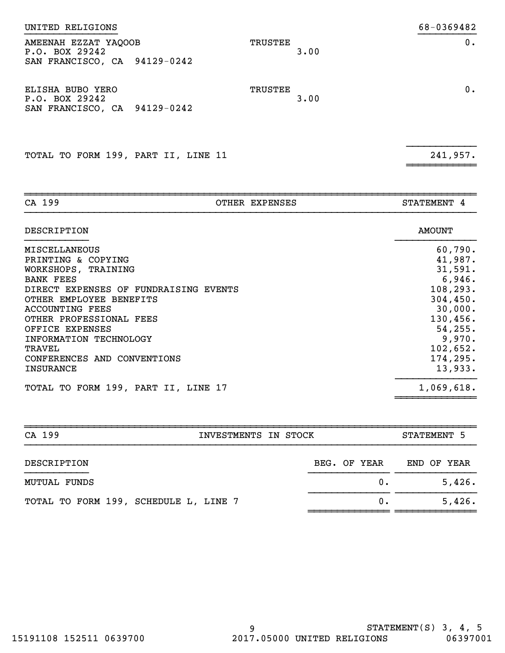| AMEENAH EZZAT YAQOOB<br>P.O. BOX 29242<br>SAN FRANCISCO, CA 94129-0242 | TRUSTEE<br>3.00 | 0. |
|------------------------------------------------------------------------|-----------------|----|
| ELISHA BUBO YERO<br>P.O. BOX 29242<br>SAN FRANCISCO, CA 94129-0242     | TRUSTEE<br>3.00 | 0. |

}}}}}}}}}}}}

~~~~~~~~~~~~

UNITED RELIGIONS 68-0369482

TOTAL TO FORM 199, PART II, LINE 11 241,957.

| CA 199                                | OTHER EXPENSES | STATEMENT 4   |
|---------------------------------------|----------------|---------------|
| DESCRIPTION                           |                | <b>AMOUNT</b> |
| <b>MISCELLANEOUS</b>                  |                | 60,790.       |
| PRINTING & COPYING                    |                | 41,987.       |
| WORKSHOPS, TRAINING                   |                | 31,591.       |
| <b>BANK FEES</b>                      |                | 6,946.        |
| DIRECT EXPENSES OF FUNDRAISING EVENTS |                | 108, 293.     |
| OTHER EMPLOYEE BENEFITS               |                | 304, 450.     |
| <b>ACCOUNTING FEES</b>                |                | 30,000.       |
| OTHER PROFESSIONAL FEES               |                | 130,456.      |
| OFFICE EXPENSES                       |                | 54, 255.      |
| INFORMATION TECHNOLOGY                |                | 9,970.        |
| TRAVEL                                |                | 102,652.      |
| CONFERENCES AND CONVENTIONS           |                | 174,295.      |
| <b>INSURANCE</b>                      |                | 13,933.       |
| TOTAL TO FORM 199, PART II, LINE 17   |                | 1,069,618.    |

| CA 199                                | INVESTMENTS IN STOCK |  |  |  |  |              | STATEMENT 5 |  |             |
|---------------------------------------|----------------------|--|--|--|--|--------------|-------------|--|-------------|
| DESCRIPTION                           |                      |  |  |  |  | BEG. OF YEAR |             |  | END OF YEAR |
| MUTUAL FUNDS                          |                      |  |  |  |  | $0$ .        |             |  | 5,426.      |
| TOTAL TO FORM 199, SCHEDULE L, LINE 7 |                      |  |  |  |  | $0$ .        |             |  | 5,426.      |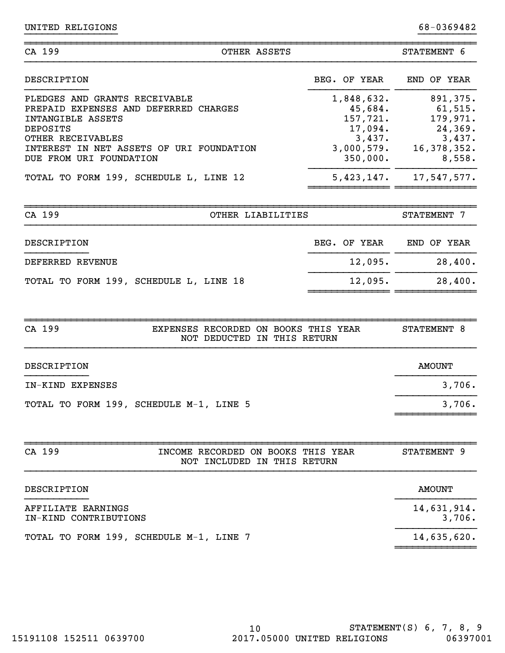| CA 199<br>OTHER ASSETS                                                                                                                                                                              |                                                                                  | STATEMENT 6                                                                        |
|-----------------------------------------------------------------------------------------------------------------------------------------------------------------------------------------------------|----------------------------------------------------------------------------------|------------------------------------------------------------------------------------|
| DESCRIPTION                                                                                                                                                                                         | BEG. OF YEAR                                                                     | END OF YEAR                                                                        |
| PLEDGES AND GRANTS RECEIVABLE<br>PREPAID EXPENSES AND DEFERRED CHARGES<br>INTANGIBLE ASSETS<br>DEPOSITS<br>OTHER RECEIVABLES<br>INTEREST IN NET ASSETS OF URI FOUNDATION<br>DUE FROM URI FOUNDATION | 1,848,632.<br>45,684.<br>157,721.<br>17,094.<br>3,437.<br>3,000,579.<br>350,000. | 891,375.<br>$61,515$ .<br>179,971.<br>24,369.<br>3,437.<br>16, 378, 352.<br>8,558. |
| TOTAL TO FORM 199, SCHEDULE L, LINE 12                                                                                                                                                              | 5,423,147.                                                                       | 17,547,577.                                                                        |

}}}}}}}}}}}}}}}} }}}}}}}}}}

| CA 199           |  | OTHER LIABILITIES                      |  |  | STATEMENT 7  |  |  |             |
|------------------|--|----------------------------------------|--|--|--------------|--|--|-------------|
| DESCRIPTION      |  |                                        |  |  | BEG. OF YEAR |  |  | END OF YEAR |
| DEFERRED REVENUE |  |                                        |  |  | 12,095.      |  |  | 28,400.     |
|                  |  | TOTAL TO FORM 199, SCHEDULE L, LINE 18 |  |  | 12,095.      |  |  | 28,400.     |

~~~~~~~~~~~~~~ ~~~~~~~~~~~~~~

| CA 199                                  | EXPENSES RECORDED ON BOOKS THIS YEAR<br>NOT DEDUCTED IN THIS RETURN |  |  | STATEMENT 8 |        |
|-----------------------------------------|---------------------------------------------------------------------|--|--|-------------|--------|
| DESCRIPTION                             |                                                                     |  |  | AMOUNT      |        |
| IN-KIND EXPENSES                        |                                                                     |  |  |             | 3,706. |
| TOTAL TO FORM 199, SCHEDULE M-1, LINE 5 |                                                                     |  |  |             | 3,706. |

~~~~~~~~~~~~~~

| CA 199                                      | INCOME RECORDED ON BOOKS THIS YEAR<br>NOT INCLUDED IN THIS RETURN | STATEMENT 9 |
|---------------------------------------------|-------------------------------------------------------------------|-------------|
| DESCRIPTION                                 |                                                                   | AMOUNT      |
| AFFILIATE EARNINGS<br>IN-KIND CONTRIBUTIONS | 14,631,914.<br>3,706.                                             |             |
| TOTAL TO FORM 199, SCHEDULE M-1, LINE 7     |                                                                   | 14,635,620. |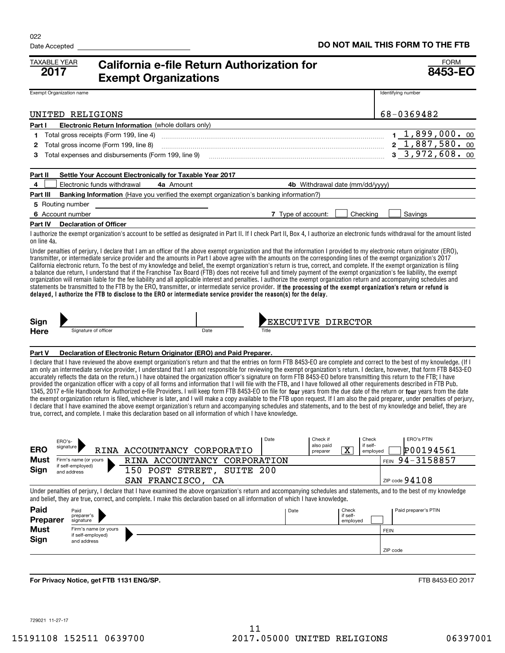| <b>TAXABLE YEAR</b><br>2017       | <b>California e-file Return Authorization for</b><br><b>Exempt Organizations</b>                                                                                                                                                                                                                                                                                                                                                                                                                                                                                                                                                                                                                                                                                                                                                                                                                                                                                                                                                                                                                                                                                                                                                                                                                                                                                             | <b>FORM</b><br>8453-EO                                          |
|-----------------------------------|------------------------------------------------------------------------------------------------------------------------------------------------------------------------------------------------------------------------------------------------------------------------------------------------------------------------------------------------------------------------------------------------------------------------------------------------------------------------------------------------------------------------------------------------------------------------------------------------------------------------------------------------------------------------------------------------------------------------------------------------------------------------------------------------------------------------------------------------------------------------------------------------------------------------------------------------------------------------------------------------------------------------------------------------------------------------------------------------------------------------------------------------------------------------------------------------------------------------------------------------------------------------------------------------------------------------------------------------------------------------------|-----------------------------------------------------------------|
| Exempt Organization name          |                                                                                                                                                                                                                                                                                                                                                                                                                                                                                                                                                                                                                                                                                                                                                                                                                                                                                                                                                                                                                                                                                                                                                                                                                                                                                                                                                                              | Identifying number                                              |
|                                   | UNITED RELIGIONS                                                                                                                                                                                                                                                                                                                                                                                                                                                                                                                                                                                                                                                                                                                                                                                                                                                                                                                                                                                                                                                                                                                                                                                                                                                                                                                                                             | 68-0369482                                                      |
| Part I                            | Electronic Return Information (whole dollars only)                                                                                                                                                                                                                                                                                                                                                                                                                                                                                                                                                                                                                                                                                                                                                                                                                                                                                                                                                                                                                                                                                                                                                                                                                                                                                                                           |                                                                 |
| 1                                 | Total gross receipts (Form 199, line 4)                                                                                                                                                                                                                                                                                                                                                                                                                                                                                                                                                                                                                                                                                                                                                                                                                                                                                                                                                                                                                                                                                                                                                                                                                                                                                                                                      | $1, 1, 899, 000.$ 00                                            |
| 2                                 | Total gross income (Form 199, line 8)                                                                                                                                                                                                                                                                                                                                                                                                                                                                                                                                                                                                                                                                                                                                                                                                                                                                                                                                                                                                                                                                                                                                                                                                                                                                                                                                        | $2\quad1,887,580.00$                                            |
| 3                                 | Total expenses and disbursements (Form 199, line 9)                                                                                                                                                                                                                                                                                                                                                                                                                                                                                                                                                                                                                                                                                                                                                                                                                                                                                                                                                                                                                                                                                                                                                                                                                                                                                                                          | 3, 3, 972, 608.00                                               |
| Part II                           | Settle Your Account Electronically for Taxable Year 2017                                                                                                                                                                                                                                                                                                                                                                                                                                                                                                                                                                                                                                                                                                                                                                                                                                                                                                                                                                                                                                                                                                                                                                                                                                                                                                                     |                                                                 |
| 4                                 | Electronic funds withdrawal<br>4a Amount<br>4b Withdrawal date (mm/dd/yyyy)                                                                                                                                                                                                                                                                                                                                                                                                                                                                                                                                                                                                                                                                                                                                                                                                                                                                                                                                                                                                                                                                                                                                                                                                                                                                                                  |                                                                 |
| Part III                          | <b>Banking Information</b> (Have you verified the exempt organization's banking information?)                                                                                                                                                                                                                                                                                                                                                                                                                                                                                                                                                                                                                                                                                                                                                                                                                                                                                                                                                                                                                                                                                                                                                                                                                                                                                |                                                                 |
| 5 Routing number                  |                                                                                                                                                                                                                                                                                                                                                                                                                                                                                                                                                                                                                                                                                                                                                                                                                                                                                                                                                                                                                                                                                                                                                                                                                                                                                                                                                                              |                                                                 |
| 6 Account number                  | 7 Type of account:<br>Checking                                                                                                                                                                                                                                                                                                                                                                                                                                                                                                                                                                                                                                                                                                                                                                                                                                                                                                                                                                                                                                                                                                                                                                                                                                                                                                                                               | Savings                                                         |
|                                   | Part IV Declaration of Officer                                                                                                                                                                                                                                                                                                                                                                                                                                                                                                                                                                                                                                                                                                                                                                                                                                                                                                                                                                                                                                                                                                                                                                                                                                                                                                                                               |                                                                 |
| on line 4a.                       | I authorize the exempt organization's account to be settled as designated in Part II. If I check Part II, Box 4, I authorize an electronic funds withdrawal for the amount listed                                                                                                                                                                                                                                                                                                                                                                                                                                                                                                                                                                                                                                                                                                                                                                                                                                                                                                                                                                                                                                                                                                                                                                                            |                                                                 |
|                                   | Under penalties of perjury, I declare that I am an officer of the above exempt organization and that the information I provided to my electronic return originator (ERO),<br>transmitter, or intermediate service provider and the amounts in Part I above agree with the amounts on the corresponding lines of the exempt organization's 2017<br>California electronic return. To the best of my knowledge and belief, the exempt organization's return is true, correct, and complete. If the exempt organization is filing<br>a balance due return, I understand that if the Franchise Tax Board (FTB) does not receive full and timely payment of the exempt organization's fee liability, the exempt<br>organization will remain liable for the fee liability and all applicable interest and penalties. I authorize the exempt organization return and accompanying schedules and<br>statements be transmitted to the FTB by the ERO, transmitter, or intermediate service provider. If the processing of the exempt organization's return or refund is<br>delayed, I authorize the FTB to disclose to the ERO or intermediate service provider the reason(s) for the delay.                                                                                                                                                                                           |                                                                 |
| Sign<br><b>Here</b>               | EXECUTIVE DIRECTOR'<br>Date<br>Signature of officer<br>Title                                                                                                                                                                                                                                                                                                                                                                                                                                                                                                                                                                                                                                                                                                                                                                                                                                                                                                                                                                                                                                                                                                                                                                                                                                                                                                                 |                                                                 |
| Part V                            | Declaration of Electronic Return Originator (ERO) and Paid Preparer.                                                                                                                                                                                                                                                                                                                                                                                                                                                                                                                                                                                                                                                                                                                                                                                                                                                                                                                                                                                                                                                                                                                                                                                                                                                                                                         |                                                                 |
|                                   | I declare that I have reviewed the above exempt organization's return and that the entries on form FTB 8453-EO are complete and correct to the best of my knowledge. (If I<br>am only an intermediate service provider, I understand that I am not responsible for reviewing the exempt organization's return. I declare, however, that form FTB 8453-EO<br>accurately reflects the data on the return.) I have obtained the organization officer's signature on form FTB 8453-EO before transmitting this return to the FTB; I have<br>provided the organization officer with a copy of all forms and information that I will file with the FTB, and I have followed all other requirements described in FTB Pub.<br>1345, 2017 e-file Handbook for Authorized e-file Providers. I will keep form FTB 8453-EO on file for four years from the due date of the return or four years from the date<br>the exempt organization return is filed, whichever is later, and I will make a copy available to the FTB upon request. If I am also the paid preparer, under penalties of perjury,<br>I declare that I have examined the above exempt organization's return and accompanying schedules and statements, and to the best of my knowledge and belief, they are<br>true, correct, and complete. I make this declaration based on all information of which I have knowledge. |                                                                 |
| ERO's-<br>signature<br><b>ERO</b> | Date<br>Check if<br>also paid<br>RINA ACCOUNTANCY CORPORATIO<br>$\overline{\text{X}}$<br>preparer                                                                                                                                                                                                                                                                                                                                                                                                                                                                                                                                                                                                                                                                                                                                                                                                                                                                                                                                                                                                                                                                                                                                                                                                                                                                            | Check<br><b>ERO's PTIN</b><br>if self-<br>P00194561<br>employed |
| Must                              | RINA ACCOUNTANCY CORPORATION<br>Firm's name (or yours<br>if self-employed)                                                                                                                                                                                                                                                                                                                                                                                                                                                                                                                                                                                                                                                                                                                                                                                                                                                                                                                                                                                                                                                                                                                                                                                                                                                                                                   | 94-3158857<br><b>FEIN</b>                                       |
| Sign                              | 150 POST STREET, SUITE 200<br>and address                                                                                                                                                                                                                                                                                                                                                                                                                                                                                                                                                                                                                                                                                                                                                                                                                                                                                                                                                                                                                                                                                                                                                                                                                                                                                                                                    |                                                                 |
|                                   | SAN FRANCISCO, CA<br>Under penalties of perjury, I declare that I have examined the above organization's return and accompanying schedules and statements, and to the best of my knowledge                                                                                                                                                                                                                                                                                                                                                                                                                                                                                                                                                                                                                                                                                                                                                                                                                                                                                                                                                                                                                                                                                                                                                                                   | ZIP code $94108$                                                |
|                                   | and belief, they are true, correct, and complete. I make this declaration based on all information of which I have knowledge.                                                                                                                                                                                                                                                                                                                                                                                                                                                                                                                                                                                                                                                                                                                                                                                                                                                                                                                                                                                                                                                                                                                                                                                                                                                |                                                                 |
| Paid<br><b>Preparer</b>           | Date<br>Paid<br>Check<br>preparer's<br>if self-                                                                                                                                                                                                                                                                                                                                                                                                                                                                                                                                                                                                                                                                                                                                                                                                                                                                                                                                                                                                                                                                                                                                                                                                                                                                                                                              | Paid preparer's PTIN                                            |
| Must                              | signature<br>employed<br>Firm's name (or yours                                                                                                                                                                                                                                                                                                                                                                                                                                                                                                                                                                                                                                                                                                                                                                                                                                                                                                                                                                                                                                                                                                                                                                                                                                                                                                                               | <b>FEIN</b>                                                     |
| Sign                              | if self-employed)<br>and address                                                                                                                                                                                                                                                                                                                                                                                                                                                                                                                                                                                                                                                                                                                                                                                                                                                                                                                                                                                                                                                                                                                                                                                                                                                                                                                                             |                                                                 |
|                                   |                                                                                                                                                                                                                                                                                                                                                                                                                                                                                                                                                                                                                                                                                                                                                                                                                                                                                                                                                                                                                                                                                                                                                                                                                                                                                                                                                                              | ZIP code                                                        |
|                                   |                                                                                                                                                                                                                                                                                                                                                                                                                                                                                                                                                                                                                                                                                                                                                                                                                                                                                                                                                                                                                                                                                                                                                                                                                                                                                                                                                                              |                                                                 |
|                                   | For Privacy Notice, get FTB 1131 ENG/SP.                                                                                                                                                                                                                                                                                                                                                                                                                                                                                                                                                                                                                                                                                                                                                                                                                                                                                                                                                                                                                                                                                                                                                                                                                                                                                                                                     | FTB 8453-EO 2017                                                |

729021 11-27-17